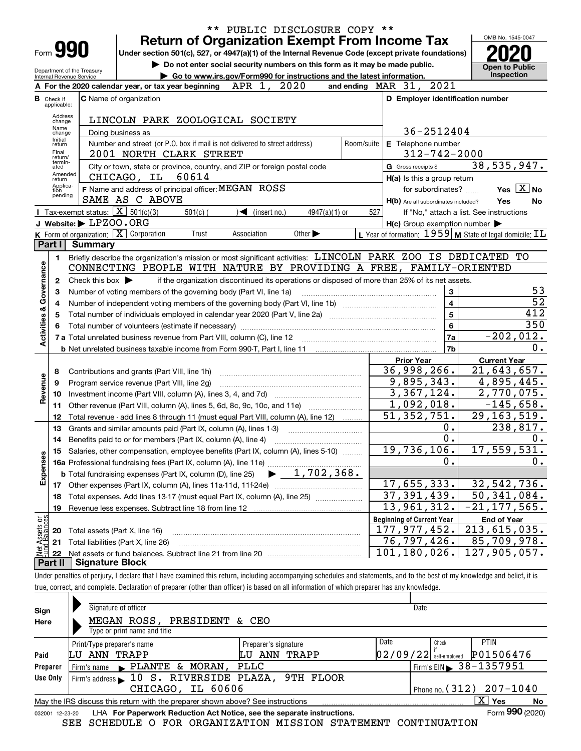| ** PUBLIC DISCLOSURE COPY **   |                                                                                                                                  |                                                   |                                                                                                                                                                            |                                                     |                                                                    |  |  |  |  |  |  |
|--------------------------------|----------------------------------------------------------------------------------------------------------------------------------|---------------------------------------------------|----------------------------------------------------------------------------------------------------------------------------------------------------------------------------|-----------------------------------------------------|--------------------------------------------------------------------|--|--|--|--|--|--|
|                                |                                                                                                                                  |                                                   | <b>Return of Organization Exempt From Income Tax</b>                                                                                                                       |                                                     | OMB No. 1545-0047                                                  |  |  |  |  |  |  |
|                                |                                                                                                                                  | Form <b>990</b>                                   | Under section 501(c), 527, or 4947(a)(1) of the Internal Revenue Code (except private foundations)                                                                         |                                                     |                                                                    |  |  |  |  |  |  |
|                                |                                                                                                                                  |                                                   | Do not enter social security numbers on this form as it may be made public.                                                                                                |                                                     | <b>Open to Public</b>                                              |  |  |  |  |  |  |
|                                | Department of the Treasury<br>Go to www.irs.gov/Form990 for instructions and the latest information.<br>Internal Revenue Service |                                                   |                                                                                                                                                                            |                                                     |                                                                    |  |  |  |  |  |  |
|                                |                                                                                                                                  |                                                   | APR 1, 2020<br>and ending $\n  MAR\n  31,$<br>A For the 2020 calendar year, or tax year beginning                                                                          | 2021                                                |                                                                    |  |  |  |  |  |  |
|                                | <b>B</b> Check if<br>applicable:                                                                                                 |                                                   | <b>C</b> Name of organization                                                                                                                                              | D Employer identification number                    |                                                                    |  |  |  |  |  |  |
|                                | Address<br>change                                                                                                                |                                                   | LINCOLN PARK ZOOLOGICAL SOCIETY                                                                                                                                            |                                                     |                                                                    |  |  |  |  |  |  |
|                                | Name<br>change                                                                                                                   |                                                   | Doing business as                                                                                                                                                          | 36-2512404                                          |                                                                    |  |  |  |  |  |  |
|                                | Initial<br>return                                                                                                                |                                                   | Number and street (or P.O. box if mail is not delivered to street address)<br>Room/suite                                                                                   | E Telephone number                                  |                                                                    |  |  |  |  |  |  |
|                                | Final<br>return/                                                                                                                 |                                                   | 2001 NORTH CLARK STREET                                                                                                                                                    | $312 - 742 - 2000$                                  |                                                                    |  |  |  |  |  |  |
|                                | termin-<br>ated                                                                                                                  |                                                   | City or town, state or province, country, and ZIP or foreign postal code                                                                                                   | G Gross receipts \$                                 | 38,535,947.                                                        |  |  |  |  |  |  |
|                                | Amended<br>return                                                                                                                |                                                   | CHICAGO, IL 60614                                                                                                                                                          | H(a) Is this a group return                         |                                                                    |  |  |  |  |  |  |
|                                | Applica-<br>tion                                                                                                                 |                                                   | F Name and address of principal officer: MEGAN ROSS                                                                                                                        | for subordinates?                                   | Yes $X$ No                                                         |  |  |  |  |  |  |
|                                | pending                                                                                                                          |                                                   | SAME AS C ABOVE                                                                                                                                                            | H(b) Are all subordinates included?                 | Yes<br>No                                                          |  |  |  |  |  |  |
|                                |                                                                                                                                  | Tax-exempt status: $\boxed{\mathbf{X}}$ 501(c)(3) | $\sqrt{\frac{1}{1}}$ (insert no.)<br>$501(c)$ (<br>$4947(a)(1)$ or<br>527                                                                                                  |                                                     | If "No," attach a list. See instructions                           |  |  |  |  |  |  |
|                                |                                                                                                                                  | J Website: $\blacktriangleright$ LPZOO . ORG      |                                                                                                                                                                            | $H(c)$ Group exemption number $\blacktriangleright$ |                                                                    |  |  |  |  |  |  |
|                                |                                                                                                                                  |                                                   | K Form of organization: X Corporation<br>Trust<br>Association<br>Other $\blacktriangleright$                                                                               |                                                     | L Year of formation: $1959$ M State of legal domicile: $\text{TL}$ |  |  |  |  |  |  |
|                                | Part I                                                                                                                           | <b>Summary</b>                                    |                                                                                                                                                                            |                                                     |                                                                    |  |  |  |  |  |  |
|                                | 1.                                                                                                                               |                                                   | Briefly describe the organization's mission or most significant activities: LINCOLN PARK ZOO IS DEDICATED TO                                                               |                                                     |                                                                    |  |  |  |  |  |  |
|                                |                                                                                                                                  |                                                   | CONNECTING PEOPLE WITH NATURE BY PROVIDING A FREE, FAMILY-ORIENTED                                                                                                         |                                                     |                                                                    |  |  |  |  |  |  |
|                                | 2                                                                                                                                | Check this box $\blacktriangleright$              | if the organization discontinued its operations or disposed of more than 25% of its net assets.                                                                            |                                                     |                                                                    |  |  |  |  |  |  |
|                                | 3                                                                                                                                |                                                   | Number of voting members of the governing body (Part VI, line 1a)                                                                                                          | 3                                                   | 53                                                                 |  |  |  |  |  |  |
|                                | 4                                                                                                                                |                                                   |                                                                                                                                                                            | $\overline{\mathbf{4}}$                             | $\overline{52}$<br>412                                             |  |  |  |  |  |  |
| Activities & Governance        | 5                                                                                                                                |                                                   |                                                                                                                                                                            | 5<br>$6\phantom{1}6$                                | 350                                                                |  |  |  |  |  |  |
|                                |                                                                                                                                  |                                                   |                                                                                                                                                                            | 7a                                                  | $-202,012.$                                                        |  |  |  |  |  |  |
|                                |                                                                                                                                  |                                                   |                                                                                                                                                                            | 7 <sub>b</sub>                                      | 0.                                                                 |  |  |  |  |  |  |
|                                |                                                                                                                                  |                                                   |                                                                                                                                                                            | <b>Prior Year</b>                                   | <b>Current Year</b>                                                |  |  |  |  |  |  |
|                                | 8                                                                                                                                |                                                   | Contributions and grants (Part VIII, line 1h)                                                                                                                              | 36,998,266.                                         | $\overline{21,643,657}$ .                                          |  |  |  |  |  |  |
| Revenue                        | 9                                                                                                                                |                                                   | Program service revenue (Part VIII, line 2g)                                                                                                                               | 9,895,343.                                          | 4,895,445.                                                         |  |  |  |  |  |  |
|                                | 10                                                                                                                               |                                                   |                                                                                                                                                                            | 3,367,124.                                          | 2,770,075.                                                         |  |  |  |  |  |  |
|                                | 11                                                                                                                               |                                                   | Other revenue (Part VIII, column (A), lines 5, 6d, 8c, 9c, 10c, and 11e)                                                                                                   | 1,092,018.                                          | $-145,658.$                                                        |  |  |  |  |  |  |
|                                | 12                                                                                                                               |                                                   | Total revenue - add lines 8 through 11 (must equal Part VIII, column (A), line 12)                                                                                         | 51, 352, 751.                                       | 29, 163, 519.                                                      |  |  |  |  |  |  |
|                                | 13                                                                                                                               |                                                   | Grants and similar amounts paid (Part IX, column (A), lines 1-3)                                                                                                           | Ο.                                                  | 238,817.                                                           |  |  |  |  |  |  |
|                                | 14                                                                                                                               |                                                   | Benefits paid to or for members (Part IX, column (A), line 4)                                                                                                              | $\overline{0}$ .                                    | 0.                                                                 |  |  |  |  |  |  |
|                                | 15.                                                                                                                              |                                                   | Salaries, other compensation, employee benefits (Part IX, column (A), lines 5-10)                                                                                          | 19,736,106.                                         | 17, 559, 531.                                                      |  |  |  |  |  |  |
| Expenses                       |                                                                                                                                  |                                                   |                                                                                                                                                                            | 0.                                                  | 0.                                                                 |  |  |  |  |  |  |
|                                |                                                                                                                                  |                                                   | $\blacktriangleright$ 1,702,368.<br><b>b</b> Total fundraising expenses (Part IX, column (D), line 25)                                                                     |                                                     |                                                                    |  |  |  |  |  |  |
|                                |                                                                                                                                  |                                                   | 17 Other expenses (Part IX, column (A), lines 11a-11d, 11f-24e)                                                                                                            | 17,655,333.                                         | 32,542,736.                                                        |  |  |  |  |  |  |
|                                | 18                                                                                                                               |                                                   | Total expenses. Add lines 13-17 (must equal Part IX, column (A), line 25)                                                                                                  | 37, 391, 439.                                       | $\overline{50}$ , 341, 084.                                        |  |  |  |  |  |  |
|                                | 19                                                                                                                               |                                                   | Revenue less expenses. Subtract line 18 from line 12                                                                                                                       | 13,961,312.                                         | $-21, 177, 565.$                                                   |  |  |  |  |  |  |
| Net Assets or<br>Fund Balances |                                                                                                                                  |                                                   |                                                                                                                                                                            | <b>Beginning of Current Year</b>                    | <b>End of Year</b>                                                 |  |  |  |  |  |  |
|                                | 20                                                                                                                               | Total assets (Part X, line 16)                    |                                                                                                                                                                            | 177,977,452.                                        | 213,615,035.                                                       |  |  |  |  |  |  |
|                                | 21                                                                                                                               |                                                   | Total liabilities (Part X, line 26)                                                                                                                                        | $\overline{76,797,426}$ .                           | 85,709,978.                                                        |  |  |  |  |  |  |
|                                | 22<br>Part II                                                                                                                    | <b>Signature Block</b>                            |                                                                                                                                                                            | 101,180,026.                                        | 127,905,057.                                                       |  |  |  |  |  |  |
|                                |                                                                                                                                  |                                                   | Under penalties of perjury, I declare that I have examined this return, including accompanying schedules and statements, and to the best of my knowledge and belief, it is |                                                     |                                                                    |  |  |  |  |  |  |
|                                |                                                                                                                                  |                                                   |                                                                                                                                                                            |                                                     |                                                                    |  |  |  |  |  |  |

true, correct, and complete. Declaration of preparer (other than officer) is based on all information of which preparer has any knowledge.

| Sign                                                                                                   | Signature of officer                                                                                         |                      | Date                     |                                          |  |  |  |  |  |  |  |
|--------------------------------------------------------------------------------------------------------|--------------------------------------------------------------------------------------------------------------|----------------------|--------------------------|------------------------------------------|--|--|--|--|--|--|--|
| Here                                                                                                   | MEGAN ROSS, PRESIDENT & CEO                                                                                  |                      |                          |                                          |  |  |  |  |  |  |  |
|                                                                                                        | Type or print name and title                                                                                 |                      |                          |                                          |  |  |  |  |  |  |  |
|                                                                                                        | Print/Type preparer's name                                                                                   | Preparer's signature | Date                     | <b>PTIN</b><br>Check                     |  |  |  |  |  |  |  |
| Paid                                                                                                   | ANN TRAPP<br>LU                                                                                              | TRAPP<br>ANN<br>LU   | $02/09/22$ self-employed | P01506476                                |  |  |  |  |  |  |  |
| Preparer                                                                                               | Firm's name $\blacktriangleright$ PLANTE & MORAN,                                                            | PLLC                 |                          | Firm's EIN $\triangleright$ 38 - 1357951 |  |  |  |  |  |  |  |
| Use Only                                                                                               | Firm's address 10 S. RIVERSIDE PLAZA, 9TH FLOOR                                                              |                      |                          |                                          |  |  |  |  |  |  |  |
|                                                                                                        | Phone no. $(312)$ 207-1040<br>CHICAGO, IL 60606                                                              |                      |                          |                                          |  |  |  |  |  |  |  |
| $X \mid Y$ es<br>May the IRS discuss this return with the preparer shown above? See instructions<br>No |                                                                                                              |                      |                          |                                          |  |  |  |  |  |  |  |
|                                                                                                        | Form 990 (2020)<br>LHA For Paperwork Reduction Act Notice, see the separate instructions.<br>032001 12-23-20 |                      |                          |                                          |  |  |  |  |  |  |  |
|                                                                                                        | SEE SCHEDULE O FOR ORGANIZATION MISSION STATEMENT CONTINUATION                                               |                      |                          |                                          |  |  |  |  |  |  |  |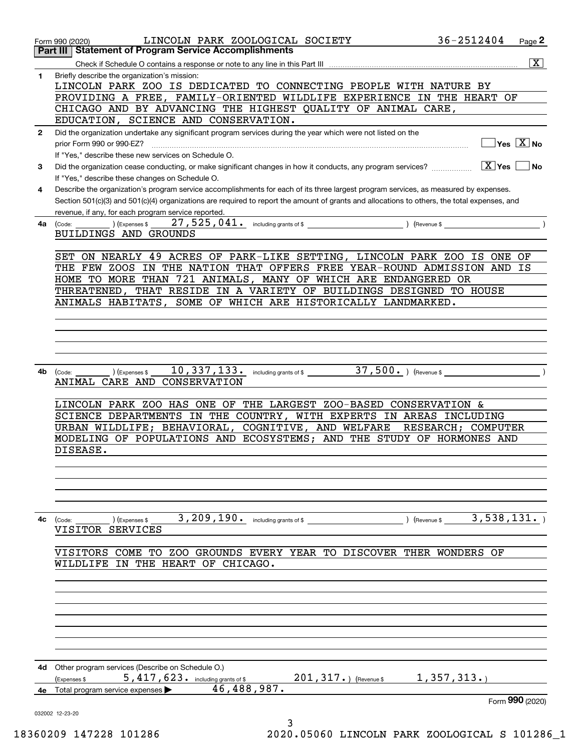|              | LINCOLN PARK ZOOLOGICAL SOCIETY<br>Form 990 (2020)                                                                                                                                                  | 36-2512404             | Page 2                                          |
|--------------|-----------------------------------------------------------------------------------------------------------------------------------------------------------------------------------------------------|------------------------|-------------------------------------------------|
|              | <b>Statement of Program Service Accomplishments</b><br>Part III                                                                                                                                     |                        |                                                 |
|              |                                                                                                                                                                                                     |                        | $\overline{\mathbf{x}}$                         |
| 1            | Briefly describe the organization's mission:<br>LINCOLN PARK ZOO IS DEDICATED TO CONNECTING PEOPLE WITH NATURE BY                                                                                   |                        |                                                 |
|              | PROVIDING A FREE, FAMILY-ORIENTED WILDLIFE EXPERIENCE IN THE HEART OF                                                                                                                               |                        |                                                 |
|              | CHICAGO AND BY ADVANCING THE HIGHEST QUALITY OF ANIMAL CARE,                                                                                                                                        |                        |                                                 |
|              | EDUCATION, SCIENCE AND CONSERVATION.                                                                                                                                                                |                        |                                                 |
| $\mathbf{2}$ | Did the organization undertake any significant program services during the year which were not listed on the                                                                                        |                        |                                                 |
|              | prior Form 990 or 990-EZ?                                                                                                                                                                           |                        | $\overline{\ }$ Yes $\overline{\phantom{X}}$ No |
|              | If "Yes," describe these new services on Schedule O.                                                                                                                                                |                        |                                                 |
| 3            | Did the organization cease conducting, or make significant changes in how it conducts, any program services?                                                                                        | $\boxed{\text{X}}$ Yes | ∣No                                             |
|              | If "Yes," describe these changes on Schedule O.                                                                                                                                                     |                        |                                                 |
| 4            | Describe the organization's program service accomplishments for each of its three largest program services, as measured by expenses.                                                                |                        |                                                 |
|              | Section 501(c)(3) and 501(c)(4) organizations are required to report the amount of grants and allocations to others, the total expenses, and<br>revenue, if any, for each program service reported. |                        |                                                 |
|              | (Expenses \$<br>4a (Code:                                                                                                                                                                           |                        |                                                 |
|              | BUILDINGS AND GROUNDS                                                                                                                                                                               |                        |                                                 |
|              |                                                                                                                                                                                                     |                        |                                                 |
|              | SET ON NEARLY 49 ACRES OF PARK-LIKE SETTING, LINCOLN PARK ZOO IS ONE OF                                                                                                                             |                        |                                                 |
|              | THE FEW ZOOS IN THE NATION THAT OFFERS FREE YEAR-ROUND ADMISSION AND IS                                                                                                                             |                        |                                                 |
|              | HOME TO MORE THAN 721 ANIMALS, MANY OF WHICH ARE ENDANGERED OR                                                                                                                                      |                        |                                                 |
|              | THREATENED, THAT RESIDE IN A VARIETY OF BUILDINGS DESIGNED TO HOUSE                                                                                                                                 |                        |                                                 |
|              | ANIMALS HABITATS, SOME OF WHICH ARE HISTORICALLY LANDMARKED.                                                                                                                                        |                        |                                                 |
|              |                                                                                                                                                                                                     |                        |                                                 |
|              |                                                                                                                                                                                                     |                        |                                                 |
|              |                                                                                                                                                                                                     |                        |                                                 |
|              |                                                                                                                                                                                                     |                        |                                                 |
| 4b           | 10,337,133.<br>including grants of \$ $37,500$ .) (Revenue \$<br>(Expenses \$<br>(Code:                                                                                                             |                        |                                                 |
|              | CARE AND CONSERVATION<br>ANIMAL                                                                                                                                                                     |                        |                                                 |
|              |                                                                                                                                                                                                     |                        |                                                 |
|              | LINCOLN PARK ZOO HAS ONE OF THE LARGEST ZOO-BASED CONSERVATION &<br>SCIENCE DEPARTMENTS IN THE COUNTRY, WITH EXPERTS IN AREAS INCLUDING                                                             |                        |                                                 |
|              | URBAN WILDLIFE; BEHAVIORAL, COGNITIVE, AND WELFARE                                                                                                                                                  | RESEARCH; COMPUTER     |                                                 |
|              | MODELING OF POPULATIONS AND ECOSYSTEMS; AND THE STUDY OF HORMONES AND                                                                                                                               |                        |                                                 |
|              | DISEASE.                                                                                                                                                                                            |                        |                                                 |
|              |                                                                                                                                                                                                     |                        |                                                 |
|              |                                                                                                                                                                                                     |                        |                                                 |
|              |                                                                                                                                                                                                     |                        |                                                 |
|              |                                                                                                                                                                                                     |                        |                                                 |
| 4с           | 3, 209, 190. including grants of \$                                                                                                                                                                 |                        |                                                 |
|              | ) (Expenses \$<br>(Code:<br>VISITOR SERVICES                                                                                                                                                        |                        |                                                 |
|              |                                                                                                                                                                                                     |                        |                                                 |
|              | VISITORS COME<br>TO ZOO GROUNDS EVERY YEAR TO DISCOVER THER WONDERS OF                                                                                                                              |                        |                                                 |
|              | WILDLIFE IN THE HEART OF CHICAGO.                                                                                                                                                                   |                        |                                                 |
|              |                                                                                                                                                                                                     |                        |                                                 |
|              |                                                                                                                                                                                                     |                        |                                                 |
|              |                                                                                                                                                                                                     |                        |                                                 |
|              |                                                                                                                                                                                                     |                        |                                                 |
|              |                                                                                                                                                                                                     |                        |                                                 |
|              |                                                                                                                                                                                                     |                        |                                                 |
|              |                                                                                                                                                                                                     |                        |                                                 |
| 4d           | Other program services (Describe on Schedule O.)                                                                                                                                                    |                        |                                                 |
|              | $201, 317.$ ) (Revenue \$<br>5,417,623. including grants of \$<br>(Expenses \$                                                                                                                      | 1,357,313.             |                                                 |
| 4е           | 46,488,987.<br>Total program service expenses                                                                                                                                                       |                        |                                                 |
|              |                                                                                                                                                                                                     | Form 990 (2020)        |                                                 |
|              | 032002 12-23-20<br>3                                                                                                                                                                                |                        |                                                 |
|              |                                                                                                                                                                                                     |                        |                                                 |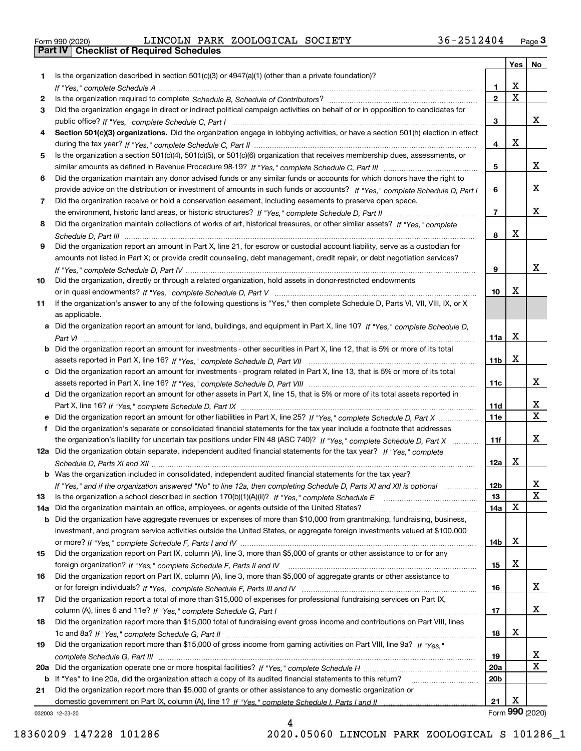Form 990 (2020) LINCOLN PARK ZOOLOGICAL SOCIETY 36-2512404 <sub>Page</sub> 3<br>**Part IV | Checklist of Required Schedules** 

|     |                                                                                                                                                                                                                                           |                 | Yes                   | No                      |
|-----|-------------------------------------------------------------------------------------------------------------------------------------------------------------------------------------------------------------------------------------------|-----------------|-----------------------|-------------------------|
| 1   | Is the organization described in section $501(c)(3)$ or $4947(a)(1)$ (other than a private foundation)?                                                                                                                                   |                 |                       |                         |
|     |                                                                                                                                                                                                                                           | 1.              | х                     |                         |
| 2   |                                                                                                                                                                                                                                           | $\mathbf{2}$    | $\overline{\text{x}}$ |                         |
| 3   | Did the organization engage in direct or indirect political campaign activities on behalf of or in opposition to candidates for                                                                                                           |                 |                       |                         |
|     |                                                                                                                                                                                                                                           | 3               |                       | x                       |
| 4   | Section 501(c)(3) organizations. Did the organization engage in lobbying activities, or have a section 501(h) election in effect                                                                                                          |                 |                       |                         |
|     |                                                                                                                                                                                                                                           | 4               | X                     |                         |
| 5   | Is the organization a section 501(c)(4), 501(c)(5), or 501(c)(6) organization that receives membership dues, assessments, or                                                                                                              |                 |                       |                         |
|     |                                                                                                                                                                                                                                           | 5               |                       | x                       |
| 6   | Did the organization maintain any donor advised funds or any similar funds or accounts for which donors have the right to                                                                                                                 |                 |                       | x                       |
| 7   | provide advice on the distribution or investment of amounts in such funds or accounts? If "Yes," complete Schedule D, Part I<br>Did the organization receive or hold a conservation easement, including easements to preserve open space, | 6               |                       |                         |
|     |                                                                                                                                                                                                                                           | $\overline{7}$  |                       | X.                      |
| 8   | Did the organization maintain collections of works of art, historical treasures, or other similar assets? If "Yes," complete                                                                                                              |                 |                       |                         |
|     |                                                                                                                                                                                                                                           | 8               | X                     |                         |
| 9   | Did the organization report an amount in Part X, line 21, for escrow or custodial account liability, serve as a custodian for                                                                                                             |                 |                       |                         |
|     | amounts not listed in Part X; or provide credit counseling, debt management, credit repair, or debt negotiation services?                                                                                                                 |                 |                       |                         |
|     |                                                                                                                                                                                                                                           | 9               |                       | x                       |
| 10  | Did the organization, directly or through a related organization, hold assets in donor-restricted endowments                                                                                                                              |                 |                       |                         |
|     |                                                                                                                                                                                                                                           | 10              | Х                     |                         |
| 11  | If the organization's answer to any of the following questions is "Yes," then complete Schedule D, Parts VI, VII, VIII, IX, or X                                                                                                          |                 |                       |                         |
|     | as applicable.                                                                                                                                                                                                                            |                 |                       |                         |
|     | a Did the organization report an amount for land, buildings, and equipment in Part X, line 10? If "Yes," complete Schedule D,                                                                                                             |                 |                       |                         |
|     |                                                                                                                                                                                                                                           | 11a             | X                     |                         |
|     | <b>b</b> Did the organization report an amount for investments - other securities in Part X, line 12, that is 5% or more of its total                                                                                                     |                 |                       |                         |
|     |                                                                                                                                                                                                                                           | 11 <sub>b</sub> | X                     |                         |
|     | c Did the organization report an amount for investments - program related in Part X, line 13, that is 5% or more of its total                                                                                                             |                 |                       |                         |
|     | d Did the organization report an amount for other assets in Part X, line 15, that is 5% or more of its total assets reported in                                                                                                           | 11c             |                       | x                       |
|     |                                                                                                                                                                                                                                           | 11d             |                       | x                       |
|     |                                                                                                                                                                                                                                           | <b>11e</b>      |                       | $\overline{\mathbf{x}}$ |
| f   | Did the organization's separate or consolidated financial statements for the tax year include a footnote that addresses                                                                                                                   |                 |                       |                         |
|     | the organization's liability for uncertain tax positions under FIN 48 (ASC 740)? If "Yes," complete Schedule D, Part X                                                                                                                    | 11f             |                       | x                       |
|     | 12a Did the organization obtain separate, independent audited financial statements for the tax year? If "Yes," complete                                                                                                                   |                 |                       |                         |
|     |                                                                                                                                                                                                                                           | 12a             | х                     |                         |
|     | <b>b</b> Was the organization included in consolidated, independent audited financial statements for the tax year?                                                                                                                        |                 |                       |                         |
|     | If "Yes," and if the organization answered "No" to line 12a, then completing Schedule D, Parts XI and XII is optional                                                                                                                     | 12b             |                       | X,                      |
| 13  |                                                                                                                                                                                                                                           | 13              |                       | $\mathbf X$             |
| 14a | Did the organization maintain an office, employees, or agents outside of the United States?                                                                                                                                               | 14a             | X                     |                         |
|     | b Did the organization have aggregate revenues or expenses of more than \$10,000 from grantmaking, fundraising, business,                                                                                                                 |                 |                       |                         |
|     | investment, and program service activities outside the United States, or aggregate foreign investments valued at \$100,000                                                                                                                |                 |                       |                         |
|     |                                                                                                                                                                                                                                           | 14b             | х                     |                         |
| 15  | Did the organization report on Part IX, column (A), line 3, more than \$5,000 of grants or other assistance to or for any                                                                                                                 |                 | X                     |                         |
|     | Did the organization report on Part IX, column (A), line 3, more than \$5,000 of aggregate grants or other assistance to                                                                                                                  | 15              |                       |                         |
| 16  |                                                                                                                                                                                                                                           | 16              |                       | x                       |
| 17  | Did the organization report a total of more than \$15,000 of expenses for professional fundraising services on Part IX,                                                                                                                   |                 |                       |                         |
|     |                                                                                                                                                                                                                                           | 17              |                       | x                       |
| 18  | Did the organization report more than \$15,000 total of fundraising event gross income and contributions on Part VIII, lines                                                                                                              |                 |                       |                         |
|     |                                                                                                                                                                                                                                           | 18              | х                     |                         |
| 19  | Did the organization report more than \$15,000 of gross income from gaming activities on Part VIII, line 9a? If "Yes."                                                                                                                    |                 |                       |                         |
|     |                                                                                                                                                                                                                                           | 19              |                       | X                       |
| 20a |                                                                                                                                                                                                                                           | <b>20a</b>      |                       | $\overline{\mathbf{x}}$ |
| b   | If "Yes" to line 20a, did the organization attach a copy of its audited financial statements to this return?                                                                                                                              | 20b             |                       |                         |
| 21  | Did the organization report more than \$5,000 of grants or other assistance to any domestic organization or                                                                                                                               |                 |                       |                         |
|     |                                                                                                                                                                                                                                           | 21              | х                     |                         |
|     | 032003 12-23-20                                                                                                                                                                                                                           |                 |                       | Form 990 (2020)         |

4

032003 12-23-20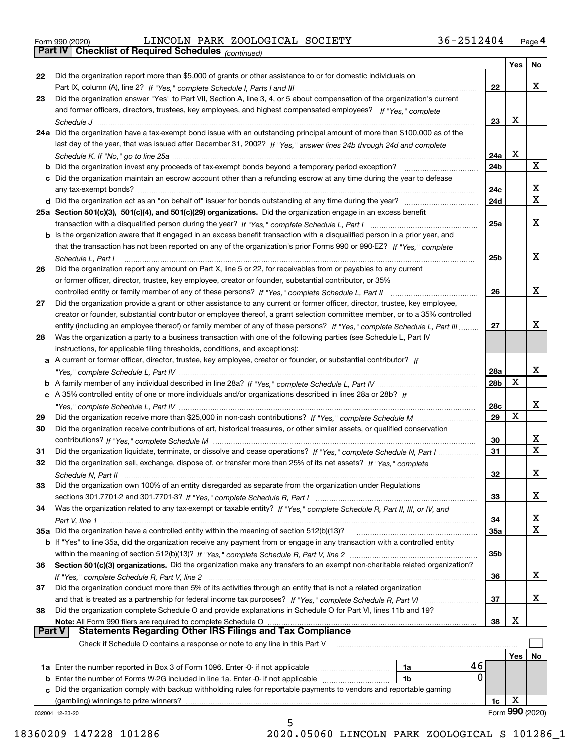|  | Form 990 (2020) |
|--|-----------------|
|  |                 |

*(continued)* Form 990 (2020) LINCOLN PARK ZOOLOGICAL SOCIETY 36-2512404 <sub>Page</sub> 4<br>**Part IV | Checklist of Required Schedules** <sub>(continued)</sub>

|               |                                                                                                                              |                 | Yes | No                           |
|---------------|------------------------------------------------------------------------------------------------------------------------------|-----------------|-----|------------------------------|
| 22            | Did the organization report more than \$5,000 of grants or other assistance to or for domestic individuals on                |                 |     |                              |
|               |                                                                                                                              | 22              |     | х                            |
| 23            | Did the organization answer "Yes" to Part VII, Section A, line 3, 4, or 5 about compensation of the organization's current   |                 |     |                              |
|               | and former officers, directors, trustees, key employees, and highest compensated employees? If "Yes," complete               |                 |     |                              |
|               |                                                                                                                              | 23              | х   |                              |
|               | 24a Did the organization have a tax-exempt bond issue with an outstanding principal amount of more than \$100,000 as of the  |                 |     |                              |
|               | last day of the year, that was issued after December 31, 2002? If "Yes," answer lines 24b through 24d and complete           |                 |     |                              |
|               |                                                                                                                              | 24a             | х   |                              |
|               | <b>b</b> Did the organization invest any proceeds of tax-exempt bonds beyond a temporary period exception?                   | 24 <sub>b</sub> |     | X                            |
|               | c Did the organization maintain an escrow account other than a refunding escrow at any time during the year to defease       |                 |     |                              |
|               |                                                                                                                              | 24c             |     | X                            |
|               |                                                                                                                              | 24d             |     | $\overline{\mathbf{x}}$      |
|               | 25a Section 501(c)(3), 501(c)(4), and 501(c)(29) organizations. Did the organization engage in an excess benefit             |                 |     |                              |
|               |                                                                                                                              | 25a             |     | х                            |
|               | b Is the organization aware that it engaged in an excess benefit transaction with a disqualified person in a prior year, and |                 |     |                              |
|               | that the transaction has not been reported on any of the organization's prior Forms 990 or 990-EZ? If "Yes," complete        |                 |     |                              |
|               | Schedule L, Part I                                                                                                           | 25b             |     | x                            |
| 26            | Did the organization report any amount on Part X, line 5 or 22, for receivables from or payables to any current              |                 |     |                              |
|               | or former officer, director, trustee, key employee, creator or founder, substantial contributor, or 35%                      |                 |     |                              |
|               | controlled entity or family member of any of these persons? If "Yes," complete Schedule L, Part II                           | 26              |     | x                            |
| 27            | Did the organization provide a grant or other assistance to any current or former officer, director, trustee, key employee,  |                 |     |                              |
|               | creator or founder, substantial contributor or employee thereof, a grant selection committee member, or to a 35% controlled  |                 |     |                              |
|               | entity (including an employee thereof) or family member of any of these persons? If "Yes," complete Schedule L, Part III     | 27              |     | x                            |
| 28            | Was the organization a party to a business transaction with one of the following parties (see Schedule L, Part IV            |                 |     |                              |
|               | instructions, for applicable filing thresholds, conditions, and exceptions):                                                 |                 |     |                              |
|               | a A current or former officer, director, trustee, key employee, creator or founder, or substantial contributor? If           |                 |     |                              |
|               |                                                                                                                              | 28a             |     | х                            |
|               |                                                                                                                              | 28 <sub>b</sub> | X   |                              |
|               | c A 35% controlled entity of one or more individuals and/or organizations described in lines 28a or 28b? If                  |                 |     |                              |
|               |                                                                                                                              | 28c             |     | х                            |
|               |                                                                                                                              |                 | X   |                              |
| 29            |                                                                                                                              | 29              |     |                              |
| 30            | Did the organization receive contributions of art, historical treasures, or other similar assets, or qualified conservation  |                 |     |                              |
|               |                                                                                                                              | 30              |     | x<br>$\overline{\mathbf{x}}$ |
| 31            | Did the organization liquidate, terminate, or dissolve and cease operations? If "Yes," complete Schedule N, Part I           | 31              |     |                              |
| 32            | Did the organization sell, exchange, dispose of, or transfer more than 25% of its net assets? If "Yes," complete             |                 |     |                              |
|               |                                                                                                                              | 32              |     | х                            |
| 33            | Did the organization own 100% of an entity disregarded as separate from the organization under Regulations                   |                 |     |                              |
|               |                                                                                                                              | 33              |     | x                            |
| 34            | Was the organization related to any tax-exempt or taxable entity? If "Yes," complete Schedule R, Part II, III, or IV, and    |                 |     |                              |
|               |                                                                                                                              | 34              |     | X                            |
|               | 35a Did the organization have a controlled entity within the meaning of section 512(b)(13)?                                  | <b>35a</b>      |     | x                            |
|               | b If "Yes" to line 35a, did the organization receive any payment from or engage in any transaction with a controlled entity  |                 |     |                              |
|               |                                                                                                                              | 35 <sub>b</sub> |     |                              |
| 36            | Section 501(c)(3) organizations. Did the organization make any transfers to an exempt non-charitable related organization?   |                 |     |                              |
|               |                                                                                                                              | 36              |     | x                            |
| 37            | Did the organization conduct more than 5% of its activities through an entity that is not a related organization             |                 |     |                              |
|               | and that is treated as a partnership for federal income tax purposes? If "Yes," complete Schedule R, Part VI                 | 37              |     | x                            |
| 38            | Did the organization complete Schedule O and provide explanations in Schedule O for Part VI, lines 11b and 19?               |                 |     |                              |
|               | Note: All Form 990 filers are required to complete Schedule O                                                                | 38              | х   |                              |
| <b>Part V</b> | <b>Statements Regarding Other IRS Filings and Tax Compliance</b>                                                             |                 |     |                              |
|               | Check if Schedule O contains a response or note to any line in this Part V                                                   |                 |     |                              |
|               |                                                                                                                              |                 | Yes | No                           |
|               | 46<br>1a Enter the number reported in Box 3 of Form 1096. Enter -0- if not applicable<br>1a                                  |                 |     |                              |
| b             | 0<br>Enter the number of Forms W-2G included in line 1a. Enter -0- if not applicable<br>1b                                   |                 |     |                              |
| c             | Did the organization comply with backup withholding rules for reportable payments to vendors and reportable gaming           |                 |     |                              |
|               | (gambling) winnings to prize winners?                                                                                        | 1c              | х   |                              |
|               | 032004 12-23-20                                                                                                              |                 |     | Form 990 (2020)              |
|               | 5                                                                                                                            |                 |     |                              |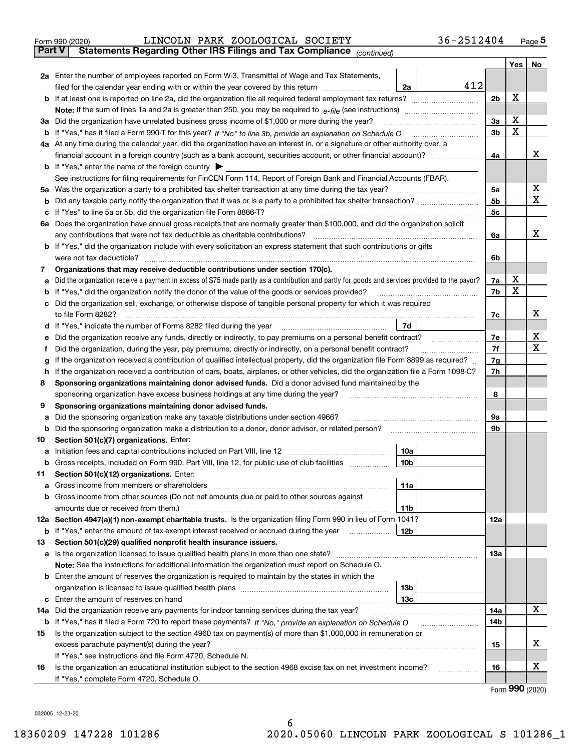| Form 990 (2020) |  | LINCOLN PARK ZOOLOGICAL SOCIETY                                                                |  | 36-2512404 | Page 5 |
|-----------------|--|------------------------------------------------------------------------------------------------|--|------------|--------|
|                 |  | <b>Part V</b> Statements Regarding Other IRS Filings and Tax Compliance <sub>(continued)</sub> |  |            |        |

|    |                                                                                                                                                                                                       |                 |     |     | Yes | No |  |  |  |  |
|----|-------------------------------------------------------------------------------------------------------------------------------------------------------------------------------------------------------|-----------------|-----|-----|-----|----|--|--|--|--|
|    | 2a Enter the number of employees reported on Form W-3, Transmittal of Wage and Tax Statements,                                                                                                        |                 |     |     |     |    |  |  |  |  |
|    | filed for the calendar year ending with or within the year covered by this return                                                                                                                     | 2a              | 412 |     | X   |    |  |  |  |  |
|    |                                                                                                                                                                                                       |                 |     |     |     |    |  |  |  |  |
|    | Note: If the sum of lines 1a and 2a is greater than 250, you may be required to $e$ -file (see instructions) $\ldots$                                                                                 |                 |     |     |     |    |  |  |  |  |
| За | Did the organization have unrelated business gross income of \$1,000 or more during the year?                                                                                                         |                 |     | 3a  | х   |    |  |  |  |  |
|    |                                                                                                                                                                                                       |                 |     | 3b  | Х   |    |  |  |  |  |
|    | 4a At any time during the calendar year, did the organization have an interest in, or a signature or other authority over, a                                                                          |                 |     |     |     |    |  |  |  |  |
|    | financial account in a foreign country (such as a bank account, securities account, or other financial account)?                                                                                      |                 |     | 4a  |     | х  |  |  |  |  |
|    | <b>b</b> If "Yes," enter the name of the foreign country $\blacktriangleright$                                                                                                                        |                 |     |     |     |    |  |  |  |  |
|    | See instructions for filing requirements for FinCEN Form 114, Report of Foreign Bank and Financial Accounts (FBAR).                                                                                   |                 |     |     |     |    |  |  |  |  |
| 5а | Was the organization a party to a prohibited tax shelter transaction at any time during the tax year?                                                                                                 |                 |     | 5a  |     | x  |  |  |  |  |
| b  |                                                                                                                                                                                                       |                 |     | 5b  |     | Χ  |  |  |  |  |
|    |                                                                                                                                                                                                       |                 |     | 5c  |     |    |  |  |  |  |
|    | 6a Does the organization have annual gross receipts that are normally greater than \$100,000, and did the organization solicit                                                                        |                 |     |     |     | x  |  |  |  |  |
|    | any contributions that were not tax deductible as charitable contributions?<br>b If "Yes," did the organization include with every solicitation an express statement that such contributions or gifts |                 |     | 6a  |     |    |  |  |  |  |
|    | were not tax deductible?                                                                                                                                                                              |                 |     | 6b  |     |    |  |  |  |  |
| 7  | Organizations that may receive deductible contributions under section 170(c).                                                                                                                         |                 |     |     |     |    |  |  |  |  |
| a  | Did the organization receive a payment in excess of \$75 made partly as a contribution and partly for goods and services provided to the payor?                                                       |                 |     | 7a  | х   |    |  |  |  |  |
|    | If "Yes," did the organization notify the donor of the value of the goods or services provided?                                                                                                       |                 |     | 7b  | Х   |    |  |  |  |  |
|    | Did the organization sell, exchange, or otherwise dispose of tangible personal property for which it was required                                                                                     |                 |     |     |     |    |  |  |  |  |
|    | to file Form 8282?                                                                                                                                                                                    |                 |     | 7c  |     | x  |  |  |  |  |
| d  | If "Yes," indicate the number of Forms 8282 filed during the year [11] Wes," indicate the number of Forms 8282 filed during the year                                                                  | 7d              |     |     |     |    |  |  |  |  |
|    | Did the organization receive any funds, directly or indirectly, to pay premiums on a personal benefit contract?                                                                                       |                 |     | 7e  |     | х  |  |  |  |  |
| f  | Did the organization, during the year, pay premiums, directly or indirectly, on a personal benefit contract?                                                                                          |                 |     |     |     |    |  |  |  |  |
| g  | If the organization received a contribution of qualified intellectual property, did the organization file Form 8899 as required?                                                                      |                 |     | 7g  |     |    |  |  |  |  |
| h  | If the organization received a contribution of cars, boats, airplanes, or other vehicles, did the organization file a Form 1098-C?                                                                    |                 |     |     |     |    |  |  |  |  |
| 8  | Sponsoring organizations maintaining donor advised funds. Did a donor advised fund maintained by the                                                                                                  |                 |     |     |     |    |  |  |  |  |
|    | sponsoring organization have excess business holdings at any time during the year?                                                                                                                    |                 |     |     |     |    |  |  |  |  |
| 9  | Sponsoring organizations maintaining donor advised funds.                                                                                                                                             |                 |     |     |     |    |  |  |  |  |
| а  | Did the sponsoring organization make any taxable distributions under section 4966?                                                                                                                    |                 |     | 9a  |     |    |  |  |  |  |
| b  | Did the sponsoring organization make a distribution to a donor, donor advisor, or related person?                                                                                                     |                 |     | 9b  |     |    |  |  |  |  |
| 10 | Section 501(c)(7) organizations. Enter:                                                                                                                                                               |                 |     |     |     |    |  |  |  |  |
| а  |                                                                                                                                                                                                       | 10a             |     |     |     |    |  |  |  |  |
| b  | Gross receipts, included on Form 990, Part VIII, line 12, for public use of club facilities                                                                                                           | 10 <sub>b</sub> |     |     |     |    |  |  |  |  |
| 11 | Section 501(c)(12) organizations. Enter:                                                                                                                                                              | 11a             |     |     |     |    |  |  |  |  |
|    | Gross income from members or shareholders<br>b Gross income from other sources (Do not net amounts due or paid to other sources against                                                               |                 |     |     |     |    |  |  |  |  |
|    | amounts due or received from them.)                                                                                                                                                                   | 11b             |     |     |     |    |  |  |  |  |
|    | 12a Section 4947(a)(1) non-exempt charitable trusts. Is the organization filing Form 990 in lieu of Form 1041?                                                                                        |                 |     | 12a |     |    |  |  |  |  |
|    | <b>b</b> If "Yes," enter the amount of tax-exempt interest received or accrued during the year                                                                                                        | 12 <sub>b</sub> |     |     |     |    |  |  |  |  |
| 13 | Section 501(c)(29) qualified nonprofit health insurance issuers.                                                                                                                                      |                 |     |     |     |    |  |  |  |  |
|    | a Is the organization licensed to issue qualified health plans in more than one state?                                                                                                                |                 |     | 13a |     |    |  |  |  |  |
|    | Note: See the instructions for additional information the organization must report on Schedule O.                                                                                                     |                 |     |     |     |    |  |  |  |  |
|    | <b>b</b> Enter the amount of reserves the organization is required to maintain by the states in which the                                                                                             |                 |     |     |     |    |  |  |  |  |
|    |                                                                                                                                                                                                       | 13 <sub>b</sub> |     |     |     |    |  |  |  |  |
|    |                                                                                                                                                                                                       | 13 <sub>c</sub> |     |     |     |    |  |  |  |  |
|    | 14a Did the organization receive any payments for indoor tanning services during the tax year?                                                                                                        |                 |     | 14a |     | x  |  |  |  |  |
|    | <b>b</b> If "Yes," has it filed a Form 720 to report these payments? If "No," provide an explanation on Schedule O                                                                                    |                 |     | 14b |     |    |  |  |  |  |
| 15 | Is the organization subject to the section 4960 tax on payment(s) of more than \$1,000,000 in remuneration or                                                                                         |                 |     |     |     |    |  |  |  |  |
|    |                                                                                                                                                                                                       |                 |     | 15  |     | х  |  |  |  |  |
|    | If "Yes," see instructions and file Form 4720, Schedule N.                                                                                                                                            |                 |     |     |     |    |  |  |  |  |
| 16 | Is the organization an educational institution subject to the section 4968 excise tax on net investment income?                                                                                       |                 |     | 16  |     | x  |  |  |  |  |
|    | If "Yes," complete Form 4720, Schedule O.                                                                                                                                                             |                 |     |     |     |    |  |  |  |  |

Form (2020) **990**

032005 12-23-20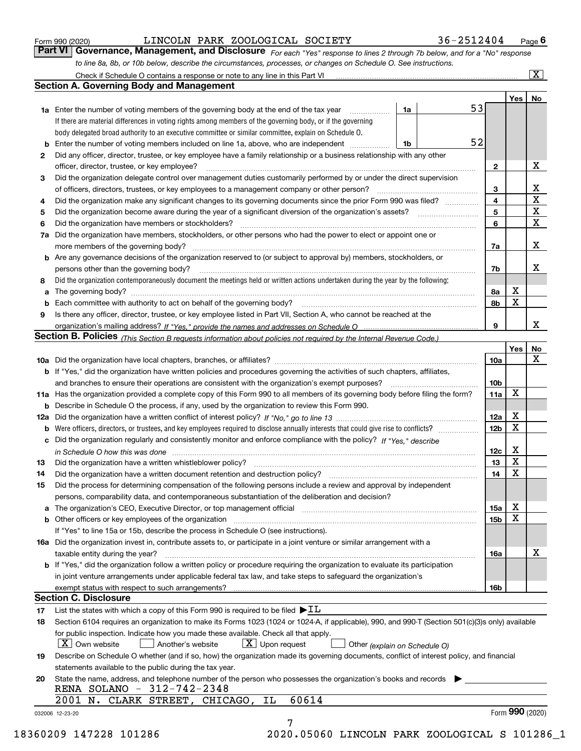|  | Form 990 (2020) |
|--|-----------------|
|  |                 |

*For each "Yes" response to lines 2 through 7b below, and for a "No" response to line 8a, 8b, or 10b below, describe the circumstances, processes, or changes on Schedule O. See instructions.* Form 990 (2020) **COLOGICAL BOCIETY** 36 – 251 24 04 Page 6<br>**Part VI Governance, Management, and Disclosure** For each "Yes" response to lines 2 through 7b below, and for a "No" response

|    |                                                                                                                                                                                                                                |                               | 53              | Yes             | No                                                 |  |  |  |  |
|----|--------------------------------------------------------------------------------------------------------------------------------------------------------------------------------------------------------------------------------|-------------------------------|-----------------|-----------------|----------------------------------------------------|--|--|--|--|
|    | 1a Enter the number of voting members of the governing body at the end of the tax year <i>manument</i>                                                                                                                         | 1a                            |                 |                 |                                                    |  |  |  |  |
|    | If there are material differences in voting rights among members of the governing body, or if the governing                                                                                                                    |                               |                 |                 |                                                    |  |  |  |  |
|    | body delegated broad authority to an executive committee or similar committee, explain on Schedule O.                                                                                                                          |                               | 52              |                 |                                                    |  |  |  |  |
| b  | Enter the number of voting members included on line 1a, above, who are independent                                                                                                                                             | 1b                            |                 |                 |                                                    |  |  |  |  |
| 2  | Did any officer, director, trustee, or key employee have a family relationship or a business relationship with any other                                                                                                       |                               |                 |                 |                                                    |  |  |  |  |
|    | officer, director, trustee, or key employee?                                                                                                                                                                                   |                               | $\mathbf{2}$    |                 | х                                                  |  |  |  |  |
| 3  | Did the organization delegate control over management duties customarily performed by or under the direct supervision                                                                                                          |                               |                 |                 |                                                    |  |  |  |  |
|    |                                                                                                                                                                                                                                |                               | 3               |                 | х<br>$\overline{\mathbf{x}}$                       |  |  |  |  |
| 4  | Did the organization make any significant changes to its governing documents since the prior Form 990 was filed?                                                                                                               |                               | 4               |                 |                                                    |  |  |  |  |
| 5  |                                                                                                                                                                                                                                |                               | 5<br>6          |                 | $\overline{\textbf{x}}$<br>$\overline{\mathbf{x}}$ |  |  |  |  |
| 6  | Did the organization have members or stockholders?                                                                                                                                                                             |                               |                 |                 |                                                    |  |  |  |  |
|    | 7a Did the organization have members, stockholders, or other persons who had the power to elect or appoint one or                                                                                                              |                               |                 |                 |                                                    |  |  |  |  |
|    |                                                                                                                                                                                                                                |                               | 7a              |                 | х                                                  |  |  |  |  |
|    | <b>b</b> Are any governance decisions of the organization reserved to (or subject to approval by) members, stockholders, or                                                                                                    |                               |                 |                 |                                                    |  |  |  |  |
|    | persons other than the governing body?                                                                                                                                                                                         |                               | 7b              |                 | х                                                  |  |  |  |  |
| 8  | Did the organization contemporaneously document the meetings held or written actions undertaken during the year by the following:                                                                                              |                               |                 |                 |                                                    |  |  |  |  |
| a  |                                                                                                                                                                                                                                |                               | 8а              | х               |                                                    |  |  |  |  |
|    |                                                                                                                                                                                                                                |                               | 8b              | $\mathbf X$     |                                                    |  |  |  |  |
| 9  | Is there any officer, director, trustee, or key employee listed in Part VII, Section A, who cannot be reached at the                                                                                                           |                               |                 |                 |                                                    |  |  |  |  |
|    |                                                                                                                                                                                                                                |                               | 9               |                 | x                                                  |  |  |  |  |
|    | Section B. Policies (This Section B requests information about policies not required by the Internal Revenue Code.)                                                                                                            |                               |                 |                 |                                                    |  |  |  |  |
|    |                                                                                                                                                                                                                                |                               |                 | Yes             | No                                                 |  |  |  |  |
|    |                                                                                                                                                                                                                                |                               | 10a             |                 | X                                                  |  |  |  |  |
|    | b If "Yes," did the organization have written policies and procedures governing the activities of such chapters, affiliates,                                                                                                   |                               |                 |                 |                                                    |  |  |  |  |
|    |                                                                                                                                                                                                                                |                               | 10 <sub>b</sub> |                 |                                                    |  |  |  |  |
|    | 11a Has the organization provided a complete copy of this Form 990 to all members of its governing body before filing the form?                                                                                                |                               | 11a             | X               |                                                    |  |  |  |  |
| b  | Describe in Schedule O the process, if any, used by the organization to review this Form 990.                                                                                                                                  |                               |                 |                 |                                                    |  |  |  |  |
|    |                                                                                                                                                                                                                                |                               | 12a             | X               |                                                    |  |  |  |  |
| b  |                                                                                                                                                                                                                                |                               | 12 <sub>b</sub> | $\mathbf X$     |                                                    |  |  |  |  |
|    | c Did the organization regularly and consistently monitor and enforce compliance with the policy? If "Yes," describe                                                                                                           |                               |                 |                 |                                                    |  |  |  |  |
|    | in Schedule O how this was done www.communication.com/www.communications.com/www.communications.com/                                                                                                                           |                               | 12c             | Х               |                                                    |  |  |  |  |
| 13 | Did the organization have a written whistleblower policy?                                                                                                                                                                      |                               | 13              | $\mathbf X$     |                                                    |  |  |  |  |
| 14 | Did the organization have a written document retention and destruction policy? manufactured and the organization have a written document retention and destruction policy?                                                     |                               | 14              | X               |                                                    |  |  |  |  |
| 15 | Did the process for determining compensation of the following persons include a review and approval by independent                                                                                                             |                               |                 |                 |                                                    |  |  |  |  |
|    | persons, comparability data, and contemporaneous substantiation of the deliberation and decision?                                                                                                                              |                               |                 |                 |                                                    |  |  |  |  |
|    | a The organization's CEO, Executive Director, or top management official manufactured content content of the organization's CEO, Executive Director, or top management official manufactured content of the state of the state |                               | 15a             | х               |                                                    |  |  |  |  |
|    | <b>b</b> Other officers or key employees of the organization                                                                                                                                                                   |                               | 15b             | X               |                                                    |  |  |  |  |
|    | If "Yes" to line 15a or 15b, describe the process in Schedule O (see instructions).                                                                                                                                            |                               |                 |                 |                                                    |  |  |  |  |
|    | 16a Did the organization invest in, contribute assets to, or participate in a joint venture or similar arrangement with a                                                                                                      |                               |                 |                 |                                                    |  |  |  |  |
|    | taxable entity during the year?                                                                                                                                                                                                |                               | 16a             |                 | х                                                  |  |  |  |  |
|    | b If "Yes," did the organization follow a written policy or procedure requiring the organization to evaluate its participation                                                                                                 |                               |                 |                 |                                                    |  |  |  |  |
|    | in joint venture arrangements under applicable federal tax law, and take steps to safeguard the organization's                                                                                                                 |                               |                 |                 |                                                    |  |  |  |  |
|    | exempt status with respect to such arrangements?                                                                                                                                                                               |                               | 16b             |                 |                                                    |  |  |  |  |
|    | <b>Section C. Disclosure</b>                                                                                                                                                                                                   |                               |                 |                 |                                                    |  |  |  |  |
| 17 | List the states with which a copy of this Form 990 is required to be filed $\blacktriangleright$ IL                                                                                                                            |                               |                 |                 |                                                    |  |  |  |  |
| 18 | Section 6104 requires an organization to make its Forms 1023 (1024 or 1024-A, if applicable), 990, and 990-T (Section 501(c)(3)s only) available                                                                               |                               |                 |                 |                                                    |  |  |  |  |
|    | for public inspection. Indicate how you made these available. Check all that apply.                                                                                                                                            |                               |                 |                 |                                                    |  |  |  |  |
|    | $\boxed{\text{X}}$ Upon request<br>$ X $ Own website<br>Another's website                                                                                                                                                      | Other (explain on Schedule O) |                 |                 |                                                    |  |  |  |  |
| 19 | Describe on Schedule O whether (and if so, how) the organization made its governing documents, conflict of interest policy, and financial                                                                                      |                               |                 |                 |                                                    |  |  |  |  |
|    | statements available to the public during the tax year.                                                                                                                                                                        |                               |                 |                 |                                                    |  |  |  |  |
| 20 | State the name, address, and telephone number of the person who possesses the organization's books and records                                                                                                                 |                               |                 |                 |                                                    |  |  |  |  |
|    | RENA SOLANO - 312-742-2348<br>60614<br>2001 N. CLARK STREET, CHICAGO, IL                                                                                                                                                       |                               |                 |                 |                                                    |  |  |  |  |
|    |                                                                                                                                                                                                                                |                               |                 |                 |                                                    |  |  |  |  |
|    | 032006 12-23-20                                                                                                                                                                                                                |                               |                 | Form 990 (2020) |                                                    |  |  |  |  |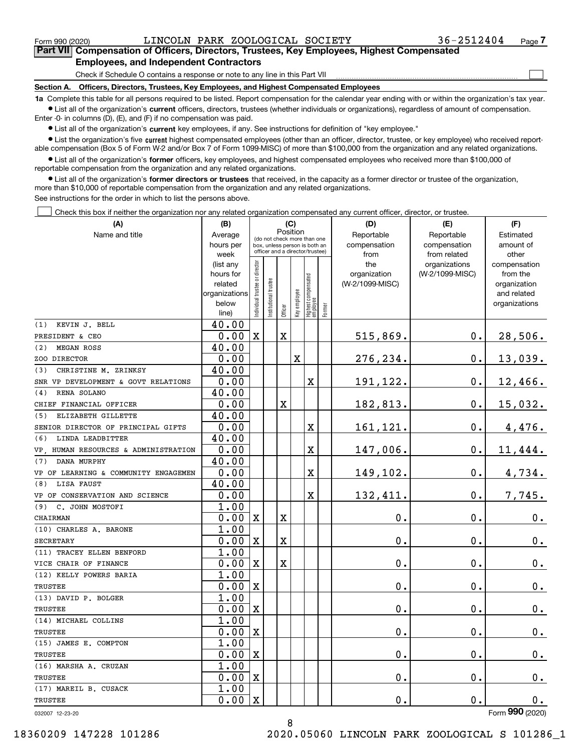$\mathcal{L}^{\text{max}}$ 

**7Part VII Compensation of Officers, Directors, Trustees, Key Employees, Highest Compensated Employees, and Independent Contractors**

Check if Schedule O contains a response or note to any line in this Part VII

**Section A. Officers, Directors, Trustees, Key Employees, and Highest Compensated Employees**

**1a**  Complete this table for all persons required to be listed. Report compensation for the calendar year ending with or within the organization's tax year. **•** List all of the organization's current officers, directors, trustees (whether individuals or organizations), regardless of amount of compensation.

Enter -0- in columns (D), (E), and (F) if no compensation was paid.

 $\bullet$  List all of the organization's  $\,$ current key employees, if any. See instructions for definition of "key employee."

**•** List the organization's five current highest compensated employees (other than an officer, director, trustee, or key employee) who received reportable compensation (Box 5 of Form W-2 and/or Box 7 of Form 1099-MISC) of more than \$100,000 from the organization and any related organizations.

**•** List all of the organization's former officers, key employees, and highest compensated employees who received more than \$100,000 of reportable compensation from the organization and any related organizations.

**former directors or trustees**  ¥ List all of the organization's that received, in the capacity as a former director or trustee of the organization, more than \$10,000 of reportable compensation from the organization and any related organizations.

See instructions for the order in which to list the persons above.

Check this box if neither the organization nor any related organization compensated any current officer, director, or trustee.  $\mathcal{L}^{\text{max}}$ 

| (A)                                  | (C)<br>(B)                                         |                               |                                                                  |                         |              |                                  | (D)        | (E)                 | (F)                              |                          |
|--------------------------------------|----------------------------------------------------|-------------------------------|------------------------------------------------------------------|-------------------------|--------------|----------------------------------|------------|---------------------|----------------------------------|--------------------------|
| Name and title                       | Position<br>Average<br>(do not check more than one |                               |                                                                  |                         |              |                                  | Reportable | Reportable          | Estimated                        |                          |
|                                      | hours per                                          |                               | box, unless person is both an<br>officer and a director/trustee) |                         |              |                                  |            | compensation        | compensation                     | amount of                |
|                                      | week                                               |                               |                                                                  |                         |              |                                  |            | from                | from related                     | other                    |
|                                      | (list any<br>hours for                             |                               |                                                                  |                         |              |                                  |            | the<br>organization | organizations<br>(W-2/1099-MISC) | compensation<br>from the |
|                                      | related                                            |                               |                                                                  |                         |              |                                  |            | (W-2/1099-MISC)     |                                  | organization             |
|                                      | organizations                                      |                               |                                                                  |                         |              |                                  |            |                     |                                  | and related              |
|                                      | below                                              | ndividual trustee or director | nstitutional trustee                                             |                         | Key employee |                                  |            |                     |                                  | organizations            |
|                                      | line)                                              |                               |                                                                  | Officer                 |              | Highest compensated<br> employee | Former     |                     |                                  |                          |
| KEVIN J. BELL<br>(1)                 | 40.00                                              |                               |                                                                  |                         |              |                                  |            |                     |                                  |                          |
| PRESIDENT & CEO                      | 0.00                                               | $\mathbf X$                   |                                                                  | $\mathbf X$             |              |                                  |            | 515,869.            | 0.                               | 28,506.                  |
| <b>MEGAN ROSS</b><br>(2)             | 40.00                                              |                               |                                                                  |                         |              |                                  |            |                     |                                  |                          |
| ZOO DIRECTOR                         | 0.00                                               |                               |                                                                  |                         | X            |                                  |            | 276,234.            | 0.                               | 13,039.                  |
| CHRISTINE M. ZRINKSY<br>(3)          | 40.00                                              |                               |                                                                  |                         |              |                                  |            |                     |                                  |                          |
| SNR VP DEVELOPMENT & GOVT RELATIONS  | 0.00                                               |                               |                                                                  |                         |              | х                                |            | 191,122.            | $0$ .                            | 12,466.                  |
| RENA SOLANO<br>(4)                   | 40.00                                              |                               |                                                                  |                         |              |                                  |            |                     |                                  |                          |
| CHIEF FINANCIAL OFFICER              | 0.00                                               |                               |                                                                  | X                       |              |                                  |            | 182,813.            | $0$ .                            | 15,032.                  |
| ELIZABETH GILLETTE<br>(5)            | 40.00                                              |                               |                                                                  |                         |              |                                  |            |                     |                                  |                          |
| SENIOR DIRECTOR OF PRINCIPAL GIFTS   | 0.00                                               |                               |                                                                  |                         |              | X                                |            | 161,121.            | 0.                               | 4,476.                   |
| (6)<br>LINDA LEADBITTER              | 40.00                                              |                               |                                                                  |                         |              |                                  |            |                     |                                  |                          |
| VP, HUMAN RESOURCES & ADMINISTRATION | 0.00                                               |                               |                                                                  |                         |              | X                                |            | 147,006.            | 0.                               | 11,444.                  |
| DANA MURPHY<br>(7)                   | 40.00                                              |                               |                                                                  |                         |              |                                  |            |                     |                                  |                          |
| VP OF LEARNING & COMMUNITY ENGAGEMEN | 0.00                                               |                               |                                                                  |                         |              | X                                |            | 149,102.            | 0.                               | 4,734.                   |
| LISA FAUST<br>(8)                    | 40.00                                              |                               |                                                                  |                         |              |                                  |            |                     |                                  |                          |
| VP OF CONSERVATION AND SCIENCE       | 0.00                                               |                               |                                                                  |                         |              | X                                |            | 132,411.            | 0.                               | 7,745.                   |
| (9) C. JOHN MOSTOFI                  | 1.00                                               |                               |                                                                  |                         |              |                                  |            |                     |                                  |                          |
| CHAIRMAN                             | 0.00                                               | $\mathbf X$                   |                                                                  | $\mathbf X$             |              |                                  |            | $\mathbf 0$ .       | 0.                               | $0\cdot$                 |
| (10) CHARLES A. BARONE               | 1.00                                               |                               |                                                                  |                         |              |                                  |            |                     |                                  |                          |
| <b>SECRETARY</b>                     | 0.00                                               | $\mathbf x$                   |                                                                  | $\overline{\textbf{X}}$ |              |                                  |            | $\mathbf 0$ .       | 0.                               | 0.                       |
| (11) TRACEY ELLEN BENFORD            | 1.00                                               |                               |                                                                  |                         |              |                                  |            |                     |                                  |                          |
| VICE CHAIR OF FINANCE                | 0.00                                               | $\mathbf X$                   |                                                                  | $\mathbf X$             |              |                                  |            | $\mathbf 0$ .       | 0.                               | 0.                       |
| (12) KELLY POWERS BARIA              | 1.00                                               |                               |                                                                  |                         |              |                                  |            |                     |                                  |                          |
| <b>TRUSTEE</b>                       | 0.00                                               | $\mathbf x$                   |                                                                  |                         |              |                                  |            | 0.                  | 0.                               | 0.                       |
| (13) DAVID P. BOLGER                 | 1.00                                               |                               |                                                                  |                         |              |                                  |            |                     |                                  |                          |
| <b>TRUSTEE</b>                       | 0.00                                               | $\mathbf x$                   |                                                                  |                         |              |                                  |            | $\mathbf 0$ .       | 0.                               | $0_{.}$                  |
| (14) MICHAEL COLLINS                 | 1.00                                               |                               |                                                                  |                         |              |                                  |            |                     |                                  |                          |
| <b>TRUSTEE</b>                       | 0.00                                               | X                             |                                                                  |                         |              |                                  |            | $\mathbf 0$ .       | 0.                               | 0.                       |
| (15) JAMES E. COMPTON                | 1.00                                               |                               |                                                                  |                         |              |                                  |            |                     |                                  |                          |
| <b>TRUSTEE</b>                       | 0.00                                               | $\mathbf x$                   |                                                                  |                         |              |                                  |            | $\mathbf 0$ .       | 0.                               | 0.                       |
| (16) MARSHA A. CRUZAN                | 1.00                                               |                               |                                                                  |                         |              |                                  |            |                     |                                  |                          |
| <b>TRUSTEE</b>                       | 0.00                                               | $\mathbf x$                   |                                                                  |                         |              |                                  |            | $\mathbf 0$ .       | 0.                               | $0_{.}$                  |
| (17) MAREIL B. CUSACK                | 1.00                                               |                               |                                                                  |                         |              |                                  |            |                     |                                  |                          |
| <b>TRUSTEE</b>                       | 0.00                                               | $\mathbf X$                   |                                                                  |                         |              |                                  |            | $\mathbf 0$ .       | 0.                               | 0.                       |

032007 12-23-20

Form (2020) **990**

8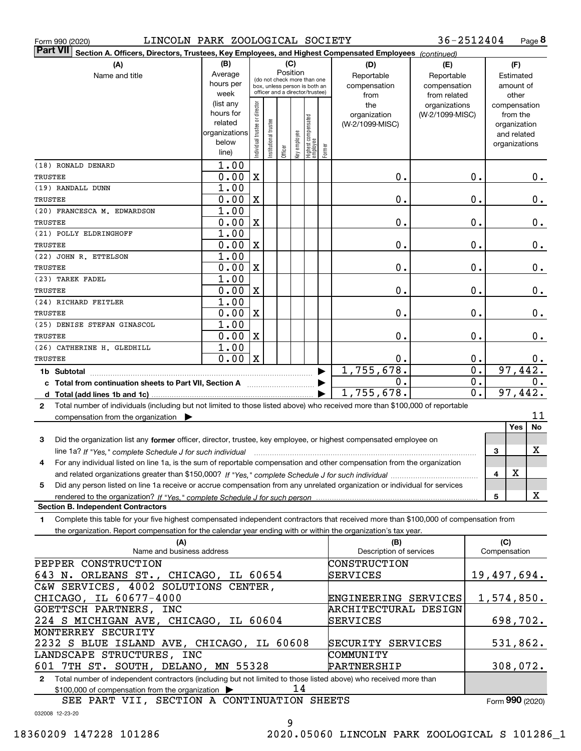|  | Form 990 (2020) |
|--|-----------------|
|  |                 |

Form 990 (2020) LINCOLN PARK ZOOLOGICAL SOCIETY 36-2512404 Page **8** 

| Part VII Section A. Officers, Directors, Trustees, Key Employees, and Highest Compensated Employees (continued)                                |                                                                |                                |                                                              |          |              |                                  |        |                                |                 |                  |                     |               |                 |
|------------------------------------------------------------------------------------------------------------------------------------------------|----------------------------------------------------------------|--------------------------------|--------------------------------------------------------------|----------|--------------|----------------------------------|--------|--------------------------------|-----------------|------------------|---------------------|---------------|-----------------|
| (A)                                                                                                                                            | (B)                                                            |                                |                                                              | (C)      |              |                                  |        | (D)                            | (E)             |                  |                     | (F)           |                 |
| Name and title                                                                                                                                 | Average                                                        |                                |                                                              | Position |              |                                  |        | Reportable                     | Reportable      |                  |                     | Estimated     |                 |
|                                                                                                                                                | hours per                                                      |                                | (do not check more than one<br>box, unless person is both an |          |              |                                  |        | compensation                   | compensation    |                  |                     | amount of     |                 |
|                                                                                                                                                | week                                                           |                                | officer and a director/trustee)                              |          |              |                                  |        | from                           | from related    |                  |                     | other         |                 |
|                                                                                                                                                | (list any                                                      |                                |                                                              |          |              |                                  |        | the                            | organizations   |                  |                     | compensation  |                 |
|                                                                                                                                                | hours for                                                      |                                |                                                              |          |              |                                  |        | organization                   | (W-2/1099-MISC) |                  |                     | from the      |                 |
|                                                                                                                                                | related<br>organizations                                       |                                |                                                              |          |              |                                  |        | (W-2/1099-MISC)                |                 |                  |                     | organization  |                 |
|                                                                                                                                                | below                                                          |                                |                                                              |          |              |                                  |        |                                |                 |                  |                     | and related   |                 |
|                                                                                                                                                | line)                                                          | Individual trustee or director | In stitutional trustee                                       | Officer  | key employee | Highest compensated<br> employee | Former |                                |                 |                  |                     | organizations |                 |
| (18) RONALD DENARD                                                                                                                             | 1.00                                                           |                                |                                                              |          |              |                                  |        |                                |                 |                  |                     |               |                 |
| TRUSTEE                                                                                                                                        | 0.00                                                           | $\mathbf X$                    |                                                              |          |              |                                  |        | 0.                             |                 | 0.               |                     |               | 0.              |
| (19) RANDALL DUNN                                                                                                                              | 1.00                                                           |                                |                                                              |          |              |                                  |        |                                |                 |                  |                     |               |                 |
| TRUSTEE                                                                                                                                        | 0.00                                                           | X                              |                                                              |          |              |                                  |        | 0.                             |                 | $0$ .            |                     |               | 0.              |
| (20) FRANCESCA M. EDWARDSON                                                                                                                    | 1.00                                                           |                                |                                                              |          |              |                                  |        |                                |                 |                  |                     |               |                 |
| TRUSTEE                                                                                                                                        | 0.00                                                           | X                              |                                                              |          |              |                                  |        | 0.                             |                 | 0.               |                     |               | 0.              |
| (21) POLLY ELDRINGHOFF                                                                                                                         | 1.00                                                           |                                |                                                              |          |              |                                  |        |                                |                 |                  |                     |               |                 |
| <b>TRUSTEE</b>                                                                                                                                 | 0.00                                                           | X                              |                                                              |          |              |                                  |        | 0.                             |                 | 0.               |                     |               | $\mathbf 0$ .   |
| (22) JOHN R. ETTELSON                                                                                                                          | 1.00                                                           |                                |                                                              |          |              |                                  |        |                                |                 |                  |                     |               |                 |
| <b>TRUSTEE</b>                                                                                                                                 | 0.00                                                           | X                              |                                                              |          |              |                                  |        | 0.                             |                 | 0.               |                     |               | $\mathbf 0$ .   |
| (23) TAREK FADEL                                                                                                                               | 1.00                                                           |                                |                                                              |          |              |                                  |        |                                |                 |                  |                     |               |                 |
|                                                                                                                                                | 0.00                                                           |                                |                                                              |          |              |                                  |        | 0.                             |                 | 0.               |                     |               | $0$ .           |
| TRUSTEE                                                                                                                                        | 1.00                                                           | X                              |                                                              |          |              |                                  |        |                                |                 |                  |                     |               |                 |
| (24) RICHARD FEITLER                                                                                                                           |                                                                |                                |                                                              |          |              |                                  |        |                                |                 | 0.               |                     |               |                 |
| TRUSTEE                                                                                                                                        | 0.00                                                           | X                              |                                                              |          |              |                                  |        | 0.                             |                 |                  |                     |               | $0$ .           |
| (25) DENISE STEFAN GINASCOL                                                                                                                    | 1.00                                                           |                                |                                                              |          |              |                                  |        |                                |                 |                  |                     |               |                 |
| TRUSTEE                                                                                                                                        | 0.00                                                           | X                              |                                                              |          |              |                                  |        | 0.                             |                 | $0$ .            |                     |               | $0$ .           |
| (26) CATHERINE H. GLEDHILL                                                                                                                     | 1.00                                                           |                                |                                                              |          |              |                                  |        |                                |                 |                  |                     |               |                 |
| TRUSTEE                                                                                                                                        | 0.00                                                           | $\mathbf X$                    |                                                              |          |              |                                  |        | 0.                             |                 | 0.               |                     |               | 0.              |
| 1b Subtotal                                                                                                                                    |                                                                |                                |                                                              |          |              |                                  |        | 1,755,678.                     |                 | $\overline{0}$ . |                     | 97,442.       |                 |
| $\mathbf 0$ .                                                                                                                                  |                                                                |                                |                                                              |          |              |                                  |        | $\overline{0}$ .               |                 |                  | $\overline{0}$ .    |               |                 |
| d                                                                                                                                              |                                                                |                                |                                                              |          |              |                                  |        | 1,755,678.                     |                 | $\overline{0}$ . |                     | 97,442.       |                 |
| Total number of individuals (including but not limited to those listed above) who received more than \$100,000 of reportable<br>$\mathbf{2}$   |                                                                |                                |                                                              |          |              |                                  |        |                                |                 |                  |                     |               |                 |
| compensation from the organization $\blacktriangleright$                                                                                       |                                                                |                                |                                                              |          |              |                                  |        |                                |                 |                  |                     |               | 11<br><b>No</b> |
|                                                                                                                                                |                                                                |                                |                                                              |          |              |                                  |        |                                |                 |                  |                     | Yes           |                 |
| Did the organization list any former officer, director, trustee, key employee, or highest compensated employee on<br>3                         |                                                                |                                |                                                              |          |              |                                  |        |                                |                 |                  |                     |               |                 |
| line 1a? If "Yes," complete Schedule J for such individual manufactured contains and the 1a? If "Yes," complete Schedule J for such individual |                                                                |                                |                                                              |          |              |                                  |        |                                |                 |                  | 3                   |               | х               |
| For any individual listed on line 1a, is the sum of reportable compensation and other compensation from the organization<br>4                  |                                                                |                                |                                                              |          |              |                                  |        |                                |                 |                  |                     |               |                 |
|                                                                                                                                                |                                                                |                                |                                                              |          |              |                                  |        |                                |                 |                  | 4                   | X             |                 |
| Did any person listed on line 1a receive or accrue compensation from any unrelated organization or individual for services<br>5                |                                                                |                                |                                                              |          |              |                                  |        |                                |                 |                  |                     |               |                 |
|                                                                                                                                                |                                                                |                                |                                                              |          |              |                                  |        |                                |                 |                  | 5                   |               | X               |
| <b>Section B. Independent Contractors</b>                                                                                                      |                                                                |                                |                                                              |          |              |                                  |        |                                |                 |                  |                     |               |                 |
| Complete this table for your five highest compensated independent contractors that received more than \$100,000 of compensation from<br>1      |                                                                |                                |                                                              |          |              |                                  |        |                                |                 |                  |                     |               |                 |
| the organization. Report compensation for the calendar year ending with or within the organization's tax year.                                 |                                                                |                                |                                                              |          |              |                                  |        |                                |                 |                  |                     |               |                 |
| (A)<br>Name and business address                                                                                                               |                                                                |                                |                                                              |          |              |                                  |        | (B)<br>Description of services |                 |                  | (C)<br>Compensation |               |                 |
|                                                                                                                                                |                                                                |                                |                                                              |          |              |                                  |        |                                |                 |                  |                     |               |                 |
| PEPPER CONSTRUCTION                                                                                                                            |                                                                |                                |                                                              |          |              |                                  |        | CONSTRUCTION                   |                 |                  |                     |               |                 |
| 643 N. ORLEANS ST., CHICAGO, IL 60654                                                                                                          |                                                                |                                |                                                              |          |              |                                  |        | SERVICES                       |                 |                  | 19,497,694.         |               |                 |
| C&W SERVICES, 4002 SOLUTIONS CENTER,                                                                                                           |                                                                |                                |                                                              |          |              |                                  |        |                                |                 |                  |                     |               |                 |
| CHICAGO, IL 60677-4000                                                                                                                         |                                                                |                                |                                                              |          |              |                                  |        | ENGINEERING SERVICES           |                 |                  | 1,574,850.          |               |                 |
| GOETTSCH PARTNERS, INC                                                                                                                         |                                                                |                                |                                                              |          |              |                                  |        | ARCHITECTURAL DESIGN           |                 |                  |                     |               |                 |
| 224 S MICHIGAN AVE, CHICAGO, IL 60604                                                                                                          |                                                                |                                |                                                              |          |              |                                  |        | SERVICES                       |                 |                  |                     | 698,702.      |                 |
| MONTERREY SECURITY                                                                                                                             |                                                                |                                |                                                              |          |              |                                  |        |                                |                 |                  |                     |               |                 |
| 2232 S BLUE ISLAND AVE, CHICAGO, IL 60608                                                                                                      |                                                                |                                |                                                              |          |              |                                  |        | SECURITY SERVICES              |                 |                  |                     | 531,862.      |                 |
| LANDSCAPE STRUCTURES, INC<br>COMMUNITY                                                                                                         |                                                                |                                |                                                              |          |              |                                  |        |                                |                 |                  |                     |               |                 |
|                                                                                                                                                | 601 7TH ST. SOUTH, DELANO, MN 55328<br>308,072.<br>PARTNERSHIP |                                |                                                              |          |              |                                  |        |                                |                 |                  |                     |               |                 |
| Total number of independent contractors (including but not limited to those listed above) who received more than<br>$\mathbf{2}$               |                                                                |                                |                                                              |          |              |                                  |        |                                |                 |                  |                     |               |                 |
| \$100,000 of compensation from the organization                                                                                                |                                                                |                                |                                                              |          | 14           |                                  |        |                                |                 |                  |                     |               |                 |

SEE PART VII, SECTION A CONTINUATION SHEETS

Form (2020) **990**

032008 12-23-20

9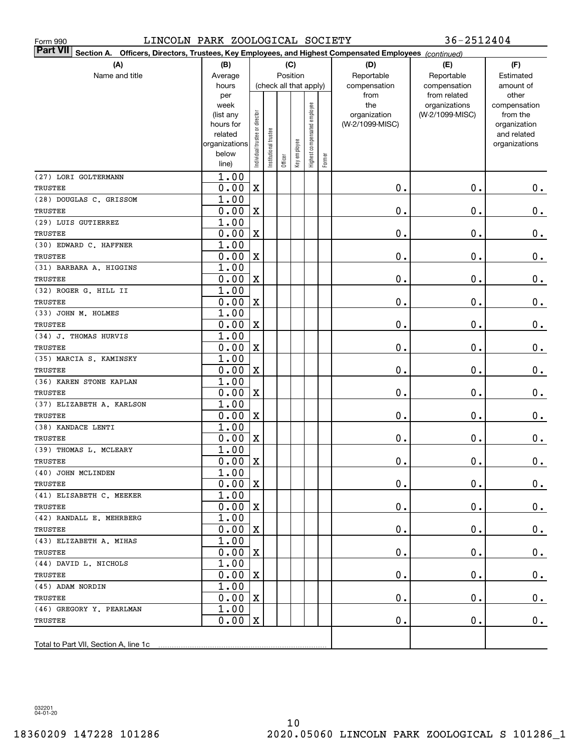| LINCOLN PARK ZOOLOGICAL SOCIETY<br>Form 990                                                                            |                     |                                    |                       |            |              |                              |        |                 | 36-2512404                    |                       |
|------------------------------------------------------------------------------------------------------------------------|---------------------|------------------------------------|-----------------------|------------|--------------|------------------------------|--------|-----------------|-------------------------------|-----------------------|
| Part VII <br>Section A.<br>Officers, Directors, Trustees, Key Employees, and Highest Compensated Employees (continued) |                     |                                    |                       |            |              |                              |        |                 |                               |                       |
| (A)<br>(C)<br>(B)                                                                                                      |                     |                                    |                       |            |              |                              |        | (D)             | (E)                           | (F)                   |
| Name and title                                                                                                         | Average             | Position<br>(check all that apply) |                       | Reportable | Reportable   | Estimated                    |        |                 |                               |                       |
|                                                                                                                        | hours               |                                    |                       |            |              |                              |        | compensation    | compensation                  | amount of             |
|                                                                                                                        | per<br>week         |                                    |                       |            |              |                              |        | from<br>the     | from related<br>organizations | other<br>compensation |
|                                                                                                                        | (list any           |                                    |                       |            |              |                              |        | organization    | (W-2/1099-MISC)               | from the              |
|                                                                                                                        | hours for           |                                    |                       |            |              |                              |        | (W-2/1099-MISC) |                               | organization          |
|                                                                                                                        | related             |                                    |                       |            |              |                              |        |                 |                               | and related           |
|                                                                                                                        | organizations       |                                    |                       |            |              |                              |        |                 |                               | organizations         |
|                                                                                                                        | below               | Individual trustee or director     | Institutional trustee | Officer    | Key employee | Highest compensated employee | Former |                 |                               |                       |
|                                                                                                                        | line)               |                                    |                       |            |              |                              |        |                 |                               |                       |
| (27) LORI GOLTERMANN                                                                                                   | 1.00                |                                    |                       |            |              |                              |        |                 |                               |                       |
| TRUSTEE                                                                                                                | 0.00                | X                                  |                       |            |              |                              |        | 0.              | $\mathbf 0$ .                 | $0_{.}$               |
| (28) DOUGLAS C. GRISSOM                                                                                                | 1.00                |                                    |                       |            |              |                              |        |                 |                               |                       |
| TRUSTEE                                                                                                                | 0.00                | X                                  |                       |            |              |                              |        | 0.              | $\mathbf 0$ .                 | $\mathbf 0$ .         |
| (29) LUIS GUTIERREZ                                                                                                    | 1.00                |                                    |                       |            |              |                              |        |                 |                               |                       |
| TRUSTEE                                                                                                                | 0.00                | X                                  |                       |            |              |                              |        | 0.              | $\mathbf 0$ .                 | $\mathbf 0$ .         |
| (30) EDWARD C. HAFFNER                                                                                                 | 1.00                |                                    |                       |            |              |                              |        |                 |                               |                       |
| TRUSTEE                                                                                                                | 0.00                | X                                  |                       |            |              |                              |        | 0.              | $\mathbf 0$ .                 | $\mathbf 0$ .         |
| (31) BARBARA A. HIGGINS                                                                                                | 1.00                |                                    |                       |            |              |                              |        |                 |                               |                       |
| TRUSTEE                                                                                                                | 0.00                | X                                  |                       |            |              |                              |        | 0.              | $\mathbf 0$ .                 | $\mathbf 0$ .         |
| (32) ROGER G. HILL II                                                                                                  | 1.00                |                                    |                       |            |              |                              |        |                 |                               |                       |
| <b>TRUSTEE</b>                                                                                                         | 0.00                | X                                  |                       |            |              |                              |        | 0.              | $\mathbf 0$ .                 | $\mathbf 0$ .         |
| (33) JOHN M. HOLMES                                                                                                    | 1.00                |                                    |                       |            |              |                              |        |                 | $\mathbf 0$ .                 |                       |
| TRUSTEE                                                                                                                | 0.00<br>1.00        | X                                  |                       |            |              |                              |        | 0.              |                               | $\mathbf 0$ .         |
| (34) J. THOMAS HURVIS<br>TRUSTEE                                                                                       | 0.00                | X                                  |                       |            |              |                              |        | 0.              | $\mathbf 0$ .                 | 0.                    |
| (35) MARCIA S. KAMINSKY                                                                                                | 1.00                |                                    |                       |            |              |                              |        |                 |                               |                       |
| TRUSTEE                                                                                                                | 0.00                | X                                  |                       |            |              |                              |        | 0.              | $\mathbf 0$ .                 | $0_{.}$               |
| (36) KAREN STONE KAPLAN                                                                                                | 1.00                |                                    |                       |            |              |                              |        |                 |                               |                       |
| TRUSTEE                                                                                                                | 0.00                | X                                  |                       |            |              |                              |        | $\mathbf 0$ .   | $\mathbf 0$ .                 | 0.                    |
| (37) ELIZABETH A. KARLSON                                                                                              | 1.00                |                                    |                       |            |              |                              |        |                 |                               |                       |
| TRUSTEE                                                                                                                | 0.00                | X                                  |                       |            |              |                              |        | $\mathbf 0$ .   | $\mathbf 0$ .                 | $\mathbf 0$ .         |
| (38) KANDACE LENTI                                                                                                     | 1.00                |                                    |                       |            |              |                              |        |                 |                               |                       |
| TRUSTEE                                                                                                                | 0.00                | X                                  |                       |            |              |                              |        | 0.              | Ο.                            | $0$ .                 |
| (39) THOMAS L. MCLEARY                                                                                                 | 1.00                |                                    |                       |            |              |                              |        |                 |                               |                       |
| TRUSTEE                                                                                                                | $\overline{0.00}$ X |                                    |                       |            |              |                              |        | $\mathbf 0$ .   | $\mathbf 0$ .                 | 0.                    |
| (40) JOHN MCLINDEN                                                                                                     | 1.00                |                                    |                       |            |              |                              |        |                 |                               |                       |
| TRUSTEE                                                                                                                | 0.00                | X                                  |                       |            |              |                              |        | $\mathbf 0$ .   | $\mathbf 0$ .                 | $0$ .                 |
| (41) ELISABETH C. MEEKER                                                                                               | 1.00                |                                    |                       |            |              |                              |        |                 |                               |                       |
| TRUSTEE                                                                                                                | 0.00                | X                                  |                       |            |              |                              |        | $\mathbf 0$ .   | $\mathbf 0$ .                 | $0$ .                 |
| (42) RANDALL E. MEHRBERG                                                                                               | 1.00                |                                    |                       |            |              |                              |        |                 |                               |                       |
| TRUSTEE                                                                                                                | 0.00                | X                                  |                       |            |              |                              |        | $\mathbf 0$ .   | $\mathbf 0$ .                 | 0.                    |
| (43) ELIZABETH A. MIHAS                                                                                                | 1.00                |                                    |                       |            |              |                              |        |                 |                               |                       |
| TRUSTEE                                                                                                                | 0.00                | X                                  |                       |            |              |                              |        | $\mathbf 0$ .   | $\mathbf 0$ .                 | 0.                    |
| (44) DAVID L. NICHOLS                                                                                                  | 1.00                |                                    |                       |            |              |                              |        |                 |                               |                       |
| TRUSTEE                                                                                                                | 0.00                | X                                  |                       |            |              |                              |        | $\mathbf 0$ .   | $\mathbf 0$ .                 | 0.                    |
| (45) ADAM NORDIN                                                                                                       | 1.00                |                                    |                       |            |              |                              |        |                 |                               |                       |
| TRUSTEE                                                                                                                | 0.00                | X                                  |                       |            |              |                              |        | $\mathbf 0$ .   | $\mathbf 0$ .                 | 0.                    |
| (46) GREGORY Y. PEARLMAN                                                                                               | 1.00                |                                    |                       |            |              |                              |        |                 |                               |                       |
| TRUSTEE                                                                                                                | 0.00                | X                                  |                       |            |              |                              |        | 0.              | $\mathbf 0$ .                 | $0$ .                 |
|                                                                                                                        |                     |                                    |                       |            |              |                              |        |                 |                               |                       |
|                                                                                                                        |                     |                                    |                       |            |              |                              |        |                 |                               |                       |

032201 04-01-20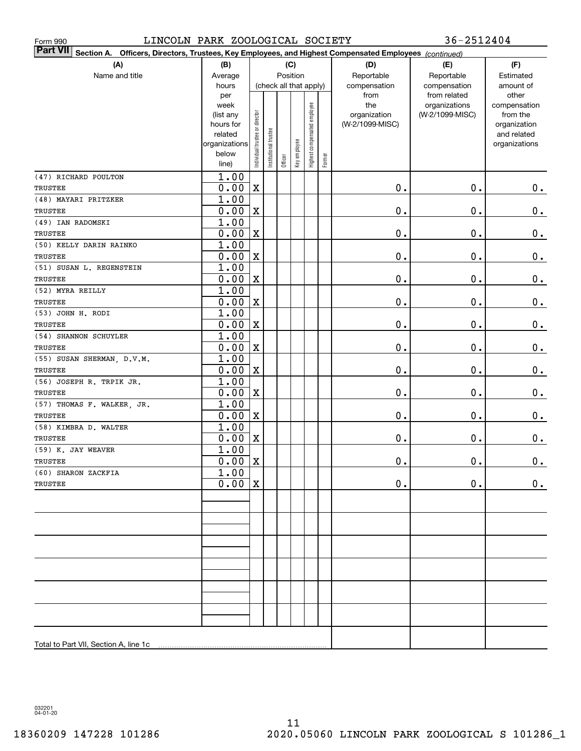| LINCOLN PARK ZOOLOGICAL SOCIETY<br>Form 990                                                                               |                        |                                |                       |         |                        |                              |        |                 | 36-2512404                    |                       |
|---------------------------------------------------------------------------------------------------------------------------|------------------------|--------------------------------|-----------------------|---------|------------------------|------------------------------|--------|-----------------|-------------------------------|-----------------------|
| <b>Part VII</b><br>Section A. Officers, Directors, Trustees, Key Employees, and Highest Compensated Employees (continued) |                        |                                |                       |         |                        |                              |        |                 |                               |                       |
| (A)                                                                                                                       | (B)                    |                                |                       |         | (C)                    |                              |        | (D)             | (E)                           | (F)                   |
| Name and title                                                                                                            | Average                |                                |                       |         | Position               |                              |        | Reportable      | Reportable                    | Estimated             |
|                                                                                                                           | hours                  |                                |                       |         | (check all that apply) |                              |        | compensation    | compensation                  | amount of             |
|                                                                                                                           | per<br>week            |                                |                       |         |                        |                              |        | from<br>the     | from related<br>organizations | other<br>compensation |
|                                                                                                                           | (list any              |                                |                       |         |                        |                              |        | organization    | (W-2/1099-MISC)               | from the              |
|                                                                                                                           | hours for              |                                |                       |         |                        |                              |        | (W-2/1099-MISC) |                               | organization          |
|                                                                                                                           | related                |                                |                       |         |                        |                              |        |                 |                               | and related           |
|                                                                                                                           | organizations<br>below |                                |                       |         |                        |                              |        |                 |                               | organizations         |
|                                                                                                                           | line)                  | Individual trustee or director | Institutional trustee | Officer | Key employee           | Highest compensated employee | Former |                 |                               |                       |
| (47) RICHARD POULTON                                                                                                      | 1.00                   |                                |                       |         |                        |                              |        |                 |                               |                       |
| TRUSTEE                                                                                                                   | 0.00                   | X                              |                       |         |                        |                              |        | $0$ .           | 0.                            | $0$ .                 |
| (48) MAYARI PRITZKER                                                                                                      | 1.00                   |                                |                       |         |                        |                              |        |                 |                               |                       |
| TRUSTEE                                                                                                                   | 0.00                   | X                              |                       |         |                        |                              |        | $\mathbf 0$ .   | $\mathbf 0$ .                 | 0.                    |
| (49) IAN RADOMSKI                                                                                                         | 1.00                   |                                |                       |         |                        |                              |        |                 |                               |                       |
| TRUSTEE                                                                                                                   | 0.00                   | X                              |                       |         |                        |                              |        | $0$ .           | $\mathbf 0$ .                 | $\mathbf 0$ .         |
| (50) KELLY DARIN RAINKO                                                                                                   | 1.00                   |                                |                       |         |                        |                              |        |                 |                               |                       |
| TRUSTEE                                                                                                                   | 0.00                   | X                              |                       |         |                        |                              |        | $0$ .           | $\mathbf 0$ .                 | 0.                    |
| (51) SUSAN L. REGENSTEIN                                                                                                  | 1.00                   |                                |                       |         |                        |                              |        |                 |                               |                       |
| TRUSTEE                                                                                                                   | 0.00                   | X                              |                       |         |                        |                              |        | $\mathbf 0$ .   | $\mathbf 0$ .                 | $\mathbf 0$ .         |
| (52) MYRA REILLY                                                                                                          | 1.00                   |                                |                       |         |                        |                              |        |                 |                               |                       |
| TRUSTEE                                                                                                                   | 0.00                   | X                              |                       |         |                        |                              |        | $\mathbf 0$ .   | $\mathbf 0$ .                 | $\mathbf 0$ .         |
| (53) JOHN H. RODI                                                                                                         | 1.00                   |                                |                       |         |                        |                              |        |                 |                               |                       |
| TRUSTEE                                                                                                                   | 0.00                   | X                              |                       |         |                        |                              |        | $\mathbf 0$ .   | $\mathbf 0$ .                 | $\mathbf 0$ .         |
| (54) SHANNON SCHUYLER                                                                                                     | 1.00                   |                                |                       |         |                        |                              |        |                 |                               |                       |
| TRUSTEE                                                                                                                   | 0.00                   | X                              |                       |         |                        |                              |        | $\mathbf 0$ .   | $\mathbf 0$ .                 | $\mathbf 0$ .         |
| (55) SUSAN SHERMAN, D.V.M.                                                                                                | 1.00                   |                                |                       |         |                        |                              |        |                 |                               |                       |
| TRUSTEE                                                                                                                   | 0.00                   | X                              |                       |         |                        |                              |        | $\mathbf 0$ .   | $\mathbf 0$ .                 | 0.                    |
| (56) JOSEPH R. TRPIK JR.                                                                                                  | 1.00                   |                                |                       |         |                        |                              |        |                 |                               |                       |
| TRUSTEE                                                                                                                   | 0.00                   | X                              |                       |         |                        |                              |        | $0$ .           | $\mathbf 0$ .                 | 0.                    |
| (57) THOMAS F. WALKER, JR.                                                                                                | 1.00                   |                                |                       |         |                        |                              |        |                 |                               |                       |
| <b>TRUSTEE</b>                                                                                                            | 0.00                   | X                              |                       |         |                        |                              |        | $0$ .           | $\mathbf 0$ .                 | 0.                    |
| (58) KIMBRA D. WALTER                                                                                                     | 1.00                   |                                |                       |         |                        |                              |        |                 |                               |                       |
| TRUSTEE                                                                                                                   | 0.00<br>1.00           | X                              |                       |         |                        |                              |        | $\mathbf 0$ .   | $\mathbf 0$ .                 | $0$ .                 |
| (59) K. JAY WEAVER<br>TRUSTEE                                                                                             | $0.00$ X               |                                |                       |         |                        |                              |        | $\mathbf 0$ .   | $\mathbf 0$ .                 | $\mathbf 0$ .         |
| (60) SHARON ZACKFIA                                                                                                       | 1.00                   |                                |                       |         |                        |                              |        |                 |                               |                       |
| TRUSTEE                                                                                                                   | 0.00                   | $\mathbf X$                    |                       |         |                        |                              |        | $0$ .           | $\mathbf 0$ .                 | 0.                    |
|                                                                                                                           |                        |                                |                       |         |                        |                              |        |                 |                               |                       |
|                                                                                                                           |                        |                                |                       |         |                        |                              |        |                 |                               |                       |
|                                                                                                                           |                        |                                |                       |         |                        |                              |        |                 |                               |                       |
|                                                                                                                           |                        |                                |                       |         |                        |                              |        |                 |                               |                       |
|                                                                                                                           |                        |                                |                       |         |                        |                              |        |                 |                               |                       |
|                                                                                                                           |                        |                                |                       |         |                        |                              |        |                 |                               |                       |
|                                                                                                                           |                        |                                |                       |         |                        |                              |        |                 |                               |                       |
|                                                                                                                           |                        |                                |                       |         |                        |                              |        |                 |                               |                       |
|                                                                                                                           |                        |                                |                       |         |                        |                              |        |                 |                               |                       |
|                                                                                                                           |                        |                                |                       |         |                        |                              |        |                 |                               |                       |
|                                                                                                                           |                        |                                |                       |         |                        |                              |        |                 |                               |                       |
|                                                                                                                           |                        |                                |                       |         |                        |                              |        |                 |                               |                       |
|                                                                                                                           |                        |                                |                       |         |                        |                              |        |                 |                               |                       |
| Total to Part VII, Section A, line 1c                                                                                     |                        |                                |                       |         |                        |                              |        |                 |                               |                       |

032201 04-01-20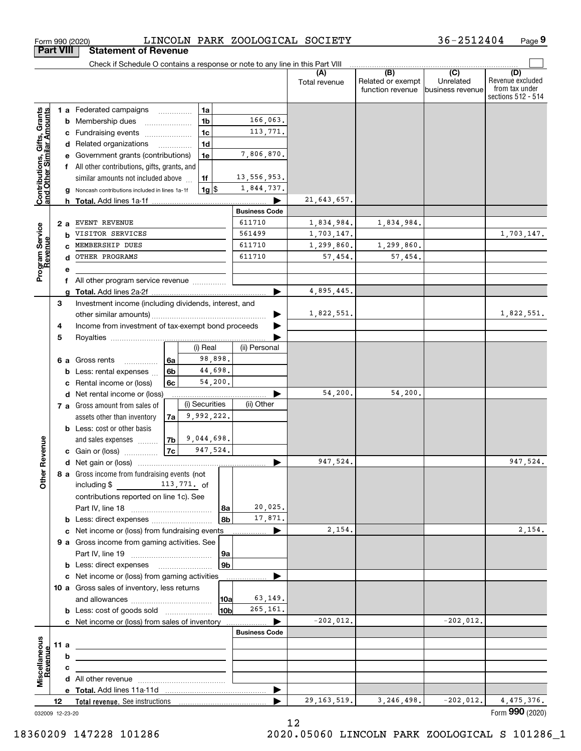|                                                           |    |        | Check if Schedule O contains a response or note to any line in this Part VIII |                |    |                |                      |               |                          |                  |                                      |
|-----------------------------------------------------------|----|--------|-------------------------------------------------------------------------------|----------------|----|----------------|----------------------|---------------|--------------------------|------------------|--------------------------------------|
|                                                           |    |        |                                                                               |                |    |                |                      | Total revenue | (B)<br>Related or exempt | (C)<br>Unrelated | (D)<br>Revenue excluded              |
|                                                           |    |        |                                                                               |                |    |                |                      |               | function revenue         | business revenue | from tax under<br>sections 512 - 514 |
|                                                           |    |        |                                                                               |                |    | 1a             |                      |               |                          |                  |                                      |
| Contributions, Gifts, Grants<br>and Other Similar Amounts |    |        | <b>1 a</b> Federated campaigns<br><b>b</b> Membership dues                    |                |    | 1 <sub>b</sub> | 166,063.             |               |                          |                  |                                      |
|                                                           |    |        | c Fundraising events                                                          |                |    | 1 <sub>c</sub> | 113,771.             |               |                          |                  |                                      |
|                                                           |    |        | d Related organizations                                                       |                |    | 1 <sub>d</sub> |                      |               |                          |                  |                                      |
|                                                           |    |        | e Government grants (contributions)                                           |                |    | 1e             | 7,806,870.           |               |                          |                  |                                      |
|                                                           |    |        | f All other contributions, gifts, grants, and                                 |                |    |                |                      |               |                          |                  |                                      |
|                                                           |    |        | similar amounts not included above                                            |                | 1f |                | 13,556,953.          |               |                          |                  |                                      |
|                                                           |    |        | g Noncash contributions included in lines 1a-1f                               |                |    | 1g             | 1,844,737.           |               |                          |                  |                                      |
|                                                           |    |        | h Total. Add lines 1a-1f                                                      |                |    |                |                      | 21,643,657.   |                          |                  |                                      |
|                                                           |    |        |                                                                               |                |    |                | <b>Business Code</b> |               |                          |                  |                                      |
|                                                           |    | 2 a    | EVENT REVENUE                                                                 |                |    |                | 611710               | 1,834,984.    | 1,834,984.               |                  |                                      |
|                                                           |    |        | VISITOR SERVICES                                                              |                |    |                | 561499               | 1,703,147.    |                          |                  | 1,703,147.                           |
|                                                           |    |        | MEMBERSHIP DUES                                                               |                |    |                | 611710               | 1,299,860.    | 1,299,860.               |                  |                                      |
|                                                           |    |        | OTHER PROGRAMS                                                                |                |    |                | 611710               | 57,454.       | 57,454.                  |                  |                                      |
| Program Service<br>Revenue                                |    |        |                                                                               |                |    |                |                      |               |                          |                  |                                      |
|                                                           |    |        | All other program service revenue                                             |                |    |                |                      |               |                          |                  |                                      |
|                                                           |    | a      |                                                                               |                |    |                |                      | 4,895,445.    |                          |                  |                                      |
|                                                           | 3  |        | Investment income (including dividends, interest, and                         |                |    |                |                      |               |                          |                  |                                      |
|                                                           |    |        |                                                                               |                |    |                |                      | 1,822,551.    |                          |                  | 1,822,551.                           |
|                                                           | 4  |        | Income from investment of tax-exempt bond proceeds                            |                |    |                |                      |               |                          |                  |                                      |
|                                                           | 5  |        |                                                                               |                |    |                |                      |               |                          |                  |                                      |
|                                                           |    |        |                                                                               |                |    | (i) Real       | (ii) Personal        |               |                          |                  |                                      |
|                                                           |    |        | 6 a Gross rents<br>.                                                          | 6a             |    | 98,898.        |                      |               |                          |                  |                                      |
|                                                           |    |        | <b>b</b> Less: rental expenses                                                | 6 <sub>b</sub> |    | 44,698.        |                      |               |                          |                  |                                      |
|                                                           |    |        | c Rental income or (loss)                                                     | 6c             |    | 54,200.        |                      |               |                          |                  |                                      |
|                                                           |    |        | d Net rental income or (loss)                                                 |                |    |                |                      | 54,200.       | 54,200.                  |                  |                                      |
|                                                           |    |        | 7 a Gross amount from sales of                                                |                |    | (i) Securities | (ii) Other           |               |                          |                  |                                      |
|                                                           |    |        | assets other than inventory                                                   | 7a             |    | 9,992,222.     |                      |               |                          |                  |                                      |
|                                                           |    |        | <b>b</b> Less: cost or other basis                                            |                |    |                |                      |               |                          |                  |                                      |
|                                                           |    |        | and sales expenses                                                            | 7b             |    | 9,044,698.     |                      |               |                          |                  |                                      |
| Revenue                                                   |    |        | <b>c</b> Gain or (loss) $\ldots$                                              | 7c             |    | 947,524.       |                      |               |                          |                  |                                      |
|                                                           |    |        |                                                                               |                |    |                |                      | 947,524.      |                          |                  | 947,524.                             |
| ð                                                         |    |        | 8 a Gross income from fundraising events (not                                 |                |    |                |                      |               |                          |                  |                                      |
| δ                                                         |    |        | including $\$\qquad\qquad$ 113,771. of                                        |                |    |                |                      |               |                          |                  |                                      |
|                                                           |    |        | contributions reported on line 1c). See                                       |                |    |                |                      |               |                          |                  |                                      |
|                                                           |    |        |                                                                               |                |    | l 8a           | 20,025.              |               |                          |                  |                                      |
|                                                           |    |        | <b>b</b> Less: direct expenses <i>manually contained</i>                      |                |    | 8b             | 17,871.              |               |                          |                  |                                      |
|                                                           |    |        | c Net income or (loss) from fundraising events                                |                |    |                | ▶                    | 2,154.        |                          |                  | 2,154.                               |
|                                                           |    |        | 9 a Gross income from gaming activities. See                                  |                |    |                |                      |               |                          |                  |                                      |
|                                                           |    |        |                                                                               |                |    | 9a             |                      |               |                          |                  |                                      |
|                                                           |    |        | <b>b</b> Less: direct expenses <b>manually</b>                                |                |    | 9b             |                      |               |                          |                  |                                      |
|                                                           |    |        | c Net income or (loss) from gaming activities                                 |                |    |                |                      |               |                          |                  |                                      |
|                                                           |    |        | 10 a Gross sales of inventory, less returns                                   |                |    |                | 63,149.              |               |                          |                  |                                      |
|                                                           |    |        |                                                                               |                |    | 10a            | 265,161.             |               |                          |                  |                                      |
|                                                           |    |        | <b>b</b> Less: cost of goods sold                                             |                |    | 10b            |                      | $-202,012.$   |                          | $-202,012.$      |                                      |
|                                                           |    |        | c Net income or (loss) from sales of inventory                                |                |    |                | <b>Business Code</b> |               |                          |                  |                                      |
|                                                           |    |        |                                                                               |                |    |                |                      |               |                          |                  |                                      |
|                                                           |    | 11 a   |                                                                               |                |    |                |                      |               |                          |                  |                                      |
|                                                           |    | b<br>c |                                                                               |                |    |                |                      |               |                          |                  |                                      |
| Miscellaneous<br>Revenue                                  |    |        |                                                                               |                |    |                |                      |               |                          |                  |                                      |
|                                                           |    |        |                                                                               |                |    |                | ▶                    |               |                          |                  |                                      |
|                                                           | 12 |        | Total revenue. See instructions                                               |                |    |                |                      | 29, 163, 519. | 3, 246, 498.             | $-202,012.$      | 4,475,376.                           |
| 032009 12-23-20                                           |    |        |                                                                               |                |    |                |                      |               |                          |                  | Form 990 (2020)                      |

Form 990 (2020) LINCOLN PARK ZOOLOGICAL SOCIETY 36-2512404 Page

**9**

36-2512404

**Part VIII Statement of Revenue**

12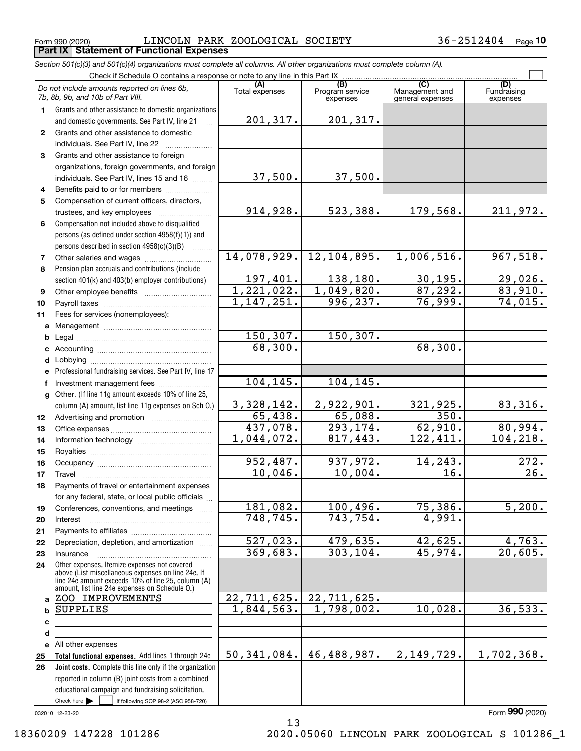$_{\rm Form}$   $_{990}$  (2020)  $_{\rm D}$   $_{\rm L}$   $_{\rm L}$   $_{\rm N}$   $_{\rm N}$   $_{\rm P2}$   $_{\rm R}$   $_{\rm N}$   $_{\rm N}$   $_{\rm N}$   $_{\rm N}$   $_{\rm N}$   $_{\rm N}$   $_{\rm N}$   $_{\rm N}$   $_{\rm N}$   $_{\rm N}$   $_{\rm N}$   $_{\rm N}$   $_{\rm N}$   $_{\rm N}$   $_{\rm N}$   $_{\rm N}$   $_{\rm N}$   $_{\rm N$ **Part IX Statement of Functional Expenses**

*Section 501(c)(3) and 501(c)(4) organizations must complete all columns. All other organizations must complete column (A).*

|                  | Check if Schedule O contains a response or note to any line in this Part IX                                                                                |                             |                                    |                                    |                                |
|------------------|------------------------------------------------------------------------------------------------------------------------------------------------------------|-----------------------------|------------------------------------|------------------------------------|--------------------------------|
|                  | Do not include amounts reported on lines 6b,<br>7b, 8b, 9b, and 10b of Part VIII.                                                                          | (A)<br>Total expenses       | (B)<br>Program service<br>expenses | Management and<br>general expenses | (D)<br>Fundraising<br>expenses |
| 1.               | Grants and other assistance to domestic organizations<br>and domestic governments. See Part IV, line 21                                                    | 201,317.                    | 201,317.                           |                                    |                                |
| $\mathbf{2}$     | Grants and other assistance to domestic                                                                                                                    |                             |                                    |                                    |                                |
|                  | individuals. See Part IV, line 22                                                                                                                          |                             |                                    |                                    |                                |
| 3                | Grants and other assistance to foreign                                                                                                                     |                             |                                    |                                    |                                |
|                  | organizations, foreign governments, and foreign                                                                                                            |                             |                                    |                                    |                                |
|                  | individuals. See Part IV, lines 15 and 16                                                                                                                  | 37,500.                     | 37,500.                            |                                    |                                |
| 4                | Benefits paid to or for members                                                                                                                            |                             |                                    |                                    |                                |
| 5                | Compensation of current officers, directors,                                                                                                               |                             |                                    |                                    |                                |
|                  | trustees, and key employees                                                                                                                                | 914,928.                    | 523,388.                           | 179,568.                           | 211,972.                       |
| 6                | Compensation not included above to disqualified                                                                                                            |                             |                                    |                                    |                                |
|                  | persons (as defined under section 4958(f)(1)) and                                                                                                          |                             |                                    |                                    |                                |
|                  | persons described in section 4958(c)(3)(B)<br>1.1.1.1.1.1.1                                                                                                |                             |                                    |                                    |                                |
| 7                |                                                                                                                                                            | 14,078,929.                 | 12, 104, 895.                      | 1,006,516.                         | 967,518.                       |
| 8                | Pension plan accruals and contributions (include                                                                                                           |                             |                                    |                                    |                                |
|                  | section 401(k) and 403(b) employer contributions)                                                                                                          | $\frac{197,401}{1,221,022}$ | 138,180.                           | $\frac{30,195.}{87,292.}$          | $\frac{29,026.}{83,910.}$      |
| 9                |                                                                                                                                                            | 1,147,251.                  | 1,049,820.<br>996,237.             | 76,999.                            |                                |
| 10               |                                                                                                                                                            |                             |                                    |                                    | 74,015.                        |
| 11               | Fees for services (nonemployees):                                                                                                                          |                             |                                    |                                    |                                |
| a                |                                                                                                                                                            | 150,307.                    | 150, 307.                          |                                    |                                |
| b<br>c           |                                                                                                                                                            | 68,300.                     |                                    | 68,300.                            |                                |
| d                |                                                                                                                                                            |                             |                                    |                                    |                                |
| е                | Professional fundraising services. See Part IV, line 17                                                                                                    |                             |                                    |                                    |                                |
| f                | Investment management fees                                                                                                                                 | 104, 145.                   | 104,145.                           |                                    |                                |
| a                | Other. (If line 11g amount exceeds 10% of line 25,                                                                                                         |                             |                                    |                                    |                                |
|                  | column (A) amount, list line 11g expenses on Sch O.)                                                                                                       | <u>3,328,142.</u>           | 2,922,901.                         | 321,925.                           | $83,316$ .                     |
| 12 <sup>12</sup> |                                                                                                                                                            | 65,438.                     | <u>65,088.</u>                     | 350.                               |                                |
| 13               |                                                                                                                                                            | 437,078.                    | 293, 174.                          | 62,910.                            | 80,994.                        |
| 14               |                                                                                                                                                            | 1,044,072.                  | 817,443.                           | 122,411.                           | 104, 218.                      |
| 15               |                                                                                                                                                            |                             |                                    |                                    |                                |
| 16               |                                                                                                                                                            | 952,487.                    | 937,972.                           | 14,243.                            | 272.                           |
| 17               | Travel                                                                                                                                                     | 10,046.                     | $10,004$ .                         | 16.                                | $\overline{26}$ .              |
| 18               | Payments of travel or entertainment expenses                                                                                                               |                             |                                    |                                    |                                |
|                  | for any federal, state, or local public officials                                                                                                          |                             |                                    |                                    |                                |
| 19               | Conferences, conventions, and meetings                                                                                                                     | 181,082.                    | 100,496.                           | 75,386.                            | 5,200.                         |
| 20               | Interest                                                                                                                                                   | 748,745.                    | 743,754.                           | 4,991.                             |                                |
| 21               | Depreciation, depletion, and amortization                                                                                                                  | 527,023.                    | 479,635.                           | 42,625.                            | 4,763.                         |
| 22<br>23         | Insurance                                                                                                                                                  | 369,683.                    | 303,104.                           | 45,974.                            | 20,605.                        |
| 24               | Other expenses. Itemize expenses not covered                                                                                                               |                             |                                    |                                    |                                |
|                  | above (List miscellaneous expenses on line 24e. If<br>line 24e amount exceeds 10% of line 25, column (A)<br>amount, list line 24e expenses on Schedule O.) |                             |                                    |                                    |                                |
| a                | ZOO IMPROVEMENTS                                                                                                                                           | 22,711,625.                 | 22,711,625.                        |                                    |                                |
| b                | SUPPLIES                                                                                                                                                   | 1,844,563.                  | $\overline{1,798}$ , 002.          | 10,028.                            | 36,533.                        |
| c                |                                                                                                                                                            |                             |                                    |                                    |                                |
| d                |                                                                                                                                                            |                             |                                    |                                    |                                |
|                  | e All other expenses                                                                                                                                       |                             |                                    |                                    |                                |
| 25               | Total functional expenses. Add lines 1 through 24e                                                                                                         | 50, 341, 084.               | 46,488,987.                        | 2,149,729.                         | 1,702,368.                     |
| 26               | Joint costs. Complete this line only if the organization                                                                                                   |                             |                                    |                                    |                                |
|                  | reported in column (B) joint costs from a combined                                                                                                         |                             |                                    |                                    |                                |
|                  | educational campaign and fundraising solicitation.                                                                                                         |                             |                                    |                                    |                                |
|                  | Check here $\blacktriangleright$<br>if following SOP 98-2 (ASC 958-720)                                                                                    |                             |                                    |                                    |                                |
|                  | 032010 12-23-20                                                                                                                                            |                             |                                    |                                    | Form 990 (2020)                |

13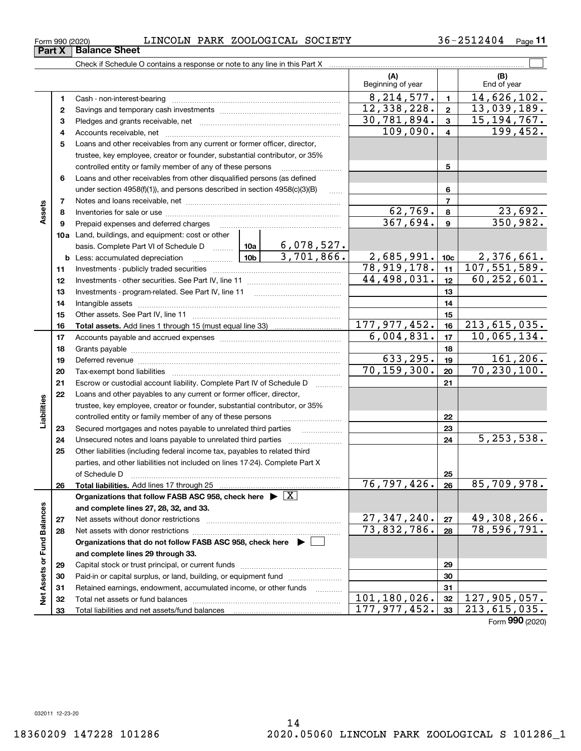### $_{\rm Form}$   $_{990}$  (2020)  $_{\rm D}$   $_{\rm L}$   $_{\rm L}$   $_{\rm N}$   $_{\rm N}$   $_{\rm P2}$   $_{\rm R}$   $_{\rm N}$   $_{\rm N}$   $_{\rm N}$   $_{\rm N}$   $_{\rm N}$   $_{\rm N}$   $_{\rm N}$   $_{\rm N}$   $_{\rm N}$   $_{\rm N}$   $_{\rm N}$   $_{\rm N}$   $_{\rm N}$   $_{\rm N}$   $_{\rm N}$   $_{\rm N}$   $_{\rm N}$   $_{\rm N$

**(A) (B) 1**Cash - non-interest-bearing ~~~~~~~~~~~~~~~~~~~~~~~~~ **2**Savings and temporary cash investments ~~~~~~~~~~~~~~~~~~ **3** Pledges and grants receivable, net  $\ldots$  **multimes contained and grants receivable**, net **multimes contained and grants receivable**, net **multimes contained and grants receivable 4**Accounts receivable, net ~~~~~~~~~~~~~~~~~~~~~~~~~~ **123 4**109,090. 199,452. Check if Schedule O contains a response or note to any line in this Part X Beginning of year | | End of year  $\mathcal{L}^{\text{max}}$  $8, 214, 577. \mid 1 \mid 14, 626, 102.$ 30,781,894. 15,194,767.  $12,338,228. | 2 | 13,039,189.$ 

|                             | 5  | Loans and other receivables from any current or former officer, director,               |   |                                 |                           |                |                 |
|-----------------------------|----|-----------------------------------------------------------------------------------------|---|---------------------------------|---------------------------|----------------|-----------------|
|                             |    | trustee, key employee, creator or founder, substantial contributor, or 35%              |   |                                 |                           |                |                 |
|                             |    | controlled entity or family member of any of these persons                              |   |                                 |                           | 5              |                 |
|                             | 6  | Loans and other receivables from other disqualified persons (as defined                 |   |                                 |                           |                |                 |
|                             |    | under section $4958(f)(1)$ , and persons described in section $4958(c)(3)(B)$           |   | $\overline{1}$                  |                           | 6              |                 |
|                             | 7  |                                                                                         |   |                                 |                           | $\overline{7}$ |                 |
| Assets                      | 8  |                                                                                         |   | 62,769.                         | 8                         | 23,692.        |                 |
|                             | 9  | Prepaid expenses and deferred charges                                                   |   |                                 | 367,694.                  | 9              | 350,982.        |
|                             |    | <b>10a</b> Land, buildings, and equipment: cost or other                                |   |                                 |                           |                |                 |
|                             |    | basis. Complete Part VI of Schedule D  10a                                              |   | $\frac{6,078,527.}{3,701,866.}$ |                           |                |                 |
|                             |    | $\frac{10b}{10b}$<br><b>b</b> Less: accumulated depreciation                            |   |                                 | 2,685,991.                | 10c            | 2,376,661.      |
|                             | 11 |                                                                                         |   |                                 | 78, 919, 178.             | 11             | 107,551,589.    |
|                             | 12 |                                                                                         |   | 44,498,031.                     | 12                        | 60, 252, 601.  |                 |
|                             | 13 | Investments - program-related. See Part IV, line 11                                     |   |                                 |                           | 13             |                 |
|                             | 14 |                                                                                         |   | 14                              |                           |                |                 |
|                             | 15 |                                                                                         |   | 15                              |                           |                |                 |
|                             | 16 |                                                                                         |   |                                 | 177, 977, 452.            | 16             | 213, 615, 035.  |
|                             | 17 |                                                                                         |   |                                 | 6,004,831.                | 17             | 10,065,134.     |
|                             | 18 |                                                                                         |   |                                 |                           | 18             |                 |
|                             | 19 |                                                                                         |   |                                 | 633, 295.                 | 19             | 161, 206.       |
|                             | 20 |                                                                                         |   |                                 | 70, 159, 300.             | 20             | 70, 230, 100.   |
|                             | 21 | Escrow or custodial account liability. Complete Part IV of Schedule D                   |   |                                 |                           | 21             |                 |
|                             | 22 | Loans and other payables to any current or former officer, director,                    |   |                                 |                           |                |                 |
| Liabilities                 |    | trustee, key employee, creator or founder, substantial contributor, or 35%              |   |                                 |                           |                |                 |
|                             |    | controlled entity or family member of any of these persons                              |   |                                 | 22                        |                |                 |
|                             | 23 | Secured mortgages and notes payable to unrelated third parties                          | . |                                 | 23                        |                |                 |
|                             | 24 | Unsecured notes and loans payable to unrelated third parties                            |   |                                 |                           | 24             | 5, 253, 538.    |
|                             | 25 | Other liabilities (including federal income tax, payables to related third              |   |                                 |                           |                |                 |
|                             |    | parties, and other liabilities not included on lines 17-24). Complete Part X            |   |                                 |                           |                |                 |
|                             |    | of Schedule D                                                                           |   |                                 |                           | 25             |                 |
|                             | 26 |                                                                                         |   |                                 | 76,797,426.               | 26             | 85,709,978.     |
|                             |    | Organizations that follow FASB ASC 958, check here $\triangleright \lfloor X \rfloor$   |   |                                 |                           |                |                 |
|                             |    | and complete lines 27, 28, 32, and 33.                                                  |   |                                 |                           |                |                 |
|                             | 27 | Net assets without donor restrictions                                                   |   |                                 | 27, 347, 240.             | 27             | 49, 308, 266.   |
|                             | 28 |                                                                                         |   |                                 | $\overline{73,832,786}$ . | 28             | 78,596,791.     |
|                             |    | Organizations that do not follow FASB ASC 958, check here $\blacktriangleright \lfloor$ |   |                                 |                           |                |                 |
|                             |    | and complete lines 29 through 33.                                                       |   |                                 |                           |                |                 |
|                             | 29 |                                                                                         |   |                                 |                           | 29             |                 |
| Net Assets or Fund Balances | 30 | Paid-in or capital surplus, or land, building, or equipment fund                        |   |                                 | 30                        |                |                 |
|                             | 31 | Retained earnings, endowment, accumulated income, or other funds                        |   |                                 | 31                        |                |                 |
|                             | 32 |                                                                                         |   | 101,180,026.                    | 32                        | 127,905,057.   |                 |
|                             | 33 |                                                                                         |   |                                 | 177, 977, 452.            | 33             | 213,615,035.    |
|                             |    |                                                                                         |   |                                 |                           |                | Form 990 (2020) |

**Part X** | Balance Sheet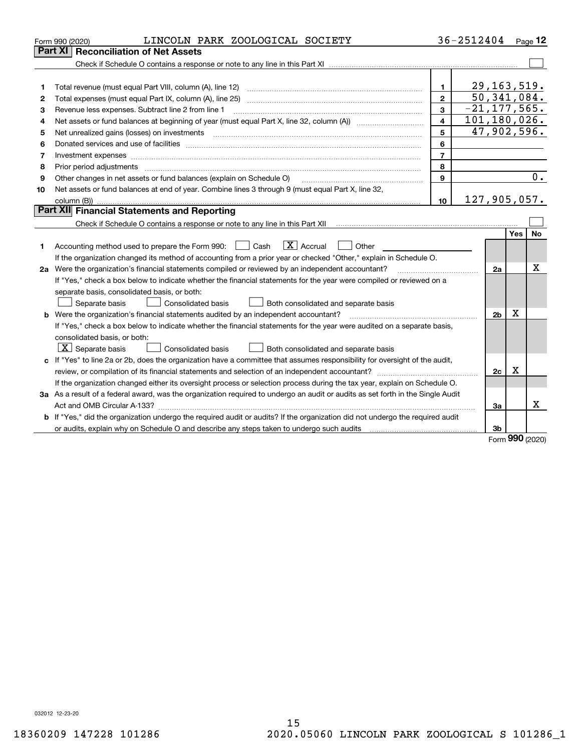| Part XI   Reconciliation of Net Assets<br>29, 163, 519.<br>1.<br>1<br>50, 341, 084.<br>$\mathbf{2}$<br>Total expenses (must equal Part IX, column (A), line 25)<br>2<br>$-21, 177, 565.$<br>3<br>Revenue less expenses. Subtract line 2 from line 1<br>3<br>101, 180, 026.<br>$\overline{\mathbf{4}}$<br>4<br>47,902,596.<br>5<br>Net unrealized gains (losses) on investments<br>5<br>6<br>6<br>$\overline{7}$<br>7<br>8<br>8<br>0.<br>Other changes in net assets or fund balances (explain on Schedule O)<br>9<br>9<br>Net assets or fund balances at end of year. Combine lines 3 through 9 (must equal Part X, line 32,<br>10<br>127,905,057.<br>10<br><b>Part XII</b> Financial Statements and Reporting<br>Yes<br><b>No</b><br>$\boxed{\mathbf{X}}$ Accrual<br>Accounting method used to prepare the Form 990: <u>[</u> Cash<br>Other<br>1<br>If the organization changed its method of accounting from a prior year or checked "Other," explain in Schedule O.<br>Х<br>2a Were the organization's financial statements compiled or reviewed by an independent accountant?<br>2a<br>If "Yes," check a box below to indicate whether the financial statements for the year were compiled or reviewed on a<br>separate basis, consolidated basis, or both:<br>Separate basis<br><b>Consolidated basis</b><br>Both consolidated and separate basis<br>х<br><b>b</b> Were the organization's financial statements audited by an independent accountant?<br>2b<br>If "Yes," check a box below to indicate whether the financial statements for the year were audited on a separate basis,<br>consolidated basis, or both:<br>$X$ Separate basis<br>Consolidated basis<br>Both consolidated and separate basis<br>c If "Yes" to line 2a or 2b, does the organization have a committee that assumes responsibility for oversight of the audit,<br>$\mathbf X$<br>2c<br>If the organization changed either its oversight process or selection process during the tax year, explain on Schedule O.<br>3a As a result of a federal award, was the organization required to undergo an audit or audits as set forth in the Single Audit<br>х<br>За<br>b If "Yes," did the organization undergo the required audit or audits? If the organization did not undergo the required audit<br>3b | LINCOLN PARK ZOOLOGICAL SOCIETY<br>Form 990 (2020) |  | 36-2512404 |  |      | Page $12$ |  |  |  |
|---------------------------------------------------------------------------------------------------------------------------------------------------------------------------------------------------------------------------------------------------------------------------------------------------------------------------------------------------------------------------------------------------------------------------------------------------------------------------------------------------------------------------------------------------------------------------------------------------------------------------------------------------------------------------------------------------------------------------------------------------------------------------------------------------------------------------------------------------------------------------------------------------------------------------------------------------------------------------------------------------------------------------------------------------------------------------------------------------------------------------------------------------------------------------------------------------------------------------------------------------------------------------------------------------------------------------------------------------------------------------------------------------------------------------------------------------------------------------------------------------------------------------------------------------------------------------------------------------------------------------------------------------------------------------------------------------------------------------------------------------------------------------------------------------------------------------------------------------------------------------------------------------------------------------------------------------------------------------------------------------------------------------------------------------------------------------------------------------------------------------------------------------------------------------------------------------------------------------------------------------------------------------------------|----------------------------------------------------|--|------------|--|------|-----------|--|--|--|
|                                                                                                                                                                                                                                                                                                                                                                                                                                                                                                                                                                                                                                                                                                                                                                                                                                                                                                                                                                                                                                                                                                                                                                                                                                                                                                                                                                                                                                                                                                                                                                                                                                                                                                                                                                                                                                                                                                                                                                                                                                                                                                                                                                                                                                                                                       |                                                    |  |            |  |      |           |  |  |  |
|                                                                                                                                                                                                                                                                                                                                                                                                                                                                                                                                                                                                                                                                                                                                                                                                                                                                                                                                                                                                                                                                                                                                                                                                                                                                                                                                                                                                                                                                                                                                                                                                                                                                                                                                                                                                                                                                                                                                                                                                                                                                                                                                                                                                                                                                                       |                                                    |  |            |  |      |           |  |  |  |
|                                                                                                                                                                                                                                                                                                                                                                                                                                                                                                                                                                                                                                                                                                                                                                                                                                                                                                                                                                                                                                                                                                                                                                                                                                                                                                                                                                                                                                                                                                                                                                                                                                                                                                                                                                                                                                                                                                                                                                                                                                                                                                                                                                                                                                                                                       |                                                    |  |            |  |      |           |  |  |  |
|                                                                                                                                                                                                                                                                                                                                                                                                                                                                                                                                                                                                                                                                                                                                                                                                                                                                                                                                                                                                                                                                                                                                                                                                                                                                                                                                                                                                                                                                                                                                                                                                                                                                                                                                                                                                                                                                                                                                                                                                                                                                                                                                                                                                                                                                                       |                                                    |  |            |  |      |           |  |  |  |
|                                                                                                                                                                                                                                                                                                                                                                                                                                                                                                                                                                                                                                                                                                                                                                                                                                                                                                                                                                                                                                                                                                                                                                                                                                                                                                                                                                                                                                                                                                                                                                                                                                                                                                                                                                                                                                                                                                                                                                                                                                                                                                                                                                                                                                                                                       |                                                    |  |            |  |      |           |  |  |  |
|                                                                                                                                                                                                                                                                                                                                                                                                                                                                                                                                                                                                                                                                                                                                                                                                                                                                                                                                                                                                                                                                                                                                                                                                                                                                                                                                                                                                                                                                                                                                                                                                                                                                                                                                                                                                                                                                                                                                                                                                                                                                                                                                                                                                                                                                                       |                                                    |  |            |  |      |           |  |  |  |
|                                                                                                                                                                                                                                                                                                                                                                                                                                                                                                                                                                                                                                                                                                                                                                                                                                                                                                                                                                                                                                                                                                                                                                                                                                                                                                                                                                                                                                                                                                                                                                                                                                                                                                                                                                                                                                                                                                                                                                                                                                                                                                                                                                                                                                                                                       |                                                    |  |            |  |      |           |  |  |  |
|                                                                                                                                                                                                                                                                                                                                                                                                                                                                                                                                                                                                                                                                                                                                                                                                                                                                                                                                                                                                                                                                                                                                                                                                                                                                                                                                                                                                                                                                                                                                                                                                                                                                                                                                                                                                                                                                                                                                                                                                                                                                                                                                                                                                                                                                                       |                                                    |  |            |  |      |           |  |  |  |
|                                                                                                                                                                                                                                                                                                                                                                                                                                                                                                                                                                                                                                                                                                                                                                                                                                                                                                                                                                                                                                                                                                                                                                                                                                                                                                                                                                                                                                                                                                                                                                                                                                                                                                                                                                                                                                                                                                                                                                                                                                                                                                                                                                                                                                                                                       |                                                    |  |            |  |      |           |  |  |  |
|                                                                                                                                                                                                                                                                                                                                                                                                                                                                                                                                                                                                                                                                                                                                                                                                                                                                                                                                                                                                                                                                                                                                                                                                                                                                                                                                                                                                                                                                                                                                                                                                                                                                                                                                                                                                                                                                                                                                                                                                                                                                                                                                                                                                                                                                                       |                                                    |  |            |  |      |           |  |  |  |
|                                                                                                                                                                                                                                                                                                                                                                                                                                                                                                                                                                                                                                                                                                                                                                                                                                                                                                                                                                                                                                                                                                                                                                                                                                                                                                                                                                                                                                                                                                                                                                                                                                                                                                                                                                                                                                                                                                                                                                                                                                                                                                                                                                                                                                                                                       |                                                    |  |            |  |      |           |  |  |  |
|                                                                                                                                                                                                                                                                                                                                                                                                                                                                                                                                                                                                                                                                                                                                                                                                                                                                                                                                                                                                                                                                                                                                                                                                                                                                                                                                                                                                                                                                                                                                                                                                                                                                                                                                                                                                                                                                                                                                                                                                                                                                                                                                                                                                                                                                                       |                                                    |  |            |  |      |           |  |  |  |
|                                                                                                                                                                                                                                                                                                                                                                                                                                                                                                                                                                                                                                                                                                                                                                                                                                                                                                                                                                                                                                                                                                                                                                                                                                                                                                                                                                                                                                                                                                                                                                                                                                                                                                                                                                                                                                                                                                                                                                                                                                                                                                                                                                                                                                                                                       |                                                    |  |            |  |      |           |  |  |  |
|                                                                                                                                                                                                                                                                                                                                                                                                                                                                                                                                                                                                                                                                                                                                                                                                                                                                                                                                                                                                                                                                                                                                                                                                                                                                                                                                                                                                                                                                                                                                                                                                                                                                                                                                                                                                                                                                                                                                                                                                                                                                                                                                                                                                                                                                                       |                                                    |  |            |  |      |           |  |  |  |
|                                                                                                                                                                                                                                                                                                                                                                                                                                                                                                                                                                                                                                                                                                                                                                                                                                                                                                                                                                                                                                                                                                                                                                                                                                                                                                                                                                                                                                                                                                                                                                                                                                                                                                                                                                                                                                                                                                                                                                                                                                                                                                                                                                                                                                                                                       |                                                    |  |            |  |      |           |  |  |  |
|                                                                                                                                                                                                                                                                                                                                                                                                                                                                                                                                                                                                                                                                                                                                                                                                                                                                                                                                                                                                                                                                                                                                                                                                                                                                                                                                                                                                                                                                                                                                                                                                                                                                                                                                                                                                                                                                                                                                                                                                                                                                                                                                                                                                                                                                                       |                                                    |  |            |  |      |           |  |  |  |
|                                                                                                                                                                                                                                                                                                                                                                                                                                                                                                                                                                                                                                                                                                                                                                                                                                                                                                                                                                                                                                                                                                                                                                                                                                                                                                                                                                                                                                                                                                                                                                                                                                                                                                                                                                                                                                                                                                                                                                                                                                                                                                                                                                                                                                                                                       |                                                    |  |            |  |      |           |  |  |  |
|                                                                                                                                                                                                                                                                                                                                                                                                                                                                                                                                                                                                                                                                                                                                                                                                                                                                                                                                                                                                                                                                                                                                                                                                                                                                                                                                                                                                                                                                                                                                                                                                                                                                                                                                                                                                                                                                                                                                                                                                                                                                                                                                                                                                                                                                                       |                                                    |  |            |  |      |           |  |  |  |
|                                                                                                                                                                                                                                                                                                                                                                                                                                                                                                                                                                                                                                                                                                                                                                                                                                                                                                                                                                                                                                                                                                                                                                                                                                                                                                                                                                                                                                                                                                                                                                                                                                                                                                                                                                                                                                                                                                                                                                                                                                                                                                                                                                                                                                                                                       |                                                    |  |            |  |      |           |  |  |  |
|                                                                                                                                                                                                                                                                                                                                                                                                                                                                                                                                                                                                                                                                                                                                                                                                                                                                                                                                                                                                                                                                                                                                                                                                                                                                                                                                                                                                                                                                                                                                                                                                                                                                                                                                                                                                                                                                                                                                                                                                                                                                                                                                                                                                                                                                                       |                                                    |  |            |  |      |           |  |  |  |
|                                                                                                                                                                                                                                                                                                                                                                                                                                                                                                                                                                                                                                                                                                                                                                                                                                                                                                                                                                                                                                                                                                                                                                                                                                                                                                                                                                                                                                                                                                                                                                                                                                                                                                                                                                                                                                                                                                                                                                                                                                                                                                                                                                                                                                                                                       |                                                    |  |            |  |      |           |  |  |  |
|                                                                                                                                                                                                                                                                                                                                                                                                                                                                                                                                                                                                                                                                                                                                                                                                                                                                                                                                                                                                                                                                                                                                                                                                                                                                                                                                                                                                                                                                                                                                                                                                                                                                                                                                                                                                                                                                                                                                                                                                                                                                                                                                                                                                                                                                                       |                                                    |  |            |  |      |           |  |  |  |
|                                                                                                                                                                                                                                                                                                                                                                                                                                                                                                                                                                                                                                                                                                                                                                                                                                                                                                                                                                                                                                                                                                                                                                                                                                                                                                                                                                                                                                                                                                                                                                                                                                                                                                                                                                                                                                                                                                                                                                                                                                                                                                                                                                                                                                                                                       |                                                    |  |            |  |      |           |  |  |  |
|                                                                                                                                                                                                                                                                                                                                                                                                                                                                                                                                                                                                                                                                                                                                                                                                                                                                                                                                                                                                                                                                                                                                                                                                                                                                                                                                                                                                                                                                                                                                                                                                                                                                                                                                                                                                                                                                                                                                                                                                                                                                                                                                                                                                                                                                                       |                                                    |  |            |  |      |           |  |  |  |
|                                                                                                                                                                                                                                                                                                                                                                                                                                                                                                                                                                                                                                                                                                                                                                                                                                                                                                                                                                                                                                                                                                                                                                                                                                                                                                                                                                                                                                                                                                                                                                                                                                                                                                                                                                                                                                                                                                                                                                                                                                                                                                                                                                                                                                                                                       |                                                    |  |            |  |      |           |  |  |  |
|                                                                                                                                                                                                                                                                                                                                                                                                                                                                                                                                                                                                                                                                                                                                                                                                                                                                                                                                                                                                                                                                                                                                                                                                                                                                                                                                                                                                                                                                                                                                                                                                                                                                                                                                                                                                                                                                                                                                                                                                                                                                                                                                                                                                                                                                                       |                                                    |  |            |  |      |           |  |  |  |
|                                                                                                                                                                                                                                                                                                                                                                                                                                                                                                                                                                                                                                                                                                                                                                                                                                                                                                                                                                                                                                                                                                                                                                                                                                                                                                                                                                                                                                                                                                                                                                                                                                                                                                                                                                                                                                                                                                                                                                                                                                                                                                                                                                                                                                                                                       |                                                    |  |            |  |      |           |  |  |  |
|                                                                                                                                                                                                                                                                                                                                                                                                                                                                                                                                                                                                                                                                                                                                                                                                                                                                                                                                                                                                                                                                                                                                                                                                                                                                                                                                                                                                                                                                                                                                                                                                                                                                                                                                                                                                                                                                                                                                                                                                                                                                                                                                                                                                                                                                                       |                                                    |  |            |  |      |           |  |  |  |
|                                                                                                                                                                                                                                                                                                                                                                                                                                                                                                                                                                                                                                                                                                                                                                                                                                                                                                                                                                                                                                                                                                                                                                                                                                                                                                                                                                                                                                                                                                                                                                                                                                                                                                                                                                                                                                                                                                                                                                                                                                                                                                                                                                                                                                                                                       |                                                    |  |            |  |      |           |  |  |  |
|                                                                                                                                                                                                                                                                                                                                                                                                                                                                                                                                                                                                                                                                                                                                                                                                                                                                                                                                                                                                                                                                                                                                                                                                                                                                                                                                                                                                                                                                                                                                                                                                                                                                                                                                                                                                                                                                                                                                                                                                                                                                                                                                                                                                                                                                                       |                                                    |  |            |  |      |           |  |  |  |
|                                                                                                                                                                                                                                                                                                                                                                                                                                                                                                                                                                                                                                                                                                                                                                                                                                                                                                                                                                                                                                                                                                                                                                                                                                                                                                                                                                                                                                                                                                                                                                                                                                                                                                                                                                                                                                                                                                                                                                                                                                                                                                                                                                                                                                                                                       |                                                    |  |            |  |      |           |  |  |  |
|                                                                                                                                                                                                                                                                                                                                                                                                                                                                                                                                                                                                                                                                                                                                                                                                                                                                                                                                                                                                                                                                                                                                                                                                                                                                                                                                                                                                                                                                                                                                                                                                                                                                                                                                                                                                                                                                                                                                                                                                                                                                                                                                                                                                                                                                                       |                                                    |  |            |  |      |           |  |  |  |
|                                                                                                                                                                                                                                                                                                                                                                                                                                                                                                                                                                                                                                                                                                                                                                                                                                                                                                                                                                                                                                                                                                                                                                                                                                                                                                                                                                                                                                                                                                                                                                                                                                                                                                                                                                                                                                                                                                                                                                                                                                                                                                                                                                                                                                                                                       |                                                    |  |            |  |      |           |  |  |  |
|                                                                                                                                                                                                                                                                                                                                                                                                                                                                                                                                                                                                                                                                                                                                                                                                                                                                                                                                                                                                                                                                                                                                                                                                                                                                                                                                                                                                                                                                                                                                                                                                                                                                                                                                                                                                                                                                                                                                                                                                                                                                                                                                                                                                                                                                                       |                                                    |  |            |  | nnn. |           |  |  |  |

Form (2020) **990**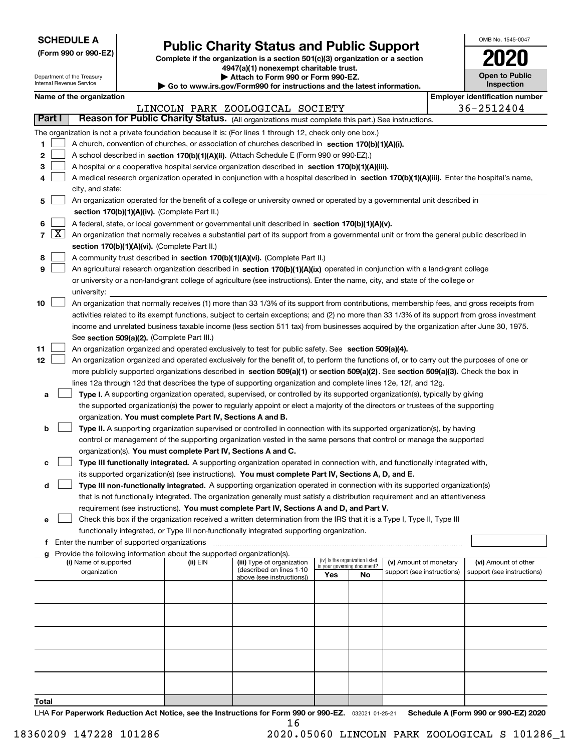| <b>SCHEDULE A</b> |
|-------------------|
|-------------------|

Department of the Treasury Internal Revenue Service

**(Form 990 or 990-EZ)**

### **Public Charity Status and Public Support**

**Complete if the organization is a section 501(c)(3) organization or a section 4947(a)(1) nonexempt charitable trust.**

| Attach to Form 990 or Form 990-EZ.                                       |  |
|--------------------------------------------------------------------------|--|
| ► Go to www.irs.gov/Form990 for instructions and the latest information. |  |

| 2020                                |
|-------------------------------------|
| <b>Open to Public</b><br>Inspection |

OMB No. 1545-0047

|            |                                                                                                                                                                                               | Name of the organization                                                                                                                                                                    |          |                                                       |                                                                |    |                            |  | <b>Employer identification number</b> |  |  |
|------------|-----------------------------------------------------------------------------------------------------------------------------------------------------------------------------------------------|---------------------------------------------------------------------------------------------------------------------------------------------------------------------------------------------|----------|-------------------------------------------------------|----------------------------------------------------------------|----|----------------------------|--|---------------------------------------|--|--|
| Part I     |                                                                                                                                                                                               | Reason for Public Charity Status. (All organizations must complete this part.) See instructions.                                                                                            |          | LINCOLN PARK ZOOLOGICAL SOCIETY                       |                                                                |    |                            |  | 36-2512404                            |  |  |
|            |                                                                                                                                                                                               |                                                                                                                                                                                             |          |                                                       |                                                                |    |                            |  |                                       |  |  |
|            |                                                                                                                                                                                               | The organization is not a private foundation because it is: (For lines 1 through 12, check only one box.)                                                                                   |          |                                                       |                                                                |    |                            |  |                                       |  |  |
| 1.         |                                                                                                                                                                                               | A church, convention of churches, or association of churches described in section $170(b)(1)(A)(i)$ .                                                                                       |          |                                                       |                                                                |    |                            |  |                                       |  |  |
| 2          |                                                                                                                                                                                               | A school described in section 170(b)(1)(A)(ii). (Attach Schedule E (Form 990 or 990-EZ).)                                                                                                   |          |                                                       |                                                                |    |                            |  |                                       |  |  |
| 3          |                                                                                                                                                                                               | A hospital or a cooperative hospital service organization described in section 170(b)(1)(A)(iii).                                                                                           |          |                                                       |                                                                |    |                            |  |                                       |  |  |
| 4          |                                                                                                                                                                                               | A medical research organization operated in conjunction with a hospital described in section 170(b)(1)(A)(iii). Enter the hospital's name,                                                  |          |                                                       |                                                                |    |                            |  |                                       |  |  |
|            |                                                                                                                                                                                               | city, and state:                                                                                                                                                                            |          |                                                       |                                                                |    |                            |  |                                       |  |  |
| 5          |                                                                                                                                                                                               | An organization operated for the benefit of a college or university owned or operated by a governmental unit described in                                                                   |          |                                                       |                                                                |    |                            |  |                                       |  |  |
|            |                                                                                                                                                                                               | section 170(b)(1)(A)(iv). (Complete Part II.)                                                                                                                                               |          |                                                       |                                                                |    |                            |  |                                       |  |  |
| 6          |                                                                                                                                                                                               | A federal, state, or local government or governmental unit described in section 170(b)(1)(A)(v).                                                                                            |          |                                                       |                                                                |    |                            |  |                                       |  |  |
| $7 \times$ |                                                                                                                                                                                               | An organization that normally receives a substantial part of its support from a governmental unit or from the general public described in                                                   |          |                                                       |                                                                |    |                            |  |                                       |  |  |
|            |                                                                                                                                                                                               | section 170(b)(1)(A)(vi). (Complete Part II.)                                                                                                                                               |          |                                                       |                                                                |    |                            |  |                                       |  |  |
| 8          |                                                                                                                                                                                               | A community trust described in section 170(b)(1)(A)(vi). (Complete Part II.)                                                                                                                |          |                                                       |                                                                |    |                            |  |                                       |  |  |
| 9          |                                                                                                                                                                                               | An agricultural research organization described in section 170(b)(1)(A)(ix) operated in conjunction with a land-grant college                                                               |          |                                                       |                                                                |    |                            |  |                                       |  |  |
|            |                                                                                                                                                                                               | or university or a non-land-grant college of agriculture (see instructions). Enter the name, city, and state of the college or                                                              |          |                                                       |                                                                |    |                            |  |                                       |  |  |
|            |                                                                                                                                                                                               | university:                                                                                                                                                                                 |          |                                                       |                                                                |    |                            |  |                                       |  |  |
| 10         |                                                                                                                                                                                               | An organization that normally receives (1) more than 33 1/3% of its support from contributions, membership fees, and gross receipts from                                                    |          |                                                       |                                                                |    |                            |  |                                       |  |  |
|            |                                                                                                                                                                                               | activities related to its exempt functions, subject to certain exceptions; and (2) no more than 33 1/3% of its support from gross investment                                                |          |                                                       |                                                                |    |                            |  |                                       |  |  |
|            |                                                                                                                                                                                               | income and unrelated business taxable income (less section 511 tax) from businesses acquired by the organization after June 30, 1975.                                                       |          |                                                       |                                                                |    |                            |  |                                       |  |  |
|            |                                                                                                                                                                                               | See section 509(a)(2). (Complete Part III.)                                                                                                                                                 |          |                                                       |                                                                |    |                            |  |                                       |  |  |
| 11         | An organization organized and operated exclusively to test for public safety. See section 509(a)(4).                                                                                          |                                                                                                                                                                                             |          |                                                       |                                                                |    |                            |  |                                       |  |  |
| 12         | An organization organized and operated exclusively for the benefit of, to perform the functions of, or to carry out the purposes of one or                                                    |                                                                                                                                                                                             |          |                                                       |                                                                |    |                            |  |                                       |  |  |
|            | more publicly supported organizations described in section 509(a)(1) or section 509(a)(2). See section 509(a)(3). Check the box in                                                            |                                                                                                                                                                                             |          |                                                       |                                                                |    |                            |  |                                       |  |  |
|            | lines 12a through 12d that describes the type of supporting organization and complete lines 12e, 12f, and 12g.                                                                                |                                                                                                                                                                                             |          |                                                       |                                                                |    |                            |  |                                       |  |  |
| а          | Type I. A supporting organization operated, supervised, or controlled by its supported organization(s), typically by giving                                                                   |                                                                                                                                                                                             |          |                                                       |                                                                |    |                            |  |                                       |  |  |
|            | the supported organization(s) the power to regularly appoint or elect a majority of the directors or trustees of the supporting<br>organization. You must complete Part IV, Sections A and B. |                                                                                                                                                                                             |          |                                                       |                                                                |    |                            |  |                                       |  |  |
|            |                                                                                                                                                                                               |                                                                                                                                                                                             |          |                                                       |                                                                |    |                            |  |                                       |  |  |
| b          |                                                                                                                                                                                               | Type II. A supporting organization supervised or controlled in connection with its supported organization(s), by having                                                                     |          |                                                       |                                                                |    |                            |  |                                       |  |  |
|            |                                                                                                                                                                                               | control or management of the supporting organization vested in the same persons that control or manage the supported                                                                        |          |                                                       |                                                                |    |                            |  |                                       |  |  |
|            |                                                                                                                                                                                               | organization(s). You must complete Part IV, Sections A and C.<br>Type III functionally integrated. A supporting organization operated in connection with, and functionally integrated with, |          |                                                       |                                                                |    |                            |  |                                       |  |  |
| с          |                                                                                                                                                                                               | its supported organization(s) (see instructions). You must complete Part IV, Sections A, D, and E.                                                                                          |          |                                                       |                                                                |    |                            |  |                                       |  |  |
| d          |                                                                                                                                                                                               | Type III non-functionally integrated. A supporting organization operated in connection with its supported organization(s)                                                                   |          |                                                       |                                                                |    |                            |  |                                       |  |  |
|            |                                                                                                                                                                                               | that is not functionally integrated. The organization generally must satisfy a distribution requirement and an attentiveness                                                                |          |                                                       |                                                                |    |                            |  |                                       |  |  |
|            |                                                                                                                                                                                               | requirement (see instructions). You must complete Part IV, Sections A and D, and Part V.                                                                                                    |          |                                                       |                                                                |    |                            |  |                                       |  |  |
|            |                                                                                                                                                                                               | □ Check this box if the organization received a written determination from the IRS that it is a Type I, Type II, Type III                                                                   |          |                                                       |                                                                |    |                            |  |                                       |  |  |
|            |                                                                                                                                                                                               | functionally integrated, or Type III non-functionally integrated supporting organization.                                                                                                   |          |                                                       |                                                                |    |                            |  |                                       |  |  |
|            |                                                                                                                                                                                               | f Enter the number of supported organizations                                                                                                                                               |          |                                                       |                                                                |    |                            |  |                                       |  |  |
|            |                                                                                                                                                                                               | Provide the following information about the supported organization(s).                                                                                                                      |          |                                                       |                                                                |    |                            |  |                                       |  |  |
|            |                                                                                                                                                                                               | (i) Name of supported                                                                                                                                                                       | (ii) EIN | (iii) Type of organization                            | (iv) Is the organization listed<br>in your governing document? |    | (v) Amount of monetary     |  | (vi) Amount of other                  |  |  |
|            |                                                                                                                                                                                               | organization                                                                                                                                                                                |          | (described on lines 1-10<br>above (see instructions)) | Yes                                                            | No | support (see instructions) |  | support (see instructions)            |  |  |
|            |                                                                                                                                                                                               |                                                                                                                                                                                             |          |                                                       |                                                                |    |                            |  |                                       |  |  |
|            |                                                                                                                                                                                               |                                                                                                                                                                                             |          |                                                       |                                                                |    |                            |  |                                       |  |  |
|            |                                                                                                                                                                                               |                                                                                                                                                                                             |          |                                                       |                                                                |    |                            |  |                                       |  |  |
|            |                                                                                                                                                                                               |                                                                                                                                                                                             |          |                                                       |                                                                |    |                            |  |                                       |  |  |
|            |                                                                                                                                                                                               |                                                                                                                                                                                             |          |                                                       |                                                                |    |                            |  |                                       |  |  |
|            |                                                                                                                                                                                               |                                                                                                                                                                                             |          |                                                       |                                                                |    |                            |  |                                       |  |  |
|            |                                                                                                                                                                                               |                                                                                                                                                                                             |          |                                                       |                                                                |    |                            |  |                                       |  |  |
|            |                                                                                                                                                                                               |                                                                                                                                                                                             |          |                                                       |                                                                |    |                            |  |                                       |  |  |
|            |                                                                                                                                                                                               |                                                                                                                                                                                             |          |                                                       |                                                                |    |                            |  |                                       |  |  |
|            |                                                                                                                                                                                               |                                                                                                                                                                                             |          |                                                       |                                                                |    |                            |  |                                       |  |  |
| Total      |                                                                                                                                                                                               |                                                                                                                                                                                             |          |                                                       |                                                                |    |                            |  |                                       |  |  |

LHA For Paperwork Reduction Act Notice, see the Instructions for Form 990 or 990-EZ. <sub>032021</sub> o1-25-21 Schedule A (Form 990 or 990-EZ) 2020 16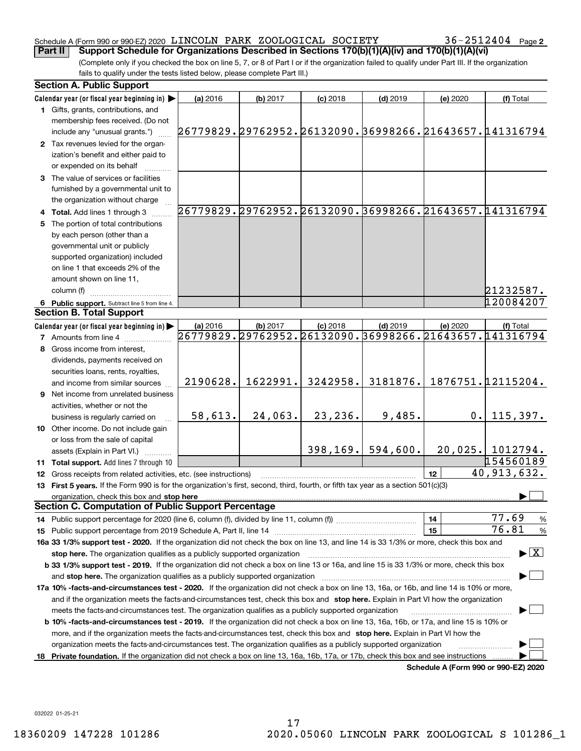### Schedule A (Form 990 or 990-EZ) 2020  $\,$  LINCOLN PARK <code>ZOOLOGICAL</code> <code>SOCIETY</code>  $36-2512404$  <code>Page</code> **Part II Support Schedule for Organizations Described in Sections 170(b)(1)(A)(iv) and 170(b)(1)(A)(vi)**

36-2512404 Page 2

(Complete only if you checked the box on line 5, 7, or 8 of Part I or if the organization failed to qualify under Part III. If the organization fails to qualify under the tests listed below, please complete Part III.)

| Calendar year (or fiscal year beginning in)<br>$(d)$ 2019<br>(a) 2016<br>(b) 2017<br>$(c)$ 2018<br>(e) 2020<br>(f) Total<br>1 Gifts, grants, contributions, and<br>membership fees received. (Do not<br>26779829.29762952.26132090.36998266.21643657.141316794<br>include any "unusual grants.")<br>2 Tax revenues levied for the organ-<br>ization's benefit and either paid to<br>or expended on its behalf |      |  |  |  |
|---------------------------------------------------------------------------------------------------------------------------------------------------------------------------------------------------------------------------------------------------------------------------------------------------------------------------------------------------------------------------------------------------------------|------|--|--|--|
|                                                                                                                                                                                                                                                                                                                                                                                                               |      |  |  |  |
|                                                                                                                                                                                                                                                                                                                                                                                                               |      |  |  |  |
|                                                                                                                                                                                                                                                                                                                                                                                                               |      |  |  |  |
|                                                                                                                                                                                                                                                                                                                                                                                                               |      |  |  |  |
|                                                                                                                                                                                                                                                                                                                                                                                                               |      |  |  |  |
|                                                                                                                                                                                                                                                                                                                                                                                                               |      |  |  |  |
|                                                                                                                                                                                                                                                                                                                                                                                                               |      |  |  |  |
| 3 The value of services or facilities                                                                                                                                                                                                                                                                                                                                                                         |      |  |  |  |
| furnished by a governmental unit to                                                                                                                                                                                                                                                                                                                                                                           |      |  |  |  |
| the organization without charge                                                                                                                                                                                                                                                                                                                                                                               |      |  |  |  |
| 26779829.29762952.26132090.36998266.21643657.141316794<br>4 Total. Add lines 1 through 3                                                                                                                                                                                                                                                                                                                      |      |  |  |  |
| 5 The portion of total contributions                                                                                                                                                                                                                                                                                                                                                                          |      |  |  |  |
| by each person (other than a                                                                                                                                                                                                                                                                                                                                                                                  |      |  |  |  |
| governmental unit or publicly                                                                                                                                                                                                                                                                                                                                                                                 |      |  |  |  |
| supported organization) included                                                                                                                                                                                                                                                                                                                                                                              |      |  |  |  |
| on line 1 that exceeds 2% of the                                                                                                                                                                                                                                                                                                                                                                              |      |  |  |  |
| amount shown on line 11,                                                                                                                                                                                                                                                                                                                                                                                      |      |  |  |  |
| 21232587.<br>column (f)                                                                                                                                                                                                                                                                                                                                                                                       |      |  |  |  |
| 120084207<br>6 Public support. Subtract line 5 from line 4.                                                                                                                                                                                                                                                                                                                                                   |      |  |  |  |
| <b>Section B. Total Support</b>                                                                                                                                                                                                                                                                                                                                                                               |      |  |  |  |
| Calendar year (or fiscal year beginning in)<br>$(d)$ 2019<br>(a) 2016<br>(b) 2017<br>$(c)$ 2018<br>(e) 2020<br>(f) Total                                                                                                                                                                                                                                                                                      |      |  |  |  |
| 26779829.29762952.26132090.36998266.21643657.141316794<br><b>7</b> Amounts from line 4                                                                                                                                                                                                                                                                                                                        |      |  |  |  |
| 8 Gross income from interest,                                                                                                                                                                                                                                                                                                                                                                                 |      |  |  |  |
| dividends, payments received on                                                                                                                                                                                                                                                                                                                                                                               |      |  |  |  |
| securities loans, rents, royalties,                                                                                                                                                                                                                                                                                                                                                                           |      |  |  |  |
| 1876751.12115204.<br>1622991.<br>3242958.<br>3181876.<br>2190628.<br>and income from similar sources                                                                                                                                                                                                                                                                                                          |      |  |  |  |
| <b>9</b> Net income from unrelated business                                                                                                                                                                                                                                                                                                                                                                   |      |  |  |  |
| activities, whether or not the                                                                                                                                                                                                                                                                                                                                                                                |      |  |  |  |
| 9,485.<br>58,613.<br>24,063.<br>23,236.<br>115,397.<br>0.1<br>business is regularly carried on                                                                                                                                                                                                                                                                                                                |      |  |  |  |
| 10 Other income. Do not include gain                                                                                                                                                                                                                                                                                                                                                                          |      |  |  |  |
| or loss from the sale of capital                                                                                                                                                                                                                                                                                                                                                                              |      |  |  |  |
| 398, 169.<br>594,600.<br>$20,025.$ 1012794.<br>assets (Explain in Part VI.)                                                                                                                                                                                                                                                                                                                                   |      |  |  |  |
| 154560189                                                                                                                                                                                                                                                                                                                                                                                                     |      |  |  |  |
| 11 Total support. Add lines 7 through 10<br>40,913,632.<br>12 <sup>2</sup>                                                                                                                                                                                                                                                                                                                                    |      |  |  |  |
| 12 Gross receipts from related activities, etc. (see instructions)                                                                                                                                                                                                                                                                                                                                            |      |  |  |  |
| 13 First 5 years. If the Form 990 is for the organization's first, second, third, fourth, or fifth tax year as a section 501(c)(3)                                                                                                                                                                                                                                                                            |      |  |  |  |
| organization, check this box and stop here<br><b>Section C. Computation of Public Support Percentage</b>                                                                                                                                                                                                                                                                                                      |      |  |  |  |
| 77.69<br>14                                                                                                                                                                                                                                                                                                                                                                                                   |      |  |  |  |
| 76.81<br>15                                                                                                                                                                                                                                                                                                                                                                                                   | %    |  |  |  |
|                                                                                                                                                                                                                                                                                                                                                                                                               | $\%$ |  |  |  |
| 16a 33 1/3% support test - 2020. If the organization did not check the box on line 13, and line 14 is 33 1/3% or more, check this box and<br>$\blacktriangleright$ $\boxed{\text{X}}$                                                                                                                                                                                                                         |      |  |  |  |
| stop here. The organization qualifies as a publicly supported organization                                                                                                                                                                                                                                                                                                                                    |      |  |  |  |
| b 33 1/3% support test - 2019. If the organization did not check a box on line 13 or 16a, and line 15 is 33 1/3% or more, check this box                                                                                                                                                                                                                                                                      |      |  |  |  |
| and stop here. The organization qualifies as a publicly supported organization                                                                                                                                                                                                                                                                                                                                |      |  |  |  |
| 17a 10% -facts-and-circumstances test - 2020. If the organization did not check a box on line 13, 16a, or 16b, and line 14 is 10% or more,                                                                                                                                                                                                                                                                    |      |  |  |  |
| and if the organization meets the facts-and-circumstances test, check this box and stop here. Explain in Part VI how the organization                                                                                                                                                                                                                                                                         |      |  |  |  |
| meets the facts-and-circumstances test. The organization qualifies as a publicly supported organization                                                                                                                                                                                                                                                                                                       |      |  |  |  |
| <b>b 10% -facts-and-circumstances test - 2019.</b> If the organization did not check a box on line 13, 16a, 16b, or 17a, and line 15 is 10% or                                                                                                                                                                                                                                                                |      |  |  |  |
| more, and if the organization meets the facts-and-circumstances test, check this box and stop here. Explain in Part VI how the                                                                                                                                                                                                                                                                                |      |  |  |  |
| organization meets the facts-and-circumstances test. The organization qualifies as a publicly supported organization                                                                                                                                                                                                                                                                                          |      |  |  |  |
| Private foundation. If the organization did not check a box on line 13, 16a, 16b, 17a, or 17b, check this box and see instructions<br>18<br>Schedule A (Form 990 or 990-F7) 2020                                                                                                                                                                                                                              |      |  |  |  |

**Schedule A (Form 990 or 990-EZ) 2020**

032022 01-25-21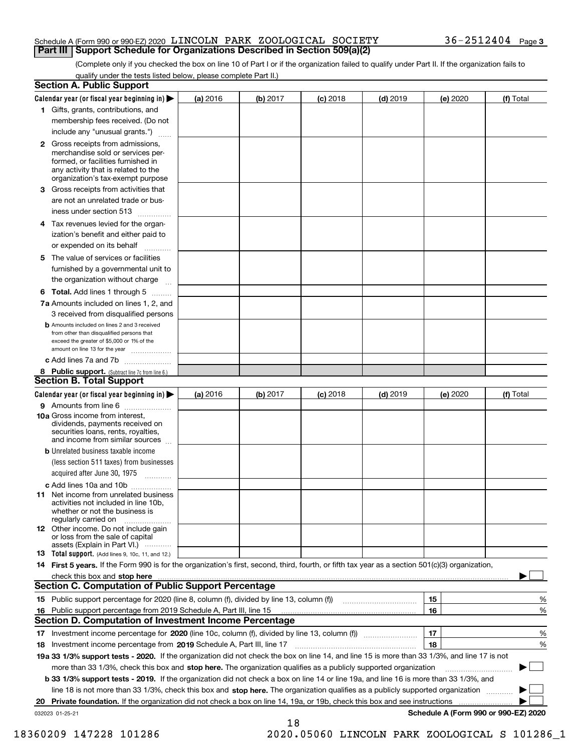### Schedule A (Form 990 or 990-EZ) 2020  $\,$  LINCOLN PARK <code>ZOOLOGICAL</code> <code>SOCIETY</code>  $36-2512404$  <code>Page</code> **Part III Support Schedule for Organizations Described in Section 509(a)(2)**

(Complete only if you checked the box on line 10 of Part I or if the organization failed to qualify under Part II. If the organization fails to qualify under the tests listed below, please complete Part II.)

|    | <b>Section A. Public Support</b>                                                                                                                                                                                              |          |          |            |            |          |                                      |
|----|-------------------------------------------------------------------------------------------------------------------------------------------------------------------------------------------------------------------------------|----------|----------|------------|------------|----------|--------------------------------------|
|    | Calendar year (or fiscal year beginning in) $\blacktriangleright$                                                                                                                                                             | (a) 2016 | (b) 2017 | $(c)$ 2018 | $(d)$ 2019 | (e) 2020 | (f) Total                            |
|    | 1 Gifts, grants, contributions, and                                                                                                                                                                                           |          |          |            |            |          |                                      |
|    | membership fees received. (Do not                                                                                                                                                                                             |          |          |            |            |          |                                      |
|    | include any "unusual grants.")                                                                                                                                                                                                |          |          |            |            |          |                                      |
|    | 2 Gross receipts from admissions,<br>merchandise sold or services per-<br>formed, or facilities furnished in<br>any activity that is related to the<br>organization's tax-exempt purpose                                      |          |          |            |            |          |                                      |
|    | 3 Gross receipts from activities that<br>are not an unrelated trade or bus-                                                                                                                                                   |          |          |            |            |          |                                      |
|    | iness under section 513                                                                                                                                                                                                       |          |          |            |            |          |                                      |
|    | 4 Tax revenues levied for the organ-                                                                                                                                                                                          |          |          |            |            |          |                                      |
|    | ization's benefit and either paid to<br>or expended on its behalf<br>.                                                                                                                                                        |          |          |            |            |          |                                      |
|    | 5 The value of services or facilities                                                                                                                                                                                         |          |          |            |            |          |                                      |
|    | furnished by a governmental unit to                                                                                                                                                                                           |          |          |            |            |          |                                      |
|    | the organization without charge                                                                                                                                                                                               |          |          |            |            |          |                                      |
|    | <b>6 Total.</b> Add lines 1 through 5                                                                                                                                                                                         |          |          |            |            |          |                                      |
|    | 7a Amounts included on lines 1, 2, and                                                                                                                                                                                        |          |          |            |            |          |                                      |
|    | 3 received from disqualified persons                                                                                                                                                                                          |          |          |            |            |          |                                      |
|    | <b>b</b> Amounts included on lines 2 and 3 received<br>from other than disqualified persons that<br>exceed the greater of \$5,000 or 1% of the<br>amount on line 13 for the year                                              |          |          |            |            |          |                                      |
|    | c Add lines 7a and 7b                                                                                                                                                                                                         |          |          |            |            |          |                                      |
|    | 8 Public support. (Subtract line 7c from line 6.)                                                                                                                                                                             |          |          |            |            |          |                                      |
|    | <b>Section B. Total Support</b>                                                                                                                                                                                               |          |          |            |            |          |                                      |
|    | Calendar year (or fiscal year beginning in) $\blacktriangleright$                                                                                                                                                             | (a) 2016 | (b) 2017 | $(c)$ 2018 | $(d)$ 2019 | (e) 2020 | (f) Total                            |
|    | 9 Amounts from line 6                                                                                                                                                                                                         |          |          |            |            |          |                                      |
|    | 10a Gross income from interest,<br>dividends, payments received on<br>securities loans, rents, royalties,<br>and income from similar sources                                                                                  |          |          |            |            |          |                                      |
|    | <b>b</b> Unrelated business taxable income<br>(less section 511 taxes) from businesses                                                                                                                                        |          |          |            |            |          |                                      |
|    | acquired after June 30, 1975                                                                                                                                                                                                  |          |          |            |            |          |                                      |
|    | c Add lines 10a and 10b                                                                                                                                                                                                       |          |          |            |            |          |                                      |
|    | 11 Net income from unrelated business<br>activities not included in line 10b,<br>whether or not the business is<br>regularly carried on                                                                                       |          |          |            |            |          |                                      |
|    | 12 Other income. Do not include gain<br>or loss from the sale of capital<br>assets (Explain in Part VI.)                                                                                                                      |          |          |            |            |          |                                      |
|    | <b>13</b> Total support. (Add lines 9, 10c, 11, and 12.)                                                                                                                                                                      |          |          |            |            |          |                                      |
|    | 14 First 5 years. If the Form 990 is for the organization's first, second, third, fourth, or fifth tax year as a section 501(c)(3) organization,                                                                              |          |          |            |            |          |                                      |
|    | check this box and stop here with the continuum control to the control of the state of the state of the control of the state of the control of the control of the control of the control of the control of the control of the |          |          |            |            |          |                                      |
|    | Section C. Computation of Public Support Percentage                                                                                                                                                                           |          |          |            |            |          |                                      |
|    | 15 Public support percentage for 2020 (line 8, column (f), divided by line 13, column (f))                                                                                                                                    |          |          |            |            | 15       | %                                    |
|    | 16 Public support percentage from 2019 Schedule A, Part III, line 15                                                                                                                                                          |          |          |            |            | 16       | %                                    |
|    | <b>Section D. Computation of Investment Income Percentage</b>                                                                                                                                                                 |          |          |            |            |          |                                      |
|    | 17 Investment income percentage for 2020 (line 10c, column (f), divided by line 13, column (f))                                                                                                                               |          |          |            |            | 17       | %                                    |
|    | <b>18</b> Investment income percentage from <b>2019</b> Schedule A, Part III, line 17                                                                                                                                         |          |          |            |            | 18       | %                                    |
|    | 19a 33 1/3% support tests - 2020. If the organization did not check the box on line 14, and line 15 is more than 33 1/3%, and line 17 is not                                                                                  |          |          |            |            |          |                                      |
|    | more than 33 1/3%, check this box and stop here. The organization qualifies as a publicly supported organization                                                                                                              |          |          |            |            |          | ▶                                    |
|    | b 33 1/3% support tests - 2019. If the organization did not check a box on line 14 or line 19a, and line 16 is more than 33 1/3%, and                                                                                         |          |          |            |            |          |                                      |
|    | line 18 is not more than 33 1/3%, check this box and stop here. The organization qualifies as a publicly supported organization                                                                                               |          |          |            |            |          |                                      |
| 20 | <b>Private foundation.</b> If the organization did not check a box on line 14, 19a, or 19b, check this box and see instructions                                                                                               |          |          |            |            |          |                                      |
|    | 032023 01-25-21                                                                                                                                                                                                               |          | 18       |            |            |          | Schedule A (Form 990 or 990-EZ) 2020 |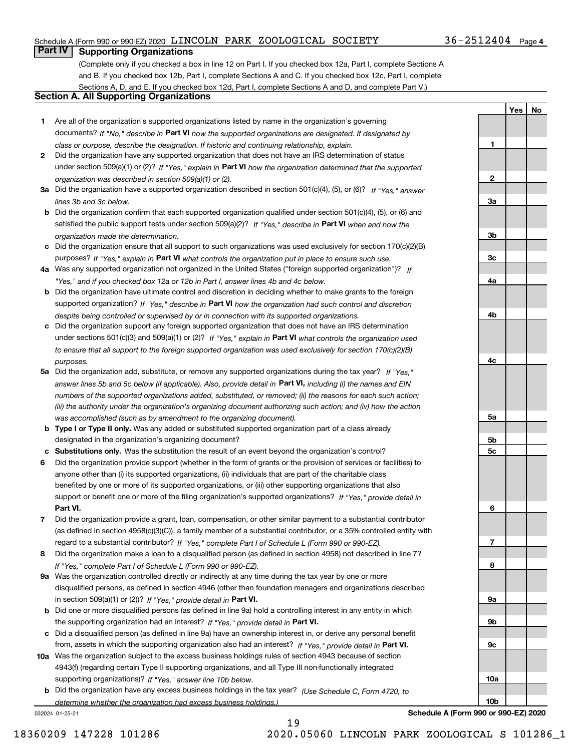### Schedule A (Form 990 or 990-EZ) 2020  $\,$  LINCOLN PARK <code>ZOOLOGICAL</code> <code>SOCIETY</code>  $36-2512404$  <code>Page</code>

### **Part IV Supporting Organizations**

(Complete only if you checked a box in line 12 on Part I. If you checked box 12a, Part I, complete Sections A and B. If you checked box 12b, Part I, complete Sections A and C. If you checked box 12c, Part I, complete Sections A, D, and E. If you checked box 12d, Part I, complete Sections A and D, and complete Part V.)

### **Section A. All Supporting Organizations**

- **1** Are all of the organization's supported organizations listed by name in the organization's governing documents? If "No," describe in **Part VI** how the supported organizations are designated. If designated by *class or purpose, describe the designation. If historic and continuing relationship, explain.*
- **2** Did the organization have any supported organization that does not have an IRS determination of status under section 509(a)(1) or (2)? If "Yes," explain in Part VI how the organization determined that the supported *organization was described in section 509(a)(1) or (2).*
- **3a** Did the organization have a supported organization described in section 501(c)(4), (5), or (6)? If "Yes," answer *lines 3b and 3c below.*
- **b** Did the organization confirm that each supported organization qualified under section 501(c)(4), (5), or (6) and satisfied the public support tests under section 509(a)(2)? If "Yes," describe in **Part VI** when and how the *organization made the determination.*
- **c**Did the organization ensure that all support to such organizations was used exclusively for section 170(c)(2)(B) purposes? If "Yes," explain in **Part VI** what controls the organization put in place to ensure such use.
- **4a***If* Was any supported organization not organized in the United States ("foreign supported organization")? *"Yes," and if you checked box 12a or 12b in Part I, answer lines 4b and 4c below.*
- **b** Did the organization have ultimate control and discretion in deciding whether to make grants to the foreign supported organization? If "Yes," describe in **Part VI** how the organization had such control and discretion *despite being controlled or supervised by or in connection with its supported organizations.*
- **c** Did the organization support any foreign supported organization that does not have an IRS determination under sections 501(c)(3) and 509(a)(1) or (2)? If "Yes," explain in **Part VI** what controls the organization used *to ensure that all support to the foreign supported organization was used exclusively for section 170(c)(2)(B) purposes.*
- **5a** Did the organization add, substitute, or remove any supported organizations during the tax year? If "Yes," answer lines 5b and 5c below (if applicable). Also, provide detail in **Part VI,** including (i) the names and EIN *numbers of the supported organizations added, substituted, or removed; (ii) the reasons for each such action; (iii) the authority under the organization's organizing document authorizing such action; and (iv) how the action was accomplished (such as by amendment to the organizing document).*
- **b** Type I or Type II only. Was any added or substituted supported organization part of a class already designated in the organization's organizing document?
- **cSubstitutions only.**  Was the substitution the result of an event beyond the organization's control?
- **6** Did the organization provide support (whether in the form of grants or the provision of services or facilities) to **Part VI.** *If "Yes," provide detail in* support or benefit one or more of the filing organization's supported organizations? anyone other than (i) its supported organizations, (ii) individuals that are part of the charitable class benefited by one or more of its supported organizations, or (iii) other supporting organizations that also
- **7**Did the organization provide a grant, loan, compensation, or other similar payment to a substantial contributor *If "Yes," complete Part I of Schedule L (Form 990 or 990-EZ).* regard to a substantial contributor? (as defined in section 4958(c)(3)(C)), a family member of a substantial contributor, or a 35% controlled entity with
- **8** Did the organization make a loan to a disqualified person (as defined in section 4958) not described in line 7? *If "Yes," complete Part I of Schedule L (Form 990 or 990-EZ).*
- **9a** Was the organization controlled directly or indirectly at any time during the tax year by one or more in section 509(a)(1) or (2))? If "Yes," *provide detail in* <code>Part VI.</code> disqualified persons, as defined in section 4946 (other than foundation managers and organizations described
- **b** Did one or more disqualified persons (as defined in line 9a) hold a controlling interest in any entity in which the supporting organization had an interest? If "Yes," provide detail in P**art VI**.
- **c**Did a disqualified person (as defined in line 9a) have an ownership interest in, or derive any personal benefit from, assets in which the supporting organization also had an interest? If "Yes," provide detail in P**art VI.**
- **10a** Was the organization subject to the excess business holdings rules of section 4943 because of section supporting organizations)? If "Yes," answer line 10b below. 4943(f) (regarding certain Type II supporting organizations, and all Type III non-functionally integrated
- **b** Did the organization have any excess business holdings in the tax year? (Use Schedule C, Form 4720, to *determine whether the organization had excess business holdings.)*

032024 01-25-21

**23a3b3c4a4b4c5a 5b5c6789a 9b9c10a**

**Schedule A (Form 990 or 990-EZ) 2020**

**10b**

**1**

**YesNo**

19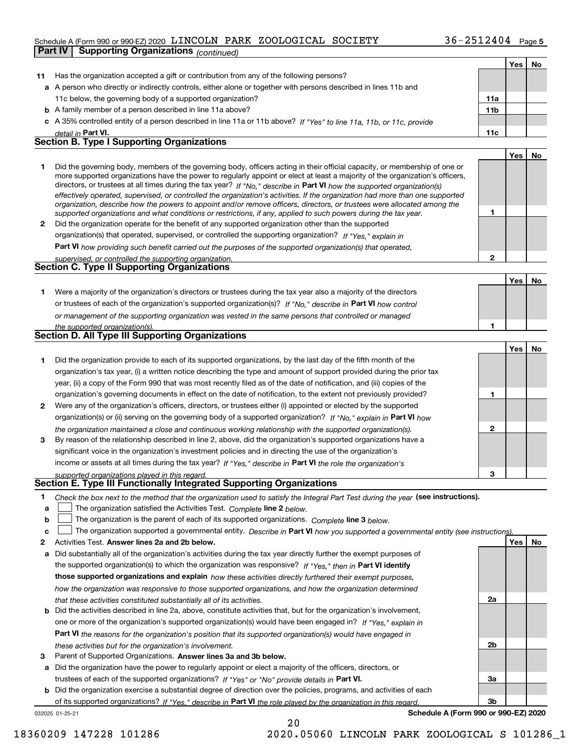### Schedule A (Form 990 or 990-EZ) 2020  $\,$  LINCOLN PARK <code>ZOOLOGICAL</code> <code>SOCIETY</code>  $36-2512404$  <code>Page</code>

**Part IV Supporting Organizations** *(continued)*

|    |                                                                                                                                                                                                                                                            |                 | Yes | No |
|----|------------------------------------------------------------------------------------------------------------------------------------------------------------------------------------------------------------------------------------------------------------|-----------------|-----|----|
| 11 | Has the organization accepted a gift or contribution from any of the following persons?                                                                                                                                                                    |                 |     |    |
|    | a A person who directly or indirectly controls, either alone or together with persons described in lines 11b and                                                                                                                                           |                 |     |    |
|    | 11c below, the governing body of a supported organization?                                                                                                                                                                                                 | 11a             |     |    |
|    | <b>b</b> A family member of a person described in line 11a above?                                                                                                                                                                                          | 11 <sub>b</sub> |     |    |
|    | c A 35% controlled entity of a person described in line 11a or 11b above? If "Yes" to line 11a, 11b, or 11c, provide                                                                                                                                       |                 |     |    |
|    | detail in Part VI.                                                                                                                                                                                                                                         | 11c             |     |    |
|    | <b>Section B. Type I Supporting Organizations</b>                                                                                                                                                                                                          |                 |     |    |
|    |                                                                                                                                                                                                                                                            |                 | Yes | No |
| 1  | Did the governing body, members of the governing body, officers acting in their official capacity, or membership of one or                                                                                                                                 |                 |     |    |
|    | more supported organizations have the power to regularly appoint or elect at least a majority of the organization's officers,                                                                                                                              |                 |     |    |
|    | directors, or trustees at all times during the tax year? If "No," describe in Part VI how the supported organization(s)                                                                                                                                    |                 |     |    |
|    | effectively operated, supervised, or controlled the organization's activities. If the organization had more than one supported<br>organization, describe how the powers to appoint and/or remove officers, directors, or trustees were allocated among the |                 |     |    |
|    | supported organizations and what conditions or restrictions, if any, applied to such powers during the tax year.                                                                                                                                           | 1               |     |    |
| 2  | Did the organization operate for the benefit of any supported organization other than the supported                                                                                                                                                        |                 |     |    |
|    | organization(s) that operated, supervised, or controlled the supporting organization? If "Yes," explain in                                                                                                                                                 |                 |     |    |
|    | <b>Part VI</b> how providing such benefit carried out the purposes of the supported organization(s) that operated,                                                                                                                                         |                 |     |    |
|    | supervised, or controlled the supporting organization.                                                                                                                                                                                                     | $\mathbf 2$     |     |    |
|    | <b>Section C. Type II Supporting Organizations</b>                                                                                                                                                                                                         |                 |     |    |
|    |                                                                                                                                                                                                                                                            |                 | Yes | No |
| 1  | Were a majority of the organization's directors or trustees during the tax year also a majority of the directors                                                                                                                                           |                 |     |    |
|    | or trustees of each of the organization's supported organization(s)? If "No," describe in Part VI how control                                                                                                                                              |                 |     |    |
|    | or management of the supporting organization was vested in the same persons that controlled or managed                                                                                                                                                     |                 |     |    |
|    | the supported organization(s).                                                                                                                                                                                                                             | 1               |     |    |
|    | <b>Section D. All Type III Supporting Organizations</b>                                                                                                                                                                                                    |                 |     |    |
|    |                                                                                                                                                                                                                                                            |                 | Yes | No |
| 1  | Did the organization provide to each of its supported organizations, by the last day of the fifth month of the                                                                                                                                             |                 |     |    |
|    | organization's tax year, (i) a written notice describing the type and amount of support provided during the prior tax                                                                                                                                      |                 |     |    |
|    | year, (ii) a copy of the Form 990 that was most recently filed as of the date of notification, and (iii) copies of the                                                                                                                                     |                 |     |    |
|    | organization's governing documents in effect on the date of notification, to the extent not previously provided?                                                                                                                                           | 1               |     |    |
| 2  | Were any of the organization's officers, directors, or trustees either (i) appointed or elected by the supported                                                                                                                                           |                 |     |    |
|    | organization(s) or (ii) serving on the governing body of a supported organization? If "No," explain in Part VI how                                                                                                                                         |                 |     |    |
|    | the organization maintained a close and continuous working relationship with the supported organization(s).                                                                                                                                                | $\mathbf{2}$    |     |    |
| 3  | By reason of the relationship described in line 2, above, did the organization's supported organizations have a                                                                                                                                            |                 |     |    |
|    | significant voice in the organization's investment policies and in directing the use of the organization's                                                                                                                                                 |                 |     |    |
|    | income or assets at all times during the tax year? If "Yes," describe in Part VI the role the organization's                                                                                                                                               |                 |     |    |
|    | supported organizations played in this regard.                                                                                                                                                                                                             | 3               |     |    |
|    | Section E. Type III Functionally Integrated Supporting Organizations                                                                                                                                                                                       |                 |     |    |
| 1  | Check the box next to the method that the organization used to satisfy the Integral Part Test during the year (see instructions).                                                                                                                          |                 |     |    |
| a  | The organization satisfied the Activities Test. Complete line 2 below.                                                                                                                                                                                     |                 |     |    |
| b  | The organization is the parent of each of its supported organizations. Complete line 3 below.                                                                                                                                                              |                 |     |    |
| c  | The organization supported a governmental entity. Describe in Part VI how you supported a governmental entity (see instructions)                                                                                                                           |                 |     |    |
| 2  | Activities Test. Answer lines 2a and 2b below.                                                                                                                                                                                                             |                 | Yes | No |
| а  | Did substantially all of the organization's activities during the tax year directly further the exempt purposes of                                                                                                                                         |                 |     |    |
|    | the supported organization(s) to which the organization was responsive? If "Yes," then in Part VI identify                                                                                                                                                 |                 |     |    |
|    | those supported organizations and explain how these activities directly furthered their exempt purposes,                                                                                                                                                   |                 |     |    |
|    | how the organization was responsive to those supported organizations, and how the organization determined                                                                                                                                                  |                 |     |    |
|    | that these activities constituted substantially all of its activities.                                                                                                                                                                                     | 2a              |     |    |
| b  | Did the activities described in line 2a, above, constitute activities that, but for the organization's involvement,                                                                                                                                        |                 |     |    |
|    | one or more of the organization's supported organization(s) would have been engaged in? If "Yes," explain in                                                                                                                                               |                 |     |    |
|    | Part VI the reasons for the organization's position that its supported organization(s) would have engaged in                                                                                                                                               |                 |     |    |
|    | these activities but for the organization's involvement.                                                                                                                                                                                                   | 2 <sub>b</sub>  |     |    |
| 3  | Parent of Supported Organizations. Answer lines 3a and 3b below.                                                                                                                                                                                           |                 |     |    |
| а  | Did the organization have the power to regularly appoint or elect a majority of the officers, directors, or                                                                                                                                                |                 |     |    |
|    | trustees of each of the supported organizations? If "Yes" or "No" provide details in Part VI.                                                                                                                                                              | 3a              |     |    |

**b** Did the organization exercise a substantial degree of direction over the policies, programs, and activities of each trustees of each of the supported organizations? If "Yes" or "No" provide details in **Part VI.** of its supported organizations? If "Yes," describe in Part VI the role played by the organization in this regard.

20

032025 01-25-21

**Schedule A (Form 990 or 990-EZ) 2020**

**3b**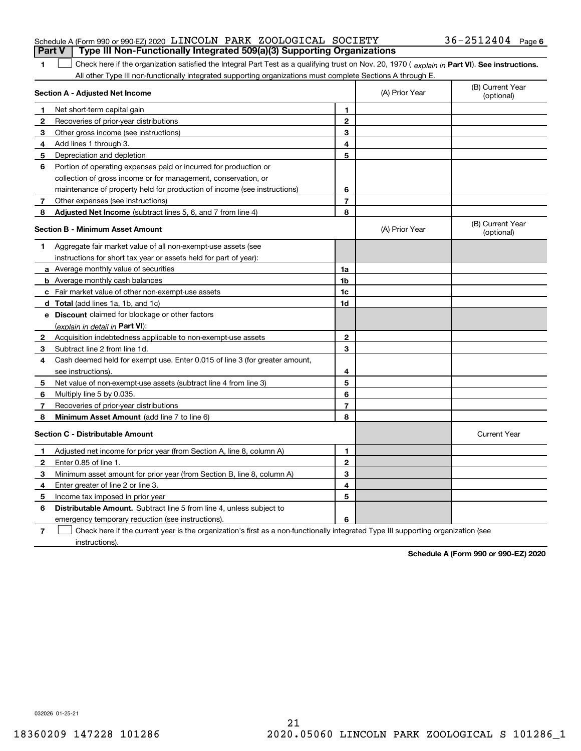| <b>Part V</b> Type III Non-Functionally Integrated 509(a)(3) Supporting Organizations |  |  |                       |  |
|---------------------------------------------------------------------------------------|--|--|-----------------------|--|
| Schedule A (Form 990 or 990-EZ) 2020 LINCOLN PARK ZOOLOGICAL SOCIETY                  |  |  | $36 - 2512404$ Page 6 |  |

**1**1 Check here if the organization satisfied the Integral Part Test as a qualifying trust on Nov. 20, 1970 (explain in Part VI). See instructions. All other Type III non-functionally integrated supporting organizations must complete Sections A through E.

|              | Section A - Adjusted Net Income                                                                                                   |                         | (A) Prior Year | (B) Current Year<br>(optional) |
|--------------|-----------------------------------------------------------------------------------------------------------------------------------|-------------------------|----------------|--------------------------------|
| 1            | Net short-term capital gain                                                                                                       | 1                       |                |                                |
| 2            | Recoveries of prior-year distributions                                                                                            | $\mathbf{2}$            |                |                                |
| 3            | Other gross income (see instructions)                                                                                             | 3                       |                |                                |
| 4            | Add lines 1 through 3.                                                                                                            | 4                       |                |                                |
| 5            | Depreciation and depletion                                                                                                        | 5                       |                |                                |
| 6            | Portion of operating expenses paid or incurred for production or                                                                  |                         |                |                                |
|              | collection of gross income or for management, conservation, or                                                                    |                         |                |                                |
|              | maintenance of property held for production of income (see instructions)                                                          | 6                       |                |                                |
| 7            | Other expenses (see instructions)                                                                                                 | $\overline{\mathbf{r}}$ |                |                                |
| 8            | Adjusted Net Income (subtract lines 5, 6, and 7 from line 4)                                                                      | 8                       |                |                                |
|              | <b>Section B - Minimum Asset Amount</b>                                                                                           |                         | (A) Prior Year | (B) Current Year<br>(optional) |
| 1.           | Aggregate fair market value of all non-exempt-use assets (see                                                                     |                         |                |                                |
|              | instructions for short tax year or assets held for part of year):                                                                 |                         |                |                                |
|              | a Average monthly value of securities                                                                                             | 1a                      |                |                                |
|              | <b>b</b> Average monthly cash balances                                                                                            | 1 <sub>b</sub>          |                |                                |
|              | c Fair market value of other non-exempt-use assets                                                                                | 1c                      |                |                                |
|              | d Total (add lines 1a, 1b, and 1c)                                                                                                | 1d                      |                |                                |
|              | e Discount claimed for blockage or other factors                                                                                  |                         |                |                                |
|              | (explain in detail in Part VI):                                                                                                   |                         |                |                                |
| $\mathbf{2}$ | Acquisition indebtedness applicable to non-exempt-use assets                                                                      | $\mathbf{2}$            |                |                                |
| 3            | Subtract line 2 from line 1d.                                                                                                     | 3                       |                |                                |
| 4            | Cash deemed held for exempt use. Enter 0.015 of line 3 (for greater amount,                                                       |                         |                |                                |
|              | see instructions).                                                                                                                | 4                       |                |                                |
| 5            | Net value of non-exempt-use assets (subtract line 4 from line 3)                                                                  | 5                       |                |                                |
| 6            | Multiply line 5 by 0.035.                                                                                                         | 6                       |                |                                |
| 7            | Recoveries of prior-year distributions                                                                                            | $\overline{7}$          |                |                                |
| 8            | Minimum Asset Amount (add line 7 to line 6)                                                                                       | 8                       |                |                                |
|              | <b>Section C - Distributable Amount</b>                                                                                           |                         |                | <b>Current Year</b>            |
| 1            | Adjusted net income for prior year (from Section A, line 8, column A)                                                             | 1                       |                |                                |
| 2            | Enter 0.85 of line 1.                                                                                                             | $\overline{2}$          |                |                                |
| 3            | Minimum asset amount for prior year (from Section B, line 8, column A)                                                            | 3                       |                |                                |
| 4            | Enter greater of line 2 or line 3.                                                                                                | 4                       |                |                                |
| 5            | Income tax imposed in prior year                                                                                                  | 5                       |                |                                |
| 6            | <b>Distributable Amount.</b> Subtract line 5 from line 4, unless subject to                                                       |                         |                |                                |
|              | emergency temporary reduction (see instructions).                                                                                 | 6                       |                |                                |
| 7            | Check here if the current year is the organization's first as a non-functionally integrated Type III supporting organization (see |                         |                |                                |

instructions).

**Schedule A (Form 990 or 990-EZ) 2020**

032026 01-25-21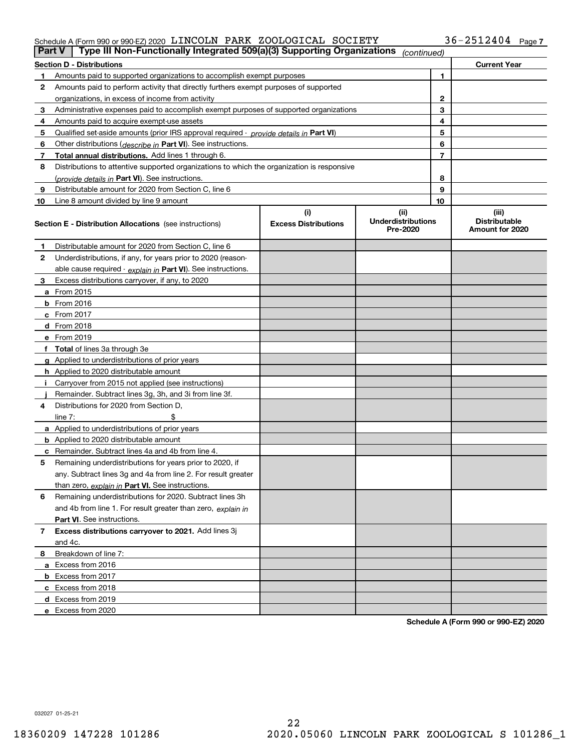### Schedule A (Form 990 or 990-EZ) 2020  $\,$  LINCOLN PARK <code>ZOOLOGICAL</code> <code>SOCIETY</code>  $36-2512404$  <code>Page</code>

| Part V | Type III Non-Functionally Integrated 509(a)(3) Supporting Organizations                    |                             | (continued)                           |                |                                         |
|--------|--------------------------------------------------------------------------------------------|-----------------------------|---------------------------------------|----------------|-----------------------------------------|
|        | <b>Section D - Distributions</b>                                                           |                             |                                       |                | <b>Current Year</b>                     |
|        | 1<br>Amounts paid to supported organizations to accomplish exempt purposes                 |                             |                                       |                |                                         |
| 2      | Amounts paid to perform activity that directly furthers exempt purposes of supported       |                             |                                       |                |                                         |
|        | organizations, in excess of income from activity                                           |                             |                                       |                |                                         |
| 3      | Administrative expenses paid to accomplish exempt purposes of supported organizations      |                             | 3                                     |                |                                         |
| 4      | Amounts paid to acquire exempt-use assets                                                  |                             |                                       | 4              |                                         |
| 5      | Qualified set aside amounts (prior IRS approval required - provide details in Part VI)     |                             |                                       | 5              |                                         |
| 6      | Other distributions ( <i>describe in</i> Part VI). See instructions.                       |                             |                                       | 6              |                                         |
| 7      | Total annual distributions. Add lines 1 through 6.                                         |                             |                                       | $\overline{7}$ |                                         |
| 8      | Distributions to attentive supported organizations to which the organization is responsive |                             |                                       |                |                                         |
|        | (provide details in Part VI). See instructions.                                            |                             |                                       | 8              |                                         |
| 9      | Distributable amount for 2020 from Section C, line 6                                       |                             |                                       | 9              |                                         |
| 10     | Line 8 amount divided by line 9 amount                                                     |                             |                                       | 10             |                                         |
|        |                                                                                            | (i)                         | (ii)                                  |                | (iii)                                   |
|        | <b>Section E - Distribution Allocations</b> (see instructions)                             | <b>Excess Distributions</b> | <b>Underdistributions</b><br>Pre-2020 |                | <b>Distributable</b><br>Amount for 2020 |
| 1      | Distributable amount for 2020 from Section C, line 6                                       |                             |                                       |                |                                         |
| 2      | Underdistributions, if any, for years prior to 2020 (reason-                               |                             |                                       |                |                                         |
|        | able cause required - explain in Part VI). See instructions.                               |                             |                                       |                |                                         |
| 3      | Excess distributions carryover, if any, to 2020                                            |                             |                                       |                |                                         |
|        | a From 2015                                                                                |                             |                                       |                |                                         |
|        | $b$ From 2016                                                                              |                             |                                       |                |                                         |
|        | $c$ From 2017                                                                              |                             |                                       |                |                                         |
|        | <b>d</b> From 2018                                                                         |                             |                                       |                |                                         |
|        | e From 2019                                                                                |                             |                                       |                |                                         |
|        | f Total of lines 3a through 3e                                                             |                             |                                       |                |                                         |
|        | g Applied to underdistributions of prior years                                             |                             |                                       |                |                                         |
|        | <b>h</b> Applied to 2020 distributable amount                                              |                             |                                       |                |                                         |
|        | Carryover from 2015 not applied (see instructions)                                         |                             |                                       |                |                                         |
|        | Remainder. Subtract lines 3g, 3h, and 3i from line 3f.                                     |                             |                                       |                |                                         |
| 4      | Distributions for 2020 from Section D.                                                     |                             |                                       |                |                                         |
|        | line $7:$                                                                                  |                             |                                       |                |                                         |
|        | a Applied to underdistributions of prior years                                             |                             |                                       |                |                                         |
|        | <b>b</b> Applied to 2020 distributable amount                                              |                             |                                       |                |                                         |
|        | c Remainder. Subtract lines 4a and 4b from line 4.                                         |                             |                                       |                |                                         |
| 5      | Remaining underdistributions for years prior to 2020, if                                   |                             |                                       |                |                                         |
|        | any. Subtract lines 3g and 4a from line 2. For result greater                              |                             |                                       |                |                                         |
|        | than zero, explain in Part VI. See instructions.                                           |                             |                                       |                |                                         |
| 6      | Remaining underdistributions for 2020. Subtract lines 3h                                   |                             |                                       |                |                                         |
|        | and 4b from line 1. For result greater than zero, explain in                               |                             |                                       |                |                                         |
|        | <b>Part VI.</b> See instructions.                                                          |                             |                                       |                |                                         |
| 7      | Excess distributions carryover to 2021. Add lines 3j                                       |                             |                                       |                |                                         |
|        | and 4c.                                                                                    |                             |                                       |                |                                         |
| 8      | Breakdown of line 7:                                                                       |                             |                                       |                |                                         |
|        | a Excess from 2016                                                                         |                             |                                       |                |                                         |
|        | <b>b</b> Excess from 2017                                                                  |                             |                                       |                |                                         |
|        | c Excess from 2018                                                                         |                             |                                       |                |                                         |
|        | d Excess from 2019                                                                         |                             |                                       |                |                                         |
|        | e Excess from 2020                                                                         |                             |                                       |                |                                         |
|        |                                                                                            |                             |                                       |                |                                         |

**Schedule A (Form 990 or 990-EZ) 2020**

032027 01-25-21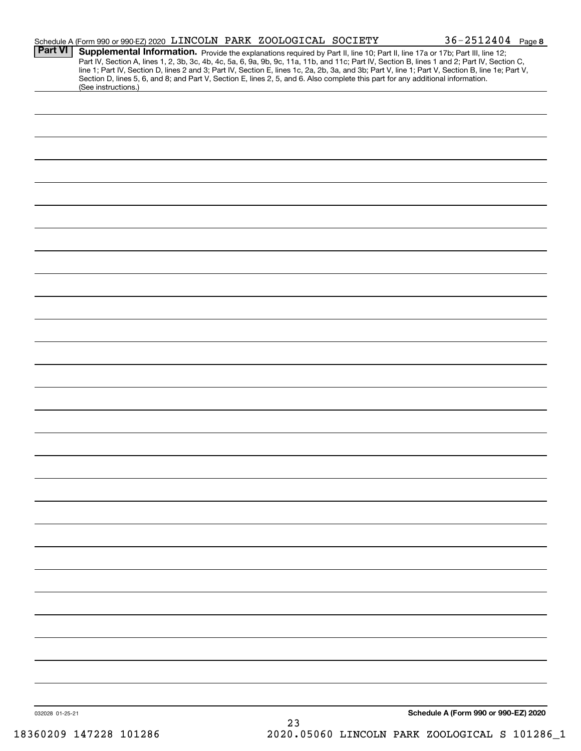|                 | Schedule A (Form 990 or 990-EZ) 2020 LINCOLN PARK ZOOLOGICAL SOCIETY                                                            |  |    |  | $36 - 2512404$ Page 8                                                                                                                                                                                                                                                                                                                                                                                                             |  |
|-----------------|---------------------------------------------------------------------------------------------------------------------------------|--|----|--|-----------------------------------------------------------------------------------------------------------------------------------------------------------------------------------------------------------------------------------------------------------------------------------------------------------------------------------------------------------------------------------------------------------------------------------|--|
| <b>Part VI</b>  | Section D, lines 5, 6, and 8; and Part V, Section E, lines 2, 5, and 6. Also complete this part for any additional information. |  |    |  | Supplemental Information. Provide the explanations required by Part II, line 10; Part II, line 17a or 17b; Part III, line 12;<br>Part IV, Section A, lines 1, 2, 3b, 3c, 4b, 4c, 5a, 6, 9a, 9b, 9c, 11a, 11b, and 11c; Part IV, Section B, lines 1 and 2; Part IV, Section C,<br>line 1; Part IV, Section D, lines 2 and 3; Part IV, Section E, lines 1c, 2a, 2b, 3a, and 3b; Part V, line 1; Part V, Section B, line 1e; Part V, |  |
|                 | (See instructions.)                                                                                                             |  |    |  |                                                                                                                                                                                                                                                                                                                                                                                                                                   |  |
|                 |                                                                                                                                 |  |    |  |                                                                                                                                                                                                                                                                                                                                                                                                                                   |  |
|                 |                                                                                                                                 |  |    |  |                                                                                                                                                                                                                                                                                                                                                                                                                                   |  |
|                 |                                                                                                                                 |  |    |  |                                                                                                                                                                                                                                                                                                                                                                                                                                   |  |
|                 |                                                                                                                                 |  |    |  |                                                                                                                                                                                                                                                                                                                                                                                                                                   |  |
|                 |                                                                                                                                 |  |    |  |                                                                                                                                                                                                                                                                                                                                                                                                                                   |  |
|                 |                                                                                                                                 |  |    |  |                                                                                                                                                                                                                                                                                                                                                                                                                                   |  |
|                 |                                                                                                                                 |  |    |  |                                                                                                                                                                                                                                                                                                                                                                                                                                   |  |
|                 |                                                                                                                                 |  |    |  |                                                                                                                                                                                                                                                                                                                                                                                                                                   |  |
|                 |                                                                                                                                 |  |    |  |                                                                                                                                                                                                                                                                                                                                                                                                                                   |  |
|                 |                                                                                                                                 |  |    |  |                                                                                                                                                                                                                                                                                                                                                                                                                                   |  |
|                 |                                                                                                                                 |  |    |  |                                                                                                                                                                                                                                                                                                                                                                                                                                   |  |
|                 |                                                                                                                                 |  |    |  |                                                                                                                                                                                                                                                                                                                                                                                                                                   |  |
|                 |                                                                                                                                 |  |    |  |                                                                                                                                                                                                                                                                                                                                                                                                                                   |  |
|                 |                                                                                                                                 |  |    |  |                                                                                                                                                                                                                                                                                                                                                                                                                                   |  |
|                 |                                                                                                                                 |  |    |  |                                                                                                                                                                                                                                                                                                                                                                                                                                   |  |
|                 |                                                                                                                                 |  |    |  |                                                                                                                                                                                                                                                                                                                                                                                                                                   |  |
|                 |                                                                                                                                 |  |    |  |                                                                                                                                                                                                                                                                                                                                                                                                                                   |  |
|                 |                                                                                                                                 |  |    |  |                                                                                                                                                                                                                                                                                                                                                                                                                                   |  |
|                 |                                                                                                                                 |  |    |  |                                                                                                                                                                                                                                                                                                                                                                                                                                   |  |
|                 |                                                                                                                                 |  |    |  |                                                                                                                                                                                                                                                                                                                                                                                                                                   |  |
|                 |                                                                                                                                 |  |    |  |                                                                                                                                                                                                                                                                                                                                                                                                                                   |  |
|                 |                                                                                                                                 |  |    |  |                                                                                                                                                                                                                                                                                                                                                                                                                                   |  |
|                 |                                                                                                                                 |  |    |  |                                                                                                                                                                                                                                                                                                                                                                                                                                   |  |
|                 |                                                                                                                                 |  |    |  |                                                                                                                                                                                                                                                                                                                                                                                                                                   |  |
|                 |                                                                                                                                 |  |    |  |                                                                                                                                                                                                                                                                                                                                                                                                                                   |  |
|                 |                                                                                                                                 |  |    |  |                                                                                                                                                                                                                                                                                                                                                                                                                                   |  |
|                 |                                                                                                                                 |  |    |  |                                                                                                                                                                                                                                                                                                                                                                                                                                   |  |
|                 |                                                                                                                                 |  |    |  |                                                                                                                                                                                                                                                                                                                                                                                                                                   |  |
|                 |                                                                                                                                 |  |    |  |                                                                                                                                                                                                                                                                                                                                                                                                                                   |  |
|                 |                                                                                                                                 |  |    |  |                                                                                                                                                                                                                                                                                                                                                                                                                                   |  |
|                 |                                                                                                                                 |  |    |  |                                                                                                                                                                                                                                                                                                                                                                                                                                   |  |
|                 |                                                                                                                                 |  |    |  |                                                                                                                                                                                                                                                                                                                                                                                                                                   |  |
|                 |                                                                                                                                 |  |    |  |                                                                                                                                                                                                                                                                                                                                                                                                                                   |  |
|                 |                                                                                                                                 |  |    |  |                                                                                                                                                                                                                                                                                                                                                                                                                                   |  |
| 032028 01-25-21 |                                                                                                                                 |  | 23 |  | Schedule A (Form 990 or 990-EZ) 2020                                                                                                                                                                                                                                                                                                                                                                                              |  |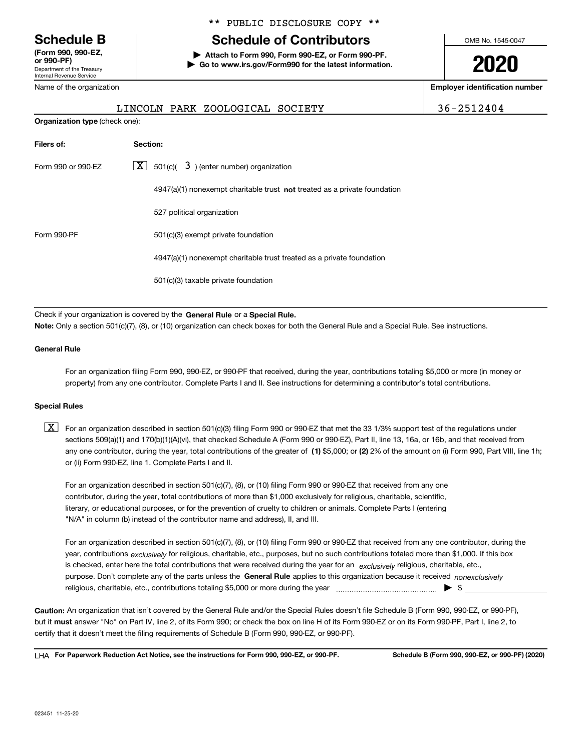Department of the Treasury Internal Revenue Service **(Form 990, 990-EZ, or 990-PF)** Name of the organization

### \*\* PUBLIC DISCLOSURE COPY \*\*

### **Schedule B Schedule of Contributors**

**| Attach to Form 990, Form 990-EZ, or Form 990-PF. | Go to www.irs.gov/Form990 for the latest information.** OMB No. 1545-0047

# **2020**

**Employer identification number**

| IC VI LIIC VIYAIIILALIVII |  |  |  |  |
|---------------------------|--|--|--|--|
|                           |  |  |  |  |
|                           |  |  |  |  |

**Organization type** (check one):

LINCOLN PARK ZOOLOGICAL SOCIETY 36-2512404

| Filers of:         | Section:                                                                           |
|--------------------|------------------------------------------------------------------------------------|
| Form 990 or 990-FZ | $\lfloor x \rfloor$ 501(c)( 3) (enter number) organization                         |
|                    | $4947(a)(1)$ nonexempt charitable trust <b>not</b> treated as a private foundation |
|                    | 527 political organization                                                         |
| Form 990-PF        | 501(c)(3) exempt private foundation                                                |
|                    | 4947(a)(1) nonexempt charitable trust treated as a private foundation              |
|                    | 501(c)(3) taxable private foundation                                               |

Check if your organization is covered by the **General Rule** or a **Special Rule.**<br>Nota: Only a section 501(c)(7), (8), or (10) erganization can chock boxes for be **Note:**  Only a section 501(c)(7), (8), or (10) organization can check boxes for both the General Rule and a Special Rule. See instructions.

### **General Rule**

For an organization filing Form 990, 990-EZ, or 990-PF that received, during the year, contributions totaling \$5,000 or more (in money or property) from any one contributor. Complete Parts I and II. See instructions for determining a contributor's total contributions.

### **Special Rules**

any one contributor, during the year, total contributions of the greater of  $\,$  (1) \$5,000; or **(2)** 2% of the amount on (i) Form 990, Part VIII, line 1h;  $\boxed{\textbf{X}}$  For an organization described in section 501(c)(3) filing Form 990 or 990-EZ that met the 33 1/3% support test of the regulations under sections 509(a)(1) and 170(b)(1)(A)(vi), that checked Schedule A (Form 990 or 990-EZ), Part II, line 13, 16a, or 16b, and that received from or (ii) Form 990-EZ, line 1. Complete Parts I and II.

For an organization described in section 501(c)(7), (8), or (10) filing Form 990 or 990-EZ that received from any one contributor, during the year, total contributions of more than \$1,000 exclusively for religious, charitable, scientific, literary, or educational purposes, or for the prevention of cruelty to children or animals. Complete Parts I (entering "N/A" in column (b) instead of the contributor name and address), II, and III.

purpose. Don't complete any of the parts unless the **General Rule** applies to this organization because it received *nonexclusively* year, contributions <sub>exclusively</sub> for religious, charitable, etc., purposes, but no such contributions totaled more than \$1,000. If this box is checked, enter here the total contributions that were received during the year for an  $\;$ exclusively religious, charitable, etc., For an organization described in section 501(c)(7), (8), or (10) filing Form 990 or 990-EZ that received from any one contributor, during the religious, charitable, etc., contributions totaling \$5,000 or more during the year  $\Box$ — $\Box$   $\Box$ 

**Caution:**  An organization that isn't covered by the General Rule and/or the Special Rules doesn't file Schedule B (Form 990, 990-EZ, or 990-PF), but it **must** answer "No" on Part IV, line 2, of its Form 990; or check the box on line H of its Form 990-EZ or on its Form 990-PF, Part I, line 2, to<br>cortify that it doesn't meet the filipe requirements of Schodule B (Fer certify that it doesn't meet the filing requirements of Schedule B (Form 990, 990-EZ, or 990-PF).

**For Paperwork Reduction Act Notice, see the instructions for Form 990, 990-EZ, or 990-PF. Schedule B (Form 990, 990-EZ, or 990-PF) (2020)** LHA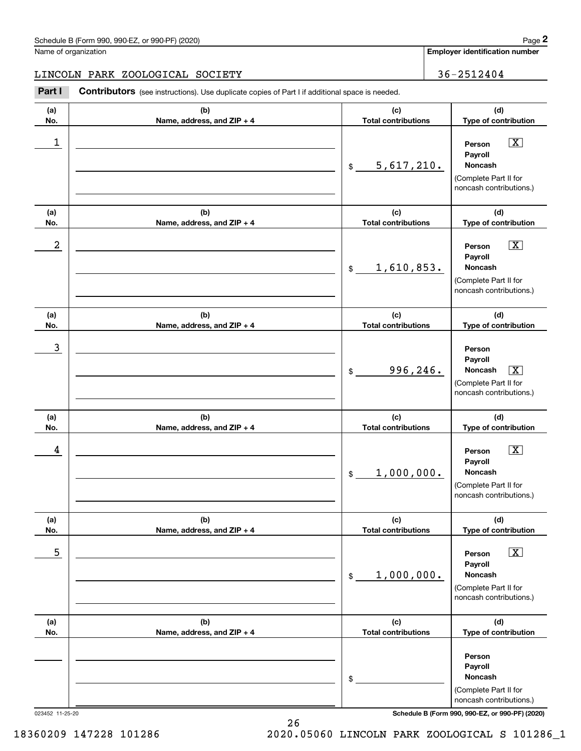**Employer identification number**

### LINCOLN PARK ZOOLOGICAL SOCIETY 36-2512404

Contributors (see instructions). Use duplicate copies of Part I if additional space is needed. **2** Chedule B (Form 990, 990-EZ, or 990-PF) (2020)<br> **2Part I**<br> **2Part I Contributors** (see instructions). Use duplicate copies of Part I if additional space is needed.

| (a) | (b)                        | (c)                         | (d)                                                                                                           |
|-----|----------------------------|-----------------------------|---------------------------------------------------------------------------------------------------------------|
| No. | Name, address, and ZIP + 4 | <b>Total contributions</b>  | Type of contribution                                                                                          |
| 1   |                            | 5,617,210.<br>$\mathsf{\$}$ | $\boxed{\text{X}}$<br>Person<br>Payroll<br>Noncash<br>(Complete Part II for<br>noncash contributions.)        |
| (a) | (b)                        | (c)                         | (d)                                                                                                           |
| No. | Name, address, and ZIP + 4 | <b>Total contributions</b>  | Type of contribution                                                                                          |
| 2   |                            | 1,610,853.<br>$\frac{1}{2}$ | $\boxed{\text{X}}$<br>Person<br>Payroll<br>Noncash<br>(Complete Part II for<br>noncash contributions.)        |
| (a) | (b)                        | (c)                         | (d)                                                                                                           |
| No. | Name, address, and ZIP + 4 | <b>Total contributions</b>  | Type of contribution                                                                                          |
| 3   |                            | 996, 246.<br>$\frac{1}{2}$  | Person<br>Payroll<br>Noncash<br>$\boxed{\text{X}}$<br>(Complete Part II for<br>noncash contributions.)        |
| (a) | (b)                        | (c)                         | (d)                                                                                                           |
| No. | Name, address, and ZIP + 4 | <b>Total contributions</b>  | Type of contribution                                                                                          |
| 4   |                            | 1,000,000.<br>$\frac{1}{2}$ | $\boxed{\text{X}}$<br>Person<br>Payroll<br><b>Noncash</b><br>(Complete Part II for<br>noncash contributions.) |
| (a) | (b)                        | (c)                         | (d)                                                                                                           |
| No. | Name, address, and ZIP + 4 | <b>Total contributions</b>  | Type of contribution                                                                                          |
| 5   |                            | 1,000,000.<br>$$\circ$$     | $\boxed{\text{X}}$<br>Person<br>Payroll<br>Noncash<br>(Complete Part II for<br>noncash contributions.)        |
| (a) | (b)                        | (c)                         | (d)                                                                                                           |
| No. | Name, address, and ZIP + 4 | <b>Total contributions</b>  | Type of contribution                                                                                          |
|     |                            | \$                          | Person<br>Payroll<br>Noncash<br>(Complete Part II for<br>noncash contributions.)                              |

023452 11-25-20 **Schedule B (Form 990, 990-EZ, or 990-PF) (2020)**

18360209 147228 101286 2020.05060 LINCOLN PARK ZOOLOGICAL S 101286\_1

26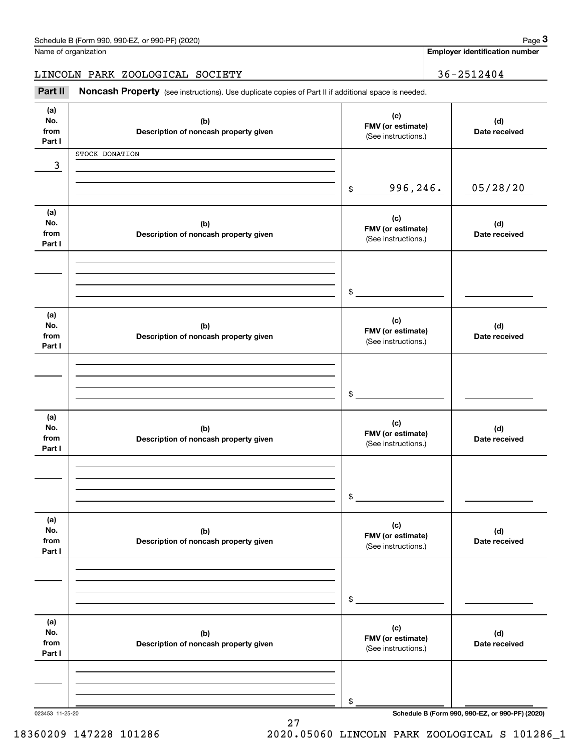| Schedule B (Form 990, 990-EZ, or 990-PF) (2020) | Page |
|-------------------------------------------------|------|
|-------------------------------------------------|------|

|  | Name of organization |
|--|----------------------|
|  |                      |

|                              | Schedule B (Form 990, 990-EZ, or 990-PF) (2020)                                                     |                                                 | Page 3                                          |
|------------------------------|-----------------------------------------------------------------------------------------------------|-------------------------------------------------|-------------------------------------------------|
|                              | Name of organization                                                                                |                                                 | <b>Employer identification number</b>           |
|                              | LINCOLN PARK ZOOLOGICAL SOCIETY                                                                     |                                                 | 36-2512404                                      |
| Part II                      | Noncash Property (see instructions). Use duplicate copies of Part II if additional space is needed. |                                                 |                                                 |
| (a)<br>No.<br>from<br>Part I | (b)<br>Description of noncash property given                                                        | (c)<br>FMV (or estimate)<br>(See instructions.) | (d)<br>Date received                            |
|                              | STOCK DONATION                                                                                      |                                                 |                                                 |
| 3                            |                                                                                                     |                                                 |                                                 |
|                              |                                                                                                     | 996,246.<br>$\mathfrak{S}$                      | 05/28/20                                        |
| (a)<br>No.<br>from<br>Part I | (b)<br>Description of noncash property given                                                        | (c)<br>FMV (or estimate)<br>(See instructions.) | (d)<br>Date received                            |
|                              |                                                                                                     |                                                 |                                                 |
|                              |                                                                                                     | \$                                              |                                                 |
| (a)<br>No.<br>from<br>Part I | (b)<br>Description of noncash property given                                                        | (c)<br>FMV (or estimate)<br>(See instructions.) | (d)<br>Date received                            |
|                              |                                                                                                     |                                                 |                                                 |
|                              |                                                                                                     | \$                                              |                                                 |
| (a)<br>No.<br>from<br>Part I | (b)<br>Description of noncash property given                                                        | (c)<br>FMV (or estimate)<br>(See instructions.) | (d)<br>Date received                            |
|                              |                                                                                                     |                                                 |                                                 |
|                              |                                                                                                     | \$                                              |                                                 |
|                              |                                                                                                     |                                                 |                                                 |
| (a)<br>No.<br>from<br>Part I | (b)<br>Description of noncash property given                                                        | (c)<br>FMV (or estimate)<br>(See instructions.) | (d)<br>Date received                            |
|                              |                                                                                                     |                                                 |                                                 |
|                              |                                                                                                     | \$                                              |                                                 |
| (a)<br>No.<br>from<br>Part I | (b)<br>Description of noncash property given                                                        | (c)<br>FMV (or estimate)<br>(See instructions.) | (d)<br>Date received                            |
|                              |                                                                                                     |                                                 |                                                 |
|                              |                                                                                                     |                                                 |                                                 |
| 023453 11-25-20              |                                                                                                     | \$                                              | Schedule B (Form 990, 990-EZ, or 990-PF) (2020) |

27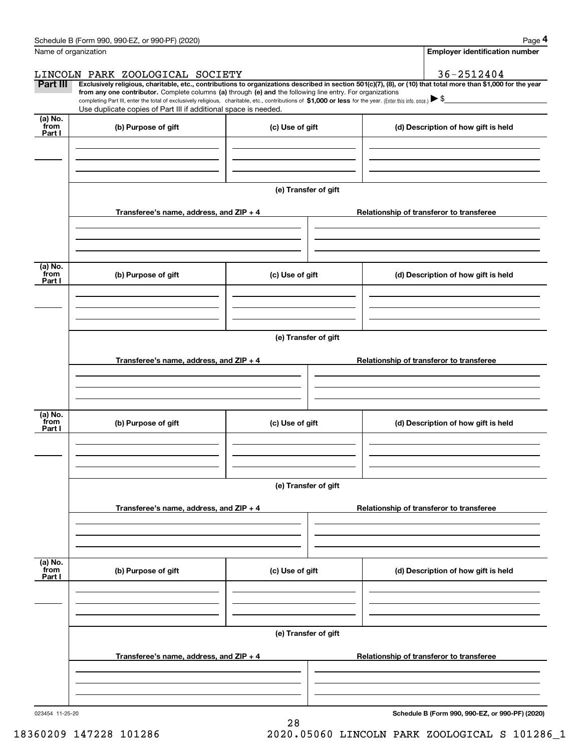|                           | Schedule B (Form 990, 990-EZ, or 990-PF) (2020)                                                                                                                                                                                                      |                      |                                          |                                                                                                                                                                | Page 4 |  |  |  |
|---------------------------|------------------------------------------------------------------------------------------------------------------------------------------------------------------------------------------------------------------------------------------------------|----------------------|------------------------------------------|----------------------------------------------------------------------------------------------------------------------------------------------------------------|--------|--|--|--|
|                           | Name of organization                                                                                                                                                                                                                                 |                      |                                          | <b>Employer identification number</b>                                                                                                                          |        |  |  |  |
|                           | LINCOLN PARK ZOOLOGICAL SOCIETY                                                                                                                                                                                                                      |                      |                                          | 36-2512404                                                                                                                                                     |        |  |  |  |
| Part III                  | from any one contributor. Complete columns (a) through (e) and the following line entry. For organizations                                                                                                                                           |                      |                                          | Exclusively religious, charitable, etc., contributions to organizations described in section 501(c)(7), (8), or (10) that total more than \$1,000 for the year |        |  |  |  |
|                           | completing Part III, enter the total of exclusively religious, charitable, etc., contributions of \$1,000 or less for the year. (Enter this info. once.) $\blacktriangleright$ \$<br>Use duplicate copies of Part III if additional space is needed. |                      |                                          |                                                                                                                                                                |        |  |  |  |
| (a) No.<br>from           | (b) Purpose of gift                                                                                                                                                                                                                                  | (c) Use of gift      |                                          | (d) Description of how gift is held                                                                                                                            |        |  |  |  |
| Part I                    |                                                                                                                                                                                                                                                      |                      |                                          |                                                                                                                                                                |        |  |  |  |
|                           |                                                                                                                                                                                                                                                      |                      |                                          |                                                                                                                                                                |        |  |  |  |
|                           |                                                                                                                                                                                                                                                      |                      |                                          |                                                                                                                                                                |        |  |  |  |
|                           |                                                                                                                                                                                                                                                      |                      |                                          |                                                                                                                                                                |        |  |  |  |
|                           |                                                                                                                                                                                                                                                      | (e) Transfer of gift |                                          |                                                                                                                                                                |        |  |  |  |
|                           | Transferee's name, address, and ZIP + 4                                                                                                                                                                                                              |                      |                                          | Relationship of transferor to transferee                                                                                                                       |        |  |  |  |
|                           |                                                                                                                                                                                                                                                      |                      |                                          |                                                                                                                                                                |        |  |  |  |
|                           |                                                                                                                                                                                                                                                      |                      |                                          |                                                                                                                                                                |        |  |  |  |
|                           |                                                                                                                                                                                                                                                      |                      |                                          |                                                                                                                                                                |        |  |  |  |
| (a) No.<br>from<br>Part I | (b) Purpose of gift                                                                                                                                                                                                                                  | (c) Use of gift      |                                          | (d) Description of how gift is held                                                                                                                            |        |  |  |  |
|                           |                                                                                                                                                                                                                                                      |                      |                                          |                                                                                                                                                                |        |  |  |  |
|                           |                                                                                                                                                                                                                                                      |                      |                                          |                                                                                                                                                                |        |  |  |  |
|                           |                                                                                                                                                                                                                                                      |                      |                                          |                                                                                                                                                                |        |  |  |  |
|                           | (e) Transfer of gift                                                                                                                                                                                                                                 |                      |                                          |                                                                                                                                                                |        |  |  |  |
|                           |                                                                                                                                                                                                                                                      |                      |                                          |                                                                                                                                                                |        |  |  |  |
|                           | Transferee's name, address, and ZIP + 4                                                                                                                                                                                                              |                      |                                          | Relationship of transferor to transferee                                                                                                                       |        |  |  |  |
|                           |                                                                                                                                                                                                                                                      |                      |                                          |                                                                                                                                                                |        |  |  |  |
|                           |                                                                                                                                                                                                                                                      |                      |                                          |                                                                                                                                                                |        |  |  |  |
| (a) No.<br>from           | (b) Purpose of gift                                                                                                                                                                                                                                  | (c) Use of gift      |                                          | (d) Description of how gift is held                                                                                                                            |        |  |  |  |
| Part I                    |                                                                                                                                                                                                                                                      |                      |                                          |                                                                                                                                                                |        |  |  |  |
|                           |                                                                                                                                                                                                                                                      |                      |                                          |                                                                                                                                                                |        |  |  |  |
|                           |                                                                                                                                                                                                                                                      |                      |                                          |                                                                                                                                                                |        |  |  |  |
|                           |                                                                                                                                                                                                                                                      | (e) Transfer of gift |                                          |                                                                                                                                                                |        |  |  |  |
|                           |                                                                                                                                                                                                                                                      |                      |                                          |                                                                                                                                                                |        |  |  |  |
|                           | Transferee's name, address, and $ZIP + 4$                                                                                                                                                                                                            |                      |                                          | Relationship of transferor to transferee                                                                                                                       |        |  |  |  |
|                           |                                                                                                                                                                                                                                                      |                      |                                          |                                                                                                                                                                |        |  |  |  |
|                           |                                                                                                                                                                                                                                                      |                      |                                          |                                                                                                                                                                |        |  |  |  |
| (a) No.                   |                                                                                                                                                                                                                                                      |                      |                                          |                                                                                                                                                                |        |  |  |  |
| `from<br>Part I           | (b) Purpose of gift                                                                                                                                                                                                                                  | (c) Use of gift      |                                          | (d) Description of how gift is held                                                                                                                            |        |  |  |  |
|                           |                                                                                                                                                                                                                                                      |                      |                                          |                                                                                                                                                                |        |  |  |  |
|                           |                                                                                                                                                                                                                                                      |                      |                                          |                                                                                                                                                                |        |  |  |  |
|                           |                                                                                                                                                                                                                                                      |                      |                                          |                                                                                                                                                                |        |  |  |  |
|                           | (e) Transfer of gift                                                                                                                                                                                                                                 |                      |                                          |                                                                                                                                                                |        |  |  |  |
|                           | Transferee's name, address, and $ZIP + 4$                                                                                                                                                                                                            |                      | Relationship of transferor to transferee |                                                                                                                                                                |        |  |  |  |
|                           |                                                                                                                                                                                                                                                      |                      |                                          |                                                                                                                                                                |        |  |  |  |
|                           |                                                                                                                                                                                                                                                      |                      |                                          |                                                                                                                                                                |        |  |  |  |
|                           |                                                                                                                                                                                                                                                      |                      |                                          |                                                                                                                                                                |        |  |  |  |

28

023454 11-25-20

**Schedule B (Form 990, 990-EZ, or 990-PF) (2020)**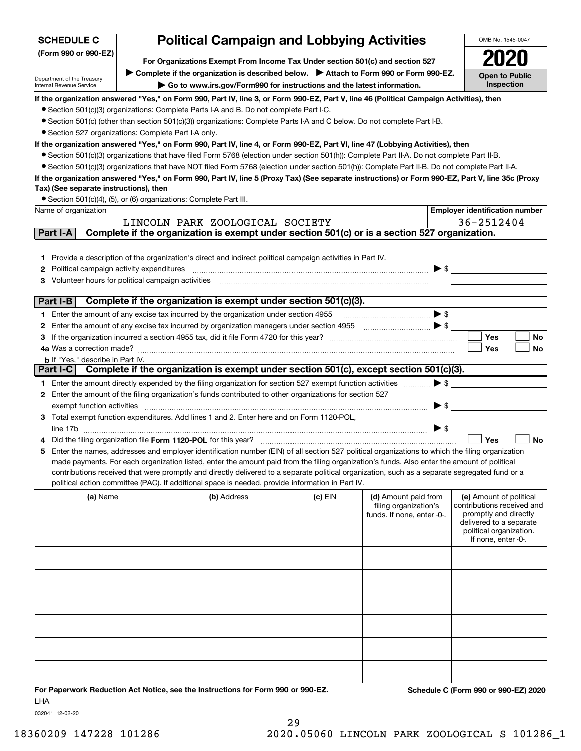| <b>SCHEDULE C</b>                                                                                       |                                                                                                                                                                   | <b>Political Campaign and Lobbying Activities</b>                                                                                                                                                                                                                                                                                                                                                                                                                                                                                                                                    |         |                                                                             |                          | OMB No. 1545-0047                                                                                                                                           |  |
|---------------------------------------------------------------------------------------------------------|-------------------------------------------------------------------------------------------------------------------------------------------------------------------|--------------------------------------------------------------------------------------------------------------------------------------------------------------------------------------------------------------------------------------------------------------------------------------------------------------------------------------------------------------------------------------------------------------------------------------------------------------------------------------------------------------------------------------------------------------------------------------|---------|-----------------------------------------------------------------------------|--------------------------|-------------------------------------------------------------------------------------------------------------------------------------------------------------|--|
| (Form 990 or 990-EZ)                                                                                    |                                                                                                                                                                   | For Organizations Exempt From Income Tax Under section 501(c) and section 527                                                                                                                                                                                                                                                                                                                                                                                                                                                                                                        |         |                                                                             |                          |                                                                                                                                                             |  |
| Department of the Treasury<br>Internal Revenue Service                                                  | ▶ Complete if the organization is described below. ▶ Attach to Form 990 or Form 990-EZ.<br>Go to www.irs.gov/Form990 for instructions and the latest information. |                                                                                                                                                                                                                                                                                                                                                                                                                                                                                                                                                                                      |         |                                                                             |                          |                                                                                                                                                             |  |
|                                                                                                         |                                                                                                                                                                   | If the organization answered "Yes," on Form 990, Part IV, line 3, or Form 990-EZ, Part V, line 46 (Political Campaign Activities), then<br>• Section 501(c)(3) organizations: Complete Parts I-A and B. Do not complete Part I-C.<br>● Section 501(c) (other than section 501(c)(3)) organizations: Complete Parts I-A and C below. Do not complete Part I-B.                                                                                                                                                                                                                        |         |                                                                             |                          |                                                                                                                                                             |  |
| • Section 527 organizations: Complete Part I-A only.<br>Tax) (See separate instructions), then          |                                                                                                                                                                   | If the organization answered "Yes," on Form 990, Part IV, line 4, or Form 990-EZ, Part VI, line 47 (Lobbying Activities), then<br>• Section 501(c)(3) organizations that have filed Form 5768 (election under section 501(h)): Complete Part II-A. Do not complete Part II-B.<br>• Section 501(c)(3) organizations that have NOT filed Form 5768 (election under section 501(h)): Complete Part II-B. Do not complete Part II-A.<br>If the organization answered "Yes," on Form 990, Part IV, line 5 (Proxy Tax) (See separate instructions) or Form 990-EZ, Part V, line 35c (Proxy |         |                                                                             |                          |                                                                                                                                                             |  |
| Name of organization                                                                                    |                                                                                                                                                                   | • Section 501(c)(4), (5), or (6) organizations: Complete Part III.                                                                                                                                                                                                                                                                                                                                                                                                                                                                                                                   |         |                                                                             |                          | <b>Employer identification number</b>                                                                                                                       |  |
|                                                                                                         |                                                                                                                                                                   | LINCOLN PARK ZOOLOGICAL SOCIETY                                                                                                                                                                                                                                                                                                                                                                                                                                                                                                                                                      |         |                                                                             |                          | 36-2512404                                                                                                                                                  |  |
| Part I-A                                                                                                |                                                                                                                                                                   | Complete if the organization is exempt under section 501(c) or is a section 527 organization.                                                                                                                                                                                                                                                                                                                                                                                                                                                                                        |         |                                                                             |                          |                                                                                                                                                             |  |
| Political campaign activity expenditures<br>2<br>Volunteer hours for political campaign activities<br>3 |                                                                                                                                                                   | 1 Provide a description of the organization's direct and indirect political campaign activities in Part IV.                                                                                                                                                                                                                                                                                                                                                                                                                                                                          |         |                                                                             |                          |                                                                                                                                                             |  |
| Part I-B                                                                                                |                                                                                                                                                                   | Complete if the organization is exempt under section 501(c)(3).                                                                                                                                                                                                                                                                                                                                                                                                                                                                                                                      |         |                                                                             |                          |                                                                                                                                                             |  |
|                                                                                                         |                                                                                                                                                                   | 1 Enter the amount of any excise tax incurred by the organization under section 4955                                                                                                                                                                                                                                                                                                                                                                                                                                                                                                 |         |                                                                             | $\blacktriangleright$ \$ |                                                                                                                                                             |  |
| 2                                                                                                       |                                                                                                                                                                   |                                                                                                                                                                                                                                                                                                                                                                                                                                                                                                                                                                                      |         |                                                                             |                          |                                                                                                                                                             |  |
|                                                                                                         |                                                                                                                                                                   |                                                                                                                                                                                                                                                                                                                                                                                                                                                                                                                                                                                      |         |                                                                             |                          | Yes<br>No                                                                                                                                                   |  |
| 4a Was a correction made?                                                                               |                                                                                                                                                                   |                                                                                                                                                                                                                                                                                                                                                                                                                                                                                                                                                                                      |         |                                                                             |                          | Yes<br>No                                                                                                                                                   |  |
| <b>b</b> If "Yes," describe in Part IV.                                                                 |                                                                                                                                                                   |                                                                                                                                                                                                                                                                                                                                                                                                                                                                                                                                                                                      |         |                                                                             |                          |                                                                                                                                                             |  |
| Part I-C                                                                                                |                                                                                                                                                                   | Complete if the organization is exempt under section 501(c), except section 501(c)(3).                                                                                                                                                                                                                                                                                                                                                                                                                                                                                               |         |                                                                             |                          |                                                                                                                                                             |  |
|                                                                                                         |                                                                                                                                                                   | 1 Enter the amount directly expended by the filing organization for section 527 exempt function activities                                                                                                                                                                                                                                                                                                                                                                                                                                                                           |         |                                                                             | $\blacktriangleright$ \$ |                                                                                                                                                             |  |
|                                                                                                         |                                                                                                                                                                   | 2 Enter the amount of the filing organization's funds contributed to other organizations for section 527                                                                                                                                                                                                                                                                                                                                                                                                                                                                             |         |                                                                             |                          |                                                                                                                                                             |  |
| exempt function activities                                                                              |                                                                                                                                                                   | 3 Total exempt function expenditures. Add lines 1 and 2. Enter here and on Form 1120-POL,                                                                                                                                                                                                                                                                                                                                                                                                                                                                                            |         |                                                                             | $\blacktriangleright$ \$ |                                                                                                                                                             |  |
| line 17b                                                                                                |                                                                                                                                                                   |                                                                                                                                                                                                                                                                                                                                                                                                                                                                                                                                                                                      |         |                                                                             | $\blacktriangleright$ \$ |                                                                                                                                                             |  |
|                                                                                                         |                                                                                                                                                                   | Did the filing organization file Form 1120-POL for this year?                                                                                                                                                                                                                                                                                                                                                                                                                                                                                                                        |         |                                                                             |                          | Yes<br><b>No</b>                                                                                                                                            |  |
| 5                                                                                                       |                                                                                                                                                                   | Enter the names, addresses and employer identification number (EIN) of all section 527 political organizations to which the filing organization<br>made payments. For each organization listed, enter the amount paid from the filing organization's funds. Also enter the amount of political<br>contributions received that were promptly and directly delivered to a separate political organization, such as a separate segregated fund or a<br>political action committee (PAC). If additional space is needed, provide information in Part IV.                                 |         |                                                                             |                          |                                                                                                                                                             |  |
| (a) Name                                                                                                |                                                                                                                                                                   | (b) Address                                                                                                                                                                                                                                                                                                                                                                                                                                                                                                                                                                          | (c) EIN | (d) Amount paid from<br>filing organization's<br>funds. If none, enter -0-. |                          | (e) Amount of political<br>contributions received and<br>promptly and directly<br>delivered to a separate<br>political organization.<br>If none, enter -0-. |  |
|                                                                                                         |                                                                                                                                                                   |                                                                                                                                                                                                                                                                                                                                                                                                                                                                                                                                                                                      |         |                                                                             |                          |                                                                                                                                                             |  |
|                                                                                                         |                                                                                                                                                                   |                                                                                                                                                                                                                                                                                                                                                                                                                                                                                                                                                                                      |         |                                                                             |                          |                                                                                                                                                             |  |
|                                                                                                         |                                                                                                                                                                   |                                                                                                                                                                                                                                                                                                                                                                                                                                                                                                                                                                                      |         |                                                                             |                          |                                                                                                                                                             |  |
|                                                                                                         |                                                                                                                                                                   |                                                                                                                                                                                                                                                                                                                                                                                                                                                                                                                                                                                      |         |                                                                             |                          |                                                                                                                                                             |  |
|                                                                                                         |                                                                                                                                                                   |                                                                                                                                                                                                                                                                                                                                                                                                                                                                                                                                                                                      |         |                                                                             |                          |                                                                                                                                                             |  |
|                                                                                                         |                                                                                                                                                                   |                                                                                                                                                                                                                                                                                                                                                                                                                                                                                                                                                                                      |         |                                                                             |                          |                                                                                                                                                             |  |
|                                                                                                         |                                                                                                                                                                   |                                                                                                                                                                                                                                                                                                                                                                                                                                                                                                                                                                                      |         |                                                                             |                          |                                                                                                                                                             |  |
|                                                                                                         |                                                                                                                                                                   |                                                                                                                                                                                                                                                                                                                                                                                                                                                                                                                                                                                      |         |                                                                             |                          |                                                                                                                                                             |  |
|                                                                                                         |                                                                                                                                                                   |                                                                                                                                                                                                                                                                                                                                                                                                                                                                                                                                                                                      |         |                                                                             |                          |                                                                                                                                                             |  |
|                                                                                                         |                                                                                                                                                                   |                                                                                                                                                                                                                                                                                                                                                                                                                                                                                                                                                                                      |         |                                                                             |                          |                                                                                                                                                             |  |

**For Paperwork Reduction Act Notice, see the Instructions for Form 990 or 990-EZ. Schedule C (Form 990 or 990-EZ) 2020** LHA

032041 12-02-20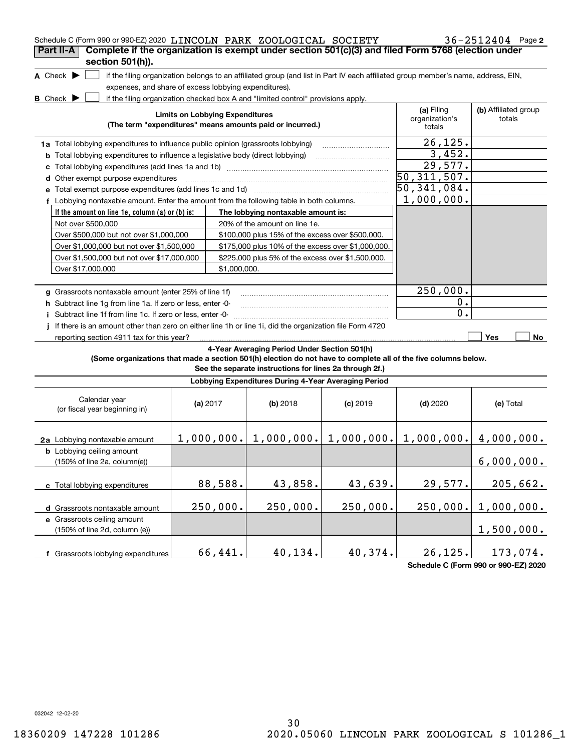| Schedule C (Form 990 or 990-EZ) 2020 LINCOLN PARK ZOOLOGICAL SOCIETY<br>Complete if the organization is exempt under section 501(c)(3) and filed Form 5768 (election under<br>Part II-A<br>section 501(h)). |                                        |              |                                                                                                         |            |                                                                                                                                   | $36 - 2512404$ Page 2          |
|-------------------------------------------------------------------------------------------------------------------------------------------------------------------------------------------------------------|----------------------------------------|--------------|---------------------------------------------------------------------------------------------------------|------------|-----------------------------------------------------------------------------------------------------------------------------------|--------------------------------|
| A Check $\blacktriangleright$<br>expenses, and share of excess lobbying expenditures).<br><b>B</b> Check $\blacktriangleright$                                                                              |                                        |              | if the filing organization checked box A and "limited control" provisions apply.                        |            | if the filing organization belongs to an affiliated group (and list in Part IV each affiliated group member's name, address, EIN, |                                |
|                                                                                                                                                                                                             | <b>Limits on Lobbying Expenditures</b> |              | (The term "expenditures" means amounts paid or incurred.)                                               |            | (a) Filing<br>organization's<br>totals                                                                                            | (b) Affiliated group<br>totals |
| 1a Total lobbying expenditures to influence public opinion (grassroots lobbying)                                                                                                                            |                                        |              |                                                                                                         |            | 26, 125.                                                                                                                          |                                |
| <b>b</b> Total lobbying expenditures to influence a legislative body (direct lobbying)                                                                                                                      |                                        |              |                                                                                                         |            | 3,452.                                                                                                                            |                                |
| с                                                                                                                                                                                                           |                                        |              |                                                                                                         |            | 29,577.                                                                                                                           |                                |
| <b>d</b> Other exempt purpose expenditures                                                                                                                                                                  |                                        |              |                                                                                                         |            | 50, 311, 507.                                                                                                                     |                                |
| е                                                                                                                                                                                                           |                                        |              |                                                                                                         |            | 50,341,084.                                                                                                                       |                                |
| f Lobbying nontaxable amount. Enter the amount from the following table in both columns.                                                                                                                    |                                        |              |                                                                                                         |            | 1,000,000.                                                                                                                        |                                |
| If the amount on line 1e, column $(a)$ or $(b)$ is:                                                                                                                                                         |                                        |              | The lobbying nontaxable amount is:                                                                      |            |                                                                                                                                   |                                |
| Not over \$500,000                                                                                                                                                                                          |                                        |              | 20% of the amount on line 1e.                                                                           |            |                                                                                                                                   |                                |
| Over \$500,000 but not over \$1,000,000                                                                                                                                                                     |                                        |              | \$100,000 plus 15% of the excess over \$500,000.                                                        |            |                                                                                                                                   |                                |
| Over \$1,000,000 but not over \$1,500,000                                                                                                                                                                   |                                        |              | \$175,000 plus 10% of the excess over \$1,000,000.                                                      |            |                                                                                                                                   |                                |
| Over \$1,500,000 but not over \$17,000,000                                                                                                                                                                  |                                        |              | \$225,000 plus 5% of the excess over \$1,500,000.                                                       |            |                                                                                                                                   |                                |
| Over \$17,000,000                                                                                                                                                                                           |                                        | \$1,000,000. |                                                                                                         |            |                                                                                                                                   |                                |
|                                                                                                                                                                                                             |                                        |              |                                                                                                         |            |                                                                                                                                   |                                |
| g Grassroots nontaxable amount (enter 25% of line 1f)                                                                                                                                                       |                                        |              |                                                                                                         |            | 250,000.                                                                                                                          |                                |
| h Subtract line 1q from line 1a. If zero or less, enter -0-                                                                                                                                                 |                                        |              |                                                                                                         |            | $0$ .                                                                                                                             |                                |
| i Subtract line 1f from line 1c. If zero or less, enter -0-                                                                                                                                                 |                                        |              |                                                                                                         |            | 0.                                                                                                                                |                                |
| If there is an amount other than zero on either line 1h or line 1i, did the organization file Form 4720<br>reporting section 4911 tax for this year?                                                        |                                        |              |                                                                                                         |            |                                                                                                                                   | Yes<br>No.                     |
| (Some organizations that made a section 501(h) election do not have to complete all of the five columns below.                                                                                              |                                        |              | 4-Year Averaging Period Under Section 501(h)<br>See the separate instructions for lines 2a through 2f.) |            |                                                                                                                                   |                                |
|                                                                                                                                                                                                             |                                        |              | Lobbying Expenditures During 4-Year Averaging Period                                                    |            |                                                                                                                                   |                                |
| Calendar year<br>(or fiscal year beginning in)                                                                                                                                                              | (a) $2017$                             |              | $(b)$ 2018                                                                                              | $(c)$ 2019 | $(d)$ 2020                                                                                                                        | (e) Total                      |
| 2a Lobbying nontaxable amount                                                                                                                                                                               |                                        |              | $1,000,000.$ $  1,000,000.$ $  1,000,000.$                                                              |            | $1,000,000.$ $ 4,000,000.$                                                                                                        |                                |
| <b>b</b> Lobbying ceiling amount<br>(150% of line 2a, column(e))                                                                                                                                            |                                        |              |                                                                                                         |            |                                                                                                                                   | 6,000,000.                     |
| c Total lobbying expenditures                                                                                                                                                                               |                                        | 88,588.      | 43,858.                                                                                                 | 43,639.    | 29,577.                                                                                                                           | 205,662.                       |
| d Grassroots nontaxable amount                                                                                                                                                                              |                                        | 250,000.     | 250,000.                                                                                                | 250,000.   | 250,000.                                                                                                                          | 1,000,000.                     |
| e Grassroots ceiling amount<br>(150% of line 2d, column (e))                                                                                                                                                |                                        |              |                                                                                                         |            |                                                                                                                                   | 1,500,000.                     |
| f Grassroots lobbying expenditures                                                                                                                                                                          |                                        | 66,441.      | 40,134.                                                                                                 | 40,374.    | 26, 125.                                                                                                                          | 173,074.                       |

**Schedule C (Form 990 or 990-EZ) 2020**

032042 12-02-20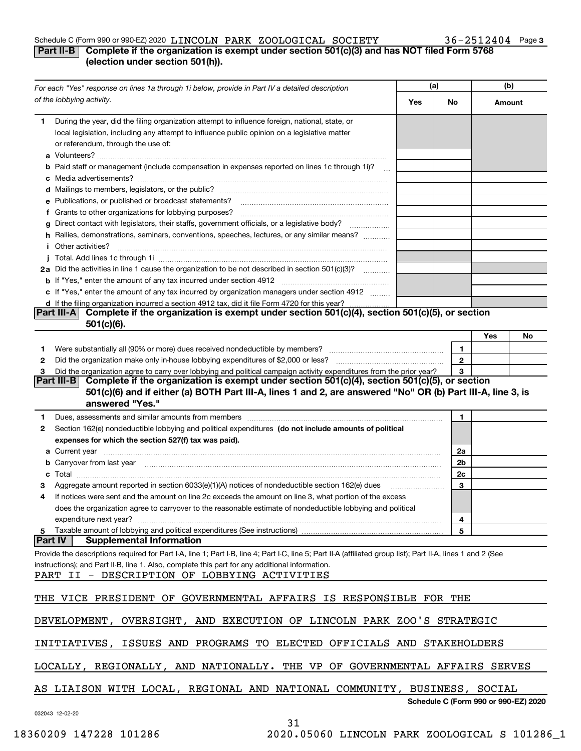#### Schedule C (Form 990 or 990-EZ) 2020  $\,$  LINCOLN PARK ZOOLOGICAL SOCIETY  $36-2512404$  Page LINCOLN PARK ZOOLOGICAL SOCIETY 36-2512404

### **3**

### **Part II-B Complete if the organization is exempt under section 501(c)(3) and has NOT filed Form 5768 (election under section 501(h)).**

| For each "Yes" response on lines 1a through 1i below, provide in Part IV a detailed description |                                                                                                                                                                                                                                                                                                                |     | (a)          |                                      | (b) |  |  |
|-------------------------------------------------------------------------------------------------|----------------------------------------------------------------------------------------------------------------------------------------------------------------------------------------------------------------------------------------------------------------------------------------------------------------|-----|--------------|--------------------------------------|-----|--|--|
|                                                                                                 | of the lobbying activity.                                                                                                                                                                                                                                                                                      | Yes | No           | Amount                               |     |  |  |
| 1                                                                                               | During the year, did the filing organization attempt to influence foreign, national, state, or<br>local legislation, including any attempt to influence public opinion on a legislative matter<br>or referendum, through the use of:                                                                           |     |              |                                      |     |  |  |
|                                                                                                 | <b>b</b> Paid staff or management (include compensation in expenses reported on lines 1c through 1i)?                                                                                                                                                                                                          |     |              |                                      |     |  |  |
|                                                                                                 |                                                                                                                                                                                                                                                                                                                |     |              |                                      |     |  |  |
|                                                                                                 | e Publications, or published or broadcast statements?                                                                                                                                                                                                                                                          |     |              |                                      |     |  |  |
|                                                                                                 | f Grants to other organizations for lobbying purposes?                                                                                                                                                                                                                                                         |     |              |                                      |     |  |  |
| g                                                                                               | Direct contact with legislators, their staffs, government officials, or a legislative body?                                                                                                                                                                                                                    |     |              |                                      |     |  |  |
|                                                                                                 | h Rallies, demonstrations, seminars, conventions, speeches, lectures, or any similar means?                                                                                                                                                                                                                    |     |              |                                      |     |  |  |
|                                                                                                 | <i>i</i> Other activities?                                                                                                                                                                                                                                                                                     |     |              |                                      |     |  |  |
|                                                                                                 | 2a Did the activities in line 1 cause the organization to be not described in section 501(c)(3)?                                                                                                                                                                                                               |     |              |                                      |     |  |  |
|                                                                                                 |                                                                                                                                                                                                                                                                                                                |     |              |                                      |     |  |  |
|                                                                                                 | c If "Yes," enter the amount of any tax incurred by organization managers under section 4912                                                                                                                                                                                                                   |     |              |                                      |     |  |  |
|                                                                                                 | d If the filing organization incurred a section 4912 tax, did it file Form 4720 for this year?                                                                                                                                                                                                                 |     |              |                                      |     |  |  |
|                                                                                                 | Complete if the organization is exempt under section 501(c)(4), section 501(c)(5), or section<br><b>Part III-A</b><br>$501(c)(6)$ .                                                                                                                                                                            |     |              |                                      |     |  |  |
|                                                                                                 |                                                                                                                                                                                                                                                                                                                |     |              | Yes                                  | No  |  |  |
| 1                                                                                               |                                                                                                                                                                                                                                                                                                                |     | 1            |                                      |     |  |  |
| 2                                                                                               |                                                                                                                                                                                                                                                                                                                |     | $\mathbf{2}$ |                                      |     |  |  |
| з                                                                                               | Did the organization agree to carry over lobbying and political campaign activity expenditures from the prior year?                                                                                                                                                                                            |     | 3            |                                      |     |  |  |
|                                                                                                 | Part III-B Complete if the organization is exempt under section $501(c)(4)$ , section $501(c)(5)$ , or section<br>501(c)(6) and if either (a) BOTH Part III-A, lines 1 and 2, are answered "No" OR (b) Part III-A, line 3, is<br>answered "Yes."                                                               |     |              |                                      |     |  |  |
| 1                                                                                               | Dues, assessments and similar amounts from members [111] matter continuum matter and similar and similar amounts from members [11] matter continuum matter and similar amounts from members [11] matter and similar and simila                                                                                 |     | 1            |                                      |     |  |  |
| 2                                                                                               | Section 162(e) nondeductible lobbying and political expenditures (do not include amounts of political<br>expenses for which the section 527(f) tax was paid).                                                                                                                                                  |     |              |                                      |     |  |  |
|                                                                                                 |                                                                                                                                                                                                                                                                                                                |     | 2a           |                                      |     |  |  |
|                                                                                                 | b Carryover from last year manufactured and contain a series of the contract of the contract of the contract of the contract of the contract of the contract of the contract of the contract of the contract of the contract o                                                                                 |     | 2b           |                                      |     |  |  |
| c                                                                                               |                                                                                                                                                                                                                                                                                                                |     | 2c           |                                      |     |  |  |
|                                                                                                 | Aggregate amount reported in section 6033(e)(1)(A) notices of nondeductible section 162(e) dues                                                                                                                                                                                                                |     | 3            |                                      |     |  |  |
|                                                                                                 | If notices were sent and the amount on line 2c exceeds the amount on line 3, what portion of the excess                                                                                                                                                                                                        |     |              |                                      |     |  |  |
|                                                                                                 | does the organization agree to carryover to the reasonable estimate of nondeductible lobbying and political                                                                                                                                                                                                    |     |              |                                      |     |  |  |
|                                                                                                 | expenditure next year?                                                                                                                                                                                                                                                                                         |     | 4            |                                      |     |  |  |
| 5                                                                                               | Taxable amount of lobbying and political expenditures (See instructions)                                                                                                                                                                                                                                       |     | 5            |                                      |     |  |  |
|                                                                                                 | <b>Part IV</b><br><b>Supplemental Information</b>                                                                                                                                                                                                                                                              |     |              |                                      |     |  |  |
|                                                                                                 | Provide the descriptions required for Part I-A, line 1; Part I-B, line 4; Part I-C, line 5; Part II-A (affiliated group list); Part II-A, lines 1 and 2 (See<br>instructions); and Part II-B, line 1. Also, complete this part for any additional information.<br>PART II - DESCRIPTION OF LOBBYING ACTIVITIES |     |              |                                      |     |  |  |
|                                                                                                 | THE VICE PRESIDENT OF GOVERNMENTAL AFFAIRS IS RESPONSIBLE FOR THE                                                                                                                                                                                                                                              |     |              |                                      |     |  |  |
|                                                                                                 | DEVELOPMENT, OVERSIGHT, AND EXECUTION OF LINCOLN PARK ZOO'S STRATEGIC                                                                                                                                                                                                                                          |     |              |                                      |     |  |  |
|                                                                                                 | ISSUES AND PROGRAMS TO ELECTED OFFICIALS AND STAKEHOLDERS<br>INITIATIVES,                                                                                                                                                                                                                                      |     |              |                                      |     |  |  |
|                                                                                                 | LOCALLY, REGIONALLY, AND NATIONALLY. THE VP OF GOVERNMENTAL AFFAIRS SERVES                                                                                                                                                                                                                                     |     |              |                                      |     |  |  |
|                                                                                                 | AS LIAISON WITH LOCAL, REGIONAL AND NATIONAL COMMUNITY, BUSINESS, SOCIAL                                                                                                                                                                                                                                       |     |              |                                      |     |  |  |
|                                                                                                 | 032043 12-02-20                                                                                                                                                                                                                                                                                                |     |              | Schedule C (Form 990 or 990-EZ) 2020 |     |  |  |

31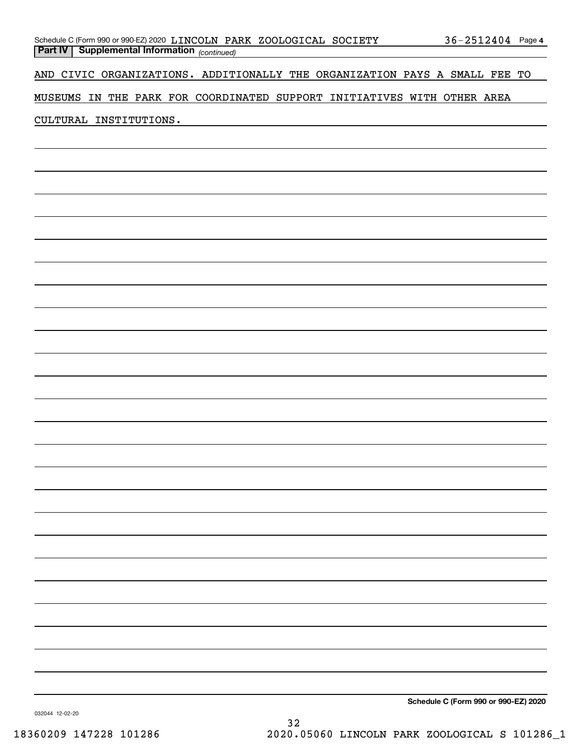|  | Schedule C (Form 990 or 990-EZ) 2020 LINCOLN PARK ZOOLOGICAL SOCIETY |  |  | $36 - 2512404$ Page 4 |  |
|--|----------------------------------------------------------------------|--|--|-----------------------|--|
|  | <b>Part IV Supplemental Information</b> (continued)                  |  |  |                       |  |

AND CIVIC ORGANIZATIONS. ADDITIONALLY THE ORGANIZATION PAYS A SMALL FEE TO

MUSEUMS IN THE PARK FOR COORDINATED SUPPORT INITIATIVES WITH OTHER AREA

### CULTURAL INSTITUTIONS.

**Schedule C (Form 990 or 990-EZ) 2020**

032044 12-02-20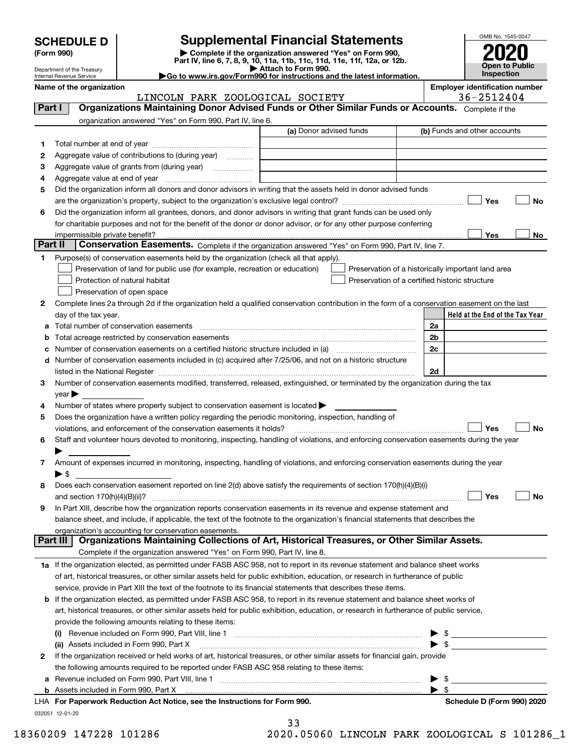| <b>SCHEDULE D</b> |  |
|-------------------|--|
|-------------------|--|

| (Form 990) |  |
|------------|--|
|------------|--|

### **Supplemental Financial Statements**

(Form 990)<br>
Pepartment of the Treasury<br>
Department of the Treasury<br>
Department of the Treasury<br>
Department of the Treasury<br> **Co to www.irs.gov/Form990 for instructions and the latest information.**<br> **Co to www.irs.gov/Form9** 



Department of the Treasury Internal Revenue Service

**Name of the organization Employer identification number**

|         | LINCOLN PARK ZOOLOGICAL SOCIETY                                                                                                                                                                                                                                                                                                                                    | 36-2512404                                         |
|---------|--------------------------------------------------------------------------------------------------------------------------------------------------------------------------------------------------------------------------------------------------------------------------------------------------------------------------------------------------------------------|----------------------------------------------------|
| Part I  | Organizations Maintaining Donor Advised Funds or Other Similar Funds or Accounts. Complete if the                                                                                                                                                                                                                                                                  |                                                    |
|         | organization answered "Yes" on Form 990, Part IV, line 6.                                                                                                                                                                                                                                                                                                          |                                                    |
|         | (a) Donor advised funds                                                                                                                                                                                                                                                                                                                                            | (b) Funds and other accounts                       |
| 1       |                                                                                                                                                                                                                                                                                                                                                                    |                                                    |
| 2       | Aggregate value of contributions to (during year)                                                                                                                                                                                                                                                                                                                  |                                                    |
| 3       |                                                                                                                                                                                                                                                                                                                                                                    |                                                    |
| 4       |                                                                                                                                                                                                                                                                                                                                                                    |                                                    |
| 5       | Did the organization inform all donors and donor advisors in writing that the assets held in donor advised funds                                                                                                                                                                                                                                                   |                                                    |
|         |                                                                                                                                                                                                                                                                                                                                                                    | Yes<br>No                                          |
| 6       | Did the organization inform all grantees, donors, and donor advisors in writing that grant funds can be used only                                                                                                                                                                                                                                                  |                                                    |
|         | for charitable purposes and not for the benefit of the donor or donor advisor, or for any other purpose conferring                                                                                                                                                                                                                                                 |                                                    |
|         | impermissible private benefit?                                                                                                                                                                                                                                                                                                                                     | Yes<br>No                                          |
| Part II | Conservation Easements. Complete if the organization answered "Yes" on Form 990, Part IV, line 7.                                                                                                                                                                                                                                                                  |                                                    |
| 1       | Purpose(s) of conservation easements held by the organization (check all that apply).                                                                                                                                                                                                                                                                              |                                                    |
|         | Preservation of land for public use (for example, recreation or education)                                                                                                                                                                                                                                                                                         | Preservation of a historically important land area |
|         | Protection of natural habitat                                                                                                                                                                                                                                                                                                                                      | Preservation of a certified historic structure     |
|         | Preservation of open space                                                                                                                                                                                                                                                                                                                                         |                                                    |
| 2       | Complete lines 2a through 2d if the organization held a qualified conservation contribution in the form of a conservation easement on the last                                                                                                                                                                                                                     |                                                    |
|         | day of the tax year.                                                                                                                                                                                                                                                                                                                                               | Held at the End of the Tax Year                    |
|         |                                                                                                                                                                                                                                                                                                                                                                    | 2a                                                 |
| b       | Total acreage restricted by conservation easements                                                                                                                                                                                                                                                                                                                 | 2 <sub>b</sub>                                     |
| с       |                                                                                                                                                                                                                                                                                                                                                                    | 2c                                                 |
|         | d Number of conservation easements included in (c) acquired after 7/25/06, and not on a historic structure                                                                                                                                                                                                                                                         |                                                    |
|         |                                                                                                                                                                                                                                                                                                                                                                    | 2d                                                 |
| 3       | listed in the National Register [[11] matter contract the state of the state of the National Register [11] matter of the National Register [11] matter of the National Register [11] matter of the National Register [11] matt<br>Number of conservation easements modified, transferred, released, extinguished, or terminated by the organization during the tax |                                                    |
|         | $year \blacktriangleright$                                                                                                                                                                                                                                                                                                                                         |                                                    |
| 4       | Number of states where property subject to conservation easement is located >                                                                                                                                                                                                                                                                                      |                                                    |
| 5       | Does the organization have a written policy regarding the periodic monitoring, inspection, handling of                                                                                                                                                                                                                                                             |                                                    |
|         | violations, and enforcement of the conservation easements it holds?                                                                                                                                                                                                                                                                                                | Yes<br><b>No</b>                                   |
| 6       | Staff and volunteer hours devoted to monitoring, inspecting, handling of violations, and enforcing conservation easements during the year                                                                                                                                                                                                                          |                                                    |
|         |                                                                                                                                                                                                                                                                                                                                                                    |                                                    |
| 7       | Amount of expenses incurred in monitoring, inspecting, handling of violations, and enforcing conservation easements during the year                                                                                                                                                                                                                                |                                                    |
|         | $\blacktriangleright$ \$                                                                                                                                                                                                                                                                                                                                           |                                                    |
| 8       | Does each conservation easement reported on line 2(d) above satisfy the requirements of section 170(h)(4)(B)(i)                                                                                                                                                                                                                                                    |                                                    |
|         |                                                                                                                                                                                                                                                                                                                                                                    | Yes<br>No                                          |
| 9       | In Part XIII, describe how the organization reports conservation easements in its revenue and expense statement and                                                                                                                                                                                                                                                |                                                    |
|         | balance sheet, and include, if applicable, the text of the footnote to the organization's financial statements that describes the                                                                                                                                                                                                                                  |                                                    |
|         | organization's accounting for conservation easements.                                                                                                                                                                                                                                                                                                              |                                                    |
|         | Organizations Maintaining Collections of Art, Historical Treasures, or Other Similar Assets.<br>Part III                                                                                                                                                                                                                                                           |                                                    |
|         | Complete if the organization answered "Yes" on Form 990, Part IV, line 8.                                                                                                                                                                                                                                                                                          |                                                    |
|         | 1a If the organization elected, as permitted under FASB ASC 958, not to report in its revenue statement and balance sheet works                                                                                                                                                                                                                                    |                                                    |
|         | of art, historical treasures, or other similar assets held for public exhibition, education, or research in furtherance of public                                                                                                                                                                                                                                  |                                                    |
|         | service, provide in Part XIII the text of the footnote to its financial statements that describes these items.                                                                                                                                                                                                                                                     |                                                    |
| b       | If the organization elected, as permitted under FASB ASC 958, to report in its revenue statement and balance sheet works of                                                                                                                                                                                                                                        |                                                    |
|         | art, historical treasures, or other similar assets held for public exhibition, education, or research in furtherance of public service,                                                                                                                                                                                                                            |                                                    |
|         | provide the following amounts relating to these items:                                                                                                                                                                                                                                                                                                             |                                                    |
|         |                                                                                                                                                                                                                                                                                                                                                                    | \$                                                 |
|         | (ii) Assets included in Form 990, Part X                                                                                                                                                                                                                                                                                                                           | $\blacktriangleright$ \$                           |
| 2       | If the organization received or held works of art, historical treasures, or other similar assets for financial gain, provide                                                                                                                                                                                                                                       |                                                    |
|         | the following amounts required to be reported under FASB ASC 958 relating to these items:                                                                                                                                                                                                                                                                          |                                                    |
| a       |                                                                                                                                                                                                                                                                                                                                                                    |                                                    |
|         |                                                                                                                                                                                                                                                                                                                                                                    | $\blacktriangleright$ \$                           |
|         |                                                                                                                                                                                                                                                                                                                                                                    |                                                    |

33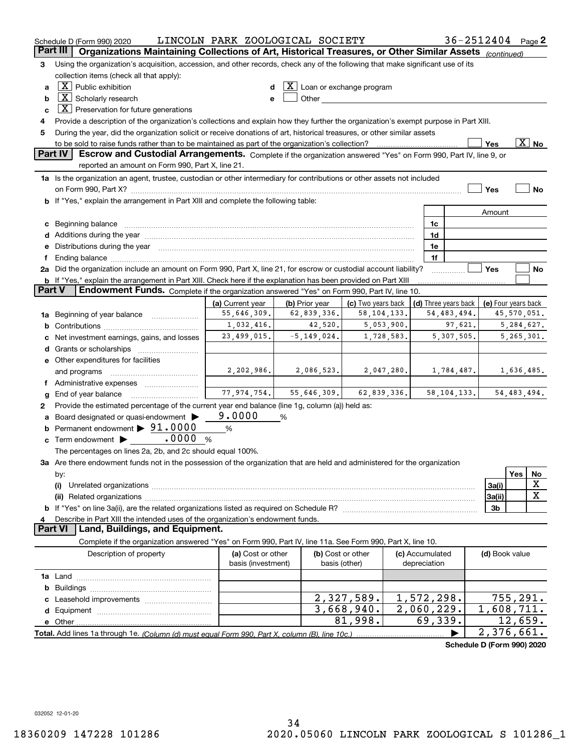|               | Schedule D (Form 990) 2020                                                                                                                                                                                                     | LINCOLN PARK ZOOLOGICAL SOCIETY |                 |                                                                                                                                                                                                                               |                 | 36-2512404 Page 2          |                         |              |                          |
|---------------|--------------------------------------------------------------------------------------------------------------------------------------------------------------------------------------------------------------------------------|---------------------------------|-----------------|-------------------------------------------------------------------------------------------------------------------------------------------------------------------------------------------------------------------------------|-----------------|----------------------------|-------------------------|--------------|--------------------------|
|               | Part III<br>Organizations Maintaining Collections of Art, Historical Treasures, or Other Similar Assets (continued)                                                                                                            |                                 |                 |                                                                                                                                                                                                                               |                 |                            |                         |              |                          |
| 3             | Using the organization's acquisition, accession, and other records, check any of the following that make significant use of its                                                                                                |                                 |                 |                                                                                                                                                                                                                               |                 |                            |                         |              |                          |
|               | collection items (check all that apply):                                                                                                                                                                                       |                                 |                 |                                                                                                                                                                                                                               |                 |                            |                         |              |                          |
| a             | $X$ Public exhibition                                                                                                                                                                                                          |                                 |                 | $\lfloor \texttt{X} \rfloor$ Loan or exchange program                                                                                                                                                                         |                 |                            |                         |              |                          |
| b             | $\boxed{\text{X}}$ Scholarly research                                                                                                                                                                                          |                                 |                 | Other and the contract of the contract of the contract of the contract of the contract of the contract of the contract of the contract of the contract of the contract of the contract of the contract of the contract of the |                 |                            |                         |              |                          |
| c             | $X$ Preservation for future generations                                                                                                                                                                                        |                                 |                 |                                                                                                                                                                                                                               |                 |                            |                         |              |                          |
| 4             | Provide a description of the organization's collections and explain how they further the organization's exempt purpose in Part XIII.                                                                                           |                                 |                 |                                                                                                                                                                                                                               |                 |                            |                         |              |                          |
| 5             | During the year, did the organization solicit or receive donations of art, historical treasures, or other similar assets                                                                                                       |                                 |                 |                                                                                                                                                                                                                               |                 |                            |                         |              |                          |
|               | to be sold to raise funds rather than to be maintained as part of the organization's collection?                                                                                                                               |                                 |                 |                                                                                                                                                                                                                               |                 |                            | Yes                     |              | $\overline{\text{X}}$ No |
|               | Part IV<br>Escrow and Custodial Arrangements. Complete if the organization answered "Yes" on Form 990, Part IV, line 9, or                                                                                                     |                                 |                 |                                                                                                                                                                                                                               |                 |                            |                         |              |                          |
|               | reported an amount on Form 990, Part X, line 21.                                                                                                                                                                               |                                 |                 |                                                                                                                                                                                                                               |                 |                            |                         |              |                          |
|               | 1a Is the organization an agent, trustee, custodian or other intermediary for contributions or other assets not included                                                                                                       |                                 |                 |                                                                                                                                                                                                                               |                 |                            |                         |              |                          |
|               | on Form 990, Part X? [11] matter and the contract of the contract of the contract of the contract of the contract of the contract of the contract of the contract of the contract of the contract of the contract of the contr |                                 |                 |                                                                                                                                                                                                                               |                 |                            | Yes                     |              | No                       |
|               | <b>b</b> If "Yes," explain the arrangement in Part XIII and complete the following table:                                                                                                                                      |                                 |                 |                                                                                                                                                                                                                               |                 |                            |                         |              |                          |
|               |                                                                                                                                                                                                                                |                                 |                 |                                                                                                                                                                                                                               |                 |                            | Amount                  |              |                          |
|               | c Beginning balance measurements and the contract of the contract of the contract of the contract of the contract of the contract of the contract of the contract of the contract of the contract of the contract of the contr |                                 |                 |                                                                                                                                                                                                                               |                 | 1c                         |                         |              |                          |
|               |                                                                                                                                                                                                                                |                                 |                 |                                                                                                                                                                                                                               |                 | 1d                         |                         |              |                          |
|               | e Distributions during the year manufactured and an intervention of the control of the control of the control of the state of the control of the control of the control of the control of the control of the control of the co |                                 |                 |                                                                                                                                                                                                                               |                 | 1e                         |                         |              |                          |
|               |                                                                                                                                                                                                                                |                                 |                 |                                                                                                                                                                                                                               |                 | 1f                         |                         |              |                          |
|               | 2a Did the organization include an amount on Form 990, Part X, line 21, for escrow or custodial account liability?                                                                                                             |                                 |                 |                                                                                                                                                                                                                               |                 |                            | Yes                     |              | No                       |
| <b>Part V</b> | <b>b</b> If "Yes," explain the arrangement in Part XIII. Check here if the explanation has been provided on Part XIII<br>Endowment Funds. Complete if the organization answered "Yes" on Form 990, Part IV, line 10.           |                                 |                 |                                                                                                                                                                                                                               |                 |                            |                         |              |                          |
|               |                                                                                                                                                                                                                                | (a) Current year                | (b) Prior year  | (c) Two years back                                                                                                                                                                                                            |                 | (d) Three years back       | (e) Four years back     |              |                          |
|               | 1a Beginning of year balance                                                                                                                                                                                                   | 55,646,309.                     | 62,839,336.     | 58, 104, 133.                                                                                                                                                                                                                 |                 | 54, 483, 494.              |                         | 45,570,051.  |                          |
|               |                                                                                                                                                                                                                                | 1,032,416.                      | 42,520.         | 5,053,900.                                                                                                                                                                                                                    |                 | 97,621.                    |                         |              | 5,284,627.               |
| c             | Net investment earnings, gains, and losses                                                                                                                                                                                     | 23,499,015.                     | $-5, 149, 024.$ | 1,728,583.                                                                                                                                                                                                                    |                 | 5,307,505.                 |                         | 5, 265, 301. |                          |
|               |                                                                                                                                                                                                                                |                                 |                 |                                                                                                                                                                                                                               |                 |                            |                         |              |                          |
|               | e Other expenditures for facilities                                                                                                                                                                                            |                                 |                 |                                                                                                                                                                                                                               |                 |                            |                         |              |                          |
|               | and programs                                                                                                                                                                                                                   | 2, 202, 986.                    | 2,086,523.      | 2,047,280.                                                                                                                                                                                                                    |                 | 1,784,487.                 |                         |              | 1,636,485.               |
|               | f Administrative expenses                                                                                                                                                                                                      |                                 |                 |                                                                                                                                                                                                                               |                 |                            |                         |              |                          |
| g             |                                                                                                                                                                                                                                | 77,974,754.                     | 55,646,309.     | 62,839,336.                                                                                                                                                                                                                   |                 | 58, 104, 133.              |                         | 54,483,494.  |                          |
| 2             | Provide the estimated percentage of the current year end balance (line 1g, column (a)) held as:                                                                                                                                |                                 |                 |                                                                                                                                                                                                                               |                 |                            |                         |              |                          |
| a             | Board designated or quasi-endowment                                                                                                                                                                                            | 9.0000                          | %               |                                                                                                                                                                                                                               |                 |                            |                         |              |                          |
|               | <b>b</b> Permanent endowment $\triangleright$ 91.0000                                                                                                                                                                          | %                               |                 |                                                                                                                                                                                                                               |                 |                            |                         |              |                          |
|               | .0000<br>$\mathbf c$ Term endowment $\blacktriangleright$                                                                                                                                                                      | %                               |                 |                                                                                                                                                                                                                               |                 |                            |                         |              |                          |
|               | The percentages on lines 2a, 2b, and 2c should equal 100%.                                                                                                                                                                     |                                 |                 |                                                                                                                                                                                                                               |                 |                            |                         |              |                          |
|               | 3a Are there endowment funds not in the possession of the organization that are held and administered for the organization                                                                                                     |                                 |                 |                                                                                                                                                                                                                               |                 |                            |                         |              |                          |
|               | by:                                                                                                                                                                                                                            |                                 |                 |                                                                                                                                                                                                                               |                 |                            |                         | Yes          | No                       |
|               | (i)                                                                                                                                                                                                                            |                                 |                 |                                                                                                                                                                                                                               |                 |                            | 3a(i)                   |              | x                        |
|               |                                                                                                                                                                                                                                |                                 |                 |                                                                                                                                                                                                                               |                 |                            | 3a(ii)                  |              | X                        |
|               |                                                                                                                                                                                                                                |                                 |                 |                                                                                                                                                                                                                               |                 |                            | 3b                      |              |                          |
| 4             | Describe in Part XIII the intended uses of the organization's endowment funds.                                                                                                                                                 |                                 |                 |                                                                                                                                                                                                                               |                 |                            |                         |              |                          |
|               | Land, Buildings, and Equipment.<br>Part VI                                                                                                                                                                                     |                                 |                 |                                                                                                                                                                                                                               |                 |                            |                         |              |                          |
|               | Complete if the organization answered "Yes" on Form 990, Part IV, line 11a. See Form 990, Part X, line 10.                                                                                                                     |                                 |                 |                                                                                                                                                                                                                               |                 |                            |                         |              |                          |
|               | Description of property                                                                                                                                                                                                        | (a) Cost or other               |                 | (b) Cost or other                                                                                                                                                                                                             | (c) Accumulated |                            | (d) Book value          |              |                          |
|               |                                                                                                                                                                                                                                | basis (investment)              |                 | basis (other)                                                                                                                                                                                                                 | depreciation    |                            |                         |              |                          |
|               |                                                                                                                                                                                                                                |                                 |                 |                                                                                                                                                                                                                               |                 |                            |                         |              |                          |
| b             |                                                                                                                                                                                                                                |                                 |                 |                                                                                                                                                                                                                               |                 |                            |                         |              |                          |
|               |                                                                                                                                                                                                                                |                                 |                 | 2,327,589.                                                                                                                                                                                                                    |                 | 1,572,298.                 |                         | 755, 291.    |                          |
|               |                                                                                                                                                                                                                                |                                 |                 | 3,668,940.                                                                                                                                                                                                                    |                 | 2,060,229.                 | $\overline{1,608,711}.$ |              |                          |
|               |                                                                                                                                                                                                                                |                                 |                 | 81,998.                                                                                                                                                                                                                       |                 | 69,339.                    |                         | 12,659.      |                          |
|               |                                                                                                                                                                                                                                |                                 |                 |                                                                                                                                                                                                                               |                 |                            | 2,376,661.              |              |                          |
|               |                                                                                                                                                                                                                                |                                 |                 |                                                                                                                                                                                                                               |                 | Schedule D (Form 990) 2020 |                         |              |                          |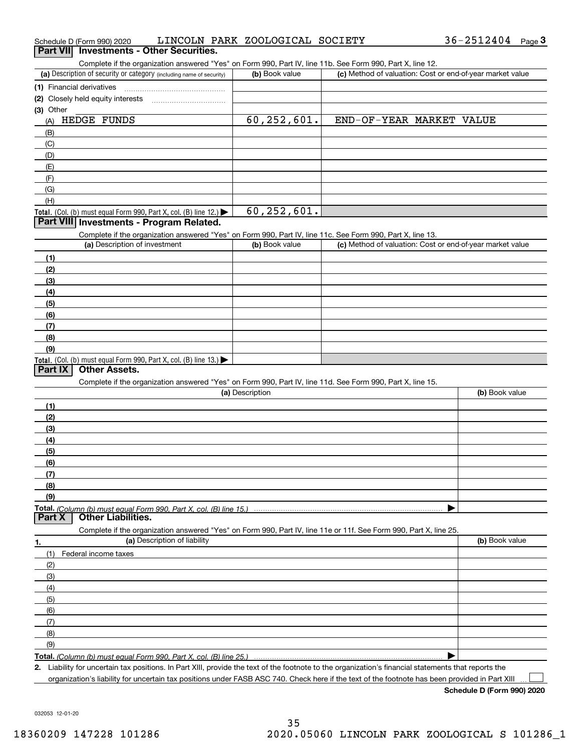| Schedule D (Form 990) 2020                                                                                        | LINCOLN PARK ZOOLOGICAL SOCIETY |                          | 36-2512404<br>Page $3$                                    |
|-------------------------------------------------------------------------------------------------------------------|---------------------------------|--------------------------|-----------------------------------------------------------|
| <b>Part VIII</b><br><b>Investments - Other Securities.</b>                                                        |                                 |                          |                                                           |
| Complete if the organization answered "Yes" on Form 990, Part IV, line 11b. See Form 990, Part X, line 12.        |                                 |                          |                                                           |
| (a) Description of security or category (including name of security)                                              | (b) Book value                  |                          | (c) Method of valuation: Cost or end-of-year market value |
| (1) Financial derivatives                                                                                         |                                 |                          |                                                           |
| (2) Closely held equity interests                                                                                 |                                 |                          |                                                           |
| (3) Other                                                                                                         |                                 |                          |                                                           |
| HEDGE FUNDS<br>(A)                                                                                                | 60, 252, 601.                   | END-OF-YEAR MARKET VALUE |                                                           |
| (B)                                                                                                               |                                 |                          |                                                           |
| (C)                                                                                                               |                                 |                          |                                                           |
| (D)                                                                                                               |                                 |                          |                                                           |
| (E)                                                                                                               |                                 |                          |                                                           |
| (F)                                                                                                               |                                 |                          |                                                           |
| (G)                                                                                                               |                                 |                          |                                                           |
| (H)                                                                                                               |                                 |                          |                                                           |
| Total. (Col. (b) must equal Form 990, Part X, col. (B) line 12.)                                                  | 60, 252, 601.                   |                          |                                                           |
| Part VIII Investments - Program Related.                                                                          |                                 |                          |                                                           |
| Complete if the organization answered "Yes" on Form 990, Part IV, line 11c. See Form 990, Part X, line 13.        |                                 |                          |                                                           |
| (a) Description of investment                                                                                     | (b) Book value                  |                          | (c) Method of valuation: Cost or end-of-year market value |
| (1)                                                                                                               |                                 |                          |                                                           |
| (2)                                                                                                               |                                 |                          |                                                           |
| (3)                                                                                                               |                                 |                          |                                                           |
| (4)                                                                                                               |                                 |                          |                                                           |
| (5)                                                                                                               |                                 |                          |                                                           |
| (6)                                                                                                               |                                 |                          |                                                           |
| (7)                                                                                                               |                                 |                          |                                                           |
| (8)                                                                                                               |                                 |                          |                                                           |
| (9)                                                                                                               |                                 |                          |                                                           |
| Total. (Col. (b) must equal Form 990, Part X, col. (B) line 13.)                                                  |                                 |                          |                                                           |
| <b>Other Assets.</b><br><b>Part IX</b>                                                                            |                                 |                          |                                                           |
| Complete if the organization answered "Yes" on Form 990, Part IV, line 11d. See Form 990, Part X, line 15.        |                                 |                          |                                                           |
|                                                                                                                   | (a) Description                 |                          | (b) Book value                                            |
| (1)                                                                                                               |                                 |                          |                                                           |
| (2)                                                                                                               |                                 |                          |                                                           |
| (3)                                                                                                               |                                 |                          |                                                           |
| (4)                                                                                                               |                                 |                          |                                                           |
| (5)                                                                                                               |                                 |                          |                                                           |
| (6)                                                                                                               |                                 |                          |                                                           |
| (7)                                                                                                               |                                 |                          |                                                           |
|                                                                                                                   |                                 |                          |                                                           |
| (8)                                                                                                               |                                 |                          |                                                           |
|                                                                                                                   |                                 |                          |                                                           |
| (9)                                                                                                               |                                 |                          |                                                           |
|                                                                                                                   |                                 |                          |                                                           |
| <b>Other Liabilities.</b>                                                                                         |                                 |                          |                                                           |
| Complete if the organization answered "Yes" on Form 990, Part IV, line 11e or 11f. See Form 990, Part X, line 25. |                                 |                          |                                                           |
| (a) Description of liability                                                                                      |                                 |                          | (b) Book value                                            |
| (1)<br>Federal income taxes                                                                                       |                                 |                          |                                                           |
| (2)                                                                                                               |                                 |                          |                                                           |
| (3)                                                                                                               |                                 |                          |                                                           |
| (4)                                                                                                               |                                 |                          |                                                           |
| (5)                                                                                                               |                                 |                          |                                                           |
| (6)                                                                                                               |                                 |                          |                                                           |
| Part <sub>X</sub><br>1.<br>(7)                                                                                    |                                 |                          |                                                           |
| (8)                                                                                                               |                                 |                          |                                                           |
| (9)                                                                                                               |                                 |                          |                                                           |

organization's liability for uncertain tax positions under FASB ASC 740. Check here if the text of the footnote has been provided in Part XIII

 $\mathcal{L}^{\text{max}}$ 

36-2512404 Page 3

|  | art VII Investments - Other Securities. |  |
|--|-----------------------------------------|--|

| (1) Financial derivatives                                                                                  |                |                                                           |  |  |  |  |  |  |
|------------------------------------------------------------------------------------------------------------|----------------|-----------------------------------------------------------|--|--|--|--|--|--|
| (2) Closely held equity interests                                                                          |                |                                                           |  |  |  |  |  |  |
| (3) Other                                                                                                  |                |                                                           |  |  |  |  |  |  |
| HEDGE FUNDS<br>(A)                                                                                         | 60, 252, 601.  | END-OF-YEAR MARKET VALUE                                  |  |  |  |  |  |  |
| (B)                                                                                                        |                |                                                           |  |  |  |  |  |  |
| (C)                                                                                                        |                |                                                           |  |  |  |  |  |  |
| (D)                                                                                                        |                |                                                           |  |  |  |  |  |  |
| (E)                                                                                                        |                |                                                           |  |  |  |  |  |  |
| (F)                                                                                                        |                |                                                           |  |  |  |  |  |  |
| (G)                                                                                                        |                |                                                           |  |  |  |  |  |  |
| (H)                                                                                                        |                |                                                           |  |  |  |  |  |  |
| Total. (Col. (b) must equal Form 990, Part X, col. (B) line 12.) $\blacktriangleright$                     | 60, 252, 601.  |                                                           |  |  |  |  |  |  |
| Part VIII Investments - Program Related.                                                                   |                |                                                           |  |  |  |  |  |  |
| Complete if the organization answered "Yes" on Form 990, Part IV, line 11c. See Form 990, Part X, line 13. |                |                                                           |  |  |  |  |  |  |
| (a) Description of investment                                                                              | (b) Book value | (c) Method of valuation: Cost or end-of-year market value |  |  |  |  |  |  |
| (1)                                                                                                        |                |                                                           |  |  |  |  |  |  |
| (2)                                                                                                        |                |                                                           |  |  |  |  |  |  |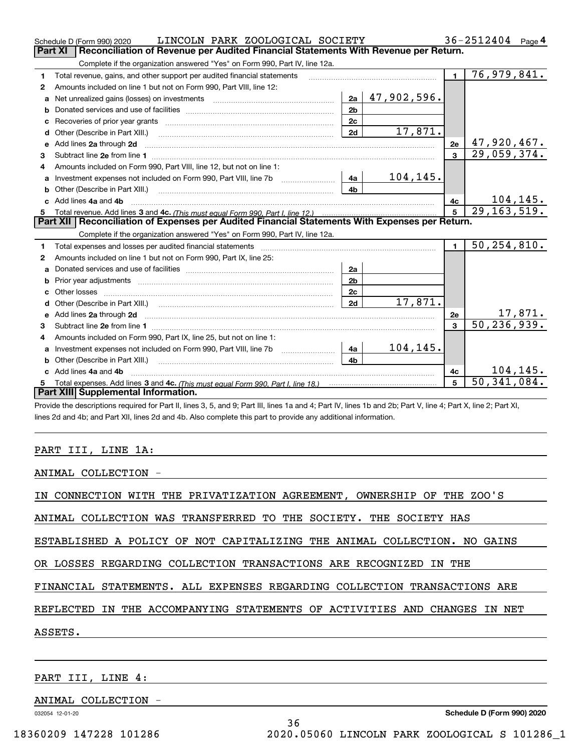|    | LINCOLN PARK ZOOLOGICAL SOCIETY<br>Schedule D (Form 990) 2020                                                                                                                                                                       |                |             |                | $36 - 2512404$ Page 4          |
|----|-------------------------------------------------------------------------------------------------------------------------------------------------------------------------------------------------------------------------------------|----------------|-------------|----------------|--------------------------------|
|    | Reconciliation of Revenue per Audited Financial Statements With Revenue per Return.<br>Part XI                                                                                                                                      |                |             |                |                                |
|    | Complete if the organization answered "Yes" on Form 990, Part IV, line 12a.                                                                                                                                                         |                |             |                |                                |
| 1  | Total revenue, gains, and other support per audited financial statements                                                                                                                                                            |                |             | $\blacksquare$ | 76,979,841.                    |
| 2  | Amounts included on line 1 but not on Form 990, Part VIII, line 12:                                                                                                                                                                 |                |             |                |                                |
| a  | Net unrealized gains (losses) on investments [11] matter contracts and the unrealized gains (losses) on investments                                                                                                                 | 2a             | 47,902,596. |                |                                |
|    |                                                                                                                                                                                                                                     | 2 <sub>b</sub> |             |                |                                |
| c  |                                                                                                                                                                                                                                     | 2c             |             |                |                                |
| d  | Other (Describe in Part XIII.) <b>COLOGIST:</b> (2010)                                                                                                                                                                              | 2d             | 17,871.     |                |                                |
| е  | Add lines 2a through 2d                                                                                                                                                                                                             |                |             | 2e             | 47,920,467.                    |
| з  |                                                                                                                                                                                                                                     |                |             | $\mathbf{3}$   | 29,059,374.                    |
| 4  | Amounts included on Form 990, Part VIII, line 12, but not on line 1:                                                                                                                                                                |                |             |                |                                |
| a  |                                                                                                                                                                                                                                     | l 4a           | 104,145.    |                |                                |
| b  | Other (Describe in Part XIII.) <b>Construction Contract Construction</b> Chemical Construction Chemical Chemical Chemical Chemical Chemical Chemical Chemical Chemical Chemical Chemical Chemical Chemical Chemical Chemical Chemic | 4 <sub>h</sub> |             |                |                                |
| c. | Add lines 4a and 4b                                                                                                                                                                                                                 |                |             | 4c             | $\frac{104,145}{29,163,519}$ . |
|    |                                                                                                                                                                                                                                     |                |             | 5              |                                |
|    |                                                                                                                                                                                                                                     |                |             |                |                                |
|    | Part XII   Reconciliation of Expenses per Audited Financial Statements With Expenses per Return.                                                                                                                                    |                |             |                |                                |
|    | Complete if the organization answered "Yes" on Form 990, Part IV, line 12a.                                                                                                                                                         |                |             |                |                                |
| 1  |                                                                                                                                                                                                                                     |                |             | $\mathbf{1}$   | 50, 254, 810.                  |
| 2  | Amounts included on line 1 but not on Form 990, Part IX, line 25:                                                                                                                                                                   |                |             |                |                                |
| a  |                                                                                                                                                                                                                                     | 2a             |             |                |                                |
| b  |                                                                                                                                                                                                                                     | 2 <sub>b</sub> |             |                |                                |
| c  |                                                                                                                                                                                                                                     | 2 <sub>c</sub> |             |                |                                |
| d  |                                                                                                                                                                                                                                     | 2d             | 17,871.     |                |                                |
| е  | Add lines 2a through 2d <b>contained a contained a contained a contained a</b> contained a contained a contact the set                                                                                                              |                |             | 2e             |                                |
| 3  |                                                                                                                                                                                                                                     |                |             | $\mathbf{a}$   | $\frac{17,871}{50,236,939}$    |
| 4  | Amounts included on Form 990, Part IX, line 25, but not on line 1:                                                                                                                                                                  |                |             |                |                                |
| a  |                                                                                                                                                                                                                                     | 4a             | 104,145.    |                |                                |
| b  |                                                                                                                                                                                                                                     | 4b             |             |                |                                |
|    | Add lines 4a and 4b                                                                                                                                                                                                                 |                |             | 4с             | 104, 145.                      |
|    | Part XIII Supplemental Information.                                                                                                                                                                                                 |                |             | 5              | $\overline{50, 341, 084}$ .    |

Provide the descriptions required for Part II, lines 3, 5, and 9; Part III, lines 1a and 4; Part IV, lines 1b and 2b; Part V, line 4; Part X, line 2; Part XI, lines 2d and 4b; and Part XII, lines 2d and 4b. Also complete this part to provide any additional information.

### PART III, LINE 1A:

ANIMAL COLLECTION -

IN CONNECTION WITH THE PRIVATIZATION AGREEMENT, OWNERSHIP OF THE ZOO'S

ANIMAL COLLECTION WAS TRANSFERRED TO THE SOCIETY. THE SOCIETY HAS

ESTABLISHED A POLICY OF NOT CAPITALIZING THE ANIMAL COLLECTION. NO GAINS

OR LOSSES REGARDING COLLECTION TRANSACTIONS ARE RECOGNIZED IN THE

FINANCIAL STATEMENTS. ALL EXPENSES REGARDING COLLECTION TRANSACTIONS ARE

REFLECTED IN THE ACCOMPANYING STATEMENTS OF ACTIVITIES AND CHANGES IN NET

36

ASSETS.

PART III, LINE 4:

ANIMAL COLLECTION -

032054 12-01-20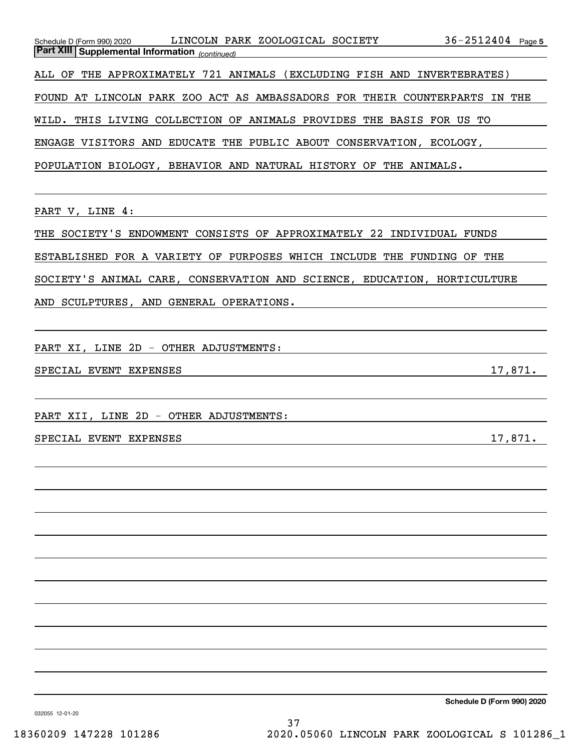| Schedule D (Form 990) 2020 LINCOLN PARK ZOOLOGICAL SOCIETY<br><b>Part XIII Supplemental Information</b> (continued) | $36 - 2512404$ Page 5 |
|---------------------------------------------------------------------------------------------------------------------|-----------------------|
| ALL OF THE APPROXIMATELY 721 ANIMALS (EXCLUDING FISH AND INVERTEBRATES)                                             |                       |
| FOUND AT LINCOLN PARK ZOO ACT AS AMBASSADORS FOR THEIR COUNTERPARTS IN THE                                          |                       |
| WILD. THIS LIVING COLLECTION OF ANIMALS PROVIDES THE BASIS FOR US TO                                                |                       |
| ENGAGE VISITORS AND EDUCATE THE PUBLIC ABOUT CONSERVATION, ECOLOGY,                                                 |                       |
| POPULATION BIOLOGY, BEHAVIOR AND NATURAL HISTORY OF THE ANIMALS.                                                    |                       |
|                                                                                                                     |                       |
| PART V, LINE 4:                                                                                                     |                       |
| THE SOCIETY'S ENDOWMENT CONSISTS OF APPROXIMATELY 22 INDIVIDUAL FUNDS                                               |                       |
| ESTABLISHED FOR A VARIETY OF PURPOSES WHICH INCLUDE THE FUNDING OF THE                                              |                       |
| SOCIETY'S ANIMAL CARE, CONSERVATION AND SCIENCE, EDUCATION, HORTICULTURE                                            |                       |
| AND SCULPTURES, AND GENERAL OPERATIONS.                                                                             |                       |
|                                                                                                                     |                       |
| PART XI, LINE 2D - OTHER ADJUSTMENTS:                                                                               |                       |
| SPECIAL EVENT EXPENSES<br><u> 1989 - Johann Stoff, Amerikaansk politiker († 1908)</u>                               | 17,871.               |
|                                                                                                                     |                       |
| PART XII, LINE 2D - OTHER ADJUSTMENTS:                                                                              |                       |
| SPECIAL EVENT EXPENSES                                                                                              | 17,871.               |
|                                                                                                                     |                       |
|                                                                                                                     |                       |
|                                                                                                                     |                       |
|                                                                                                                     |                       |
|                                                                                                                     |                       |
|                                                                                                                     |                       |
|                                                                                                                     |                       |
|                                                                                                                     |                       |
|                                                                                                                     |                       |
|                                                                                                                     |                       |
|                                                                                                                     |                       |

**Schedule D (Form 990) 2020**

032055 12-01-20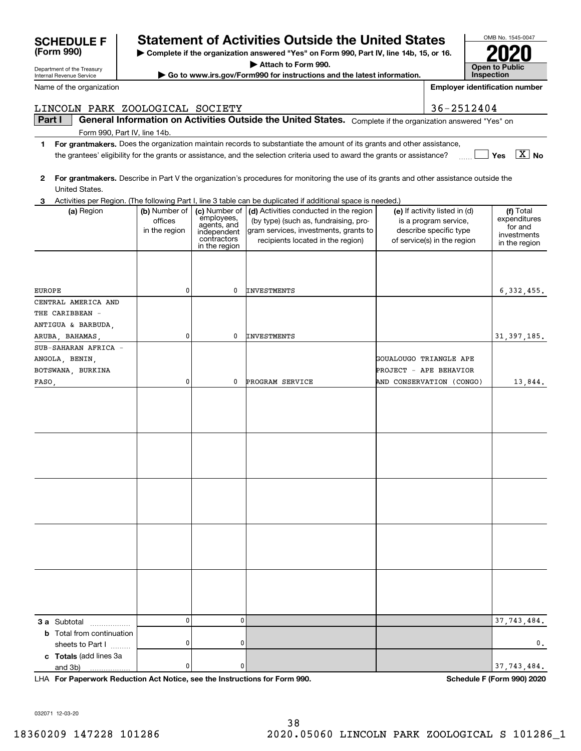| Part I |                                                                            |               |                            | General Information on Activities Outside the United States. Complete if the organization answered "Yes" on                             |                                                       |                              |
|--------|----------------------------------------------------------------------------|---------------|----------------------------|-----------------------------------------------------------------------------------------------------------------------------------------|-------------------------------------------------------|------------------------------|
|        | Form 990, Part IV, line 14b.                                               |               |                            |                                                                                                                                         |                                                       |                              |
| 1.     |                                                                            |               |                            | For grantmakers. Does the organization maintain records to substantiate the amount of its grants and other assistance,                  |                                                       |                              |
|        |                                                                            |               |                            | the grantees' eligibility for the grants or assistance, and the selection criteria used to award the grants or assistance?              |                                                       | $\boxed{\text{X}}$ No<br>Yes |
| 2      |                                                                            |               |                            | For grantmakers. Describe in Part V the organization's procedures for monitoring the use of its grants and other assistance outside the |                                                       |                              |
|        | United States.                                                             |               |                            |                                                                                                                                         |                                                       |                              |
| 3      |                                                                            |               |                            | Activities per Region. (The following Part I, line 3 table can be duplicated if additional space is needed.)                            |                                                       |                              |
|        | (a) Region                                                                 | (b) Number of | (c) Number of              | (d) Activities conducted in the region                                                                                                  | (e) If activity listed in (d)                         | (f) Total                    |
|        |                                                                            | offices       | employees,<br>agents, and  | (by type) (such as, fundraising, pro-                                                                                                   | is a program service,                                 | expenditures<br>for and      |
|        |                                                                            | in the region | independent<br>contractors | gram services, investments, grants to                                                                                                   | describe specific type<br>of service(s) in the region | investments                  |
|        |                                                                            |               | in the region              | recipients located in the region)                                                                                                       |                                                       | in the region                |
|        |                                                                            |               |                            |                                                                                                                                         |                                                       |                              |
|        |                                                                            |               |                            |                                                                                                                                         |                                                       |                              |
| EUROPE |                                                                            | 0             | 0                          | <b>INVESTMENTS</b>                                                                                                                      |                                                       | 6, 332, 455.                 |
|        | CENTRAL AMERICA AND                                                        |               |                            |                                                                                                                                         |                                                       |                              |
|        | THE CARIBBEAN -                                                            |               |                            |                                                                                                                                         |                                                       |                              |
|        | ANTIGUA & BARBUDA,                                                         |               |                            |                                                                                                                                         |                                                       |                              |
|        | ARUBA, BAHAMAS,                                                            | 0             | 0                          | <b>INVESTMENTS</b>                                                                                                                      |                                                       | 31, 397, 185.                |
|        | SUB-SAHARAN AFRICA -                                                       |               |                            |                                                                                                                                         |                                                       |                              |
|        | ANGOLA, BENIN,                                                             |               |                            |                                                                                                                                         | GOUALOUGO TRIANGLE APE                                |                              |
|        | BOTSWANA, BURKINA                                                          |               |                            |                                                                                                                                         | PROJECT - APE BEHAVIOR                                |                              |
|        | FASO <sub>1</sub>                                                          | 0             | 0                          | PROGRAM SERVICE                                                                                                                         | AND CONSERVATION (CONGO)                              | 13,844.                      |
|        |                                                                            |               |                            |                                                                                                                                         |                                                       |                              |
|        |                                                                            |               |                            |                                                                                                                                         |                                                       |                              |
|        |                                                                            |               |                            |                                                                                                                                         |                                                       |                              |
|        |                                                                            |               |                            |                                                                                                                                         |                                                       |                              |
|        |                                                                            |               |                            |                                                                                                                                         |                                                       |                              |
|        |                                                                            |               |                            |                                                                                                                                         |                                                       |                              |
|        |                                                                            |               |                            |                                                                                                                                         |                                                       |                              |
|        |                                                                            |               |                            |                                                                                                                                         |                                                       |                              |
|        |                                                                            |               |                            |                                                                                                                                         |                                                       |                              |
|        |                                                                            |               |                            |                                                                                                                                         |                                                       |                              |
|        |                                                                            |               |                            |                                                                                                                                         |                                                       |                              |
|        |                                                                            |               |                            |                                                                                                                                         |                                                       |                              |
|        |                                                                            |               |                            |                                                                                                                                         |                                                       |                              |
|        |                                                                            |               |                            |                                                                                                                                         |                                                       |                              |
|        |                                                                            |               |                            |                                                                                                                                         |                                                       |                              |
|        |                                                                            |               |                            |                                                                                                                                         |                                                       |                              |
|        |                                                                            |               |                            |                                                                                                                                         |                                                       |                              |
|        |                                                                            |               |                            |                                                                                                                                         |                                                       |                              |
|        |                                                                            |               |                            |                                                                                                                                         |                                                       |                              |
|        | <b>3 a</b> Subtotal<br>.                                                   | 0             | 0                          |                                                                                                                                         |                                                       | 37, 743, 484.                |
|        | <b>b</b> Total from continuation                                           |               |                            |                                                                                                                                         |                                                       |                              |
|        | sheets to Part I                                                           | 0             | 0                          |                                                                                                                                         |                                                       | О.                           |
|        | c Totals (add lines 3a                                                     |               |                            |                                                                                                                                         |                                                       |                              |
|        | and 3b)                                                                    | 0             | 0                          |                                                                                                                                         |                                                       | 37, 743, 484.                |
|        | LHA For Paperwork Reduction Act Notice, see the Instructions for Form 990. |               |                            |                                                                                                                                         |                                                       | Schedule F (Form 990) 2020   |

Department of the Treasury Internal Revenue Service Name of the organization

**(Form 990)**

# **SCHEDULE F Statement of Activities Outside the United States**

LINCOLN PARK ZOOLOGICAL SOCIETY 36-2512404

**| Complete if the organization answered "Yes" on Form 990, Part IV, line 14b, 15, or 16.**

**| Attach to Form 990.**

**| Go to www.irs.gov/Form990 for instructions and the latest information.**

**Open to Public InspectionEmployer identification number**

OMB No. 1545-0047

**2020**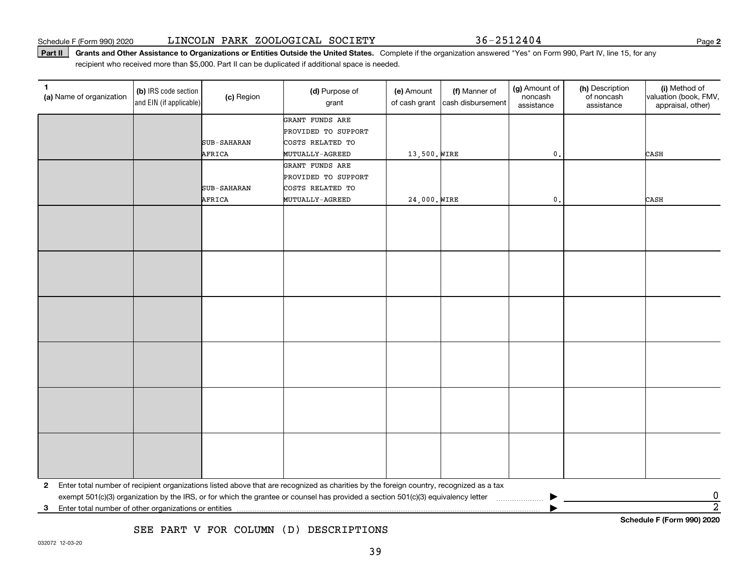Part II | Grants and Other Assistance to Organizations or Entities Outside the United States. Complete if the organization answered "Yes" on Form 990, Part IV, line 15, for any recipient who received more than \$5,000. Part II can be duplicated if additional space is needed.

| 1.<br>(a) Name of organization | (b) IRS code section<br>and EIN (if applicable) | (c) Region  | (d) Purpose of<br>grant                                                                                                                 | (e) Amount<br>of cash grant | (f) Manner of<br>cash disbursement | (g) Amount of<br>noncash<br>assistance | (h) Description<br>of noncash<br>assistance | (i) Method of<br>valuation (book, FMV,<br>appraisal, other) |  |
|--------------------------------|-------------------------------------------------|-------------|-----------------------------------------------------------------------------------------------------------------------------------------|-----------------------------|------------------------------------|----------------------------------------|---------------------------------------------|-------------------------------------------------------------|--|
|                                |                                                 |             | GRANT FUNDS ARE                                                                                                                         |                             |                                    |                                        |                                             |                                                             |  |
|                                |                                                 |             | PROVIDED TO SUPPORT                                                                                                                     |                             |                                    |                                        |                                             |                                                             |  |
|                                |                                                 | SUB-SAHARAN | COSTS RELATED TO                                                                                                                        |                             |                                    |                                        |                                             |                                                             |  |
|                                |                                                 | AFRICA      | <b>MUTUALLY-AGREED</b>                                                                                                                  | 13,500. WIRE                |                                    | $\mathbf 0$ .                          |                                             | CASH                                                        |  |
|                                |                                                 |             | GRANT FUNDS ARE                                                                                                                         |                             |                                    |                                        |                                             |                                                             |  |
|                                |                                                 |             | PROVIDED TO SUPPORT                                                                                                                     |                             |                                    |                                        |                                             |                                                             |  |
|                                |                                                 | SUB-SAHARAN | COSTS RELATED TO                                                                                                                        |                             |                                    |                                        |                                             |                                                             |  |
|                                |                                                 | AFRICA      | MUTUALLY-AGREED                                                                                                                         | 24,000. WIRE                |                                    | $\mathfrak{o}$ .                       |                                             | CASH                                                        |  |
|                                |                                                 |             |                                                                                                                                         |                             |                                    |                                        |                                             |                                                             |  |
|                                |                                                 |             |                                                                                                                                         |                             |                                    |                                        |                                             |                                                             |  |
|                                |                                                 |             |                                                                                                                                         |                             |                                    |                                        |                                             |                                                             |  |
|                                |                                                 |             |                                                                                                                                         |                             |                                    |                                        |                                             |                                                             |  |
|                                |                                                 |             |                                                                                                                                         |                             |                                    |                                        |                                             |                                                             |  |
|                                |                                                 |             |                                                                                                                                         |                             |                                    |                                        |                                             |                                                             |  |
|                                |                                                 |             |                                                                                                                                         |                             |                                    |                                        |                                             |                                                             |  |
|                                |                                                 |             |                                                                                                                                         |                             |                                    |                                        |                                             |                                                             |  |
|                                |                                                 |             |                                                                                                                                         |                             |                                    |                                        |                                             |                                                             |  |
|                                |                                                 |             |                                                                                                                                         |                             |                                    |                                        |                                             |                                                             |  |
|                                |                                                 |             |                                                                                                                                         |                             |                                    |                                        |                                             |                                                             |  |
|                                |                                                 |             |                                                                                                                                         |                             |                                    |                                        |                                             |                                                             |  |
|                                |                                                 |             |                                                                                                                                         |                             |                                    |                                        |                                             |                                                             |  |
|                                |                                                 |             |                                                                                                                                         |                             |                                    |                                        |                                             |                                                             |  |
|                                |                                                 |             |                                                                                                                                         |                             |                                    |                                        |                                             |                                                             |  |
|                                |                                                 |             |                                                                                                                                         |                             |                                    |                                        |                                             |                                                             |  |
|                                |                                                 |             |                                                                                                                                         |                             |                                    |                                        |                                             |                                                             |  |
|                                |                                                 |             |                                                                                                                                         |                             |                                    |                                        |                                             |                                                             |  |
|                                |                                                 |             |                                                                                                                                         |                             |                                    |                                        |                                             |                                                             |  |
|                                |                                                 |             |                                                                                                                                         |                             |                                    |                                        |                                             |                                                             |  |
|                                |                                                 |             |                                                                                                                                         |                             |                                    |                                        |                                             |                                                             |  |
|                                |                                                 |             |                                                                                                                                         |                             |                                    |                                        |                                             |                                                             |  |
|                                |                                                 |             |                                                                                                                                         |                             |                                    |                                        |                                             |                                                             |  |
| $\mathbf{2}$                   |                                                 |             | Enter total number of recipient organizations listed above that are recognized as charities by the foreign country, recognized as a tax |                             |                                    |                                        |                                             |                                                             |  |
|                                |                                                 |             | exempt 501(c)(3) organization by the IRS, or for which the grantee or counsel has provided a section 501(c)(3) equivalency letter       |                             |                                    |                                        |                                             | 0                                                           |  |
| 3                              |                                                 |             |                                                                                                                                         |                             |                                    |                                        |                                             | $\overline{2}$                                              |  |
|                                | Schedule F (Form 990) 2020                      |             |                                                                                                                                         |                             |                                    |                                        |                                             |                                                             |  |

SEE PART V FOR COLUMN (D) DESCRIPTIONS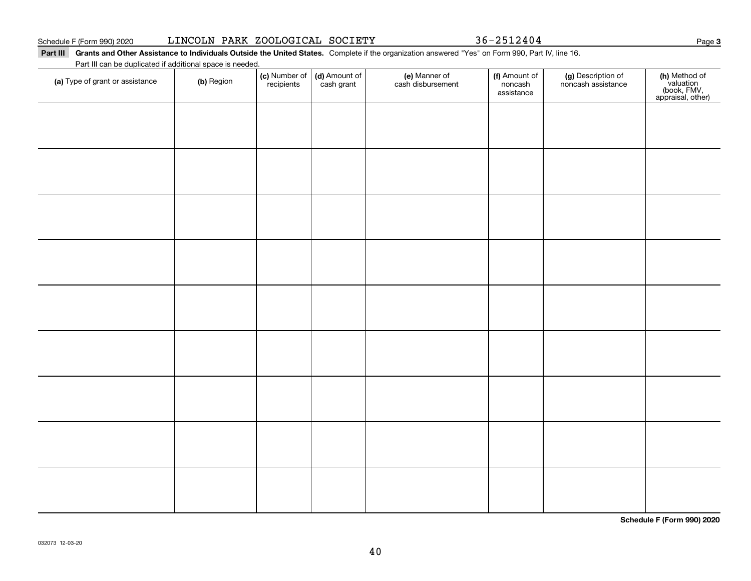Part III Grants and Other Assistance to Individuals Outside the United States. Complete if the organization answered "Yes" on Form 990, Part IV, line 16. Part III can be duplicated if additional space is needed.

**(c)** Number of **| (d)** Amount of **| (e)** Manner of **| (f)** Amount of **| (g)** Description of **| (h) (a)** Type of grant or assistance  $\qquad$  **(b)** Region (c) Number of *recipients* (d) Amount of cash grant (e) Manner of cash disbursement (f) Amount of noncash assistancenoncash assistance **(h)** Method of<br>valuation<br>(book, FMV,<br>appraisal, other)

**Schedule F (Form 990) 2020**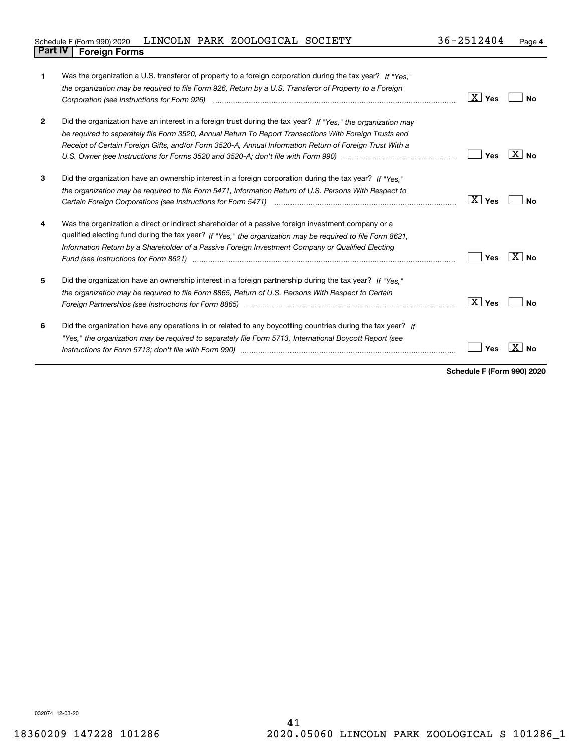| Schedule F (Form 990) 2020     | LINCOLN PARK ZOOLOGICAL SOCIETY |  | 36-2512404 | Page |
|--------------------------------|---------------------------------|--|------------|------|
| <b>Part IV   Foreign Forms</b> |                                 |  |            |      |

| 1            | Was the organization a U.S. transferor of property to a foreign corporation during the tax year? If "Yes."<br>the organization may be required to file Form 926, Return by a U.S. Transferor of Property to a Foreign                                                                                                                                                                                                                   |                    |              |
|--------------|-----------------------------------------------------------------------------------------------------------------------------------------------------------------------------------------------------------------------------------------------------------------------------------------------------------------------------------------------------------------------------------------------------------------------------------------|--------------------|--------------|
|              |                                                                                                                                                                                                                                                                                                                                                                                                                                         | $\overline{X}$ Yes | Nο           |
| $\mathbf{2}$ | Did the organization have an interest in a foreign trust during the tax year? If "Yes," the organization may<br>be required to separately file Form 3520, Annual Return To Report Transactions With Foreign Trusts and<br>Receipt of Certain Foreign Gifts, and/or Form 3520-A, Annual Information Return of Foreign Trust With a                                                                                                       | Yes                | $X \mid N_0$ |
| 3            | Did the organization have an ownership interest in a foreign corporation during the tax year? If "Yes."                                                                                                                                                                                                                                                                                                                                 |                    |              |
|              | the organization may be required to file Form 5471, Information Return of U.S. Persons With Respect to                                                                                                                                                                                                                                                                                                                                  | $X \mid Y$ es      | Nο           |
| 4            | Was the organization a direct or indirect shareholder of a passive foreign investment company or a<br>qualified electing fund during the tax year? If "Yes," the organization may be required to file Form 8621,<br>Information Return by a Shareholder of a Passive Foreign Investment Company or Qualified Electing<br>Fund (see Instructions for Form 8621) manufactured control and the control of the state of the state of the st | Yes                | $X $ No      |
| 5            | Did the organization have an ownership interest in a foreign partnership during the tax year? If "Yes."<br>the organization may be required to file Form 8865. Return of U.S. Persons With Respect to Certain<br>Foreign Partnerships (see Instructions for Form 8865)                                                                                                                                                                  | $X \mid Y$ es      | Nο           |
| 6            | Did the organization have any operations in or related to any boycotting countries during the tax year? If<br>"Yes," the organization may be required to separately file Form 5713, International Boycott Report (see                                                                                                                                                                                                                   | Yes                |              |

**Schedule F (Form 990) 2020**

032074 12-03-20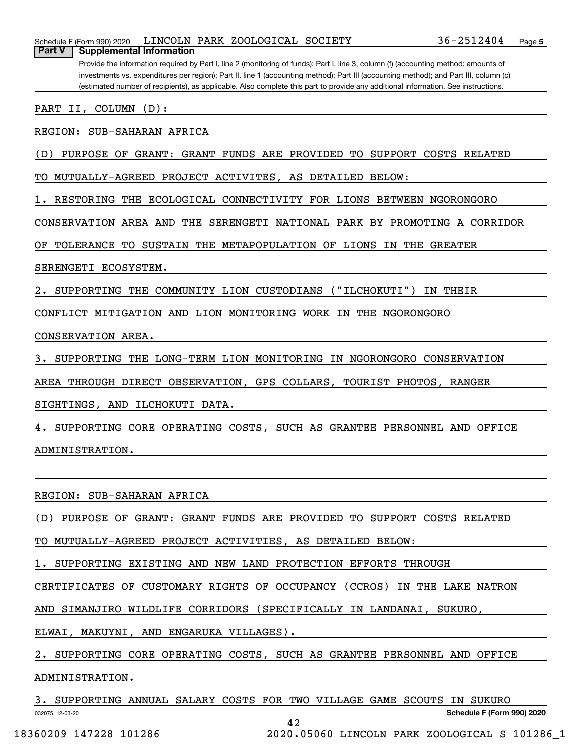| 36-2512404<br>LINCOLN PARK ZOOLOGICAL SOCIETY<br>Schedule F (Form 990) 2020<br>Page 5<br>Part V<br><b>Supplemental Information</b>                                                                                                                                                                                                                                                                                |
|-------------------------------------------------------------------------------------------------------------------------------------------------------------------------------------------------------------------------------------------------------------------------------------------------------------------------------------------------------------------------------------------------------------------|
| Provide the information required by Part I, line 2 (monitoring of funds); Part I, line 3, column (f) (accounting method; amounts of<br>investments vs. expenditures per region); Part II, line 1 (accounting method); Part III (accounting method); and Part III, column (c)<br>(estimated number of recipients), as applicable. Also complete this part to provide any additional information. See instructions. |
| II, COLUMN<br>$(D)$ :<br>PART                                                                                                                                                                                                                                                                                                                                                                                     |
| REGION: SUB-SAHARAN AFRICA                                                                                                                                                                                                                                                                                                                                                                                        |
| PURPOSE OF GRANT: GRANT FUNDS ARE PROVIDED<br>TO SUPPORT COSTS RELATED<br>(D                                                                                                                                                                                                                                                                                                                                      |
| MUTUALLY-AGREED PROJECT ACTIVITES, AS DETAILED BELOW:                                                                                                                                                                                                                                                                                                                                                             |
| RESTORING THE ECOLOGICAL CONNECTIVITY FOR LIONS BETWEEN NGORONGORO                                                                                                                                                                                                                                                                                                                                                |
| CONSERVATION AREA AND THE SERENGETI NATIONAL PARK BY PROMOTING A CORRIDOR                                                                                                                                                                                                                                                                                                                                         |
| TOLERANCE TO SUSTAIN THE METAPOPULATION OF LIONS IN THE GREATER<br>OF.                                                                                                                                                                                                                                                                                                                                            |
| SERENGETI ECOSYSTEM.                                                                                                                                                                                                                                                                                                                                                                                              |
| "ILCHOKUTI"<br>SUPPORTING THE COMMUNITY LION CUSTODIANS<br>IN THEIR                                                                                                                                                                                                                                                                                                                                               |
| CONFLICT MITIGATION AND LION MONITORING WORK IN THE NGORONGORO                                                                                                                                                                                                                                                                                                                                                    |
| CONSERVATION AREA.                                                                                                                                                                                                                                                                                                                                                                                                |
| SUPPORTING THE LONG-TERM LION MONITORING IN NGORONGORO CONSERVATION                                                                                                                                                                                                                                                                                                                                               |
| AREA<br>THROUGH DIRECT OBSERVATION, GPS COLLARS, TOURIST PHOTOS, RANGER                                                                                                                                                                                                                                                                                                                                           |
| SIGHTINGS, AND ILCHOKUTI DATA.                                                                                                                                                                                                                                                                                                                                                                                    |
| SUPPORTING CORE OPERATING COSTS, SUCH AS GRANTEE PERSONNEL AND<br>OFFICE                                                                                                                                                                                                                                                                                                                                          |
| ADMINISTRATION.                                                                                                                                                                                                                                                                                                                                                                                                   |
|                                                                                                                                                                                                                                                                                                                                                                                                                   |
| REGION: SUB-SAHARAN AFRICA                                                                                                                                                                                                                                                                                                                                                                                        |
| PURPOSE OF GRANT: GRANT FUNDS ARE PROVIDED TO SUPPORT COSTS RELATED<br>(D)                                                                                                                                                                                                                                                                                                                                        |

TO MUTUALLY-AGREED PROJECT ACTIVITIES, AS DETAILED BELOW:

1. SUPPORTING EXISTING AND NEW LAND PROTECTION EFFORTS THROUGH

CERTIFICATES OF CUSTOMARY RIGHTS OF OCCUPANCY (CCROS) IN THE LAKE NATRON

AND SIMANJIRO WILDLIFE CORRIDORS (SPECIFICALLY IN LANDANAI, SUKURO,

ELWAI, MAKUYNI, AND ENGARUKA VILLAGES).

2. SUPPORTING CORE OPERATING COSTS, SUCH AS GRANTEE PERSONNEL AND OFFICE

### ADMINISTRATION.

032075 12-03-20 **Schedule F (Form 990) 2020** 3. SUPPORTING ANNUAL SALARY COSTS FOR TWO VILLAGE GAME SCOUTS IN SUKURO 42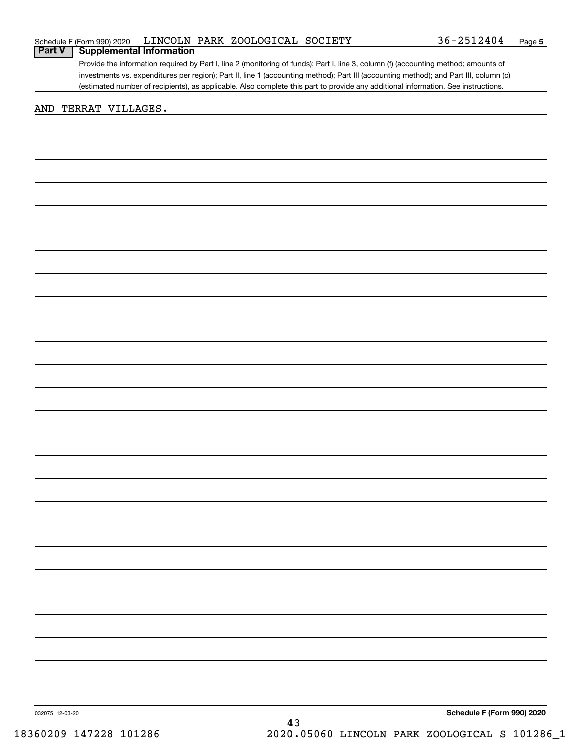|  |  | Schedule F (Form 990) 2020 LINCOLN PARK ZOOLOGICAL SOCIETY | 36-2512404 | Page |
|--|--|------------------------------------------------------------|------------|------|
|--|--|------------------------------------------------------------|------------|------|

Provide the information required by Part I, line 2 (monitoring of funds); Part I, line 3, column (f) (accounting method; amounts of investments vs. expenditures per region); Part II, line 1 (accounting method); Part III (accounting method); and Part III, column (c) (estimated number of recipients), as applicable. Also complete this part to provide any additional information. See instructions. **Part V Supplemental Information**

### AND TERRAT VILLAGES.

**Schedule F (Form 990) 2020**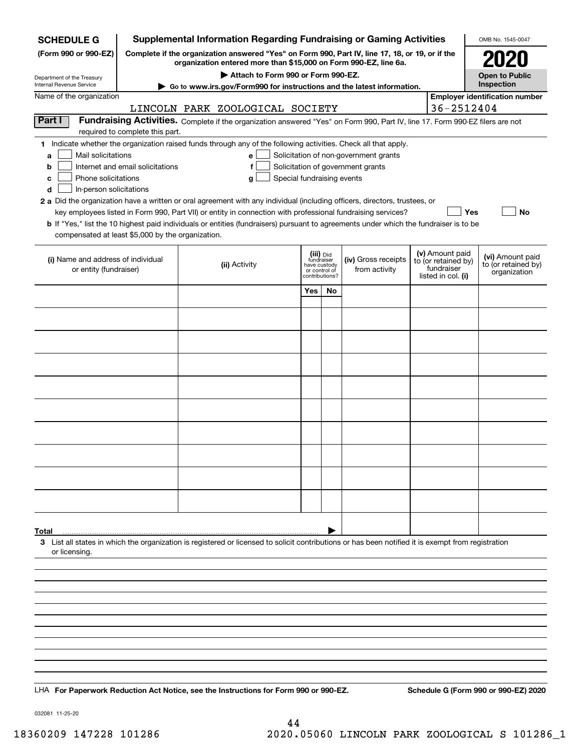| <b>SCHEDULE G</b>                                                                                                                                                                           |                                  |  | <b>Supplemental Information Regarding Fundraising or Gaming Activities</b>                                                                                                                                                                |                                             |    |                                       |  |                                   | OMB No. 1545-0047                     |
|---------------------------------------------------------------------------------------------------------------------------------------------------------------------------------------------|----------------------------------|--|-------------------------------------------------------------------------------------------------------------------------------------------------------------------------------------------------------------------------------------------|---------------------------------------------|----|---------------------------------------|--|-----------------------------------|---------------------------------------|
| (Form 990 or 990-EZ)<br>Complete if the organization answered "Yes" on Form 990, Part IV, line 17, 18, or 19, or if the<br>organization entered more than \$15,000 on Form 990-EZ, line 6a. |                                  |  |                                                                                                                                                                                                                                           |                                             |    |                                       |  |                                   | 2020                                  |
| Department of the Treasury                                                                                                                                                                  |                                  |  | Attach to Form 990 or Form 990-EZ.                                                                                                                                                                                                        |                                             |    |                                       |  |                                   | <b>Open to Public</b>                 |
| Internal Revenue Service                                                                                                                                                                    |                                  |  | Go to www.irs.gov/Form990 for instructions and the latest information.                                                                                                                                                                    |                                             |    |                                       |  |                                   | Inspection                            |
| Name of the organization                                                                                                                                                                    |                                  |  | LINCOLN PARK ZOOLOGICAL SOCIETY                                                                                                                                                                                                           |                                             |    |                                       |  | 36-2512404                        | <b>Employer identification number</b> |
| Part I                                                                                                                                                                                      |                                  |  | Fundraising Activities. Complete if the organization answered "Yes" on Form 990, Part IV, line 17. Form 990-EZ filers are not                                                                                                             |                                             |    |                                       |  |                                   |                                       |
|                                                                                                                                                                                             | required to complete this part.  |  |                                                                                                                                                                                                                                           |                                             |    |                                       |  |                                   |                                       |
| Mail solicitations<br>a                                                                                                                                                                     |                                  |  | 1 Indicate whether the organization raised funds through any of the following activities. Check all that apply.<br>e                                                                                                                      |                                             |    | Solicitation of non-government grants |  |                                   |                                       |
| b                                                                                                                                                                                           | Internet and email solicitations |  | f                                                                                                                                                                                                                                         |                                             |    | Solicitation of government grants     |  |                                   |                                       |
| Phone solicitations<br>c                                                                                                                                                                    |                                  |  | Special fundraising events<br>g                                                                                                                                                                                                           |                                             |    |                                       |  |                                   |                                       |
| In-person solicitations<br>d                                                                                                                                                                |                                  |  |                                                                                                                                                                                                                                           |                                             |    |                                       |  |                                   |                                       |
|                                                                                                                                                                                             |                                  |  | 2 a Did the organization have a written or oral agreement with any individual (including officers, directors, trustees, or<br>key employees listed in Form 990, Part VII) or entity in connection with professional fundraising services? |                                             |    |                                       |  | Yes                               | No                                    |
|                                                                                                                                                                                             |                                  |  | b If "Yes," list the 10 highest paid individuals or entities (fundraisers) pursuant to agreements under which the fundraiser is to be                                                                                                     |                                             |    |                                       |  |                                   |                                       |
| compensated at least \$5,000 by the organization.                                                                                                                                           |                                  |  |                                                                                                                                                                                                                                           |                                             |    |                                       |  |                                   |                                       |
|                                                                                                                                                                                             |                                  |  |                                                                                                                                                                                                                                           | (iii) Did                                   |    |                                       |  | (v) Amount paid                   | (vi) Amount paid                      |
| (i) Name and address of individual<br>or entity (fundraiser)                                                                                                                                |                                  |  | (ii) Activity                                                                                                                                                                                                                             | fundraiser<br>have custody<br>or control of |    | (iv) Gross receipts<br>from activity  |  | to (or retained by)<br>fundraiser | to (or retained by)                   |
|                                                                                                                                                                                             |                                  |  |                                                                                                                                                                                                                                           | contributions?                              |    |                                       |  | listed in col. (i)                | organization                          |
|                                                                                                                                                                                             |                                  |  |                                                                                                                                                                                                                                           | Yes                                         | No |                                       |  |                                   |                                       |
|                                                                                                                                                                                             |                                  |  |                                                                                                                                                                                                                                           |                                             |    |                                       |  |                                   |                                       |
|                                                                                                                                                                                             |                                  |  |                                                                                                                                                                                                                                           |                                             |    |                                       |  |                                   |                                       |
|                                                                                                                                                                                             |                                  |  |                                                                                                                                                                                                                                           |                                             |    |                                       |  |                                   |                                       |
|                                                                                                                                                                                             |                                  |  |                                                                                                                                                                                                                                           |                                             |    |                                       |  |                                   |                                       |
|                                                                                                                                                                                             |                                  |  |                                                                                                                                                                                                                                           |                                             |    |                                       |  |                                   |                                       |
|                                                                                                                                                                                             |                                  |  |                                                                                                                                                                                                                                           |                                             |    |                                       |  |                                   |                                       |
|                                                                                                                                                                                             |                                  |  |                                                                                                                                                                                                                                           |                                             |    |                                       |  |                                   |                                       |
|                                                                                                                                                                                             |                                  |  |                                                                                                                                                                                                                                           |                                             |    |                                       |  |                                   |                                       |
|                                                                                                                                                                                             |                                  |  |                                                                                                                                                                                                                                           |                                             |    |                                       |  |                                   |                                       |
|                                                                                                                                                                                             |                                  |  |                                                                                                                                                                                                                                           |                                             |    |                                       |  |                                   |                                       |
|                                                                                                                                                                                             |                                  |  |                                                                                                                                                                                                                                           |                                             |    |                                       |  |                                   |                                       |
|                                                                                                                                                                                             |                                  |  |                                                                                                                                                                                                                                           |                                             |    |                                       |  |                                   |                                       |
|                                                                                                                                                                                             |                                  |  |                                                                                                                                                                                                                                           |                                             |    |                                       |  |                                   |                                       |
|                                                                                                                                                                                             |                                  |  |                                                                                                                                                                                                                                           |                                             |    |                                       |  |                                   |                                       |
|                                                                                                                                                                                             |                                  |  |                                                                                                                                                                                                                                           |                                             |    |                                       |  |                                   |                                       |
| Total                                                                                                                                                                                       |                                  |  | 3 List all states in which the organization is registered or licensed to solicit contributions or has been notified it is exempt from registration                                                                                        |                                             |    |                                       |  |                                   |                                       |
| or licensing.                                                                                                                                                                               |                                  |  |                                                                                                                                                                                                                                           |                                             |    |                                       |  |                                   |                                       |
|                                                                                                                                                                                             |                                  |  |                                                                                                                                                                                                                                           |                                             |    |                                       |  |                                   |                                       |
|                                                                                                                                                                                             |                                  |  |                                                                                                                                                                                                                                           |                                             |    |                                       |  |                                   |                                       |
|                                                                                                                                                                                             |                                  |  |                                                                                                                                                                                                                                           |                                             |    |                                       |  |                                   |                                       |
|                                                                                                                                                                                             |                                  |  |                                                                                                                                                                                                                                           |                                             |    |                                       |  |                                   |                                       |
|                                                                                                                                                                                             |                                  |  |                                                                                                                                                                                                                                           |                                             |    |                                       |  |                                   |                                       |
|                                                                                                                                                                                             |                                  |  |                                                                                                                                                                                                                                           |                                             |    |                                       |  |                                   |                                       |
|                                                                                                                                                                                             |                                  |  |                                                                                                                                                                                                                                           |                                             |    |                                       |  |                                   |                                       |
|                                                                                                                                                                                             |                                  |  |                                                                                                                                                                                                                                           |                                             |    |                                       |  |                                   |                                       |
|                                                                                                                                                                                             |                                  |  | LHA For Paperwork Reduction Act Notice, see the Instructions for Form 990 or 990-EZ.                                                                                                                                                      |                                             |    |                                       |  |                                   | Schedule G (Form 990 or 990-EZ) 2020  |
|                                                                                                                                                                                             |                                  |  |                                                                                                                                                                                                                                           |                                             |    |                                       |  |                                   |                                       |

032081 11-25-20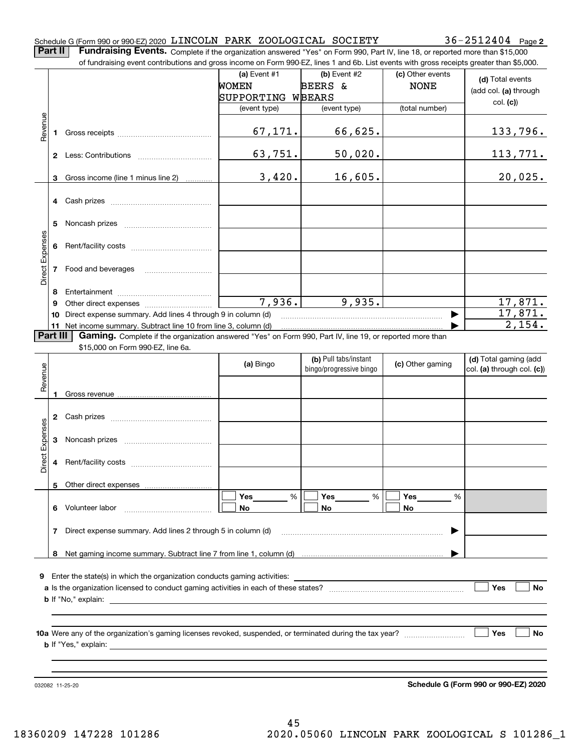### Schedule G (Form 990 or 990-EZ) 2020  $\,$  LINCOLN PARK <code>ZOOLOGICAL</code> <code>SOCIETY</code>  $36-2512404$  <code>Page</code>

**Part II** | Fundraising Events. Complete if the organization answered "Yes" on Form 990, Part IV, line 18, or reported more than \$15,000

|                 |          | of fundraising event contributions and gross income on Form 990-EZ, lines 1 and 6b. List events with gross receipts greater than \$5,000.                                   |                   |                                                  |                  |                                                     |
|-----------------|----------|-----------------------------------------------------------------------------------------------------------------------------------------------------------------------------|-------------------|--------------------------------------------------|------------------|-----------------------------------------------------|
|                 |          |                                                                                                                                                                             | (a) Event $#1$    | (b) Event #2                                     | (c) Other events | (d) Total events                                    |
|                 |          |                                                                                                                                                                             | <b>WOMEN</b>      | BEERS &                                          | <b>NONE</b>      |                                                     |
|                 |          |                                                                                                                                                                             | SUPPORTING WBEARS |                                                  |                  | (add col. (a) through                               |
|                 |          |                                                                                                                                                                             | (event type)      | (event type)                                     | (total number)   | col. (c)                                            |
|                 |          |                                                                                                                                                                             |                   |                                                  |                  |                                                     |
| Revenue         | 1.       |                                                                                                                                                                             | 67,171.           | 66,625.                                          |                  | <u>133,796.</u>                                     |
|                 |          |                                                                                                                                                                             | 63,751.           | 50,020.                                          |                  | <u>113,771.</u>                                     |
|                 | 3        | Gross income (line 1 minus line 2)                                                                                                                                          | 3,420.            | 16,605.                                          |                  | 20,025.                                             |
|                 |          |                                                                                                                                                                             |                   |                                                  |                  |                                                     |
|                 |          |                                                                                                                                                                             |                   |                                                  |                  |                                                     |
|                 | 5        |                                                                                                                                                                             |                   |                                                  |                  |                                                     |
| Direct Expenses |          |                                                                                                                                                                             |                   |                                                  |                  |                                                     |
|                 |          | 7 Food and beverages                                                                                                                                                        |                   |                                                  |                  |                                                     |
|                 |          |                                                                                                                                                                             |                   |                                                  |                  |                                                     |
|                 | 8        |                                                                                                                                                                             | 7,936.            | 9,935.                                           |                  |                                                     |
|                 | 9        |                                                                                                                                                                             |                   |                                                  |                  | 17,871.<br>17,871.                                  |
|                 | 10       | Direct expense summary. Add lines 4 through 9 in column (d)                                                                                                                 |                   |                                                  |                  | 2,154.                                              |
|                 | Part III | 11 Net income summary. Subtract line 10 from line 3, column (d)<br>Gaming. Complete if the organization answered "Yes" on Form 990, Part IV, line 19, or reported more than |                   |                                                  |                  |                                                     |
|                 |          | \$15,000 on Form 990-EZ, line 6a.                                                                                                                                           |                   |                                                  |                  |                                                     |
|                 |          |                                                                                                                                                                             |                   |                                                  |                  |                                                     |
|                 |          |                                                                                                                                                                             | (a) Bingo         | (b) Pull tabs/instant<br>bingo/progressive bingo | (c) Other gaming | (d) Total gaming (add<br>col. (a) through col. (c)) |
| Revenue         |          |                                                                                                                                                                             |                   |                                                  |                  |                                                     |
|                 |          |                                                                                                                                                                             |                   |                                                  |                  |                                                     |
|                 |          |                                                                                                                                                                             |                   |                                                  |                  |                                                     |
|                 |          |                                                                                                                                                                             |                   |                                                  |                  |                                                     |
|                 |          |                                                                                                                                                                             |                   |                                                  |                  |                                                     |
| Expenses        | 3        |                                                                                                                                                                             |                   |                                                  |                  |                                                     |
| <b>Direct</b>   |          |                                                                                                                                                                             |                   |                                                  |                  |                                                     |
|                 |          |                                                                                                                                                                             |                   |                                                  |                  |                                                     |
|                 |          | 5 Other direct expenses                                                                                                                                                     |                   |                                                  |                  |                                                     |
|                 |          |                                                                                                                                                                             | %<br>Yes          | Yes<br>%                                         | Yes<br>%         |                                                     |
|                 |          | 6 Volunteer labor                                                                                                                                                           | No                | No                                               | No               |                                                     |
|                 | 7        | Direct expense summary. Add lines 2 through 5 in column (d)                                                                                                                 |                   |                                                  |                  |                                                     |
|                 |          |                                                                                                                                                                             |                   |                                                  |                  |                                                     |
|                 |          |                                                                                                                                                                             |                   |                                                  |                  |                                                     |
|                 |          |                                                                                                                                                                             |                   |                                                  |                  |                                                     |
|                 |          | 9 Enter the state(s) in which the organization conducts gaming activities:                                                                                                  |                   |                                                  |                  |                                                     |
|                 |          |                                                                                                                                                                             |                   |                                                  |                  | Yes<br>No                                           |
|                 |          |                                                                                                                                                                             |                   |                                                  |                  |                                                     |
|                 |          |                                                                                                                                                                             |                   |                                                  |                  |                                                     |
|                 |          |                                                                                                                                                                             |                   |                                                  |                  |                                                     |
|                 |          |                                                                                                                                                                             |                   |                                                  |                  | Yes<br>No                                           |
|                 |          |                                                                                                                                                                             |                   |                                                  |                  |                                                     |
|                 |          |                                                                                                                                                                             |                   |                                                  |                  |                                                     |
|                 |          |                                                                                                                                                                             |                   |                                                  |                  |                                                     |
|                 |          |                                                                                                                                                                             |                   |                                                  |                  |                                                     |

032082 11-25-20

**Schedule G (Form 990 or 990-EZ) 2020**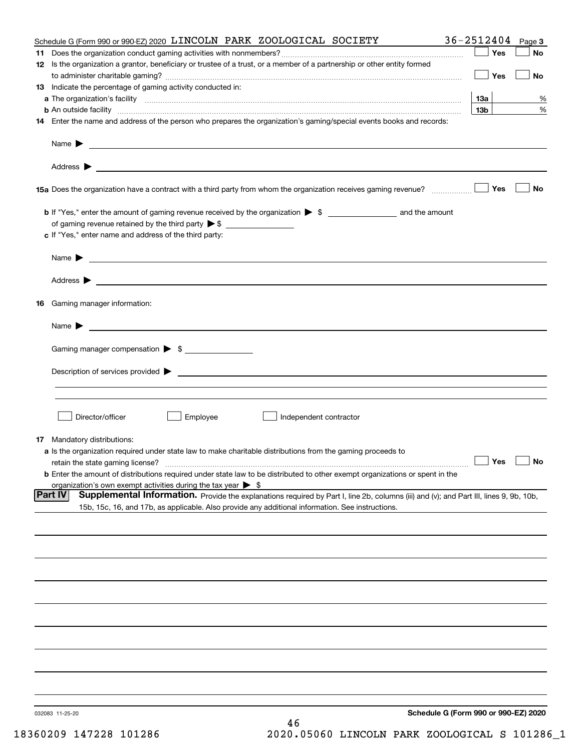| Schedule G (Form 990 or 990-EZ) 2020 LINCOLN PARK ZOOLOGICAL SOCIETY                                                                                          | $36 - 2512404$ Page 3                |           |
|---------------------------------------------------------------------------------------------------------------------------------------------------------------|--------------------------------------|-----------|
|                                                                                                                                                               | Yes                                  | No        |
| 12 Is the organization a grantor, beneficiary or trustee of a trust, or a member of a partnership or other entity formed                                      |                                      |           |
|                                                                                                                                                               | Yes                                  | <b>No</b> |
| 13 Indicate the percentage of gaming activity conducted in:                                                                                                   |                                      |           |
|                                                                                                                                                               | <u>13a</u>                           | %         |
| <b>b</b> An outside facility <i>www.communicality www.communicality.communicality www.communicality www.communicality.communicality www.communicality.com</i> | 13 <sub>b</sub>                      | %         |
| 14 Enter the name and address of the person who prepares the organization's gaming/special events books and records:                                          |                                      |           |
|                                                                                                                                                               |                                      |           |
|                                                                                                                                                               |                                      |           |
|                                                                                                                                                               |                                      |           |
|                                                                                                                                                               |                                      |           |
|                                                                                                                                                               |                                      |           |
| 15a Does the organization have a contract with a third party from whom the organization receives gaming revenue?                                              | Yes                                  | No        |
|                                                                                                                                                               |                                      |           |
| <b>b</b> If "Yes," enter the amount of gaming revenue received by the organization $\triangleright$ \$ ____________________ and the amount                    |                                      |           |
|                                                                                                                                                               |                                      |           |
| c If "Yes," enter name and address of the third party:                                                                                                        |                                      |           |
|                                                                                                                                                               |                                      |           |
| Name $\blacktriangleright$ $\_\_$                                                                                                                             |                                      |           |
|                                                                                                                                                               |                                      |           |
|                                                                                                                                                               |                                      |           |
|                                                                                                                                                               |                                      |           |
| 16 Gaming manager information:                                                                                                                                |                                      |           |
| Name $\triangleright$ $\square$                                                                                                                               |                                      |           |
|                                                                                                                                                               |                                      |           |
| Gaming manager compensation > \$                                                                                                                              |                                      |           |
|                                                                                                                                                               |                                      |           |
|                                                                                                                                                               |                                      |           |
|                                                                                                                                                               |                                      |           |
|                                                                                                                                                               |                                      |           |
|                                                                                                                                                               |                                      |           |
| Director/officer<br>Employee<br>Independent contractor                                                                                                        |                                      |           |
|                                                                                                                                                               |                                      |           |
| 17 Mandatory distributions:                                                                                                                                   |                                      |           |
| a Is the organization required under state law to make charitable distributions from the gaming proceeds to                                                   |                                      |           |
| retain the state gaming license?                                                                                                                              | $\Box$ Yes $\Box$ No                 |           |
| <b>b</b> Enter the amount of distributions required under state law to be distributed to other exempt organizations or spent in the                           |                                      |           |
| organization's own exempt activities during the tax year $\triangleright$ \$                                                                                  |                                      |           |
| <b>Part IV</b><br>Supplemental Information. Provide the explanations required by Part I, line 2b, columns (iii) and (v); and Part III, lines 9, 9b, 10b,      |                                      |           |
| 15b, 15c, 16, and 17b, as applicable. Also provide any additional information. See instructions.                                                              |                                      |           |
|                                                                                                                                                               |                                      |           |
|                                                                                                                                                               |                                      |           |
|                                                                                                                                                               |                                      |           |
|                                                                                                                                                               |                                      |           |
|                                                                                                                                                               |                                      |           |
|                                                                                                                                                               |                                      |           |
|                                                                                                                                                               |                                      |           |
|                                                                                                                                                               |                                      |           |
|                                                                                                                                                               |                                      |           |
|                                                                                                                                                               |                                      |           |
|                                                                                                                                                               |                                      |           |
|                                                                                                                                                               |                                      |           |
|                                                                                                                                                               |                                      |           |
|                                                                                                                                                               |                                      |           |
|                                                                                                                                                               |                                      |           |
|                                                                                                                                                               |                                      |           |
| 032083 11-25-20                                                                                                                                               | Schedule G (Form 990 or 990-EZ) 2020 |           |
| 46                                                                                                                                                            |                                      |           |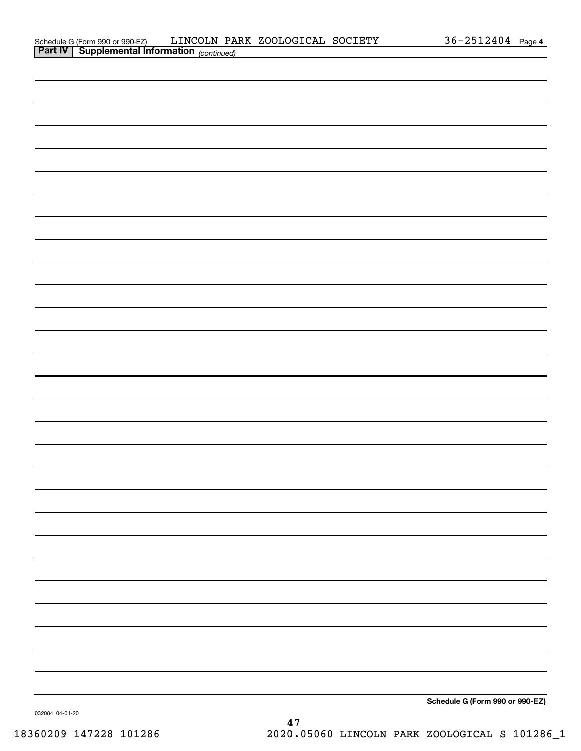| Schedule G (Form 990 or 990-EZ)                       |  | LINCOLN PARK ZOOLOGICAL SOCIETY | $36 - 2512404$ | Page 4 |
|-------------------------------------------------------|--|---------------------------------|----------------|--------|
| <b>Part IV   Supplemental Information</b> (continued) |  |                                 |                |        |

| <b>Part IV   Supplemental Information</b> (continued) |  |                                 |
|-------------------------------------------------------|--|---------------------------------|
|                                                       |  |                                 |
|                                                       |  |                                 |
|                                                       |  |                                 |
|                                                       |  |                                 |
|                                                       |  |                                 |
|                                                       |  |                                 |
|                                                       |  |                                 |
|                                                       |  |                                 |
|                                                       |  |                                 |
|                                                       |  |                                 |
|                                                       |  |                                 |
|                                                       |  |                                 |
|                                                       |  |                                 |
|                                                       |  |                                 |
|                                                       |  |                                 |
|                                                       |  |                                 |
|                                                       |  |                                 |
|                                                       |  |                                 |
|                                                       |  |                                 |
|                                                       |  |                                 |
|                                                       |  |                                 |
|                                                       |  |                                 |
|                                                       |  |                                 |
|                                                       |  |                                 |
|                                                       |  |                                 |
|                                                       |  |                                 |
|                                                       |  |                                 |
|                                                       |  |                                 |
|                                                       |  |                                 |
|                                                       |  | Schedule G (Form 990 or 990-EZ) |
|                                                       |  |                                 |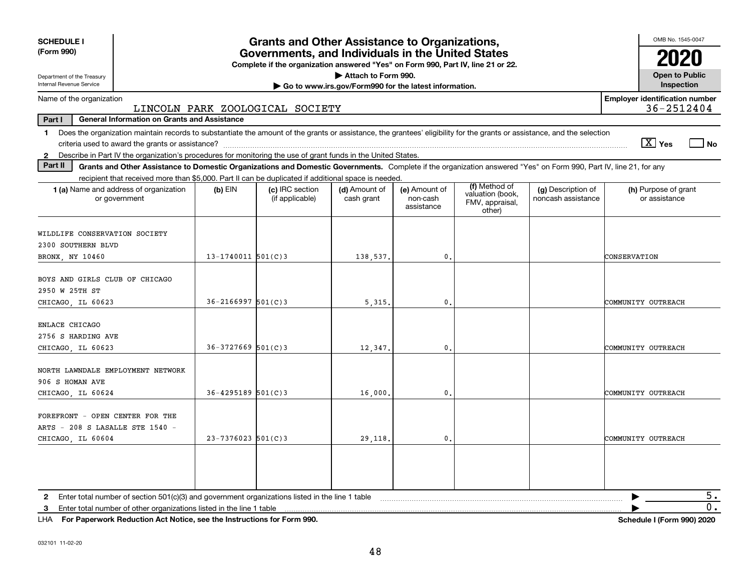| <b>SCHEDULE I</b><br>(Form 990)                                                                                                                                                                                                                                                                                 |                         | <b>Grants and Other Assistance to Organizations,</b><br>Governments, and Individuals in the United States |                                                       |                                         |                                                                |                                          | OMB No. 1545-0047                                     |
|-----------------------------------------------------------------------------------------------------------------------------------------------------------------------------------------------------------------------------------------------------------------------------------------------------------------|-------------------------|-----------------------------------------------------------------------------------------------------------|-------------------------------------------------------|-----------------------------------------|----------------------------------------------------------------|------------------------------------------|-------------------------------------------------------|
|                                                                                                                                                                                                                                                                                                                 |                         | Complete if the organization answered "Yes" on Form 990, Part IV, line 21 or 22.                          |                                                       |                                         |                                                                |                                          |                                                       |
| Department of the Treasury                                                                                                                                                                                                                                                                                      |                         |                                                                                                           | Attach to Form 990.                                   |                                         |                                                                |                                          | <b>Open to Public</b>                                 |
| Internal Revenue Service                                                                                                                                                                                                                                                                                        |                         |                                                                                                           | Go to www.irs.gov/Form990 for the latest information. |                                         |                                                                |                                          | Inspection                                            |
| Name of the organization                                                                                                                                                                                                                                                                                        |                         | LINCOLN PARK ZOOLOGICAL SOCIETY                                                                           |                                                       |                                         |                                                                |                                          | <b>Employer identification number</b><br>36-2512404   |
| Part I<br><b>General Information on Grants and Assistance</b>                                                                                                                                                                                                                                                   |                         |                                                                                                           |                                                       |                                         |                                                                |                                          |                                                       |
| Does the organization maintain records to substantiate the amount of the grants or assistance, the grantees' eligibility for the grants or assistance, and the selection<br>1.<br>Describe in Part IV the organization's procedures for monitoring the use of grant funds in the United States.<br>$\mathbf{2}$ |                         |                                                                                                           |                                                       |                                         |                                                                |                                          | $\boxed{\text{X}}$ Yes<br>$\overline{\phantom{a}}$ No |
| Part II<br>Grants and Other Assistance to Domestic Organizations and Domestic Governments. Complete if the organization answered "Yes" on Form 990, Part IV, line 21, for any                                                                                                                                   |                         |                                                                                                           |                                                       |                                         |                                                                |                                          |                                                       |
| recipient that received more than \$5,000. Part II can be duplicated if additional space is needed.                                                                                                                                                                                                             |                         |                                                                                                           |                                                       |                                         |                                                                |                                          |                                                       |
| 1 (a) Name and address of organization<br>or government                                                                                                                                                                                                                                                         | $(b)$ EIN               | (c) IRC section<br>(if applicable)                                                                        | (d) Amount of<br>cash grant                           | (e) Amount of<br>non-cash<br>assistance | (f) Method of<br>valuation (book,<br>FMV, appraisal,<br>other) | (g) Description of<br>noncash assistance | (h) Purpose of grant<br>or assistance                 |
| WILDLIFE CONSERVATION SOCIETY<br>2300 SOUTHERN BLVD                                                                                                                                                                                                                                                             |                         |                                                                                                           |                                                       |                                         |                                                                |                                          |                                                       |
| BRONX NY 10460                                                                                                                                                                                                                                                                                                  | $13 - 1740011$ 501(C)3  |                                                                                                           | 138,537.                                              | $\mathbf{0}$                            |                                                                |                                          | CONSERVATION                                          |
| BOYS AND GIRLS CLUB OF CHICAGO<br>2950 W 25TH ST<br>CHICAGO LL 60623                                                                                                                                                                                                                                            | $36 - 2166997$ 501(C) 3 |                                                                                                           | 5, 315                                                | 0.                                      |                                                                |                                          | COMMUNITY OUTREACH                                    |
| ENLACE CHICAGO<br>2756 S HARDING AVE<br>CHICAGO, IL 60623                                                                                                                                                                                                                                                       | $36 - 3727669$ 501(C) 3 |                                                                                                           | 12,347.                                               | $\mathbf{0}$                            |                                                                |                                          | COMMUNITY OUTREACH                                    |
| NORTH LAWNDALE EMPLOYMENT NETWORK<br>906 S HOMAN AVE<br>CHICAGO, IL 60624                                                                                                                                                                                                                                       | $36 - 4295189$ 501(C)3  |                                                                                                           | 16,000                                                | $\mathbf{0}$ .                          |                                                                |                                          | COMMUNITY OUTREACH                                    |
| FOREFRONT - OPEN CENTER FOR THE<br>ARTS - 208 S LASALLE STE 1540 -<br>CHICAGO LL 60604                                                                                                                                                                                                                          | $23 - 7376023$ 501(C)3  |                                                                                                           | 29,118                                                | $\mathbf{0}$                            |                                                                |                                          | COMMUNITY OUTREACH                                    |
| Enter total number of section 501(c)(3) and government organizations listed in the line 1 table<br>2<br>3                                                                                                                                                                                                       |                         |                                                                                                           |                                                       |                                         |                                                                |                                          | 5.<br>▶<br>0.                                         |

**For Paperwork Reduction Act Notice, see the Instructions for Form 990. Schedule I (Form 990) 2020** LHA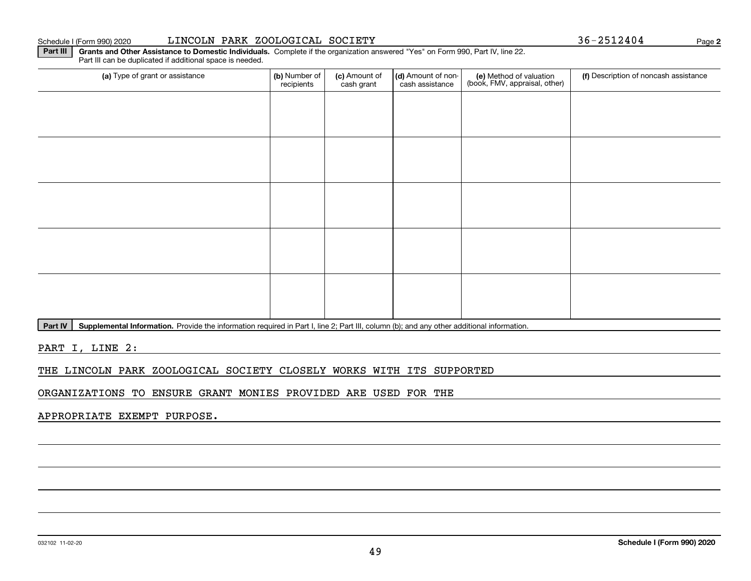#### 032102 11-02-20

### Schedule I (Form 990) 2020 LINCOLN PARK ZOOLOGICAL SOCIETY Page

(a) Type of grant or assistance **(b)** Number of **(c)** Amount of **(d)** Amount of non-**(e)** Method of valuation (f)<br>cash are continuous cash cash assistance (book, FMV, appraisal, other) Part III can be duplicated if additional space is needed. (a) Type of grant or assistance  $\vert$  (b) Number of recipients(c) Amount of cash grant (d) Amount of noncash assistance (f) Description of noncash assistance

Part IV | Supplemental Information. Provide the information required in Part I, line 2; Part III, column (b); and any other additional information.

**Part III** | Grants and Other Assistance to Domestic Individuals. Complete if the organization answered "Yes" on Form 990, Part IV, line 22.

PART I, LINE 2:

### THE LINCOLN PARK ZOOLOGICAL SOCIETY CLOSELY WORKS WITH ITS SUPPORTED

ORGANIZATIONS TO ENSURE GRANT MONIES PROVIDED ARE USED FOR THE

APPROPRIATE EXEMPT PURPOSE.

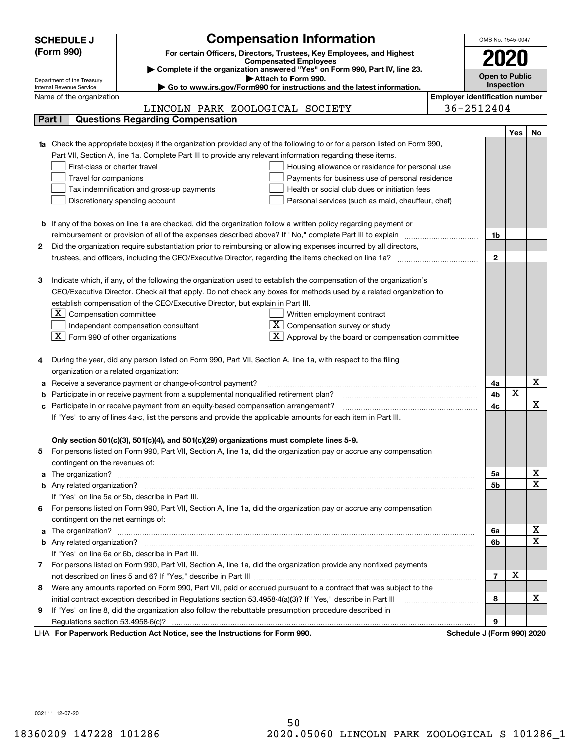|   | <b>SCHEDULE J</b>                                      | <b>Compensation Information</b>                                                                                           |                                       | OMB No. 1545-0047     |            |                         |
|---|--------------------------------------------------------|---------------------------------------------------------------------------------------------------------------------------|---------------------------------------|-----------------------|------------|-------------------------|
|   | (Form 990)                                             | For certain Officers, Directors, Trustees, Key Employees, and Highest                                                     |                                       |                       |            |                         |
|   |                                                        | <b>Compensated Employees</b>                                                                                              |                                       |                       |            |                         |
|   |                                                        | Complete if the organization answered "Yes" on Form 990, Part IV, line 23.                                                |                                       | <b>Open to Public</b> |            |                         |
|   | Department of the Treasury<br>Internal Revenue Service | Attach to Form 990.<br>Go to www.irs.gov/Form990 for instructions and the latest information.                             |                                       |                       | Inspection |                         |
|   | Name of the organization                               |                                                                                                                           | <b>Employer identification number</b> |                       |            |                         |
|   |                                                        | LINCOLN PARK ZOOLOGICAL SOCIETY                                                                                           |                                       | 36-2512404            |            |                         |
|   | Part I                                                 | <b>Questions Regarding Compensation</b>                                                                                   |                                       |                       |            |                         |
|   |                                                        |                                                                                                                           |                                       |                       | Yes        | No.                     |
|   |                                                        | 1a Check the appropriate box(es) if the organization provided any of the following to or for a person listed on Form 990, |                                       |                       |            |                         |
|   |                                                        | Part VII, Section A, line 1a. Complete Part III to provide any relevant information regarding these items.                |                                       |                       |            |                         |
|   | First-class or charter travel                          | Housing allowance or residence for personal use                                                                           |                                       |                       |            |                         |
|   | Travel for companions                                  | Payments for business use of personal residence                                                                           |                                       |                       |            |                         |
|   |                                                        | Tax indemnification and gross-up payments<br>Health or social club dues or initiation fees                                |                                       |                       |            |                         |
|   |                                                        | Discretionary spending account<br>Personal services (such as maid, chauffeur, chef)                                       |                                       |                       |            |                         |
|   |                                                        |                                                                                                                           |                                       |                       |            |                         |
|   |                                                        | <b>b</b> If any of the boxes on line 1a are checked, did the organization follow a written policy regarding payment or    |                                       |                       |            |                         |
|   |                                                        | reimbursement or provision of all of the expenses described above? If "No," complete Part III to explain                  |                                       | 1b                    |            |                         |
| 2 |                                                        | Did the organization require substantiation prior to reimbursing or allowing expenses incurred by all directors,          |                                       |                       |            |                         |
|   |                                                        |                                                                                                                           |                                       | $\mathbf{2}$          |            |                         |
|   |                                                        |                                                                                                                           |                                       |                       |            |                         |
| з |                                                        | Indicate which, if any, of the following the organization used to establish the compensation of the organization's        |                                       |                       |            |                         |
|   |                                                        | CEO/Executive Director. Check all that apply. Do not check any boxes for methods used by a related organization to        |                                       |                       |            |                         |
|   |                                                        | establish compensation of the CEO/Executive Director, but explain in Part III.                                            |                                       |                       |            |                         |
|   | Compensation committee<br>ΣI.                          | Written employment contract                                                                                               |                                       |                       |            |                         |
|   |                                                        | Compensation survey or study<br>Independent compensation consultant                                                       |                                       |                       |            |                         |
|   | $ \mathbf{X} $ Form 990 of other organizations         | Approval by the board or compensation committee                                                                           |                                       |                       |            |                         |
|   |                                                        |                                                                                                                           |                                       |                       |            |                         |
|   |                                                        | During the year, did any person listed on Form 990, Part VII, Section A, line 1a, with respect to the filing              |                                       |                       |            |                         |
|   | organization or a related organization:                |                                                                                                                           |                                       |                       |            |                         |
| а |                                                        | Receive a severance payment or change-of-control payment?                                                                 |                                       | 4a                    |            | х                       |
|   |                                                        | Participate in or receive payment from a supplemental nonqualified retirement plan?                                       |                                       | 4b                    | х          |                         |
|   |                                                        | c Participate in or receive payment from an equity-based compensation arrangement?                                        |                                       | 4c                    |            | X                       |
|   |                                                        | If "Yes" to any of lines 4a-c, list the persons and provide the applicable amounts for each item in Part III.             |                                       |                       |            |                         |
|   |                                                        |                                                                                                                           |                                       |                       |            |                         |
|   |                                                        | Only section 501(c)(3), 501(c)(4), and 501(c)(29) organizations must complete lines 5-9.                                  |                                       |                       |            |                         |
| 5 |                                                        | For persons listed on Form 990, Part VII, Section A, line 1a, did the organization pay or accrue any compensation         |                                       |                       |            |                         |
|   | contingent on the revenues of:                         |                                                                                                                           |                                       |                       |            |                         |
|   |                                                        |                                                                                                                           |                                       | 5а                    |            | x                       |
|   |                                                        |                                                                                                                           |                                       | 5b                    |            | $\overline{\mathbf{x}}$ |
|   |                                                        | If "Yes" on line 5a or 5b, describe in Part III.                                                                          |                                       |                       |            |                         |
|   |                                                        | 6 For persons listed on Form 990, Part VII, Section A, line 1a, did the organization pay or accrue any compensation       |                                       |                       |            |                         |
|   | contingent on the net earnings of:                     |                                                                                                                           |                                       |                       |            |                         |
|   |                                                        |                                                                                                                           |                                       | 6а                    |            | х<br>$\mathbf X$        |
|   |                                                        |                                                                                                                           |                                       | 6b                    |            |                         |
|   |                                                        | If "Yes" on line 6a or 6b, describe in Part III.                                                                          |                                       |                       |            |                         |
|   |                                                        | 7 For persons listed on Form 990, Part VII, Section A, line 1a, did the organization provide any nonfixed payments        |                                       |                       |            |                         |
|   |                                                        |                                                                                                                           |                                       | $\overline{7}$        | x          |                         |
| 8 |                                                        | Were any amounts reported on Form 990, Part VII, paid or accrued pursuant to a contract that was subject to the           |                                       |                       |            |                         |
|   |                                                        |                                                                                                                           |                                       | 8                     |            | х                       |
| 9 |                                                        | If "Yes" on line 8, did the organization also follow the rebuttable presumption procedure described in                    |                                       |                       |            |                         |
|   |                                                        | sa tha brothuntiana fan Fann 000.                                                                                         |                                       | 9                     |            |                         |

LHA For Paperwork Reduction Act Notice, see the Instructions for Form 990. Schedule J (Form 990) 2020

032111 12-07-20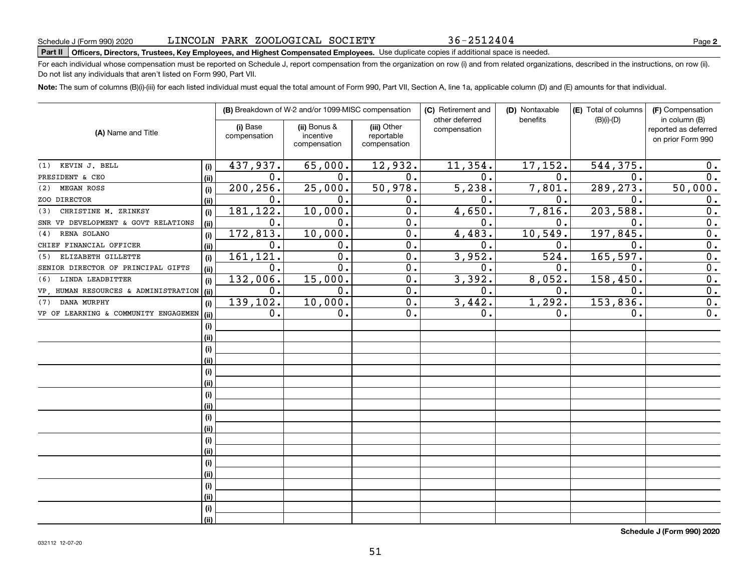36-2512404

## **Part II Officers, Directors, Trustees, Key Employees, and Highest Compensated Employees.**  Schedule J (Form 990) 2020 Page Use duplicate copies if additional space is needed.

For each individual whose compensation must be reported on Schedule J, report compensation from the organization on row (i) and from related organizations, described in the instructions, on row (ii). Do not list any individuals that aren't listed on Form 990, Part VII.

**Note:**  The sum of columns (B)(i)-(iii) for each listed individual must equal the total amount of Form 990, Part VII, Section A, line 1a, applicable column (D) and (E) amounts for that individual.

|                                      |      |                          | (B) Breakdown of W-2 and/or 1099-MISC compensation |                           | (C) Retirement and<br>other deferred | (D) Nontaxable<br>benefits | (E) Total of columns<br>$(B)(i)-(D)$ | (F) Compensation<br>in column (B)         |
|--------------------------------------|------|--------------------------|----------------------------------------------------|---------------------------|--------------------------------------|----------------------------|--------------------------------------|-------------------------------------------|
| (A) Name and Title                   |      | (i) Base<br>compensation | (ii) Bonus &<br>incentive                          | (iii) Other<br>reportable | compensation                         |                            |                                      | reported as deferred<br>on prior Form 990 |
|                                      |      |                          | compensation                                       | compensation              |                                      |                            |                                      |                                           |
| KEVIN J. BELL<br>(1)                 | (i)  | 437,937.                 | 65,000.                                            | 12,932.                   | 11,354.                              | 17,152.                    | 544,375.                             | 0.                                        |
| PRESIDENT & CEO                      | (ii) | 0.                       | 0.                                                 | 0.                        | $\mathbf 0$ .                        | 0.                         | 0.                                   | 0.                                        |
| MEGAN ROSS<br>(2)                    | (i)  | 200, 256.                | 25,000.                                            | 50,978.                   | 5,238.                               | 7,801.                     | 289, 273.                            | 50,000.                                   |
| ZOO DIRECTOR                         | (i)  | $\mathbf 0$ .            | 0.                                                 | 0.                        | $\mathbf 0$ .                        | $\mathbf 0$ .              | 0.                                   | 0.                                        |
| CHRISTINE M. ZRINKSY<br>(3)          | (i)  | 181,122.                 | 10,000.                                            | 0.                        | 4,650.                               | 7,816.                     | 203,588                              | 0.                                        |
| SNR VP DEVELOPMENT & GOVT RELATIONS  | (ii) | 0.                       | 0.                                                 | 0.                        | $\mathbf 0$ .                        | 0.                         | $\mathbf 0$ .                        | 0.                                        |
| RENA SOLANO<br>(4)                   | (i)  | 172,813.                 | 10,000.                                            | $0$ .                     | 4,483.                               | 10,549.                    | 197, 845.                            | 0.                                        |
| CHIEF FINANCIAL OFFICER              | (i)  | 0.                       | 0.                                                 | $0$ .                     | $\mathbf 0$ .                        | 0.                         | $\mathbf 0$ .                        | 0.                                        |
| ELIZABETH GILLETTE<br>(5)            | (i)  | 161,121.                 | $\mathbf 0$ .                                      | 0.                        | 3,952.                               | 524.                       | 165, 597.                            | 0.                                        |
| SENIOR DIRECTOR OF PRINCIPAL GIFTS   | (ii) | $\mathbf 0$ .            | 0.                                                 | $0$ .                     | 0.                                   | 0.                         | $\mathbf 0$ .                        | 0.                                        |
| LINDA LEADBITTER<br>(6)              | (i)  | 132,006.                 | 15,000.                                            | 0.                        | 3,392.                               | 8,052.                     | 158,450.                             | 0.                                        |
| VP, HUMAN RESOURCES & ADMINISTRATION | (ii) | 0.                       | 0.                                                 | $0$ .                     | 0.                                   | 0.                         | $\mathbf 0$ .                        | 0.                                        |
| DANA MURPHY<br>(7)                   | (i)  | 139,102.                 | 10,000.                                            | 0.                        | 3,442.                               | 1,292.                     | 153, 836.                            | 0.                                        |
| VP OF LEARNING & COMMUNITY ENGAGEMEN | (ii) | 0.                       | 0.                                                 | 0.                        | 0.                                   | 0.                         | 0.                                   | 0.                                        |
|                                      | (i)  |                          |                                                    |                           |                                      |                            |                                      |                                           |
|                                      | (i)  |                          |                                                    |                           |                                      |                            |                                      |                                           |
|                                      | (i)  |                          |                                                    |                           |                                      |                            |                                      |                                           |
|                                      | (i)  |                          |                                                    |                           |                                      |                            |                                      |                                           |
|                                      | (i)  |                          |                                                    |                           |                                      |                            |                                      |                                           |
|                                      | (i)  |                          |                                                    |                           |                                      |                            |                                      |                                           |
|                                      | (i)  |                          |                                                    |                           |                                      |                            |                                      |                                           |
|                                      | (i)  |                          |                                                    |                           |                                      |                            |                                      |                                           |
|                                      | (i)  |                          |                                                    |                           |                                      |                            |                                      |                                           |
|                                      | (i)  |                          |                                                    |                           |                                      |                            |                                      |                                           |
|                                      | (i)  |                          |                                                    |                           |                                      |                            |                                      |                                           |
|                                      | (ii) |                          |                                                    |                           |                                      |                            |                                      |                                           |
|                                      | (i)  |                          |                                                    |                           |                                      |                            |                                      |                                           |
|                                      | (ii) |                          |                                                    |                           |                                      |                            |                                      |                                           |
|                                      | (i)  |                          |                                                    |                           |                                      |                            |                                      |                                           |
|                                      | (i)  |                          |                                                    |                           |                                      |                            |                                      |                                           |
|                                      | (i)  |                          |                                                    |                           |                                      |                            |                                      |                                           |
|                                      | (ii) |                          |                                                    |                           |                                      |                            |                                      |                                           |

**Schedule J (Form 990) 2020**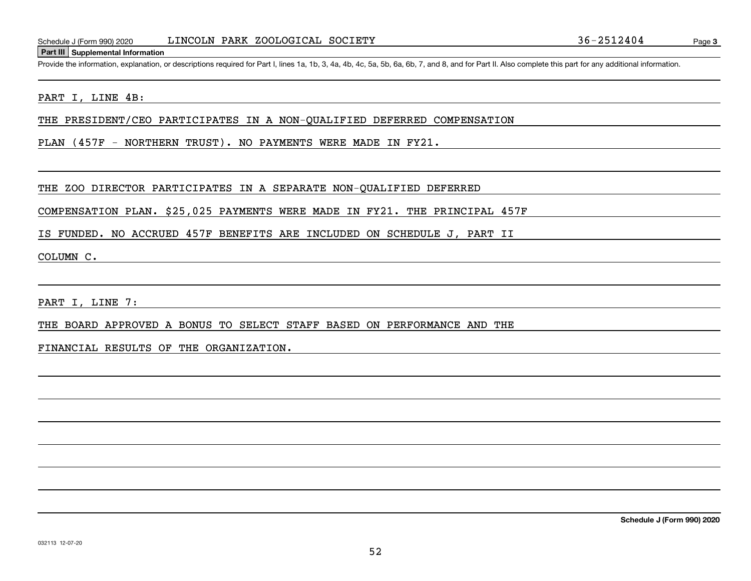#### **Part III Supplemental Information**

Schedule J (Form 990) 2020 LINCOLN PARK ZOOLOGICAL SOCIETY<br>Part III Supplemental Information<br>Provide the information, explanation, or descriptions required for Part I, lines 1a, 1b, 3, 4a, 4b, 4c, 5a, 5b, 6a, 6b, 7, and 8,

### PART I, LINE 4B:

THE PRESIDENT/CEO PARTICIPATES IN A NON-QUALIFIED DEFERRED COMPENSATION

PLAN (457F - NORTHERN TRUST). NO PAYMENTS WERE MADE IN FY21.

THE ZOO DIRECTOR PARTICIPATES IN A SEPARATE NON-QUALIFIED DEFERRED

COMPENSATION PLAN. \$25,025 PAYMENTS WERE MADE IN FY21. THE PRINCIPAL 457F

IS FUNDED. NO ACCRUED 457F BENEFITS ARE INCLUDED ON SCHEDULE J, PART II

COLUMN C.

PART I, LINE 7:

THE BOARD APPROVED A BONUS TO SELECT STAFF BASED ON PERFORMANCE AND THE

FINANCIAL RESULTS OF THE ORGANIZATION.

**Schedule J (Form 990) 2020**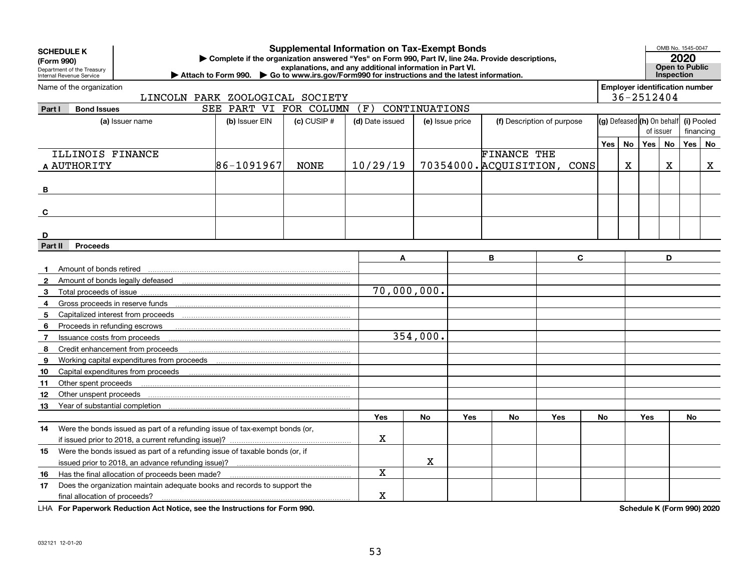|              | <b>Supplemental Information on Tax-Exempt Bonds</b><br><b>SCHEDULE K</b><br>Complete if the organization answered "Yes" on Form 990, Part IV, line 24a. Provide descriptions, |                                                                                                                                                  |                                                                                                             |                 |                                                          |                 |     |                            |                             |           |                            |                                       | OMB No. 1545-0047<br>2020 |                       |   |
|--------------|-------------------------------------------------------------------------------------------------------------------------------------------------------------------------------|--------------------------------------------------------------------------------------------------------------------------------------------------|-------------------------------------------------------------------------------------------------------------|-----------------|----------------------------------------------------------|-----------------|-----|----------------------------|-----------------------------|-----------|----------------------------|---------------------------------------|---------------------------|-----------------------|---|
| (Form 990)   | Department of the Treasury                                                                                                                                                    |                                                                                                                                                  |                                                                                                             |                 | explanations, and any additional information in Part VI. |                 |     |                            |                             |           |                            |                                       |                           | <b>Open to Public</b> |   |
|              | Internal Revenue Service                                                                                                                                                      |                                                                                                                                                  | Attach to Form 990. $\triangleright$ Go to www.irs.gov/Form990 for instructions and the latest information. |                 |                                                          |                 |     |                            |                             |           |                            |                                       | <b>Inspection</b>         |                       |   |
|              | Name of the organization                                                                                                                                                      |                                                                                                                                                  |                                                                                                             |                 |                                                          |                 |     |                            |                             |           |                            | <b>Employer identification number</b> |                           |                       |   |
|              |                                                                                                                                                                               | LINCOLN PARK ZOOLOGICAL SOCIETY                                                                                                                  |                                                                                                             |                 |                                                          |                 |     |                            |                             |           |                            | 36-2512404                            |                           |                       |   |
| Part I       | <b>Bond Issues</b>                                                                                                                                                            |                                                                                                                                                  | SEE PART VI FOR COLUMN                                                                                      |                 | (F)                                                      | CONTINUATIONS   |     |                            |                             |           |                            |                                       |                           |                       |   |
|              |                                                                                                                                                                               | (a) Issuer name                                                                                                                                  | (b) Issuer EIN                                                                                              | $(c)$ CUSIP $#$ | (d) Date issued                                          | (e) Issue price |     | (f) Description of purpose |                             |           | (g) Defeased (h) On behalf |                                       | (i) Pooled                |                       |   |
|              |                                                                                                                                                                               |                                                                                                                                                  |                                                                                                             |                 |                                                          |                 |     |                            |                             | of issuer |                            |                                       |                           | financing             |   |
|              |                                                                                                                                                                               |                                                                                                                                                  |                                                                                                             |                 |                                                          |                 |     |                            |                             | Yes l     | No                         | Yes                                   | <b>No</b>                 | Yes   No              |   |
|              | ILLINOIS FINANCE                                                                                                                                                              |                                                                                                                                                  |                                                                                                             |                 |                                                          |                 |     | <b>FINANCE THE</b>         |                             |           |                            |                                       |                           |                       |   |
|              | A AUTHORITY                                                                                                                                                                   |                                                                                                                                                  | 86-1091967                                                                                                  | <b>NONE</b>     | 10/29/19                                                 |                 |     |                            | 70354000. ACQUISITION, CONS |           | Χ                          |                                       | x                         |                       | X |
|              |                                                                                                                                                                               |                                                                                                                                                  |                                                                                                             |                 |                                                          |                 |     |                            |                             |           |                            |                                       |                           |                       |   |
| B            |                                                                                                                                                                               |                                                                                                                                                  |                                                                                                             |                 |                                                          |                 |     |                            |                             |           |                            |                                       |                           |                       |   |
|              |                                                                                                                                                                               |                                                                                                                                                  |                                                                                                             |                 |                                                          |                 |     |                            |                             |           |                            |                                       |                           |                       |   |
| C            |                                                                                                                                                                               |                                                                                                                                                  |                                                                                                             |                 |                                                          |                 |     |                            |                             |           |                            |                                       |                           |                       |   |
|              |                                                                                                                                                                               |                                                                                                                                                  |                                                                                                             |                 |                                                          |                 |     |                            |                             |           |                            |                                       |                           |                       |   |
| D            |                                                                                                                                                                               |                                                                                                                                                  |                                                                                                             |                 |                                                          |                 |     |                            |                             |           |                            |                                       |                           |                       |   |
|              | <b>Proceeds</b><br>Part II<br>C<br>D<br>B<br>A                                                                                                                                |                                                                                                                                                  |                                                                                                             |                 |                                                          |                 |     |                            |                             |           |                            |                                       |                           |                       |   |
| 1.           | Amount of bonds retired                                                                                                                                                       |                                                                                                                                                  |                                                                                                             |                 |                                                          |                 |     |                            |                             |           |                            |                                       |                           |                       |   |
| $\mathbf{2}$ |                                                                                                                                                                               | Amount of bonds legally defeased                                                                                                                 |                                                                                                             |                 |                                                          |                 |     |                            |                             |           |                            |                                       |                           |                       |   |
| 3            | Total proceeds of issue                                                                                                                                                       |                                                                                                                                                  |                                                                                                             |                 | $\overline{70}$ , 000, 000.                              |                 |     |                            |                             |           |                            |                                       |                           |                       |   |
| 4            |                                                                                                                                                                               |                                                                                                                                                  |                                                                                                             |                 |                                                          |                 |     |                            |                             |           |                            |                                       |                           |                       |   |
| 5            |                                                                                                                                                                               |                                                                                                                                                  |                                                                                                             |                 |                                                          |                 |     |                            |                             |           |                            |                                       |                           |                       |   |
| 6            | Proceeds in refunding escrows                                                                                                                                                 |                                                                                                                                                  |                                                                                                             |                 |                                                          |                 |     |                            |                             |           |                            |                                       |                           |                       |   |
| 7            | Issuance costs from proceeds                                                                                                                                                  |                                                                                                                                                  |                                                                                                             |                 |                                                          | 354,000.        |     |                            |                             |           |                            |                                       |                           |                       |   |
| 8            |                                                                                                                                                                               | Credit enhancement from proceeds                                                                                                                 |                                                                                                             |                 |                                                          |                 |     |                            |                             |           |                            |                                       |                           |                       |   |
| 9            |                                                                                                                                                                               |                                                                                                                                                  |                                                                                                             |                 |                                                          |                 |     |                            |                             |           |                            |                                       |                           |                       |   |
| 10           |                                                                                                                                                                               | Capital expenditures from proceeds                                                                                                               |                                                                                                             |                 |                                                          |                 |     |                            |                             |           |                            |                                       |                           |                       |   |
| 11           | Other spent proceeds                                                                                                                                                          |                                                                                                                                                  |                                                                                                             |                 |                                                          |                 |     |                            |                             |           |                            |                                       |                           |                       |   |
| 12           | Other unspent proceeds                                                                                                                                                        |                                                                                                                                                  |                                                                                                             |                 |                                                          |                 |     |                            |                             |           |                            |                                       |                           |                       |   |
| 13           |                                                                                                                                                                               | Year of substantial completion<br>manufactured communication and communication of the communication of the communication of the communication of |                                                                                                             |                 |                                                          |                 |     |                            |                             |           |                            |                                       |                           |                       |   |
|              |                                                                                                                                                                               |                                                                                                                                                  |                                                                                                             |                 | Yes                                                      | <b>No</b>       | Yes | <b>No</b>                  | Yes                         | <b>No</b> |                            | Yes                                   |                           | No                    |   |
| 14.          |                                                                                                                                                                               | Were the bonds issued as part of a refunding issue of tax-exempt bonds (or,                                                                      |                                                                                                             |                 |                                                          |                 |     |                            |                             |           |                            |                                       |                           |                       |   |
|              |                                                                                                                                                                               |                                                                                                                                                  |                                                                                                             |                 | X                                                        |                 |     |                            |                             |           |                            |                                       |                           |                       |   |
| 15           | Were the bonds issued as part of a refunding issue of taxable bonds (or, if                                                                                                   |                                                                                                                                                  |                                                                                                             |                 |                                                          |                 |     |                            |                             |           |                            |                                       |                           |                       |   |
|              |                                                                                                                                                                               |                                                                                                                                                  |                                                                                                             |                 |                                                          | $\mathbf X$     |     |                            |                             |           |                            |                                       |                           |                       |   |
| 16           | Has the final allocation of proceeds been made?                                                                                                                               |                                                                                                                                                  |                                                                                                             |                 | X                                                        |                 |     |                            |                             |           |                            |                                       |                           |                       |   |
| 17           | Does the organization maintain adequate books and records to support the                                                                                                      |                                                                                                                                                  |                                                                                                             |                 |                                                          |                 |     |                            |                             |           |                            |                                       |                           |                       |   |
|              | final allocation of proceeds?                                                                                                                                                 |                                                                                                                                                  |                                                                                                             |                 | X                                                        |                 |     |                            |                             |           |                            |                                       |                           |                       |   |

**For Paperwork Reduction Act Notice, see the Instructions for Form 990. Schedule K (Form 990) 2020** LHA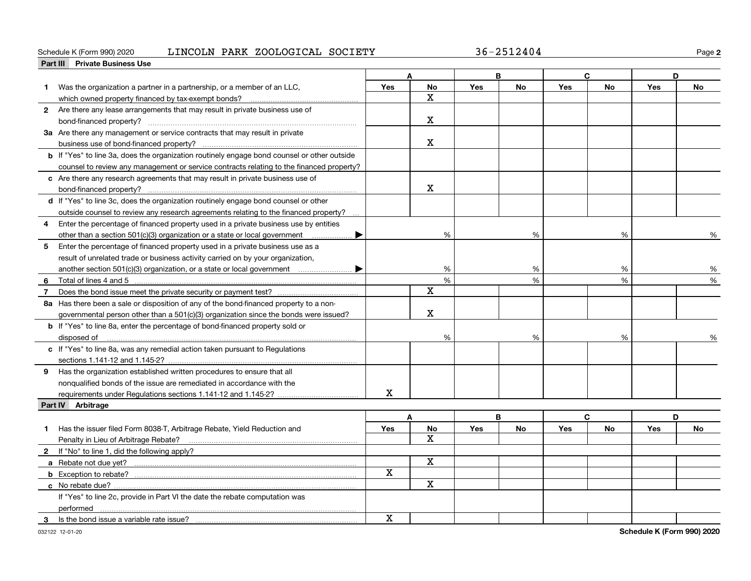### Schedule K (Form 990) 2020 Page LINCOLN PARK ZOOLOGICAL SOCIETY 36-2512404

**2**

|    | Part III Private Business Use                                                                                                                                                                                                  |             |              |            |           |            |           |            |               |
|----|--------------------------------------------------------------------------------------------------------------------------------------------------------------------------------------------------------------------------------|-------------|--------------|------------|-----------|------------|-----------|------------|---------------|
|    |                                                                                                                                                                                                                                |             | Δ            |            | B         |            | C.        | D          |               |
| 1. | Was the organization a partner in a partnership, or a member of an LLC,                                                                                                                                                        | Yes         | No           | Yes        | <b>No</b> | Yes        | <b>No</b> | Yes        | <b>No</b>     |
|    | which owned property financed by tax-exempt bonds?                                                                                                                                                                             |             | x            |            |           |            |           |            |               |
|    | 2 Are there any lease arrangements that may result in private business use of                                                                                                                                                  |             |              |            |           |            |           |            |               |
|    |                                                                                                                                                                                                                                |             | x            |            |           |            |           |            |               |
|    | 3a Are there any management or service contracts that may result in private                                                                                                                                                    |             |              |            |           |            |           |            |               |
|    | business use of bond-financed property?                                                                                                                                                                                        |             | х            |            |           |            |           |            |               |
|    | <b>b</b> If "Yes" to line 3a, does the organization routinely engage bond counsel or other outside                                                                                                                             |             |              |            |           |            |           |            |               |
|    | counsel to review any management or service contracts relating to the financed property?                                                                                                                                       |             |              |            |           |            |           |            |               |
|    | c Are there any research agreements that may result in private business use of                                                                                                                                                 |             |              |            |           |            |           |            |               |
|    |                                                                                                                                                                                                                                |             | X            |            |           |            |           |            |               |
|    | d If "Yes" to line 3c, does the organization routinely engage bond counsel or other                                                                                                                                            |             |              |            |           |            |           |            |               |
|    | outside counsel to review any research agreements relating to the financed property?                                                                                                                                           |             |              |            |           |            |           |            |               |
| 4  | Enter the percentage of financed property used in a private business use by entities                                                                                                                                           |             |              |            |           |            |           |            |               |
|    | other than a section 501(c)(3) organization or a state or local government                                                                                                                                                     |             | %            |            | %         |            | %         |            | %             |
| 5  | Enter the percentage of financed property used in a private business use as a                                                                                                                                                  |             |              |            |           |            |           |            |               |
|    | result of unrelated trade or business activity carried on by your organization,                                                                                                                                                |             |              |            |           |            |           |            |               |
|    |                                                                                                                                                                                                                                |             | %            |            | %         |            | %         |            | %             |
| 6  | Total of lines 4 and 5 [11, 2010] Total of lines 4 and 5 [11, 2010] Total of lines 4 and 5 [11, 2010] Total and Total All and Total All and Total All and Total All and Total All and Total All and Total All and Total All an |             | %            |            | %         |            | %         |            | $\frac{1}{2}$ |
| 7  |                                                                                                                                                                                                                                |             | х            |            |           |            |           |            |               |
|    | 8a Has there been a sale or disposition of any of the bond-financed property to a non-                                                                                                                                         |             |              |            |           |            |           |            |               |
|    | governmental person other than a 501(c)(3) organization since the bonds were issued?                                                                                                                                           |             | х            |            |           |            |           |            |               |
|    | <b>b</b> If "Yes" to line 8a, enter the percentage of bond-financed property sold or                                                                                                                                           |             |              |            |           |            |           |            |               |
|    | disposed of <u>www.communications.communications.communications.com</u>                                                                                                                                                        |             | %            |            | %         |            | %         |            | %             |
|    | c If "Yes" to line 8a, was any remedial action taken pursuant to Regulations                                                                                                                                                   |             |              |            |           |            |           |            |               |
|    | sections 1.141-12 and 1.145-2?                                                                                                                                                                                                 |             |              |            |           |            |           |            |               |
|    | 9 Has the organization established written procedures to ensure that all                                                                                                                                                       |             |              |            |           |            |           |            |               |
|    | nonqualified bonds of the issue are remediated in accordance with the                                                                                                                                                          |             |              |            |           |            |           |            |               |
|    | requirements under Regulations sections 1.141-12 and 1.145-2?                                                                                                                                                                  | $\mathbf X$ |              |            |           |            |           |            |               |
|    | Part IV Arbitrage                                                                                                                                                                                                              |             |              |            |           |            |           |            |               |
|    |                                                                                                                                                                                                                                |             | A            |            | B         |            | C         | D          |               |
|    | Has the issuer filed Form 8038-T, Arbitrage Rebate, Yield Reduction and                                                                                                                                                        | Yes         | No           | <b>Yes</b> | <b>No</b> | <b>Yes</b> | <b>No</b> | <b>Yes</b> | <b>No</b>     |
|    | Penalty in Lieu of Arbitrage Rebate?                                                                                                                                                                                           |             | $\mathbf{x}$ |            |           |            |           |            |               |
|    | 2 If "No" to line 1, did the following apply?                                                                                                                                                                                  |             |              |            |           |            |           |            |               |
|    |                                                                                                                                                                                                                                |             | X            |            |           |            |           |            |               |
|    | <b>b</b> Exception to rebate?                                                                                                                                                                                                  | X           |              |            |           |            |           |            |               |
|    |                                                                                                                                                                                                                                |             | X            |            |           |            |           |            |               |
|    | If "Yes" to line 2c, provide in Part VI the date the rebate computation was                                                                                                                                                    |             |              |            |           |            |           |            |               |
|    | performed                                                                                                                                                                                                                      |             |              |            |           |            |           |            |               |
| 3  | Is the bond issue a variable rate issue?                                                                                                                                                                                       | $\mathbf X$ |              |            |           |            |           |            |               |
|    |                                                                                                                                                                                                                                |             |              |            |           |            |           |            |               |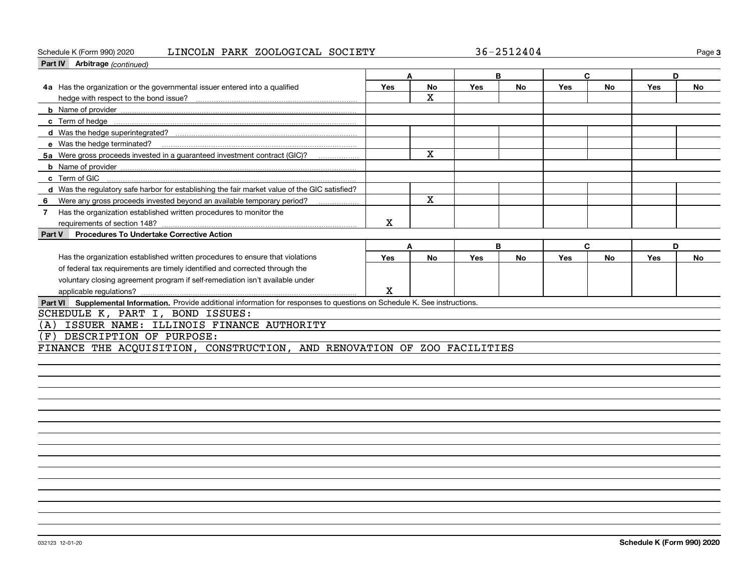### Schedule K (Form 990) 2020 Page LINCOLN PARK ZOOLOGICAL SOCIETY 36-2512404

**3**

| Part IV Arbitrage (continued)                                                                                                |     |              |     |           |     |           |     |           |
|------------------------------------------------------------------------------------------------------------------------------|-----|--------------|-----|-----------|-----|-----------|-----|-----------|
|                                                                                                                              |     |              |     | в         |     | C         | D   |           |
| 4a Has the organization or the governmental issuer entered into a qualified                                                  | Yes | <b>No</b>    | Yes | <b>No</b> | Yes | <b>No</b> | Yes | <b>No</b> |
|                                                                                                                              |     | $\mathbf{x}$ |     |           |     |           |     |           |
|                                                                                                                              |     |              |     |           |     |           |     |           |
|                                                                                                                              |     |              |     |           |     |           |     |           |
|                                                                                                                              |     |              |     |           |     |           |     |           |
| e Was the hedge terminated?                                                                                                  |     |              |     |           |     |           |     |           |
| 5a Were gross proceeds invested in a guaranteed investment contract (GIC)?                                                   |     | X            |     |           |     |           |     |           |
|                                                                                                                              |     |              |     |           |     |           |     |           |
| c Term of GIC                                                                                                                |     |              |     |           |     |           |     |           |
| d Was the regulatory safe harbor for establishing the fair market value of the GIC satisfied?                                |     |              |     |           |     |           |     |           |
| Were any gross proceeds invested beyond an available temporary period?<br>6                                                  |     | $\mathbf{x}$ |     |           |     |           |     |           |
| Has the organization established written procedures to monitor the<br>7                                                      |     |              |     |           |     |           |     |           |
|                                                                                                                              | Χ   |              |     |           |     |           |     |           |
| <b>Procedures To Undertake Corrective Action</b><br>Part V                                                                   |     |              |     |           |     |           |     |           |
|                                                                                                                              | A   |              |     | B         |     | C         | D   |           |
| Has the organization established written procedures to ensure that violations                                                | Yes | <b>No</b>    | Yes | <b>No</b> | Yes | <b>No</b> | Yes | <b>No</b> |
| of federal tax requirements are timely identified and corrected through the                                                  |     |              |     |           |     |           |     |           |
| voluntary closing agreement program if self-remediation isn't available under                                                |     |              |     |           |     |           |     |           |
|                                                                                                                              | X   |              |     |           |     |           |     |           |
| Part VI Supplemental Information. Provide additional information for responses to questions on Schedule K. See instructions. |     |              |     |           |     |           |     |           |
| SCHEDULE K, PART I, BOND ISSUES:                                                                                             |     |              |     |           |     |           |     |           |
| ISSUER NAME: ILLINOIS FINANCE AUTHORITY<br>(A)                                                                               |     |              |     |           |     |           |     |           |
| DESCRIPTION OF PURPOSE:<br>(F                                                                                                |     |              |     |           |     |           |     |           |
| FINANCE THE ACQUISITION, CONSTRUCTION, AND RENOVATION OF ZOO FACILITIES                                                      |     |              |     |           |     |           |     |           |
|                                                                                                                              |     |              |     |           |     |           |     |           |
|                                                                                                                              |     |              |     |           |     |           |     |           |
|                                                                                                                              |     |              |     |           |     |           |     |           |
|                                                                                                                              |     |              |     |           |     |           |     |           |
|                                                                                                                              |     |              |     |           |     |           |     |           |
|                                                                                                                              |     |              |     |           |     |           |     |           |
|                                                                                                                              |     |              |     |           |     |           |     |           |
|                                                                                                                              |     |              |     |           |     |           |     |           |
|                                                                                                                              |     |              |     |           |     |           |     |           |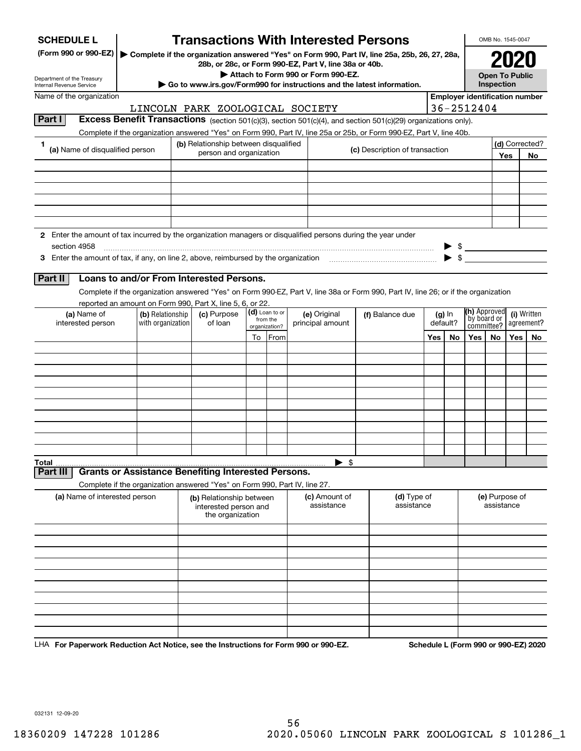| <b>SCHEDULE L</b>                                                                                             |                                                                                                                    |  | <b>Transactions With Interested Persons</b>                                |                          |  |                                                       |                                                                                                                                    |     |                         |                                       | OMB No. 1545-0047                   |      |                           |
|---------------------------------------------------------------------------------------------------------------|--------------------------------------------------------------------------------------------------------------------|--|----------------------------------------------------------------------------|--------------------------|--|-------------------------------------------------------|------------------------------------------------------------------------------------------------------------------------------------|-----|-------------------------|---------------------------------------|-------------------------------------|------|---------------------------|
| (Form 990 or 990-EZ)                                                                                          |                                                                                                                    |  |                                                                            |                          |  | 28b, or 28c, or Form 990-EZ, Part V, line 38a or 40b. | Complete if the organization answered "Yes" on Form 990, Part IV, line 25a, 25b, 26, 27, 28a,                                      |     |                         |                                       |                                     | 2020 |                           |
| Department of the Treasury<br>Internal Revenue Service                                                        |                                                                                                                    |  | Go to www.irs.gov/Form990 for instructions and the latest information.     |                          |  | Attach to Form 990 or Form 990-EZ.                    |                                                                                                                                    |     |                         |                                       | <b>Open To Public</b><br>Inspection |      |                           |
| Name of the organization                                                                                      |                                                                                                                    |  |                                                                            |                          |  |                                                       |                                                                                                                                    |     |                         | <b>Employer identification number</b> |                                     |      |                           |
|                                                                                                               |                                                                                                                    |  | LINCOLN PARK ZOOLOGICAL SOCIETY                                            |                          |  |                                                       |                                                                                                                                    |     |                         | 36-2512404                            |                                     |      |                           |
| Part I                                                                                                        |                                                                                                                    |  |                                                                            |                          |  |                                                       | <b>Excess Benefit Transactions</b> (section 501(c)(3), section 501(c)(4), and section 501(c)(29) organizations only).              |     |                         |                                       |                                     |      |                           |
|                                                                                                               |                                                                                                                    |  |                                                                            |                          |  |                                                       | Complete if the organization answered "Yes" on Form 990, Part IV, line 25a or 25b, or Form 990-EZ, Part V, line 40b.               |     |                         |                                       |                                     |      |                           |
| 1.<br>(a) Name of disqualified person                                                                         |                                                                                                                    |  | (b) Relationship between disqualified<br>person and organization           |                          |  |                                                       | (c) Description of transaction                                                                                                     |     |                         |                                       |                                     | Yes  | (d) Corrected?<br>No      |
|                                                                                                               |                                                                                                                    |  |                                                                            |                          |  |                                                       |                                                                                                                                    |     |                         |                                       |                                     |      |                           |
|                                                                                                               |                                                                                                                    |  |                                                                            |                          |  |                                                       |                                                                                                                                    |     |                         |                                       |                                     |      |                           |
|                                                                                                               |                                                                                                                    |  |                                                                            |                          |  |                                                       |                                                                                                                                    |     |                         |                                       |                                     |      |                           |
|                                                                                                               |                                                                                                                    |  |                                                                            |                          |  |                                                       |                                                                                                                                    |     |                         |                                       |                                     |      |                           |
|                                                                                                               |                                                                                                                    |  |                                                                            |                          |  |                                                       |                                                                                                                                    |     |                         |                                       |                                     |      |                           |
| 2 Enter the amount of tax incurred by the organization managers or disqualified persons during the year under |                                                                                                                    |  |                                                                            |                          |  |                                                       |                                                                                                                                    |     |                         |                                       |                                     |      |                           |
| section 4958                                                                                                  |                                                                                                                    |  |                                                                            |                          |  |                                                       |                                                                                                                                    |     |                         |                                       |                                     |      |                           |
| 3 Enter the amount of tax, if any, on line 2, above, reimbursed by the organization                           |                                                                                                                    |  |                                                                            |                          |  |                                                       |                                                                                                                                    |     | $\blacktriangleright$ s |                                       |                                     |      |                           |
| Part II                                                                                                       |                                                                                                                    |  | Loans to and/or From Interested Persons.                                   |                          |  |                                                       |                                                                                                                                    |     |                         |                                       |                                     |      |                           |
|                                                                                                               |                                                                                                                    |  |                                                                            |                          |  |                                                       | Complete if the organization answered "Yes" on Form 990-EZ, Part V, line 38a or Form 990, Part IV, line 26; or if the organization |     |                         |                                       |                                     |      |                           |
|                                                                                                               |                                                                                                                    |  | reported an amount on Form 990, Part X, line 5, 6, or 22.                  |                          |  |                                                       |                                                                                                                                    |     |                         | <b>(h)</b> Approved                   |                                     |      |                           |
| (a) Name of                                                                                                   | (d) Loan to or<br>(c) Purpose<br>(b) Relationship<br>from the<br>with organization<br>of loan<br>interested person |  |                                                                            |                          |  | (e) Original<br>principal amount                      | (f) Balance due                                                                                                                    |     | $(g)$ In<br>default?    | by board or                           |                                     |      | (i) Written<br>agreement? |
|                                                                                                               |                                                                                                                    |  |                                                                            | organization?<br>To From |  |                                                       |                                                                                                                                    | Yes | No                      | committee?<br>Yes                     | <b>No</b>                           | Yes  | No                        |
|                                                                                                               |                                                                                                                    |  |                                                                            |                          |  |                                                       |                                                                                                                                    |     |                         |                                       |                                     |      |                           |
|                                                                                                               |                                                                                                                    |  |                                                                            |                          |  |                                                       |                                                                                                                                    |     |                         |                                       |                                     |      |                           |
|                                                                                                               |                                                                                                                    |  |                                                                            |                          |  |                                                       |                                                                                                                                    |     |                         |                                       |                                     |      |                           |
|                                                                                                               |                                                                                                                    |  |                                                                            |                          |  |                                                       |                                                                                                                                    |     |                         |                                       |                                     |      |                           |
|                                                                                                               |                                                                                                                    |  |                                                                            |                          |  |                                                       |                                                                                                                                    |     |                         |                                       |                                     |      |                           |
|                                                                                                               |                                                                                                                    |  |                                                                            |                          |  |                                                       |                                                                                                                                    |     |                         |                                       |                                     |      |                           |
|                                                                                                               |                                                                                                                    |  |                                                                            |                          |  |                                                       |                                                                                                                                    |     |                         |                                       |                                     |      |                           |
|                                                                                                               |                                                                                                                    |  |                                                                            |                          |  |                                                       |                                                                                                                                    |     |                         |                                       |                                     |      |                           |
| Total                                                                                                         |                                                                                                                    |  |                                                                            |                          |  | $\blacktriangleright$ \$                              |                                                                                                                                    |     |                         |                                       |                                     |      |                           |
| Part II                                                                                                       |                                                                                                                    |  | <b>Grants or Assistance Benefiting Interested Persons.</b>                 |                          |  |                                                       |                                                                                                                                    |     |                         |                                       |                                     |      |                           |
|                                                                                                               |                                                                                                                    |  | Complete if the organization answered "Yes" on Form 990, Part IV, line 27. |                          |  |                                                       |                                                                                                                                    |     |                         |                                       |                                     |      |                           |
| (a) Name of interested person                                                                                 |                                                                                                                    |  | (b) Relationship between<br>interested person and<br>the organization      |                          |  | (c) Amount of<br>assistance                           | (d) Type of<br>assistance                                                                                                          |     |                         |                                       | (e) Purpose of<br>assistance        |      |                           |
|                                                                                                               |                                                                                                                    |  |                                                                            |                          |  |                                                       |                                                                                                                                    |     |                         |                                       |                                     |      |                           |
|                                                                                                               |                                                                                                                    |  |                                                                            |                          |  |                                                       |                                                                                                                                    |     |                         |                                       |                                     |      |                           |
|                                                                                                               |                                                                                                                    |  |                                                                            |                          |  |                                                       |                                                                                                                                    |     |                         |                                       |                                     |      |                           |
|                                                                                                               |                                                                                                                    |  |                                                                            |                          |  |                                                       |                                                                                                                                    |     |                         |                                       |                                     |      |                           |
|                                                                                                               |                                                                                                                    |  |                                                                            |                          |  |                                                       |                                                                                                                                    |     |                         |                                       |                                     |      |                           |
|                                                                                                               |                                                                                                                    |  |                                                                            |                          |  |                                                       |                                                                                                                                    |     |                         |                                       |                                     |      |                           |
|                                                                                                               |                                                                                                                    |  |                                                                            |                          |  |                                                       |                                                                                                                                    |     |                         |                                       |                                     |      |                           |
|                                                                                                               |                                                                                                                    |  |                                                                            |                          |  |                                                       |                                                                                                                                    |     |                         |                                       |                                     |      |                           |
| LHA For Paperwork Reduction Act Notice, see the Instructions for Form 990 or 990-EZ.                          |                                                                                                                    |  |                                                                            |                          |  |                                                       |                                                                                                                                    |     |                         | Schedule L (Form 990 or 990-EZ) 2020  |                                     |      |                           |

032131 12-09-20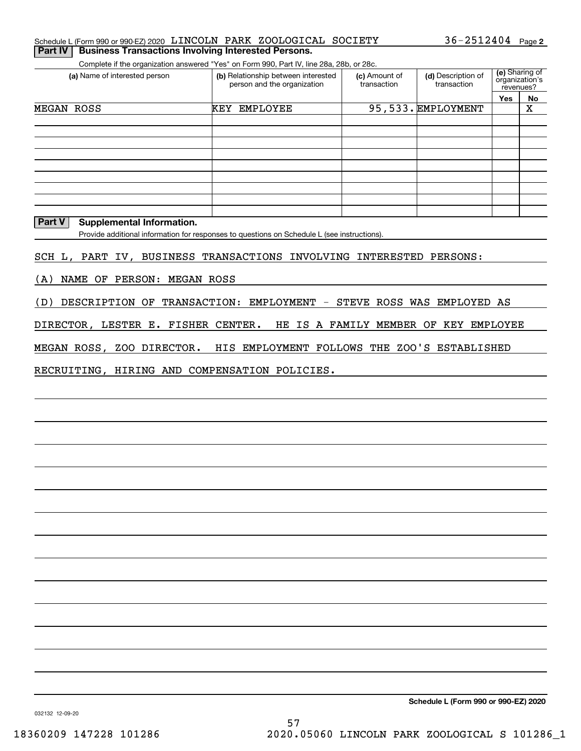#### Schedule L (Form 990 or 990-EZ) 2020 「LINCOLN PARK ZOOLOGICAL SOCIETY 36-2512404 Page **Part IV | Business Transactions Involving Interested Persons.**

Complete if the organization answered "Yes" on Form 990, Part IV, line 28a, 28b, or 28c.

| (a) Name of interested person | (b) Relationship between interested<br>person and the organization | (c) Amount of<br>transaction | (d) Description of<br>transaction |     | (e) Sharing of<br>organization's<br>revenues? |
|-------------------------------|--------------------------------------------------------------------|------------------------------|-----------------------------------|-----|-----------------------------------------------|
|                               |                                                                    |                              |                                   | Yes | No                                            |
| MEGAN ROSS                    | EMPLOYEE<br>KEY                                                    |                              | 95,533. EMPLOYMENT                |     | х                                             |
|                               |                                                                    |                              |                                   |     |                                               |
|                               |                                                                    |                              |                                   |     |                                               |
|                               |                                                                    |                              |                                   |     |                                               |
|                               |                                                                    |                              |                                   |     |                                               |
|                               |                                                                    |                              |                                   |     |                                               |
|                               |                                                                    |                              |                                   |     |                                               |
|                               |                                                                    |                              |                                   |     |                                               |
|                               |                                                                    |                              |                                   |     |                                               |
|                               |                                                                    |                              |                                   |     |                                               |

### **Part V Supplemental Information.**

Provide additional information for responses to questions on Schedule L (see instructions).

SCH L, PART IV, BUSINESS TRANSACTIONS INVOLVING INTERESTED PERSONS:

(A) NAME OF PERSON: MEGAN ROSS

(D) DESCRIPTION OF TRANSACTION: EMPLOYMENT - STEVE ROSS WAS EMPLOYED AS

DIRECTOR, LESTER E. FISHER CENTER. HE IS A FAMILY MEMBER OF KEY EMPLOYEE

MEGAN ROSS, ZOO DIRECTOR. HIS EMPLOYMENT FOLLOWS THE ZOO'S ESTABLISHED

RECRUITING, HIRING AND COMPENSATION POLICIES.

**Schedule L (Form 990 or 990-EZ) 2020**

032132 12-09-20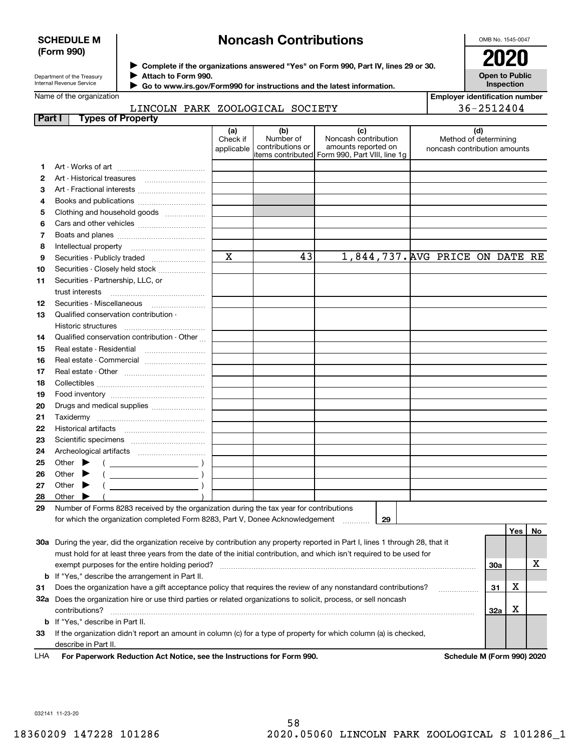### **SCHEDULE M (Form 990)**

### **Noncash Contributions**

OMB No. 1545-0047

**Open to Public Inspection**

Department of the Treasury Internal Revenue Service

**Complete if the organizations answered "Yes" on Form 990, Part IV, lines 29 or 30.** <sup>J</sup>**2020 Attach to Form 990.** J

 **Go to www.irs.gov/Form990 for instructions and the latest information.** J

**Employer identification number**

|                | LINCOLN PARK ZOOLOGICAL SOCIETY                                                                                                                                                                                                                                                                                                                                                    |                               |                                      |                                                                                                      |                                                       | 36-2512404 |     |    |
|----------------|------------------------------------------------------------------------------------------------------------------------------------------------------------------------------------------------------------------------------------------------------------------------------------------------------------------------------------------------------------------------------------|-------------------------------|--------------------------------------|------------------------------------------------------------------------------------------------------|-------------------------------------------------------|------------|-----|----|
| Part I         | <b>Types of Property</b>                                                                                                                                                                                                                                                                                                                                                           |                               |                                      |                                                                                                      |                                                       |            |     |    |
|                |                                                                                                                                                                                                                                                                                                                                                                                    | (a)<br>Check if<br>applicable | (b)<br>Number of<br>contributions or | (c)<br>Noncash contribution<br>amounts reported on<br>items contributed Form 990, Part VIII, line 1g | Method of determining<br>noncash contribution amounts | (d)        |     |    |
| 1              | Art - Works of art                                                                                                                                                                                                                                                                                                                                                                 |                               |                                      |                                                                                                      |                                                       |            |     |    |
| $\overline{2}$ |                                                                                                                                                                                                                                                                                                                                                                                    |                               |                                      |                                                                                                      |                                                       |            |     |    |
| 3              |                                                                                                                                                                                                                                                                                                                                                                                    |                               |                                      |                                                                                                      |                                                       |            |     |    |
| 4              |                                                                                                                                                                                                                                                                                                                                                                                    |                               |                                      |                                                                                                      |                                                       |            |     |    |
| 5              | Clothing and household goods                                                                                                                                                                                                                                                                                                                                                       |                               |                                      |                                                                                                      |                                                       |            |     |    |
| 6              |                                                                                                                                                                                                                                                                                                                                                                                    |                               |                                      |                                                                                                      |                                                       |            |     |    |
| 7              |                                                                                                                                                                                                                                                                                                                                                                                    |                               |                                      |                                                                                                      |                                                       |            |     |    |
| 8              |                                                                                                                                                                                                                                                                                                                                                                                    |                               |                                      |                                                                                                      |                                                       |            |     |    |
| 9              |                                                                                                                                                                                                                                                                                                                                                                                    | $\mathbf x$                   | 43                                   | 1,844,737. AVG PRICE ON DATE RE                                                                      |                                                       |            |     |    |
| 10             | Securities - Closely held stock                                                                                                                                                                                                                                                                                                                                                    |                               |                                      |                                                                                                      |                                                       |            |     |    |
| 11             | Securities - Partnership, LLC, or                                                                                                                                                                                                                                                                                                                                                  |                               |                                      |                                                                                                      |                                                       |            |     |    |
|                | trust interests                                                                                                                                                                                                                                                                                                                                                                    |                               |                                      |                                                                                                      |                                                       |            |     |    |
| 12             |                                                                                                                                                                                                                                                                                                                                                                                    |                               |                                      |                                                                                                      |                                                       |            |     |    |
| 13             | Qualified conservation contribution -                                                                                                                                                                                                                                                                                                                                              |                               |                                      |                                                                                                      |                                                       |            |     |    |
|                |                                                                                                                                                                                                                                                                                                                                                                                    |                               |                                      |                                                                                                      |                                                       |            |     |    |
| 14             | Qualified conservation contribution - Other                                                                                                                                                                                                                                                                                                                                        |                               |                                      |                                                                                                      |                                                       |            |     |    |
| 15             | Real estate - Residential                                                                                                                                                                                                                                                                                                                                                          |                               |                                      |                                                                                                      |                                                       |            |     |    |
| 16             | Real estate - Commercial                                                                                                                                                                                                                                                                                                                                                           |                               |                                      |                                                                                                      |                                                       |            |     |    |
| 17             |                                                                                                                                                                                                                                                                                                                                                                                    |                               |                                      |                                                                                                      |                                                       |            |     |    |
| 18             |                                                                                                                                                                                                                                                                                                                                                                                    |                               |                                      |                                                                                                      |                                                       |            |     |    |
| 19             |                                                                                                                                                                                                                                                                                                                                                                                    |                               |                                      |                                                                                                      |                                                       |            |     |    |
| 20             | Drugs and medical supplies                                                                                                                                                                                                                                                                                                                                                         |                               |                                      |                                                                                                      |                                                       |            |     |    |
| 21             |                                                                                                                                                                                                                                                                                                                                                                                    |                               |                                      |                                                                                                      |                                                       |            |     |    |
| 22             |                                                                                                                                                                                                                                                                                                                                                                                    |                               |                                      |                                                                                                      |                                                       |            |     |    |
| 23             |                                                                                                                                                                                                                                                                                                                                                                                    |                               |                                      |                                                                                                      |                                                       |            |     |    |
| 24             |                                                                                                                                                                                                                                                                                                                                                                                    |                               |                                      |                                                                                                      |                                                       |            |     |    |
| 25             | Other $\blacktriangleright$<br>$\left(\begin{array}{ccc}\n&\quad&\quad&\n\end{array}\right)$                                                                                                                                                                                                                                                                                       |                               |                                      |                                                                                                      |                                                       |            |     |    |
| 26             | $(\begin{array}{cccccccccc} \text{ } & & & & & \text{ } \end{array})$<br>Other $\blacktriangleright$                                                                                                                                                                                                                                                                               |                               |                                      |                                                                                                      |                                                       |            |     |    |
| 27             | $\begin{picture}(20,10) \put(0,0){\line(1,0){10}} \put(15,0){\line(1,0){10}} \put(15,0){\line(1,0){10}} \put(15,0){\line(1,0){10}} \put(15,0){\line(1,0){10}} \put(15,0){\line(1,0){10}} \put(15,0){\line(1,0){10}} \put(15,0){\line(1,0){10}} \put(15,0){\line(1,0){10}} \put(15,0){\line(1,0){10}} \put(15,0){\line(1,0){10}} \put(15,0){\line(1$<br>Other $\blacktriangleright$ |                               |                                      |                                                                                                      |                                                       |            |     |    |
| 28             | Other                                                                                                                                                                                                                                                                                                                                                                              |                               |                                      |                                                                                                      |                                                       |            |     |    |
| 29             | Number of Forms 8283 received by the organization during the tax year for contributions                                                                                                                                                                                                                                                                                            |                               |                                      |                                                                                                      |                                                       |            |     |    |
|                | for which the organization completed Form 8283, Part V, Donee Acknowledgement                                                                                                                                                                                                                                                                                                      |                               |                                      | 29                                                                                                   |                                                       |            |     |    |
|                |                                                                                                                                                                                                                                                                                                                                                                                    |                               |                                      |                                                                                                      |                                                       |            | Yes | No |
|                | 30a During the year, did the organization receive by contribution any property reported in Part I, lines 1 through 28, that it                                                                                                                                                                                                                                                     |                               |                                      |                                                                                                      |                                                       |            |     |    |
|                | must hold for at least three years from the date of the initial contribution, and which isn't required to be used for                                                                                                                                                                                                                                                              |                               |                                      |                                                                                                      |                                                       |            |     |    |
|                |                                                                                                                                                                                                                                                                                                                                                                                    |                               |                                      |                                                                                                      |                                                       | 30a        |     | х  |
|                | <b>b</b> If "Yes," describe the arrangement in Part II.                                                                                                                                                                                                                                                                                                                            |                               |                                      |                                                                                                      |                                                       |            |     |    |
| 31             | Does the organization have a gift acceptance policy that requires the review of any nonstandard contributions?                                                                                                                                                                                                                                                                     |                               |                                      |                                                                                                      |                                                       | 31         | х   |    |
|                | 32a Does the organization hire or use third parties or related organizations to solicit, process, or sell noncash                                                                                                                                                                                                                                                                  |                               |                                      |                                                                                                      |                                                       |            |     |    |
|                |                                                                                                                                                                                                                                                                                                                                                                                    |                               |                                      |                                                                                                      |                                                       | 32a        | х   |    |

**For Paperwork Reduction Act Notice, see the Instructions for Form 990. Schedule M (Form 990) 2020** LHA

**33**If the organization didn't report an amount in column (c) for a type of property for which column (a) is checked,

032141 11-23-20

**b**If "Yes," describe in Part II.

describe in Part II.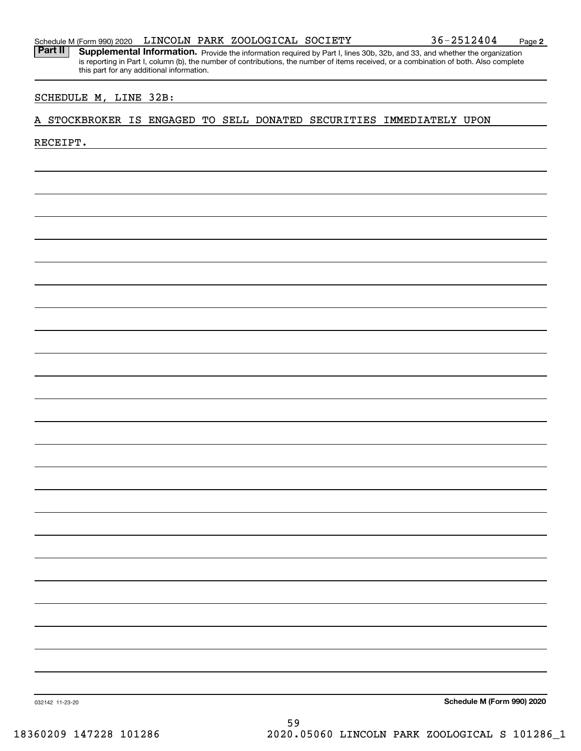Part II | Supplemental Information. Provide the information required by Part I, lines 30b, 32b, and 33, and whether the organization is reporting in Part I, column (b), the number of contributions, the number of items received, or a combination of both. Also complete this part for any additional information.

### SCHEDULE M, LINE 32B:

### A STOCKBROKER IS ENGAGED TO SELL DONATED SECURITIES IMMEDIATELY UPON

### RECEIPT.

**Schedule M (Form 990) 2020**

032142 11-23-20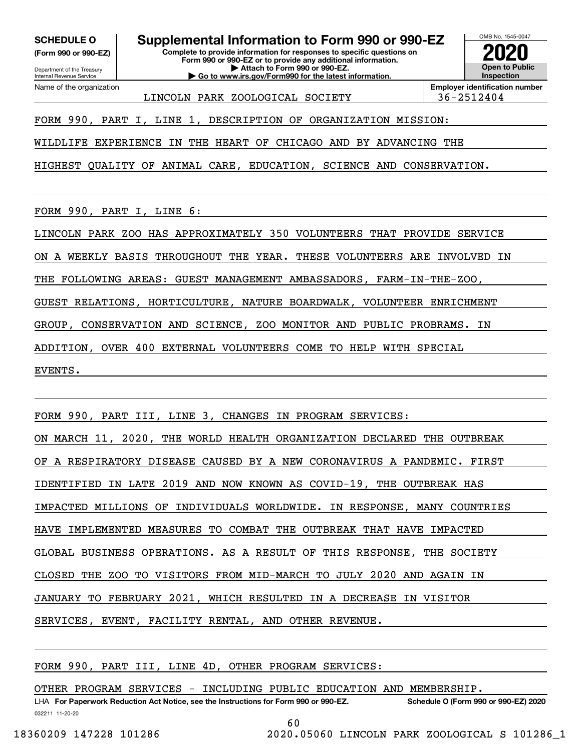**(Form 990 or 990-EZ)**

Department of the Treasury Internal Revenue Service Name of the organization

### **SCHEDULE O Supplemental Information to Form 990 or 990-EZ**

**Complete to provide information for responses to specific questions on Form 990 or 990-EZ or to provide any additional information. | Attach to Form 990 or 990-EZ. | Go to www.irs.gov/Form990 for the latest information.**



LINCOLN PARK ZOOLOGICAL SOCIETY 36-2512404

FORM 990, PART I, LINE 1, DESCRIPTION OF ORGANIZATION MISSION:

WILDLIFE EXPERIENCE IN THE HEART OF CHICAGO AND BY ADVANCING THE

HIGHEST QUALITY OF ANIMAL CARE, EDUCATION, SCIENCE AND CONSERVATION.

FORM 990, PART I, LINE 6:

LINCOLN PARK ZOO HAS APPROXIMATELY 350 VOLUNTEERS THAT PROVIDE SERVICE

ON A WEEKLY BASIS THROUGHOUT THE YEAR. THESE VOLUNTEERS ARE INVOLVED IN

THE FOLLOWING AREAS: GUEST MANAGEMENT AMBASSADORS, FARM-IN-THE-ZOO,

GUEST RELATIONS, HORTICULTURE, NATURE BOARDWALK, VOLUNTEER ENRICHMENT

GROUP, CONSERVATION AND SCIENCE, ZOO MONITOR AND PUBLIC PROBRAMS. IN

ADDITION, OVER 400 EXTERNAL VOLUNTEERS COME TO HELP WITH SPECIAL

EVENTS.

FORM 990, PART III, LINE 3, CHANGES IN PROGRAM SERVICES:

ON MARCH 11, 2020, THE WORLD HEALTH ORGANIZATION DECLARED THE OUTBREAK

OF A RESPIRATORY DISEASE CAUSED BY A NEW CORONAVIRUS A PANDEMIC. FIRST

IDENTIFIED IN LATE 2019 AND NOW KNOWN AS COVID-19, THE OUTBREAK HAS

IMPACTED MILLIONS OF INDIVIDUALS WORLDWIDE. IN RESPONSE, MANY COUNTRIES

HAVE IMPLEMENTED MEASURES TO COMBAT THE OUTBREAK THAT HAVE IMPACTED

GLOBAL BUSINESS OPERATIONS. AS A RESULT OF THIS RESPONSE, THE SOCIETY

CLOSED THE ZOO TO VISITORS FROM MID-MARCH TO JULY 2020 AND AGAIN IN

JANUARY TO FEBRUARY 2021, WHICH RESULTED IN A DECREASE IN VISITOR

SERVICES, EVENT, FACILITY RENTAL, AND OTHER REVENUE.

FORM 990, PART III, LINE 4D, OTHER PROGRAM SERVICES:

OTHER PROGRAM SERVICES - INCLUDING PUBLIC EDUCATION AND MEMBERSHIP.

032211 11-20-20 LHA For Paperwork Reduction Act Notice, see the Instructions for Form 990 or 990-EZ. Schedule O (Form 990 or 990-EZ) 2020